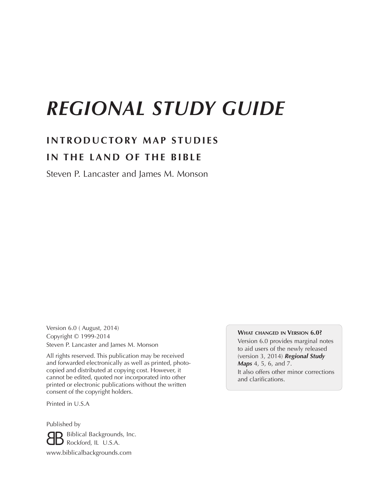# *REGIONAL STUDY GUIDE*

# **INTRODUCTORY MAP STUDIES IN THE LAND OF THE BIBLE**

Steven P. Lancaster and James M. Monson

Version 6.0 ( August, 2014) Copyright © 1999-2014 Steven P. Lancaster and James M. Monson

All rights reserved. This publication may be received and forwarded electronically as well as printed, photocopied and distributed at copying cost. However, it cannot be edited, quoted nor incorporated into other printed or electronic publications without the written consent of the copyright holders.

Printed in U.S.A

Published by **B** Biblical Backgrounds, Inc.<br> **B** Rockford, IL U.S.A.  $\Box$  Rockford, IL U.S.A. www.biblicalbackgrounds.com

# **What changed in Version 6.0?**

Version 6.0 provides marginal notes to aid users of the newly released (version 3, 2014) *Regional Study Maps* 4, 5, 6, and 7.

It also offers other minor corrections and clarifications.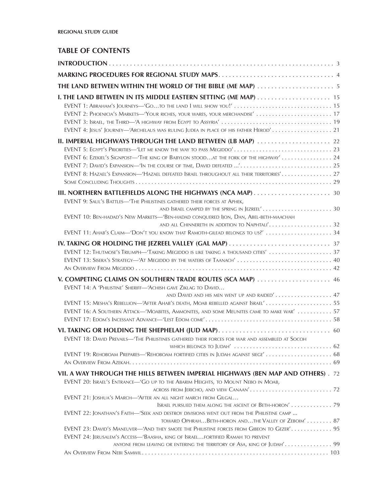# **TABLE OF CONTENTS**

| EVENT 1: ABRAHAM'S JOURNEYS-'GOTO THE LAND I WILL SHOW YOU!' 15<br>EVENT 2: PHOENICIA'S MARKETS-'YOUR RICHES, YOUR WARES, YOUR MERCHANDISE'  17<br>EVENT 4: JESUS' JOURNEY—'ARCHELAUS WAS RULING JUDEA IN PLACE OF HIS FATHER HEROD' 21                                                                                           |  |
|-----------------------------------------------------------------------------------------------------------------------------------------------------------------------------------------------------------------------------------------------------------------------------------------------------------------------------------|--|
| II. IMPERIAL HIGHWAYS THROUGH THE LAND BETWEEN (LB MAP)  22                                                                                                                                                                                                                                                                       |  |
| EVENT 5: EGYPT'S PRIORITIES-'LET ME KNOW THE WAY TO PASS MEGIDDO' 23<br>EVENT 6: EZEKIEL'S SIGNPOST-THE KING OF BABYLON STOODAT THE FORK OF THE HIGHWAY' 24<br>EVENT 7: DAVID'S EXPANSION-'IN THE COURSE OF TIME, DAVID DEFEATED ' 25<br>EVENT 8: HAZAEL'S EXPANSION—'HAZAEL DEFEATED ISRAEL THROUGHOUT ALL THEIR TERRITORIES' 27 |  |
| III. NORTHERN BATTLEFIELDS ALONG THE HIGHWAYS (NCA MAP) 30                                                                                                                                                                                                                                                                        |  |
| EVENT 9: SAUL'S BATTLES-'THE PHILISTINES GATHERED THEIR FORCES AT APHEK,<br>EVENT 10: BEN-HADAD'S NEW MARKETS—'BEN-HADAD CONQUERED IJON, DAN, ABEL-BETH-MAACHAH                                                                                                                                                                   |  |
|                                                                                                                                                                                                                                                                                                                                   |  |
| EVENT 11: AHAB'S CLAIM-'DON'T YOU KNOW THAT RAMOTH-GILEAD BELONGS TO US?'  34                                                                                                                                                                                                                                                     |  |
| EVENT 12: THUTMOSE'S TRIUMPH-TAKING MEGIDDO IS LIKE TAKING A THOUSAND CITIES'  37<br>EVENT 13: SISERA'S STRATEGY-4T MEGIDDO BY THE WATERS OF TAANACH'  40                                                                                                                                                                         |  |
| V. COMPETING CLAIMS ON SOUTHERN TRADE ROUTES (SCA MAP)  46<br>EVENT 14: A 'PHILISTINE' SHERIFF-'ACHISH GAVE ZIKLAG TO DAVID<br>AND DAVID AND HIS MEN WENT UP AND RAIDED' 47                                                                                                                                                       |  |
| EVENT 15: MESHA'S REBELLION-'AFTER AHAB'S DEATH, MOAB REBELLED AGAINST ISRAEL' 55<br>EVENT 16: A SOUTHERN ATTACK-'MOABITES, AMMONITES, AND SOME MEUNITES CAME TO MAKE WAR'  57                                                                                                                                                    |  |
|                                                                                                                                                                                                                                                                                                                                   |  |
| EVENT 18: DAVID PREVAILS-'THE PHILISTINES GATHERED THEIR FORCES FOR WAR AND ASSEMBLED AT SOCOH<br>EVENT 19: REHOBOAM PREPARES—'REHOBOAM FORTIFIED CITIES IN JUDAH AGAINST SIEGE' 68                                                                                                                                               |  |
| VII. A WAY THROUGH THE HILLS BETWEEN IMPERIAL HIGHWAYS (BEN MAP AND OTHERS). 72                                                                                                                                                                                                                                                   |  |
| EVENT 20: ISRAEL'S ENTRANCE-'GO UP TO THE ABARIM HEIGHTS, TO MOUNT NEBO IN MOAB,                                                                                                                                                                                                                                                  |  |
| EVENT 21: JOSHUA'S MARCH-'AFTER AN ALL NIGHT MARCH FROM GILGAL<br>ISRAEL PURSUED THEM ALONG THE ASCENT OF BETH-HORON' 79                                                                                                                                                                                                          |  |
| EVENT 22: JONATHAN'S FAITH-'SEEK AND DESTROY DIVISIONS WENT OUT FROM THE PHILISTINE CAMP<br>TOWARD OPHRAHBETH-HORON ANDTHE VALLEY OF ZEBOIM' 87                                                                                                                                                                                   |  |
| EVENT 23: DAVID'S MANEUVER-4ND THEY SMOTE THE PHILISTINE FORCES FROM GIBEON TO GEZER' 95<br>EVENT 24: JERUSALEM'S ACCESS-'BAASHA, KING OF ISRAELFORTIFIED RAMAH TO PREVENT<br>ANYONE FROM LEAVING OR ENTERING THE TERRITORY OF ASA, KING OF JUDAH' 99                                                                             |  |
|                                                                                                                                                                                                                                                                                                                                   |  |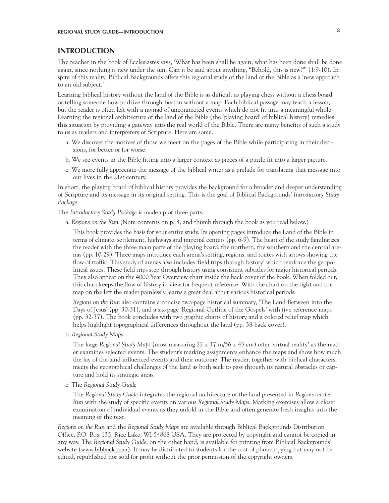# **INTRODUCTION**

The teacher in the book of Ecclesiastes says, 'What has been shall be again; what has been done shall be done again, since nothing is new under the sun. Can it be said about anything, "Behold, this is new?"' (1:9-10). In spite of this reality, Biblical Backgrounds offers this regional study of the land of the Bible as a 'new approach to an old subject.'

Learning biblical history without the land of the Bible is as difficult as playing chess without a chess board or telling someone how to drive through Boston without a map. Each biblical passage may teach a lesson, but the reader is often left with a myriad of unconnected events which do not fit into a meaningful whole. Learning the regional architecture of the land of the Bible (the 'playing board' of biblical history) remedies this situation by providing a gateway into the real world of the Bible. There are many benefits of such a study to us as readers and interpreters of Scripture. Here are some.

- a. We discover the motives of those we meet on the pages of the Bible while participating in their decisions, for better or for worse.
- b. We see events in the Bible fitting into a larger context as pieces of a puzzle fit into a larger picture.
- c. We more fully appreciate the message of the biblical writer as a prelude for translating that message into our lives in the 21st century.

In short, the playing board of biblical history provides the background for a broader and deeper understanding of Scripture and its message in its original setting. This is the goal of Biblical Backgrounds' *Introductory Study Package.*

The *Introductory Study Package* is made up of three parts:

a. *Regions on the Run* (Note contents on p. 3, and thumb through the book as you read below.)

This book provides the basis for your entire study. Its opening pages introduce the Land of the Bible in terms of climate, settlement, highways and imperial centers (pp. 6-9). The heart of the study familiarizes the reader with the three main parts of the playing board: the northern, the southern and the central arenas (pp. 10-29). Three maps introduce each arena's setting, regions, and routes with arrows showing the flow of traffic. This study of arenas also includes 'field trips through history' which reinforce the geopolitical issues. These field trips step through history using consistent subtitles for major historical periods. They also appear on the 4000 Year Overview chart inside the back cover of the book. When folded out, this chart keeps the flow of history in view for frequent reference. With the chart on the right and the map on the left the reader painlessly learns a great deal about various historical periods.

*Regions on the Run* also contains a concise two-page historical summary, 'The Land Between into the Days of Jesus' (pp. 30-31), and a six-page 'Regional Outline of the Gospels' with five reference maps (pp. 32-37). The book concludes with two graphic charts of history and a colored relief map which helps highlight topographical differences throughout the land (pp. 38-back cover).

b. *Regional Study Maps*

The large *Regional Study Maps* (most measuring 22 x 17 in/56 x 43 cm) offer 'virtual reality' as the reader examines selected events. The student's marking assignments enhance the maps and show how much the lay of the land influenced events and their outcome. The reader, together with biblical characters, meets the geographical challenges of the land as both seek to pass through its natural obstacles or capture and hold its strategic areas.

c. The *Regional Study Guide*

The *Regional Study Guide* integrates the regional architecture of the land presented in *Regions on the Run* with the study of specific events on various *Regional Study Maps*. Marking exercises allow a closer examination of individual events as they unfold in the Bible and often generate fresh insights into the meaning of the text.

*Regions on the Run* and the *Regional Study Maps* are available through Biblical Backgrounds Distribution Office, P.O. Box 135, Rice Lake, WI 54868 USA. They are protected by copyright and cannot be copied in any way. The *Regional Study Guide*, on the other hand, is available for printing from Biblical Backgrounds' website (www.bibback.com). It may be distributed to students for the cost of photocopying but may not be edited, republished nor sold for profit without the prior permission of the copyright owners.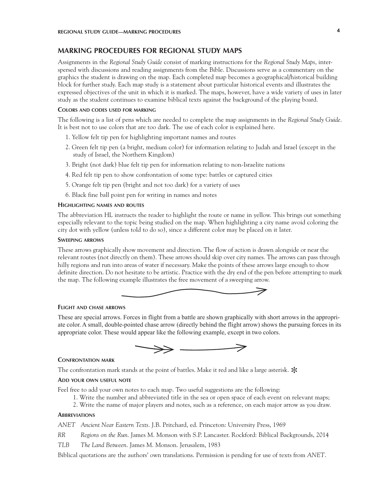# **MARKING PROCEDURES FOR REGIONAL STUDY MAPS**

Assignments in the *Regional Study Guide* consist of marking instructions for the *Regional Study Maps*, interspersed with discussions and reading assignments from the Bible. Discussions serve as a commentary on the graphics the student is drawing on the map. Each completed map becomes a geographical/historical building block for further study. Each map study is a statement about particular historical events and illustrates the expressed objectives of the unit in which it is marked. The maps, however, have a wide variety of uses in later study as the student continues to examine biblical texts against the background of the playing board.

#### **Colors and codes used for marking**

The following is a list of pens which are needed to complete the map assignments in the *Regional Study Guide*. It is best not to use colors that are too dark. The use of each color is explained here.

- 1. Yellow felt tip pen for highlighting important names and routes
- 2. Green felt tip pen (a bright, medium color) for information relating to Judah and Israel (except in the study of Israel, the Northern Kingdom)
- 3. Bright (not dark) blue felt tip pen for information relating to non-Israelite nations
- 4. Red felt tip pen to show confrontation of some type: battles or captured cities
- 5. Orange felt tip pen (bright and not too dark) for a variety of uses
- 6. Black fine ball point pen for writing in names and notes

#### **Highlighting names and routes**

The abbreviation HL instructs the reader to highlight the route or name in yellow. This brings out something especially relevant to the topic being studied on the map. When highlighting a city name avoid coloring the city dot with yellow (unless told to do so), since a different color may be placed on it later.

#### **Sweeping arrows**

These arrows graphically show movement and direction. The flow of action is drawn alongside or near the relevant routes (not directly on them). These arrows should skip over city names. The arrows can pass through hilly regions and run into areas of water if necessary. Make the points of these arrows large enough to show definite direction. Do not hesitate to be artistic. Practice with the dry end of the pen before attempting to mark the map. The following example illustrates the free movement of a sweeping arrow.



#### **Flight and chase arrows**

These are special arrows. Forces in flight from a battle are shown graphically with short arrows in the appropriate color. A small, double-pointed chase arrow (directly behind the flight arrow) shows the pursuing forces in its appropriate color. These would appear like the following example, except in two colors.



#### **Confrontation mark**

The confrontation mark stands at the point of battles. Make it red and like a large asterisk.  $\ast$ 

# **Add your own useful note**

Feel free to add your own notes to each map. Two useful suggestions are the following:

- 1. Write the number and abbreviated title in the sea or open space of each event on relevant maps;
- 2. Write the name of major players and notes, such as a reference, on each major arrow as you draw.

#### **Abbreviations**

*ANET Ancient Near Eastern Texts*. J.B. Pritchard, ed. Princeton: University Press, 1969

*RR Regions on the Run*. James M. Monson with S.P. Lancaster. Rockford: Biblical Backgrounds, 2014

*TLB The Land Between*. James M. Monson. Jerusalem, 1983

Biblical quotations are the authors' own translations. Permission is pending for use of texts from *ANET*.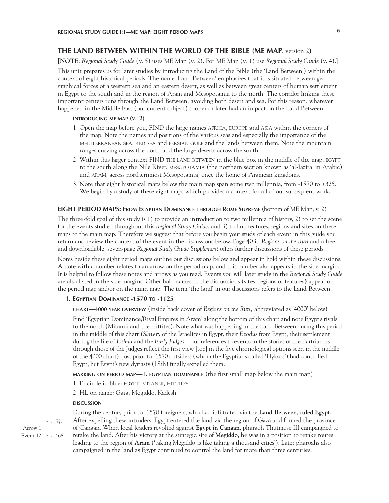# **THE LAND BETWEEN WITHIN THE WORLD OF THE BIBLE (ME MAP**, version 2**)**

**[NOTE**: *Regional Study Guide* (v. 5) uses ME Map (v. 2). For ME Map (v. 1) use *Regional Study Guide* (v. 4).]

This unit prepares us for later studies by introducing the Land of the Bible (the 'Land Between') within the context of eight historical periods. The name 'Land Between' emphasizes that it is situated between geographical forces of a western sea and an eastern desert, as well as between great centers of human settlement in Egypt to the south and in the region of Aram and Mesopotamia to the north. The corridor linking these important centers runs through the Land Between, avoiding both desert and sea. For this reason, whatever happened in the Middle East (our current subject) sooner or later had an impact on the Land Between.

#### **introducing me map (v. 2)**

- 1. Open the map before you, FIND the large names africa, europe and asia within the corners of the map. Note the names and positions of the various seas and especially the importance of the MEDITERRANEAN SEA, RED SEA and PERSIAN GULF and the lands between them. Note the mountain ranges curving across the north and the large deserts across the south.
- 2. Within this larger context FIND THE LAND BETWEEN in the blue box in the middle of the map, EGYPT to the south along the Nile River, mesopotamia (the northern section known as 'al-Jazira' in Arabic) and aram, across northernmost Mesopotamia, once the home of Aramean kingdoms.
- 3. Note that eight historical maps below the main map span some two millennia, from -1570 to +325. We begin by a study of these eight maps which provides a context for all of our subsequent work.

### **EIGHT PERIOD MAPS: From Egyptian Dominance through Rome Supreme (**bottom of ME Map, v. 2)

The three-fold goal of this study is 1) to provide an introduction to two millennia of history, 2) to set the scene for the events studied throughout this *Regional Study Guide*, and 3) to link features, regions and sites on these maps to the main map. Therefore we suggest that before you begin your study of each event in this guide you return and review the context of the event in the discussions below. Page 40 in *Regions on the Run* and a free and downloadable, seven-page *Regional Study Guide Supplement* offers further discussions of these periods.

Notes beside these eight period maps outline our discussions below and appear in bold within these discussions. A note with a number relates to an arrow on the period map, and this number also appears in the side margin. It is helpful to follow these notes and arrows as you read. Events you will later study in the *Regional Study Guide*  are also listed in the side margins. Other bold names in the discusssions (sites, regions or features) appear on the period map and/or on the main map. The term 'the land' in our discussions refers to the Land Between.

### **1. Egyptian Dominance -1570 to -1125**

**chart—4000 year overview** (inside back cover of *Regions on the Run,* abbreviated as '4000' below)

Find 'Egyptian Dominance/Rival Empires in Aram' along the bottom of this chart and note Egypt's rivals to the north (Mitanni and the Hittites). Note what was happening in the Land Between during this period in the middle of this chart (*Slavery* of the Israelites in Egypt, their *Exodus* from Egypt, their settlement during the life of *Joshua* and the *Early Judges*—our references to events in the stories of the Partriarchs through those of the Judges reflect the first view [top] in the five chronological options seen in the middle of the 4000 chart). Just prior to -1570 outsiders (whom the Egyptians called 'Hyksos') had controlled Egypt, but Egypt's new dynasty (18th) finally expelled them.

**marking on period map—1. egyptian dominance** (the first small map below the main map)

1. Encircle in blue: egypt, mitanni, hittites

2. HL on name: Gaza, Megiddo, Kadesh

#### **DISCUSSION discussion**

Arrow 1 Event 12 c. -1468 c. -1570 During the century prior to -1570 foreigners, who had infiltrated via the **Land Between**, ruled **Egypt**. After expelling these intruders, Egypt entered the land via the region of **Gaza** and formed the province of Canaan. When local leaders revolted against **Egypt in Canaan**, pharaoh Thutmose III campaigned to retake the land. After his victory at the strategic site of **Megiddo**, he was in a position to retake routes leading to the region of **Aram** ('taking Megiddo is like taking a thousand cities'). Later pharoahs also campaigned in the land as Egypt continued to control the land for more than three centuries.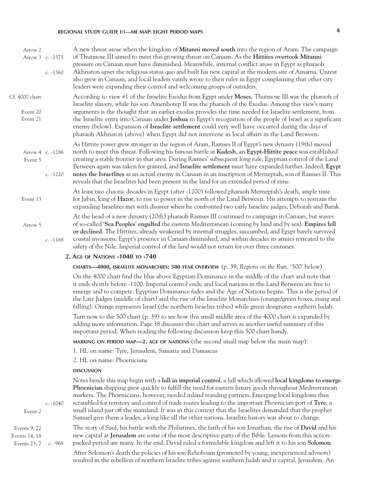| Arrow 2<br>Arrow 3 c. -1375            | c. $-1360$ | A new threat arose when the kingdom of <b>Mitanni moved south</b> into the region of Aram. The campaign<br>of Thutmose III aimed to meet this growing threat on Canaan. As the Hittites overtook Mitanni<br>pressure on Canaan must have diminished. Meanwhile, internal conflict arose in Egypt as pharaoh<br>Akhnaton upset the religious status quo and built his new capital at the modern site of Amarna. Unrest<br>also grew in Canaan, and local leaders vainly wrote to their ruler in Egypt complaining that other city<br>leaders were expanding their control and welcoming groups of outsiders.                                       |
|----------------------------------------|------------|---------------------------------------------------------------------------------------------------------------------------------------------------------------------------------------------------------------------------------------------------------------------------------------------------------------------------------------------------------------------------------------------------------------------------------------------------------------------------------------------------------------------------------------------------------------------------------------------------------------------------------------------------|
| Cf. 4000 chart<br>Event 20<br>Event 21 |            | According to view #1 of the Israelite Exodus from Egypt under Moses, Thutmose III was the pharaoh of<br>Israelite slavery, while his son Amenhotep II was the pharaoh of the Exodus. Among this view's many<br>arguments is the thought that an earlier exodus provides the time needed for Israelite settlement, from<br>the Israelite entry into Canaan under Joshua to Egypt's recognition of the people of Israel as a significant<br>enemy (below). Expansion of Israelite settlement could very well have occurred during the days of<br>pharaoh Akhnaton (above) when Egypt did not intervene in local affairs in the Land Between.        |
| Arrow 4 c. -1286<br>Event 5            | c. -1220   | As Hittite power grew stronger in the region of Aram, Ramses II of Egypt's new dynasty (19th) moved<br>north to meet this threat. Following his famous battle at Kadesh, an Egypt-Hittite peace was established<br>creating a stable frontier in that area. During Ramses' subsequent long rule, Egyptian control of the Land<br>Between again was taken for granted, and Israelite settlement must have expanded further. Indeed, Egypt<br>notes the Israetlites as an actual enemy in Canaan in an inscription of Merneptah, son of Ramses II. This<br>reveals that the Israelites had been present in the land for an extended period of time. |
| Event 13                               |            | At least two chaotic decades in Egypt (after -1200) followed pharaoh Merneptah's death, ample time<br>for Jabin, king of Hazor, to rise to power in the north of the Land Between. His attempts to restrain the<br>expanding Israelites met with disaster when he confronted two early Israelite judges, Deborah and Barak.                                                                                                                                                                                                                                                                                                                       |
| Arrow 5                                | c. $-1168$ | At the head of a new dynasty (20th) pharaoh Ramses III continued to campaign in Canaan, but waves<br>of so-called 'Sea Peoples' engulfed the eastern Mediterranean (coming by land and by sea). Empires fell<br>or declined. The Hittites, already weakened by internal struggles, succumbed, and Egypt barely survived<br>coastal invasions. Egypt's presence in Canaan diminished, and within decades its armies retreated to the<br>safety of the Nile. Imperial control of the land would not return for over three centuries.                                                                                                                |
|                                        |            | 2. AGE OF NATIONS -1040 TO -740                                                                                                                                                                                                                                                                                                                                                                                                                                                                                                                                                                                                                   |
|                                        |            | <b>CHARTS—4000, ISRAELITE MONARCHIES: 500 YEAR OVERVIEW</b> (p. 39, Regions on the Run, '500' below)                                                                                                                                                                                                                                                                                                                                                                                                                                                                                                                                              |
|                                        |            | On the 4000 chart find the blue above Egyptian Dominance in the middle of the chart and note that<br>it ends shortly before -1100. Imperial control ends, and local nations in the Land Between are free to<br>emerge and to compete. Egyptian Dominance fades and the Age of Nations begins. This is the period of<br>the Late Judges (middle of chart) and the rise of the Israelite Monarchies (orange/green boxes, rising and<br>falling). Orange represents Israel (the northern Israelite tribes) while green designates southern Judah.                                                                                                    |
|                                        |            | Turn now to the 500 chart (p. 39) to see how this small middle area of the 4000 chart is expanded by<br>adding more information. Page 38 discusses this chart and serves as another useful summary of this<br>important period. When reading the following discussion keep this 500 chart handy.                                                                                                                                                                                                                                                                                                                                                  |
|                                        |            | MARKING ON PERIOD MAP—2. AGE OF NATIONS (the second small map below the main map)                                                                                                                                                                                                                                                                                                                                                                                                                                                                                                                                                                 |
|                                        |            | 1. HL on name: Tyre, Jerusalem, Samaria and Damascus                                                                                                                                                                                                                                                                                                                                                                                                                                                                                                                                                                                              |
|                                        |            | 2. HL on name: Phoenicians                                                                                                                                                                                                                                                                                                                                                                                                                                                                                                                                                                                                                        |
|                                        |            | <b>DISCUSSION</b>                                                                                                                                                                                                                                                                                                                                                                                                                                                                                                                                                                                                                                 |
| Event 2                                | c. $-1040$ | Notes beside this map begin with a lull in imperial control, a lull which allowed local kingdoms to emerge.<br>Phoenician shipping grew quickly to fulfill the need for eastern luxury goods throughout Mediterranean<br>markets. The Phoenicians, however, needed inland tranding partners. Emerging local kingdoms thus<br>scrambled for territory and control of trade routes leading to the important Phoenician port of Tyre, a<br>small island just off the mainland. It was in this context that the Israelites demanded that the prophet                                                                                                  |

Samuel give them a leader, a king like all the other nations. Israelite history was about to change. The story of Saul, his battle with the Philistines, the faith of his son Jonathan, the rise of **David** and his new capital at **Jerusalem** are some of the most descriptive parts of the Bible. Lessons from this actionpacked period are many. In the end, David ruled a formidable kingdom and left it to his son **Solomon**. Events 9, 22 Events 14, 18 Events 23, 7 c. -968

> After Solomon's death the policies of his son Rehoboam (promoted by young, inexperienced advisors) resulted in the rebellion of northern Israelite tribes against southern Judah and it capital, Jerusalem. An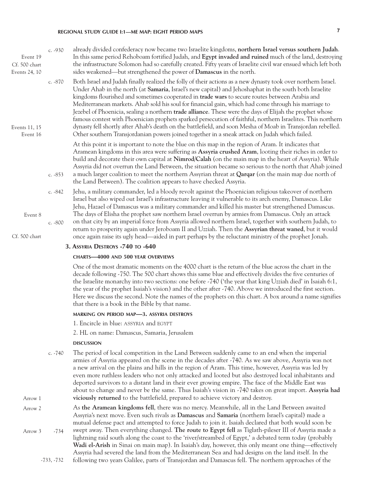| $c. -930$ | already divided confederacy now became two Israelite kingdoms, northern Israel versus southern Judah.                                                                                                                                                                                                                                                                                                                                                                                                                                                                                                                                                                                                                                                                                                                                                                        |
|-----------|------------------------------------------------------------------------------------------------------------------------------------------------------------------------------------------------------------------------------------------------------------------------------------------------------------------------------------------------------------------------------------------------------------------------------------------------------------------------------------------------------------------------------------------------------------------------------------------------------------------------------------------------------------------------------------------------------------------------------------------------------------------------------------------------------------------------------------------------------------------------------|
|           | In this same period Rehoboam fortified Judah, and Egypt invaded and ruined much of the land, destroying<br>the infrastructure Solomon had so carefully created. Fifty years of Israelite civil war ensued which left both<br>sides weakened—but strengthened the power of Damascus in the north.                                                                                                                                                                                                                                                                                                                                                                                                                                                                                                                                                                             |
| $c. -870$ | Both Israel and Judah finally realized the folly of their actions as a new dynasty took over northern Israel.<br>Under Ahab in the north (at Samaria, Israel's new capital) and Jehoshaphat in the south both Israelite<br>kingdoms flourished and sometimes cooperated in trade wars to secure routes between Arabia and<br>Mediterranean markets. Ahab sold his soul for financial gain, which had come through his marriage to<br>Jezebel of Phoenicia, sealing a northern trade alliance. These were the days of Elijah the prophet whose<br>famous contest with Phoenician prophets sparked persecution of faithful, northern Israelites. This northern<br>dynasty fell shortly after Ahab's death on the battlefield, and soon Mesha of Moab in Transjordan rebelled.<br>Other southern Transjordanian powers joined together in a sneak attack on Judah which failed. |
| c. $-853$ | At this point it is important to note the blue on this map in the region of Aram. It indicates that<br>Aramean kingdoms in this area were suffering as Assyria crushed Aram, looting their riches in order to<br>build and decorate their own capital at Nimrod/Calah (on the main map in the heart of Assyria). While<br>Assyria did not overrun the Land Between, the situation became so serious to the north that Ahab joined<br>a much larger coalition to meet the northern Assyrian threat at <b>Qarqar</b> (on the main map due north of<br>the Land Between). The coalition appears to have checked Assyria.                                                                                                                                                                                                                                                        |
| $c. -842$ | Jehu, a military commander, led a bloody revolt against the Phoenician religious takeover of northern<br>Israel but also wiped out Israel's infrastructure leaving it vulnerable to its arch enemy, Damascus. Like                                                                                                                                                                                                                                                                                                                                                                                                                                                                                                                                                                                                                                                           |
| $c. -800$ | Jehu, Hazael of Damascus was a military commander and killed his master but strengthened Damascus.<br>The days of Elisha the prophet saw northern Israel overrun by armies from Damascus. Only an attack<br>on that city by an imperial force from Assyria allowed northern Israel, together with southern Judah, to<br>return to prosperity again under Jeroboam II and Uzziah. Then the Assyrian threat waned, but it would<br>once again raise its ugly head—aided in part perhaps by the reluctant ministry of the prophet Jonah.                                                                                                                                                                                                                                                                                                                                        |
|           |                                                                                                                                                                                                                                                                                                                                                                                                                                                                                                                                                                                                                                                                                                                                                                                                                                                                              |
|           |                                                                                                                                                                                                                                                                                                                                                                                                                                                                                                                                                                                                                                                                                                                                                                                                                                                                              |

#### **3. Assyria Destroys -740 to -640**

#### **charts—4000 and 500 year overviews**

One of the most dramatic moments on the 4000 chart is the return of the blue across the chart in the decade following -750. The 500 chart shows this same blue and effectively divides the five centuries of the Israelite monarchy into two sections: one before -740 ('the year that king Uzziah died' in Isaiah 6:1, the year of the prophet Isaiah's vision) and the other after -740. Above we introduced the first section. Here we discuss the second. Note the names of the prophets on this chart. A box around a name signifies that there is a book in the Bible by that name.

### **marking on period map—3. assyria destroys**

1. Encircle in blue: assyria and egypt

2. HL on name: Damascus, Samaria, Jerusalem

#### **DISCUSSION discussion**

Arrow 1

- The period of local competition in the Land Between suddenly came to an end when the imperial armies of Assyria appeared on the scene in the decades after -740. As we saw above, Assyria was not a new arrival on the plains and hills in the region of Aram. This time, however, Assyria was led by even more ruthless leaders who not only attacked and looted but also destroyed local inhabitants and deported survivors to a distant land in their ever growing empire. The face of the Middle East was about to change and never be the same. Thus Isaiah's vision in -740 takes on great import. **Assyria had viciously returned** to the battlefield, prepared to achieve victory and destroy. c. -740
- As **the Aramean kingdoms fell**, there was no mercy. Meanwhile, all in the Land Between awaited Assyria's next move. Even such rivals as **Damascus** and **Samaria** (northern Israel's capital) made a mutual defense pact and attempted to force Judah to join it. Isaiah declared that both would soon be swept away. Then everything changed. **The route to Egypt fell** as Tiglath-pileser III of Assyria made a lightning raid south along the coast to the 'river/streambed of Egypt,' a debated term today (probably **Wadi el-Arish** in Sinai on main map). In Isaiah's day, however, this only meant one thing—effectively Assyria had severed the land from the Mediterranean Sea and had designs on the land itself. In the Arrow 2 Arrow 3 -734
	- following two years Galilee, parts of Transjordan and Damascus fell. The northern approaches of the -733, -732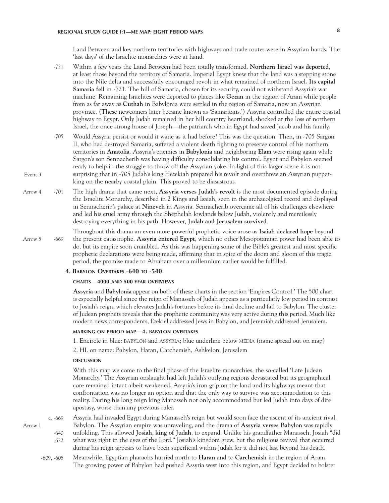Land Between and key northern territories with highways and trade routes were in Assyrian hands. The 'last days' of the Israelite monarchies were at hand.

- Within a few years the Land Between had been totally transformed. **Northern Israel was deported**, at least those beyond the territory of Samaria. Imperial Egypt knew that the land was a stepping stone into the Nile delta and successfully encouraged revolt in what remained of northern Israel. **Its capital Samaria fell** in -721. The hill of Samaria, chosen for its security, could not withstand Assyria's war machine. Remaining Israelites were deported to places like **Gozan** in the region of Aram while people from as far away as **Cuthah** in Babylonia were settled in the region of Samaria, now an Assyrian province. (These newcomers later became known as 'Samaritans.') Assyria controlled the entire coastal highway to Egypt. Only Judah remained in her hill country heartland, shocked at the loss of northern Israel, the once strong house of Joseph—the patriarch who in Egypt had saved Jacob and his family. -721
- Would Assyria persist or would it wane as it had before? This was the question. Then, in -705 Sargon II, who had destroyed Samaria, suffered a violent death fighting to preserve control of his northern territories in **Anatolia**. Assyria's enemies in **Babylonia** and neighboring **Elam** were rising again while Sargon's son Sennacherib was having difficulty consolidating his control. Egypt and Babylon seemed ready to help in the struggle to throw off the Assyrian yoke. In light of this larger scene it is not surprising that in -705 Judah's king Hezekiah prepared his revolt and overthrew an Assyrian puppetking on the nearby coastal plain. This proved to be diasastrous. -705
- The high drama that came next, **Assyria verses Judah's revolt** is the most documented episode during the Israelite Monarchy, described in 2 Kings and Isaiah, seen in the archaeolgical record and displayed in Sennacherib's palace at **Nineveh** in Assyria. Sennacherib overcame all of his challenges elsewhere and led his cruel army through the Shephelah lowlands below Judah, violently and mercilessly destroying everything in his path. However, **Judah and Jerusalem survived**. Arrow 4 -701
- Throughout this drama an even more powerful prophetic voice arose as **Isaiah declared hope** beyond the present catastrophe. **Assyria entered Egypt**, which no other Mesopotamian power had been able to do, but its empire soon crumbled. As this was happening some of the Bible's greatest and most specific prophetic declarations were being made, affirming that in spite of the doom and gloom of this tragic period, the promise made to Abraham over a millennium earlier would be fulfilled. Arrow 5 -669

#### **4. Babylon Overtakes -640 to -540**

#### **charts—4000 and 500 year overviews**

**Assyria** and **Babylonia** appear on both of these charts in the section 'Empires Control.' The 500 chart is especially helpful since the reign of Manasseh of Judah appears as a particularly low period in contrast to Josiah's reign, which elevates Judah's fortunes before its final decline and fall to Babylon. The cluster of Judean prophets reveals that the prophetic community was very active during this period. Much like modern news correspondents, Ezekiel addressed Jews in Babylon, and Jeremiah addressed Jerusalem.

### **marking on period map—4. babylon overtakes**

1. Encircle in blue: BABYLON and ASSYRIA; blue underline below MEDIA (name spread out on map)

2. HL on name: Babylon, Haran, Carchemish, Ashkelon, Jerusalem

#### **DISCUSSION discussion**

With this map we come to the final phase of the Israelite monarchies, the so-called 'Late Judean Monarchy.' The Assyrian onslaught had left Judah's outlying regions devastated but its geographical core remained intact albeit weakened. Assyria's iron grip on the land and its highways meant that confrontation was no longer an option and that the only way to survive was accommodation to this reality. During his long reign king Manasseh not only accommodated but led Judah into days of dire apostasy, worse than any previous ruler.

Assyria had invaded Egypt during Manasseh's reign but would soon face the ascent of its ancient rival, Babylon. The Assyrian empire was unraveling, and the drama of **Assyria verses Babylon** was rapidly unfolding. This allowed **Josiah**, **king of Judah**, to expand. Unlike his grandfather Manasseh, Josiah "did what was right in the eyes of the Lord." Josiah's kingdom grew, but the religious revival that occurred during his reign appears to have been superficial within Judah for it did not last beyond his death. c. -669 -622

Meanwhile, Egyptian pharaohs hurried north to **Haran** and to **Carchemish** in the region of Aram. The growing power of Babylon had pushed Assyria west into this region, and Egypt decided to bolster -609, -605

# Arrow 1

Event 3

- -640
-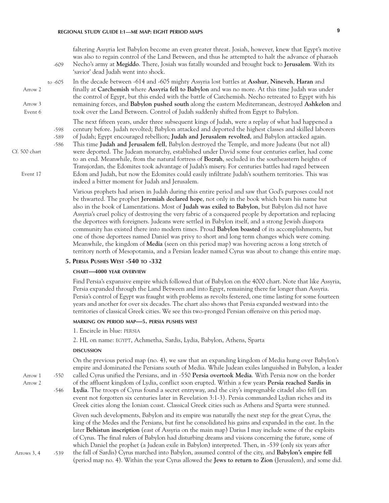faltering Assyria lest Babylon become an even greater threat. Josiah, however, knew that Egypt's motive was also to regain control of the Land Between, and thus he attempted to halt the advance of pharaoh Necho's army at **Megiddo**. There, Josiah was fatally wounded and brought back to **Jerusalem**. With its 'savior' dead Judah went into shock. -609

In the decade between -614 and -605 mighty Assyria lost battles at **Asshur**, **Nineveh**, **Haran** and finally at **Carchemish** where **Assyria fell to Babylon** and was no more. At this time Judah was under the control of Egypt, but this ended with the battle of Carchemish. Necho retreated to Egypt with his remaining forces, and **Babylon pushed south** along the eastern Mediterranean, destroyed **Ashkelon** and took over the Land Between. Control of Judah suddenly shifted from Egypt to Babylon. Arrow 2 Arrow 3 Event 6 to -605

The next fifteen years, under three subsequent kings of Judah, were a replay of what had happened a century before. Judah revolted; Babylon attacked and deported the highest classes and skilled laborers -598

of Judah; Egypt encouraged rebellion; **Judah and Jerusalem revolted**, and Babylon attacked again. -589

This time **Judah and Jerusalem fell**, Babylon destroyed the Temple, and more Judeans (but not all) were deported. The Judean monarchy, established under David some four centuries earlier, had come to an end. Meanwhile, from the natural fortress of **Bozrah**, secluded in the southeastern heights of Transjordan, the Edomites took advantage of Judah's misery. For centuries battles had raged between Edom and Judah, but now the Edomites could easily infiltrate Judah's southern territories. This was indeed a bitter moment for Judah and Jerusalem. -586

Various prophets had arisen in Judah during this entire period and saw that God's purposes could not be thwarted. The prophet **Jeremiah declared hope**, not only in the book which bears his name but also in the book of Lamentations. Most of **Judah was exiled to Babylon**, but Babylon did not have Assyria's cruel policy of destroying the very fabric of a conquered people by deportation and replacing the deportees with foreigners. Judeans were settled in Babylon itself, and a strong Jewish diaspora community has existed there into modern times. Proud **Babylon boasted** of its accomplishments, but one of those deportees named Daniel was privy to short and long term changes which were coming. Meanwhile, the kingdom of **Media** (seen on this period map) was hovering across a long stretch of territory north of Mesopotamia, and a Persian leader named Cyrus was about to change this entire map.

# **5. Persia Pushes West -540 to -332**

### **chart—4000 year overview**

Find Persia's expansive empire which followed that of Babylon on the 4000 chart. Note that like Assyria, Persia expanded through the Land Between and into Egypt, remaining there far longer than Assyria. Persia's control of Egypt was fraught with problems as revolts festered, one time lasting for some fourteen years and another for over six decades. The chart also shows that Persia expanded westward into the territories of classical Greek cities. We see this two-pronged Persian offensive on this period map.

#### **marking on period map—5. persia pushes west**

1. Encircle in blue: persia

2. HL on name: egypt, Achmetha, Sardis, Lydia, Babylon, Athens, Sparta

#### **DISCUSSION**

**discussion**

On the previous period map (no. 4), we saw that an expanding kingdom of Media hung over Babylon's empire and dominated the Persians south of Media. While Judean exiles languished in Babylon, a leader called Cyrus unified the Persians, and in -550 **Persia overtook Media**. With Persia now on the border of the affluent kingdom of Lydia, conflict soon erupted. Within a few years **Persia reached Sardis in Lydia**. The troops of Cyrus found a secret entryway, and the city's impregnable citadel also fell (an event not forgotten six centuries later in Revelation 3:1-3). Persia commanded Lydian riches and its Greek cities along the Ionian coast. Classical Greek cities such as Athens and Sparta were stunned. Given such developments, Babylon and its empire was naturally the next step for the great Cyrus, the king of the Medes and the Persians, but first he consolidated his gains and expanded in the east. In the later **Behistun inscription** (east of Assyria on the main map) Darius I may include some of the exploits of Cyrus. The final rulers of Babylon had disturbing dreams and visions concerning the future, some of -550 -546

which Daniel the prophet (a Judean exile in Babylon) interpreted. Then, in -539 (only six years after

the fall of Sardis) Cyrus marched into Babylon, assumed control of the city, and **Babylon's empire fell** (period map no. 4). Within the year Cyrus allowed the **Jews to return to Zion** (Jerusalem), and some did. Arrows 3, 4 -539

Cf. 500 chart

Event 17

Arrow 1

Arrow 2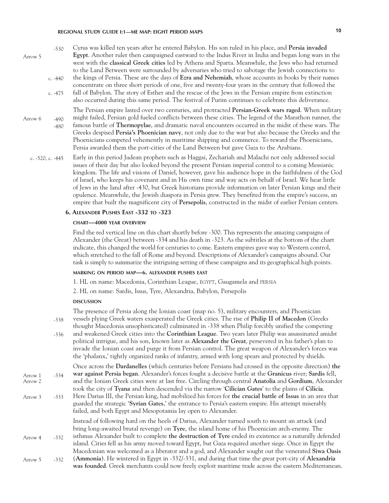| $-530$<br>Arrow 5           | Cyrus was killed ten years after he entered Babylon. His son ruled in his place, and Persia invaded<br>Egypt. Another ruler then campaigned eastward to the Indus River in India and began long wars in the<br>west with the classical Greek cities led by Athens and Sparta. Meanwhile, the Jews who had returned<br>to the Land Between were surrounded by adversaries who tried to sabotage the Jewish connections to                                                                                                                                                                                                             |
|-----------------------------|--------------------------------------------------------------------------------------------------------------------------------------------------------------------------------------------------------------------------------------------------------------------------------------------------------------------------------------------------------------------------------------------------------------------------------------------------------------------------------------------------------------------------------------------------------------------------------------------------------------------------------------|
| $c. -440$                   | the kings of Persia. These are the days of Ezra and Nehemiah, whose accounts in books by their names                                                                                                                                                                                                                                                                                                                                                                                                                                                                                                                                 |
| c. $-475$                   | concentrate on three short periods of one, five and twenty-four years in the century that followed the<br>fall of Babylon. The story of Esther and the rescue of the Jews in the Persian empire from extinction<br>also occurred during this same period. The festival of Purim continues to celebrate this deliverance.                                                                                                                                                                                                                                                                                                             |
| Arrow 6<br>$-490$<br>$-480$ | The Persian empire lasted over two centuries, and protracted Persian-Greek wars raged. When military<br>might failed, Persian gold fueled conflicts between these cities. The legend of the Marathon runner, the<br>famous battle of <b>Thermopylae</b> , and dramatic naval encounters occurred in the midst of these wars. The<br>Greeks despised Persia's Phoenician navy, not only due to the war but also because the Greeks and the<br>Phoenicians competed vehemently in maritime shipping and commerce. To reward the Phoenicians,<br>Persia awarded them the port-cities of the Land Between but gave Gaza to the Arabians. |
| c. $-520$ , c. $-445$       | Early in this period Judean prophets such as Haggai, Zechariah and Malachi not only addressed social<br>issues of their day but also looked beyond the present Persian imperial control to a coming Messianic<br>the contract of the state of the state and the state of the state of the state of the state of the state of th                                                                                                                                                                                                                                                                                                      |

kingdom. The life and visions of Daniel, however, gave his audience hope in the faithfulness of the God of Israel, who keeps his covenant and in His own time and way acts on behalf of Israel. We hear little of Jews in the land after -430, but Greek historians provide information on later Persian kings and their opulence. Meanwhile, the Jewish diaspora in Persia grew. They benefited from the empire's success, an empire that built the magnificent city of **Persepolis**, constructed in the midst of earlier Persian centers.

#### **6. Alexander Pushes East -332 to -323**

#### **chart—4000 year overview**

Find the red vertical line on this chart shortly before -300. This represents the amazing campaigns of Alexander (the Great) between -334 and his death in -323. As the subtitles at the bottom of the chart indicate, this changed the world for centuries to come. Eastern empires gave way to Western control, which stretched to the fall of Rome and beyond. Descriptions of Alexander's campaigns abound. Our task is simply to summarize the intriguing setting of these campaigns and its geographical high points.

### **marking on period map—6. alexander pushes east**

1. HL on name: Macedonia, Corinthian League, egypt, Gaugamela and persia

2. HL on name: Sardis, Issus, Tyre, Alexandria, Babylon, Persepolis

#### **DISCUSSION discussion**

|                    |        | The presence of Persia along the Ionian coast (map no. 5), military encounters, and Phoenician                                                                                                                                                                                                                                                                                                                                           |
|--------------------|--------|------------------------------------------------------------------------------------------------------------------------------------------------------------------------------------------------------------------------------------------------------------------------------------------------------------------------------------------------------------------------------------------------------------------------------------------|
|                    | $-338$ | vessels plying Greek waters exasperated the Greek cities. The rise of Philip II of Macedon (Greeks<br>thought Macedonia unsophisticated) culminated in -338 when Philip forcibly unified the competing                                                                                                                                                                                                                                   |
|                    | $-336$ | and weakened Greek cities into the <b>Corinthian League</b> . Two years later Philip was assassinated amidst<br>political intrigue, and his son, known later as Alexander the Great, persevered in his father's plan to<br>invade the Ionian coast and purge it from Persian control. The great weapon of Alexander's forces was<br>the 'phalanx,' tightly organized ranks of infantry, armed with long spears and protected by shields. |
| Arrow 1<br>Arrow 2 | $-334$ | Once across the Dardanelles (which centuries before Persians had crossed in the opposite direction) the<br>war against Persia began. Alexander's forces fought a decisive battle at the Granicus river; Sardis fell,<br>and the Ionian Greek cities were at last free. Circling through central Anatolia and Gordium, Alexander                                                                                                          |
|                    |        | took the city of Tyana and then descended via the narrow 'Cilician Gates' to the plains of Cilicia.                                                                                                                                                                                                                                                                                                                                      |
| Arrow 3            | $-333$ | Here Darius III, the Persian king, had mobilized his forces for the crucial battle of Issus in an area that<br>guarded the strategic 'Syrian Gates,' the entrance to Persia's eastern empire. His attempt miserably<br>failed, and both Egypt and Mesopotamia lay open to Alexander.                                                                                                                                                     |
|                    |        | Instead of following hard on the heels of Darius, Alexander turned south to mount an attack (and<br>bring long-awaited brutal revenge) on Tyre, the island home of his Phoenician arch-enemy. The                                                                                                                                                                                                                                        |
| Arrow 4            | $-332$ | isthmus Alexander built to complete the destruction of Tyre ended its existence as a naturally defended<br>island. Cities fell as his army moved toward Egypt, but Gaza required another siege. Once in Egypt the                                                                                                                                                                                                                        |
|                    |        | Macedonian was welcomed as a liberator and a god, and Alexander sought out the venerated Siwa Oasis                                                                                                                                                                                                                                                                                                                                      |
| Arrow 5            | $-332$ | (Ammonia). He wintered in Egypt in -332/-331, and during that time the great port-city of Alexandria<br>was founded. Greek merchants could now freely exploit maritime trade across the eastern Mediterranean.                                                                                                                                                                                                                           |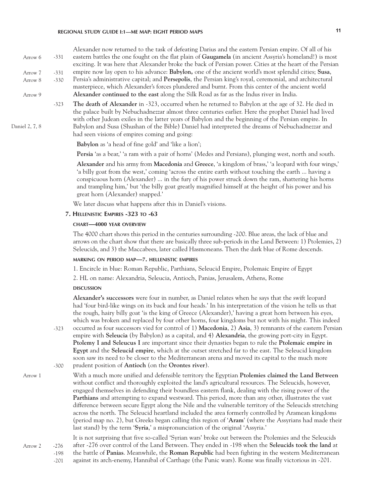Alexander now returned to the task of defeating Darius and the eastern Persian empire. Of all of his eastern battles the one fought on the flat plain of **Gaugamela** (in ancient Assyria's homeland!) is most exciting. It was here that Alexander broke the back of Persian power. Cities at the heart of the Persian empire now lay open to his advance: **Babylon,** one of the ancient world's most splendid cities; **Susa**, Persia's administrative capital; and **Persepolis**, the Persian king's royal, ceremonial, and architectural masterpiece, which Alexander's forces plundered and burnt. From this center of the ancient world **Alexander continued to the east** along the Silk Road as far as the Indus river in India. **The death of Alexander** in -323, occurred when he returned to Babylon at the age of 32. He died in the palace built by Nebuchadnezzar almost three centuries earlier. Here the prophet Daniel had lived Arrow 6 Arrow 7 Arrow 8 Arrow 9 -323 -331 -331 -330

with other Judean exiles in the latter years of Babylon and the beginning of the Persian empire. In Babylon and Susa (Shushan of the Bible) Daniel had interpreted the dreams of Nebuchadnezzar and had seen visions of empires coming and going:

**Babylon** as 'a head of fine gold' and 'like a lion';

**Persia** 'as a bear,' 'a ram with a pair of horns' (Medes and Persians), plunging west, north and south.

**Alexander** and his army from **Macedonia** and **Greece**, 'a kingdom of brass,' 'a leopard with four wings,' 'a billy goat from the west,' coming 'across the entire earth without touching the earth ... having a conspicuous horn (Alexander) ... in the fury of his power struck down the ram, shattering his horns and trampling him,' but 'the billy goat greatly magnified himself at the height of his power and his great horn (Alexander) snapped.'

We later discuss what happens after this in Daniel's visions.

#### **7. Hellenistic Empires -323 to -63**

#### **chart—4000 year overview**

The 4000 chart shows this period in the centuries surrounding -200. Blue areas, the lack of blue and arrows on the chart show that there are basically three sub-periods in the Land Between: 1) Ptolemies, 2) Seleucids, and 3) the Maccabees, later called Hasmoneans. Then the dark blue of Rome descends.

### **marking on period map—7. hellenistic empires**

1. Encircle in blue: Roman Republic, Parthians, Seleucid Empire, Ptolemaic Empire of Egypt

2. HL on name: Alexandria, Seleucia, Antioch, Panias, Jerusalem, Athens, Rome

#### **DISCUSSION discussion**

**Alexander's successors** were four in number, as Daniel relates when he says that the swift leopard had 'four bird-like wings on its back and four heads.' In his interpretation of the vision he tells us that the rough, hairy billy goat 'is the king of Greece (Alexander),' having a great horn between his eyes, which was broken and replaced by four other horns, four kingdoms but not with his might. This indeed

- occurred as four successors vied for control of 1) **Macedonia**, 2) **Asia**, 3) remnants of the eastern Persian empire with **Seleucia** (by Babylon) as a capital, and 4) **Alexandria**, the growing port-city in Egypt. **Ptolemy I and Seleucus I** are important since their dynasties began to rule the **Ptolemaic empire in Egypt** and the **Seleucid empire**, which at the outset stretched far to the east. The Seleucid kingdom soon saw its need to be closer to the Mediterranean arena and moved its capital to the much more prudent position of **Antioch** (on the **Orontes river**). -323 -300
- Arrow 1

Arrow 2

Daniel 2, 7, 8

With a much more unified and defensible territory the Egyptian **Ptolemies claimed the Land Between** without conflict and thoroughly exploited the land's agricultural resources. The Seleucids, however, engaged themselves in defending their boundless eastern flank, dealing with the rising power of the **Parthians** and attempting to expand westward. This period, more than any other, illustrates the vast difference between secure Egypt along the Nile and the vulnerable territory of the Seleucids stretching across the north. The Seleucid heartland included the area formerly controlled by Aramean kingdoms (period map no. 2), but Greeks began calling this region of '**Aram**' (where the Assyrians had made their last stand) by the term '**Syria**,' a mispronunciation of the original 'Assyria.'

It is not surprising that five so-called 'Syrian wars' broke out between the Ptolemies and the Seleucids after -276 over control of the Land Between. They ended in -198 when the **Seleucids took the land** at the battle of **Panias**. Meanwhile, the **Roman Republic** had been fighting in the western Mediterranean -276 -198

against its arch-enemy, Hannibal of Carthage (the Punic wars). Rome was finally victorious in -201. -201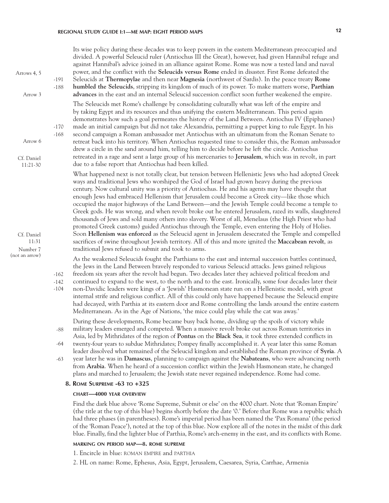Its wise policy during these decades was to keep powers in the eastern Mediterranean preoccupied and divided. A powerful Seleucid ruler (Antiochus III the Great), however, had given Hannibal refuge and against Hannibal's advice joined in an alliance against Rome. Rome was now a tested land and naval power, and the conflict with the **Seleucids versus Rome** ended in disaster. First Rome defeated the Seleucids at **Thermopylae** and then near **Magnesia** (northwest of Sardis). In the peace treaty **Rome humbled the Seleucids**, stripping its kingdom of much of its power. To make matters worse, **Parthian advances** in the east and an internal Seleucid succession conflict soon further weakened the empire. The Seleucids met Rome's challenge by consolidating culturally what was left of the empire and by taking Egypt and its resources and thus unifying the eastern Mediterranean. This period again demonstrates how such a goal permeates the history of the Land Between. Antiochus IV (Epiphanes) made an initial campaign but did not take Alexandria, permitting a puppet king to rule Egypt. In his second campaign a Roman ambassador met Antiochus with an ultimatum from the Roman Senate to retreat back into his territory. When Antiochus requested time to consider this, the Roman ambassador drew a circle in the sand around him, telling him to decide before he left the circle. Antiochus retreated in a rage and sent a large group of his mercenaries to **Jerusalem**, which was in revolt, in part due to a false report that Antiochus had been killed. What happened next is not totally clear, but tension between Hellenistic Jews who had adopted Greek ways and traditional Jews who worshiped the God of Israel had grown heavy during the previous century. Now cultural unity was a priority of Antiochus. He and his agents may have thought that enough Jews had embraced Hellenism that Jerusalem could become a Greek city—like those which occupied the major highways of the Land Between—and the Jewish Temple could become a temple to Greek gods. He was wrong, and when revolt broke out he entered Jerusalem, razed its walls, slaughtered thousands of Jews and sold many others into slavery. Worst of all, Menelaus (the High Priest who had promoted Greek customs) guided Antiochus through the Temple, even entering the Holy of Holies. Soon **Hellenism was enforced** as the Seleucid agent in Jerusalem desecrated the Temple and compelled sacrifices of swine throughout Jewish territory. All of this and more ignited the **Maccabean revolt**, as traditional Jews refused to submit and took to arms. As the weakened Seleucids fought the Parthians to the east and internal succession battles continued, the Jews in the Land Between bravely responded to various Seleucid attacks. Jews gained religious freedom six years after the revolt had begun. Two decades later they achieved political freedom and continued to expand to the west, to the north and to the east. Ironically, some four decades later their non-Davidic leaders were kings of a 'Jewish' Hasmonean state run on a Hellenistic model, with great internal strife and religious conflict. All of this could only have happened because the Seleucid empire had decayed, with Parthia at its eastern door and Rome controlling the lands around the entire eastern Mediterranean. As in the Age of Nations, 'the mice could play while the cat was away.' During these developments, Rome became busy back home, dividing up the spoils of victory while military leaders emerged and competed. When a massive revolt broke out across Roman territories in Asia, led by Mithridates of the region of **Pontus** on the **Black Sea**, it took three extended conflicts in twenty-four years to subdue Mithridates; Pompey finally accomplished it. A year later this same Roman leader dissolved what remained of the Seleucid kingdom and established the Roman province of **Syria**. A year later he was in **Damascus**, planning to campaign against the **Nabateans**, who were advancing north from **Arabia**. When he heard of a succession conflict within the Jewish Hasmonean state, he changed plans and marched to Jerusalem; the Jewish state never regained independence. Rome had come. **8. Rome Surpreme -63 to +325 chart—4000 year overview** -191 Cf. Daniel 11:31 Cf. Daniel 11:21-30 -188 -168 -170 -162 -142 -104 -88 -64 -63 Arrow 3 Number 7 (not an arrow) Arrow 6 Arrows 4, 5

> Find the dark blue above 'Rome Supreme, Submit or else' on the 4000 chart. Note that 'Roman Empire' (the title at the top of this blue) begins shortly before the date '0.' Before that Rome was a republic which had three phases (in parentheses). Rome's imperial period has been named the 'Pax Romana' (the period of the 'Roman Peace'), noted at the top of this blue. Now explore all of the notes in the midst of this dark blue. Finally, find the lighter blue of Parthia, Rome's arch-enemy in the east, and its conflicts with Rome.

#### **marking on period map—8. rome supreme**

1. Encircle in blue: roman empire and parthia

2. HL on name: Rome, Ephesus, Asia, Egypt, Jerusalem, Caesarea, Syria, Carrhae, Armenia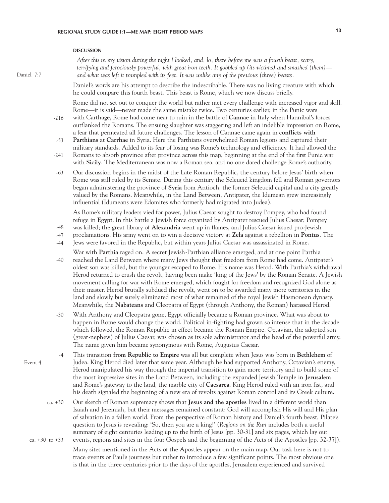#### **DISCUSSION discussion**

*After this in my vision during the night I looked, and, lo, there before me was a fourth beast, scary, terrifying and ferociously powerful, with great iron teeth. It gobbled up (its victims) and smashed (them) and what was left it trampled with its feet. It was unlike any of the previous (three) beasts.*

Daniel's words are his attempt to describe the indescribable. There was no living creature with which he could compare this fourth beast. This beast is Rome, which we now discuss briefly.

Rome did not set out to conquer the world but rather met every challenge with increased vigor and skill. Rome—it is said—never made the same mistake twice. Two centuries earlier, in the Punic wars

- with Carthage, Rome had come near to ruin in the battle of **Cannae** in Italy when Hannibal's forces outflanked the Romans. The ensuing slaughter was staggering and left an indelible impression on Rome, a fear that permeated all future challenges. The lesson of Cannae came again in **conflicts with**  -216
- **Parthians** at **Carrhae** in Syria. Here the Parthians overwhelmed Roman legions and captured their military standards. Added to its fear of losing was Rome's technology and efficiency. It had allowed the -53
- Romans to absorb province after province across this map, beginning at the end of the first Punic war with **Sicily**. The Mediterranean was now a Roman sea, and no one dared challenge Rome's authority. -241
- Our discussion begins in the midst of the Late Roman Republic, the century before Jesus' birth when Rome was still ruled by its Senate. During this century the Seleucid kingdom fell and Roman governors began administering the province of **Syria** from Antioch, the former Seleucid capital and a city greatly valued by the Romans. Meanwhile, in the Land Between, Antipater, the Idumean grew increasingly influential (Idumeans were Edomites who formerly had migrated into Judea). -63

As Rome's military leaders vied for power, Julius Caesar sought to destroy Pompey, who had found refuge in **Egypt**. In this battle a Jewish force organized by Antipater rescued Julius Caesar; Pompey

- was killed; the great library of **Alexandria** went up in flames, and Julius Caesar issued pro-Jewish -48
- proclamations. His army went on to win a decisive victory at **Zela** against a rebellion in **Pontus**. The -47
- Jews were favored in the Republic, but within years Julius Caesar was assassinated in Rome. -44
- War with **Parthia** raged on. A secret Jewish-Parthian alliance emerged, and at one point Parthia reached the Land Between where many Jews thought that freedom from Rome had come. Antipater's oldest son was killed, but the younger escaped to Rome. His name was Herod. With Parthia's withdrawal Herod returned to crush the revolt, having been make 'king of the Jews' by the Roman Senate. A Jewish movement calling for war with Rome emerged, which fought for freedom and recognized God alone as their master. Herod brutally subdued the revolt, went on to be awarded many more territories in the land and slowly but surely eliminated most of what remained of the royal Jewish Hasmonean dynasty. Meanwhile, the **Nabateans** and Cleopatra of Egypt (through Anthony, the Roman) harassed Herod. -40
- With Anthony and Cleopatra gone, Egypt officially became a Roman province. What was about to happen in Rome would change the world. Political in-fighting had grown so intense that in the decade which followed, the Roman Republic in effect became the Roman Empire. Octavian, the adopted son (great-nephew) of Julius Caesar, was chosen as its sole administrator and the head of the powerful army. The name given him became synonymous with Rome, Augustus Caesar. -30
- This transition **from Republic to Empire** was all but complete when Jesus was born in **Bethlehem** of Judea. King Herod died later that same year. Although he had supported Anthony, Octavian's enemy, Herod manipulated his way through the imperial transition to gain more territory and to build some of the most impressive sites in the Land Between, including the expanded Jewish Temple in **Jerusalem** and Rome's gateway to the land, the marble city of **Caesarea**. King Herod ruled with an iron fist, and his death signaled the beginning of a new era of revolts against Roman control and its Greek culture. -4
- Our sketch of Roman supremacy shows that **Jesus and the apostles** lived in a different world than Isaiah and Jeremiah, but their messages remained constant: God will accomplish His will and His plan of salvation in a fallen world. From the perspective of Roman history and Daniel's fourth beast, Pilate's question to Jesus is revealing: 'So, then you are a king!' (*Regions on the Run* includes both a useful summary of eight centuries leading up to the birth of Jesus [pp. 30-31] and six pages, which lay out events, regions and sites in the four Gospels and the beginning of the Acts of the Apostles [pp. 32-37]). ca. +30 ca. +30 to +33
	- Many sites mentioned in the Acts of the Apostles appear on the main map. Our task here is not to trace events or Paul's journeys but rather to introduce a few significant points. The most obvious one is that in the three centuries prior to the days of the apostles, Jerusalem experienced and survived

Daniel 7:7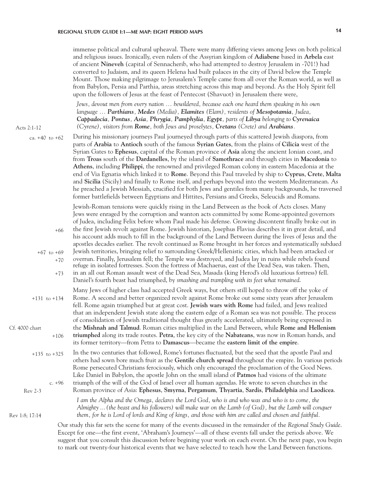immense political and cultural upheaval. There were many differing views among Jews on both political and religious issues. Ironically, even rulers of the Assyrian kingdom of **Adiabene** based in **Arbela** east of ancient **Nineveh** (capital of Sennacherib, who had attempted to destroy Jerusalem in -701!) had converted to Judaism, and its queen Helena had built palaces in the city of David below the Temple Mount. Those making pilgrimage to Jerusalem's Temple came from all over the Roman world, as well as from Babylon, Persia and Parthia, areas stretching across this map and beyond. As the Holy Spirit fell upon the followers of Jesus at the feast of Pentecost (Shavuot) in Jerusalem there were,

*Jews, devout men from every nation ... bewildered, because each one heard them speaking in his own language ... Parthians, Medes (Media), Elamites (Elam), residents of Mesopotamia, Judea, Cappadocia, Pontus, Asia, Phrygia, Pamphylia, Egypt, parts of Libya belonging to Cyrenaica (Cyrene), visitors from Rome, both Jews and proselytes, Cretans (Crete) and Arabians.*

Acts 2:1-12

Rev 1:8; 17:14

ca. +40 to +62

During his missionary journeys Paul journeyed through parts of this scattered Jewish diaspora, from parts of **Arabia** to **Antioch** south of the famous **Syrian Gates**, from the plains of **Cilicia** west of the Syrian Gates to **Ephesus**, capital of the Roman province of **Asia** along the ancient Ionian coast, and from **Troas** south of the **Dardanelles**, by the island of **Samothrace** and through cities in **Macedonia** to **Athens**, including **Philippi**, the renowned and privileged Roman colony in eastern Macedonia at the end of Via Egnatia which linked it to **Rome**. Beyond this Paul traveled by ship to **Cyprus**, **Crete**, **Malta** and **Sicilia** (Sicily) and finally to Rome itself, and perhaps beyond into the western Mediterranean. As he preached a Jewish Messiah, crucified for both Jews and gentiles from many backgrounds, he traversed former battlefields between Egyptians and Hittites, Persians and Greeks, Seleucids and Romans.

Jewish-Roman tensions were quickly rising in the Land Between as the book of Acts closes. Many Jews were enraged by the corruption and wanton acts committed by some Rome-appointed governors of Judea, including Felix before whom Paul made his defense. Growing discontent finally broke out in

the first Jewish revolt against Rome. Jewish historian, Josephus Flavius describes it in great detail, and his account adds much to fill in the background of the Land Between during the lives of Jesus and the apostles decades earlier. The revolt continued as Rome brought in her forces and systematically subdued Jewish territories, bringing relief to surrounding Greek/Hellenistic cities, which had been attacked or overrun. Finally, Jerusalem fell; the Temple was destroyed, and Judea lay in ruins while rebels found refuge in isolated fortresses. Soon the fortress of Machaerus, east of the Dead Sea, was taken. Then, +67 to +69 +66 +70

in an all out Roman assault west of the Dead Sea, Masada (king Herod's old luxurious fortress) fell. Daniel's fourth beast had triumphed, by *smashing and trampling with its feet what remained*. +73

Many Jews of higher class had accepted Greek ways, but others still hoped to throw off the yoke of Rome. A second and better organized revolt against Rome broke out some sixty years after Jerusalem fell. Rome again triumphed but at great cost. **Jewish wars with Rome** had failed, and Jews realized that an independent Jewish state along the eastern edge of a Roman sea was not possible. The process of consolidation of Jewish traditional thought thus greatly accelerated, ultimately being expressed in the **Mishnah and Talmud**. Roman cities multiplied in the Land Between, while **Rome and Hellenism triumphed** along its trade routes. **Petra**, the key city of the **Nabateans**, was now in Roman hands, and its former territory—from Petra to **Damascus**—became the **eastern limit of the empire**.  $+131$  to  $+134$ +106 Cf. 4000 chart

In the two centuries that followed, Rome's fortunes fluctuated, but the seed that the apostle Paul and others had sown bore much fruit as the **Gentile church spread** throughout the empire. In various periods Rome persecuted Christians ferociously, which only encouraged the proclamation of the Good News. Like Daniel in Babylon, the apostle John on the small island of **Patmos** had visions of the ultimate triumph of the will of the God of Israel over all human agendas. He wrote to seven churches in the +135 to +325 c. +96

Roman province of Asia: **Ephesus**, **Smyrna**, **Pergamum**, **Thyartia**, **Sardis**, **Philadelphia** and **Laodicea**. Rev 2-3

> *I am the Alpha and the Omega, declares the Lord God, who is and who was and who is to come, the Almighty ... (the beast and his followers) will make war on the Lamb (of God), but the Lamb will conquer them, for he is Lord of lords and King of kings, and those with him are called and chosen and faithful.*

Our study this far sets the scene for many of the events discussed in the remainder of the *Regional Study Guide*. Except for one—the first event, 'Abraham's Journeys'—all of these events fall under the periods above. We suggest that you consult this discussion before begining your work on each event. On the next page, you begin to mark out twenty-four historical events that we have selected to teach how the Land Between functions.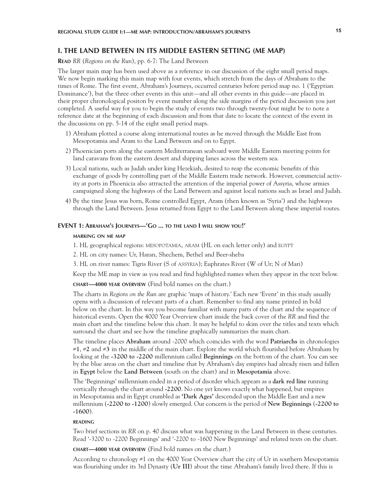# **I. THE LAND BETWEEN IN ITS MIDDLE EASTERN SETTING (ME MAP)**

**Read** *RR* (*Regions on the Run*), pp. 6-7: The Land Between

The larger main map has been used above as a reference in our discussion of the eight small period maps. We now begin marking this main map with four events, which stretch from the days of Abraham to the times of Rome. The first event, Abraham's Journeys, occurred centuries before period map no. 1 ('Egyptian Dominance'), but the three other events in this unit—and all other events in this guide—are placed in their proper chronological positon by event number along the side margins of the period discussion you just completed. A useful way for you to begin the study of events two through twenty-four might be to note a reference date at the beginning of each discussion and from that date to locate the context of the event in the discussions on pp. 5-14 of the eight small period maps.

- 1) Abraham plotted a course along international routes as he moved through the Middle East from Mesopotamia and Aram to the Land Between and on to Egypt.
- 2) Phoenician ports along the eastern Mediterranean seaboard were Middle Eastern meeting points for land caravans from the eastern desert and shipping lanes across the western sea.
- 3) Local nations, such as Judah under king Hezekiah, desired to reap the economic benefits of this exchange of goods by controlling part of the Middle Eastern trade network. However, commercial activity at ports in Phoenicia also attracted the attention of the imperial power of Assyria, whose armies campaigned along the highways of the Land Between and against local nations such as Israel and Judah.
- 4) By the time Jesus was born, Rome controlled Egypt, Aram (then known as 'Syria') and the highways through the Land Between. Jesus returned from Egypt to the Land Between along these imperial routes.

#### **EVENT 1: Abraham's Journeys—'Go ... to the land I will show you!'**

#### **marking on me map**

1. HL geographical regions: mesopotamia, aram (HL on each letter only) and egypt

2. HL on city names: Ur, Haran, Shechem, Bethel and Beer-sheba

3. HL on river names: Tigris River (S of assyria); Euphrates River (W of Ur; N of Mari)

Keep the ME map in view as you read and find highlighted names when they appear in the text below.

**chart—4000 year overview** (Find bold names on the chart.)

The charts in *Regions on the Run* are graphic 'maps of history.' Each new 'Event' in this study usually opens with a discussion of relevant parts of a chart. Remember to find any name printed in bold below on the chart. In this way you become familiar with many parts of the chart and the sequence of historical events. Open the 4000 Year Overview chart inside the back cover of the *RR* and find the main chart and the timeline below this chart*.* It may be helpful to skim over the titles and texts which surround the chart and see how the timeline graphically summarizes the main chart.

The timeline places **Abraham** around -2000 which coincides with the word **Patriarchs** in chronologies #**1**, #**2** and #**3** in the middle of the main chart. Explore the world which flourished before Abraham by looking at the **-3200 to -2200** millennium called **Beginnings** on the bottom of the chart. You can see by the blue areas on the chart and timeline that by Abraham's day empires had already risen and fallen in **Egypt** below the **Land Between** (south on the chart) and in **Mesopotamia** above.

The 'Beginnings' millennium ended in a period of disorder which appears as a **dark red line** running vertically through the chart around **-2200**. No one yet knows exactly what happened, but empires in Mesopotamia and in Egypt crumbled as **'Dark Ages'** descended upon the Middle East and a new millennium (**-2200 to -1200**) slowly emerged. Our concern is the period of **New Beginnings** (**-2200 to -1600**).

#### **reading**

Two brief sections in *RR* on p. 40 discuss what was happening in the Land Between in these centuries. Read '-3200 to -2200 Beginnings' and '-2200 to -1600 New Beginnings' and related texts on the chart.

**chart—4000 year overview** (Find bold names on the chart.)

According to chronology #1 on the 4000 Year Overview chart the city of Ur in southern Mesopotamia was flourishing under its 3rd Dynasty (**Ur III**) about the time Abraham's family lived there. If this is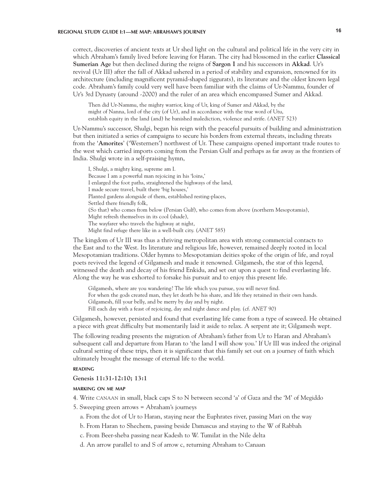# **REGIONAL STUDY GUIDE I:1—ME MAP: ABRAHAM'S JOURNEY 16**

correct, discoveries of ancient texts at Ur shed light on the cultural and political life in the very city in which Abraham's family lived before leaving for Haran. The city had blossomed in the earlier **Classical Sumerian Age** but then declined during the reigns of **Sargon I** and his successors in **Akkad**. Ur's revival (Ur III) after the fall of Akkad ushered in a period of stability and expansion, renowned for its architecture (including magnificent pyramid-shaped ziggurats), its literature and the oldest known legal code. Abraham's family could very well have been familiar with the claims of Ur-Nammu, founder of Ur's 3rd Dynasty (around -2000) and the ruler of an area which encompassed Sumer and Akkad.

Then did Ur-Nammu, the mighty warrior, king of Ur, king of Sumer and Akkad, by the might of Nanna, lord of the city (of Ur), and in accordance with the true word of Utu, establish equity in the land (and) he banished malediction, violence and strife. *(ANET* 523)

Ur-Nammu's successor, Shulgi, began his reign with the peaceful pursuits of building and administration but then initiated a series of campaigns to secure his borders from external threats, including threats from the '**Amorites**' ('Westerners') northwest of Ur. These campaigns opened important trade routes to the west which carried imports coming from the Persian Gulf and perhaps as far away as the frontiers of India. Shulgi wrote in a self-praising hymn,

I, Shulgi, a mighty king, supreme am I. Because I am a powerful man rejoicing in his 'loins,' I enlarged the foot paths, straightened the highways of the land, I made secure travel, built there 'big houses,' Planted gardens alongside of them, established resting-places, Settled there friendly folk, (So that) who comes from below (Persian Gulf), who comes from above (northern Mesopotamia), Might refresh themselves in its cool (shade), The wayfarer who travels the highway at night, Might find refuge there like in a well-built city. (*ANET* 585)

The kingdom of Ur III was thus a thriving metropolitan area with strong commercial contacts to the East and to the West. Its literature and religious life, however, remained deeply rooted in local Mesopotamian traditions. Older hymns to Mesopotamian deities spoke of the origin of life, and royal poets revived the legend of Gilgamesh and made it renowned. Gilgamesh, the star of this legend, witnessed the death and decay of his friend Enkidu, and set out upon a quest to find everlasting life. Along the way he was exhorted to forsake his pursuit and to enjoy this present life.

Gilgamesh, where are you wandering? The life which you pursue, you will never find. For when the gods created man, they let death be his share, and life they retained in their own hands. Gilgamesh, fill your belly, and be merry by day and by night. Fill each day with a feast of rejoicing, day and night dance and play. (cf. *ANET* 90)

Gilgamesh, however, persisted and found that everlasting life came from a type of seaweed. He obtained a piece with great difficulty but momentarily laid it aside to relax. A serpent ate it; Gilgamesh wept.

The following reading presents the migration of Abraham's father from Ur to Haran and Abraham's subsequent call and departure from Haran to 'the land I will show you.' If Ur III was indeed the original cultural setting of these trips, then it is significant that this family set out on a journey of faith which ultimately brought the message of eternal life to the world.

#### **reading**

#### **Genesis 11:31-12:10; 13:1**

#### **marking on me map**

- 4. Write canaan in small, black caps S to N between second 'a' of Gaza and the 'M' of Megiddo
- 5. Sweeping green arrows = Abraham's journeys
	- a. From the dot of Ur to Haran, staying near the Euphrates river, passing Mari on the way
	- b. From Haran to Shechem, passing beside Damascus and staying to the W of Rabbah
	- c. From Beer-sheba passing near Kadesh to W. Tumilat in the Nile delta
	- d. An arrow parallel to and S of arrow c, returning Abraham to Canaan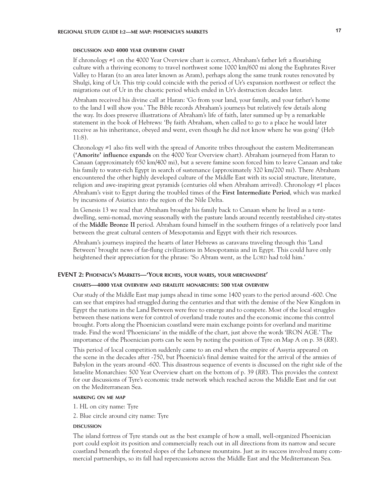#### **discussion and 4000 year overview chart**

If chronology #1 on the 4000 Year Overview chart is correct, Abraham's father left a flourishing culture with a thriving economy to travel northwest some 1000 km/600 mi along the Euphrates River Valley to Haran (to an area later known as Aram), perhaps along the same trunk routes renovated by Shulgi, king of Ur. This trip could coincide with the period of Ur's expansion northwest or reflect the migrations out of Ur in the chaotic period which ended in Ur's destruction decades later.

Abraham received his divine call at Haran: 'Go from your land, your family, and your father's home to the land I will show you.' The Bible records Abraham's journeys but relatively few details along the way. Its does preserve illustrations of Abraham's life of faith, later summed up by a remarkable statement in the book of Hebrews: 'By faith Abraham, when called to go to a place he would later receive as his inheritance, obeyed and went, even though he did not know where he was going' (Heb 11:8).

Chronology #1 also fits well with the spread of Amorite tribes throughout the eastern Mediterranean (**'Amorite' influence expands** on the 4000 Year Overview chart). Abraham journeyed from Haran to Canaan (approximately 650 km/400 mi), but a severe famine soon forced him to leave Canaan and take his family to water-rich Egypt in search of sustenance (approximately 320 km/200 mi). There Abraham encountered the other highly developed culture of the Middle East with its social structure, literature, religion and awe-inspiring great pyramids (centuries old when Abraham arrived). Chronology #1 places Abraham's visit to Egypt during the troubled times of the **First Intermediate Period**, which was marked by incursions of Asiatics into the region of the Nile Delta.

In Genesis 13 we read that Abraham brought his family back to Canaan where he lived as a tentdwelling, semi-nomad, moving seasonally with the pasture lands around recently reestablished city-states of the **Middle Bronze II** period. Abraham found himself in the southern fringes of a relatively poor land between the great cultural centers of Mesopotamia and Egypt with their rich resources.

Abraham's journeys inspired the hearts of later Hebrews as caravans traveling through this 'Land Between' brought news of far-flung civilizations in Mesopotamia and in Egypt. This could have only heightened their appreciation for the phrase: 'So Abram went, as the LORD had told him.'

#### **EVENT 2: Phoenicia's Markets—'Your riches, your wares, your merchandise'**

#### **charts—4000 year overview and israelite monarchies: 500 year overview**

Our study of the Middle East map jumps ahead in time some 1400 years to the period around -600. One can see that empires had struggled during the centuries and that with the demise of the New Kingdom in Egypt the nations in the Land Between were free to emerge and to compete. Most of the local struggles between these nations were for control of overland trade routes and the economic income this control brought. Ports along the Phoenician coastland were main exchange points for overland and maritime trade. Find the word 'Phoenicians' in the middle of the chart, just above the words 'IRON AGE.' The importance of the Phoenician ports can be seen by noting the position of Tyre on Map A on p. 38 (*RR*).

This period of local competition suddenly came to an end when the empire of Assyria appeared on the scene in the decades after -750, but Phoenicia's final demise waited for the arrival of the armies of Babylon in the years around -600. This disastrous sequence of events is discussed on the right side of the Israelite Monarchies: 500 Year Overview chart on the bottom of p. 39 (*RR*). This provides the context for our discussions of Tyre's economic trade network which reached across the Middle East and far out on the Mediterranean Sea.

### **marking on me map**

- 1. HL on city name: Tyre
- 2. Blue circle around city name: Tyre

#### **DISCUSSION discussion**

The island fortress of Tyre stands out as the best example of how a small, well-organized Phoenician port could exploit its position and commercially reach out in all directions from its narrow and secure coastland beneath the forested slopes of the Lebanese mountains. Just as its success involved many commercial partnerships, so its fall had repercussions across the Middle East and the Mediterranean Sea.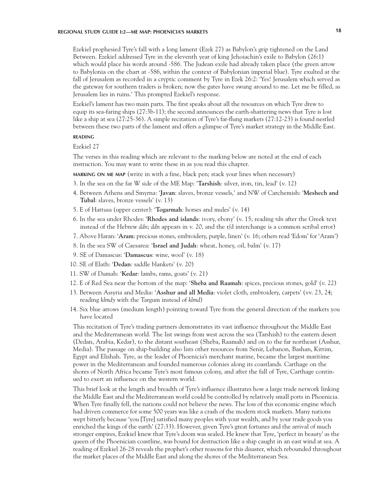# **REGIONAL STUDY GUIDE I:2—ME MAP: PHOENICIA'S MARKETS 18**

Ezekiel prophesied Tyre's fall with a long lament (Ezek 27) as Babylon's grip tightened on the Land Between. Ezekiel addressed Tyre in the eleventh year of king Jehoiachin's exile to Babylon (26:1) which would place his words around -586. The Judean exile had already taken place (the green arrow to Babylonia on the chart at -586, within the context of Babylonian imperial blue). Tyre exulted at the fall of Jerusalem as recorded in a cryptic comment by Tyre in Ezek 26:2: 'Yes! Jerusalem which served as the gateway for southern traders is broken; now the gates have swung around to me. Let me be filled, as Jerusalem lies in ruins.' This prompted Ezekiel's response.

Ezekiel's lament has two main parts. The first speaks about all the resources on which Tyre drew to equip its sea-faring ships (27:3b-11); the second announces the earth-shattering news that Tyre is lost like a ship at sea (27:25-36). A simple recitation of Tyre's far-flung markets (27:12-23) is found nestled between these two parts of the lament and offers a glimpse of Tyre's market strategy in the Middle East.

# **reading**

Ezekiel 27

The verses in this reading which are relevant to the marking below are noted at the end of each instruction. You may want to write these in as you read this chapter.

**marking on me map** (write in with a fine, black pen; stack your lines when necessary)

- 3. In the sea on the far W side of the ME Map: '**Tarshish**: silver, iron, tin, lead' (v. 12)
- 4. Between Athens and Smyrna: '**Javan**: slaves, bronze vessels,' and NW of Carchemish: '**Meshech and Tubal**: slaves, bronze vessels' (v. 13)
- 5. E of Hattusa (upper center): '**Togarmah**: horses and mules' (v. 14)
- 6. In the sea under Rhodes: '**Rhodes and islands**: ivory, ebony' (v. 15; reading *rdn* after the Greek text instead of the Hebrew *ddn*; *ddn* appears in v. 20, and the r/d interchange is a common scribal error)
- 7. Above Haran: '**Aram**: precious stones, embroidery, purple, linen' (v. 16; others read 'Edom' for 'Aram')
- 8. In the sea SW of Caesarea: '**Israel and Judah**: wheat, honey, oil, balm' (v. 17)
- 9. SE of Damascus: '**Damascus**: wine, wool' (v. 18)
- 10. SE of Elath: '**Dedan**: saddle blankets' (v. 20)
- 11. SW of Dumah: '**Kedar**: lambs, rams, goats' (v. 21)
- 12. E of Red Sea near the bottom of the map: '**Sheba and Raamah**: spices, precious stones, gold' (v. 22)
- 13. Between Assyria and Media: '**Asshur and all Media**: violet cloth, embroidery, carpets' (vv. 23, 24; reading *klmdy* with the Targum instead of *klmd*)
- 14. Six blue arrows (medium length) pointing toward Tyre from the general direction of the markets you have located

This recitation of Tyre's trading partners demonstrates its vast influence throughout the Middle East and the Mediterranean world. The list swings from west across the sea (Tarshish) to the eastern desert (Dedan, Arabia, Kedar), to the distant southeast (Sheba, Raamah) and on to the far northeast (Asshur, Media). The passage on ship-building also lists other resources from Senir, Lebanon, Bashan, Kittim, Egypt and Elishah. Tyre, as the leader of Phoenicia's merchant marine, became the largest maritime power in the Mediterranean and founded numerous colonies along its coastlands. Carthage on the shores of North Africa became Tyre's most famous colony, and after the fall of Tyre, Carthage continued to exert an influence on the western world.

This brief look at the length and breadth of Tyre's influence illustrates how a large trade network linking the Middle East and the Mediterranean world could be controlled by relatively small ports in Phoenicia. When Tyre finally fell, the nations could not believe the news. The loss of this economic engine which had driven commerce for some 500 years was like a crash of the modern stock markets. Many nations wept bitterly because 'you [Tyre] satisfied many peoples with your wealth, and by your trade goods you enriched the kings of the earth' (27:33). However, given Tyre's great fortunes and the arrival of much stronger empires, Ezekiel knew that Tyre's doom was sealed. He knew that Tyre, 'perfect in beauty' as the queen of the Phoenician coastline, was bound for destruction like a ship caught in an east wind at sea. A reading of Ezekiel 26-28 reveals the prophet's other reasons for this disaster, which rebounded throughout the market places of the Middle East and along the shores of the Mediterranean Sea.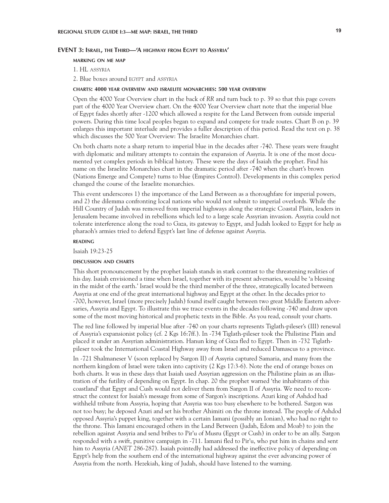#### **EVENT 3: Israel, the Third—'A highway from Egypt to Assyria'**

#### **marking on me map**

1. HL assyria

2. Blue boxes around egypt and assyria

#### **charts: 4000 year overview and israelite monarchies: 500 year overview**

Open the 4000 Year Overview chart in the back of *RR* and turn back to p. 39 so that this page covers part of the 4000 Year Overview chart. On the 4000 Year Overview chart note that the imperial blue of Egypt fades shortly after -1200 which allowed a respite for the Land Between from outside imperial powers. During this time local peoples began to expand and compete for trade routes. Chart B on p. 39 enlarges this important interlude and provides a fuller description of this period. Read the text on p. 38 which discusses the 500 Year Overview: The Israelite Monarchies chart.

On both charts note a sharp return to imperial blue in the decades after -740. These years were fraught with diplomatic and military attempts to contain the expansion of Assyria. It is one of the most documented yet complex periods in biblical history. These were the days of Isaiah the prophet. Find his name on the Israelite Monarchies chart in the dramatic period after -740 when the chart's brown (Nations Emerge and Compete) turns to blue (Empires Control). Developments in this complex period changed the course of the Israelite monarchies.

This event underscores 1) the importance of the Land Between as a thoroughfare for imperial powers, and 2) the dilemma confronting local nations who would not submit to imperial overlords. While the Hill Country of Judah was removed from imperial highways along the strategic Coastal Plain, leaders in Jerusalem became involved in rebellions which led to a large scale Assyrian invasion. Assyria could not tolerate interference along the road to Gaza, its gateway to Egypt, and Judah looked to Egypt for help as pharaoh's armies tried to defend Egypt's last line of defense against Assyria.

#### **reading**

Isaiah 19:23-25

#### **discussion and charts**

This short pronouncement by the prophet Isaiah stands in stark contrast to the threatening realities of his day. Isaiah envisioned a time when Israel, together with its present adversaries, would be 'a blessing in the midst of the earth.' Israel would be the third member of the three, strategically located between Assyria at one end of the great international highway and Egypt at the other. In the decades prior to -700, however, Israel (more precisely Judah) found itself caught between two great Middle Eastern adversaries, Assyria and Egypt. To illustrate this we trace events in the decades following -740 and draw upon some of the most moving historical and prophetic texts in the Bible. As you read, consult your charts.

The red line followed by imperial blue after -740 on your charts represents Tiglath-pileser's (III) renewal of Assyria's expansionist policy (cf. 2 Kgs 16:7ff.). In -734 Tiglath-pileser took the Philistine Plain and placed it under an Assyrian administration. Hanun king of Gaza fled to Egypt. Then in -732 Tiglathpileser took the International Coastal Highway away from Israel and reduced Damascus to a province.

In -721 Shalmaneser V (soon replaced by Sargon II) of Assyria captured Samaria, and many from the northern kingdom of Israel were taken into captivity (2 Kgs 17:3-6). Note the end of orange boxes on both charts. It was in these days that Isaiah used Assyrian aggression on the Philistine plain as an illustration of the futility of depending on Egypt. In chap. 20 the prophet warned 'the inhabitants of this coastland' that Egypt and Cush would not deliver them from Sargon II of Assyria. We need to reconstruct the context for Isaiah's message from some of Sargon's inscriptions. Azuri king of Ashdod had withheld tribute from Assyria, hoping that Assyria was too busy elsewhere to be bothered. Sargon was not too busy; he deposed Azuri and set his brother Ahimiti on the throne instead. The people of Ashdod opposed Assyria's puppet king, together with a certain Iamani (possibly an Ionian), who had no right to the throne. This Iamani encouraged others in the Land Between (Judah, Edom and Moab) to join the rebellion against Assyria and send bribes to Pir'u of Musru (Egypt or Cush) in order to be an ally. Sargon responded with a swift, punitive campaign in -711. Iamani fled to Pir'u, who put him in chains and sent him to Assyria *(ANET* 286-287). Isaiah pointedly had addressed the ineffective policy of depending on Egypt's help from the southern end of the international highway against the ever advancing power of Assyria from the north. Hezekiah, king of Judah, should have listened to the warning.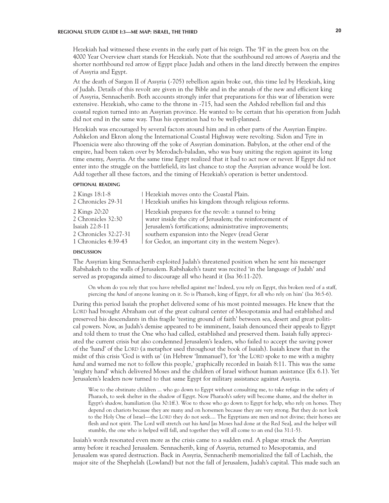Hezekiah had witnessed these events in the early part of his reign. The 'H' in the green box on the 4000 Year Overview chart stands for Hezekiah. Note that the southbound red arrows of Assyria and the shorter northbound red arrow of Egypt place Judah and others in the land directly between the empires of Assyria and Egypt.

At the death of Sargon II of Assyria (-705) rebellion again broke out, this time led by Hezekiah, king of Judah. Details of this revolt are given in the Bible and in the annals of the new and efficient king of Assyria, Sennacherib. Both accounts strongly infer that preparations for this war of liberation were extensive. Hezekiah, who came to the throne in -715, had seen the Ashdod rebellion fail and this coastal region turned into an Assyrian province. He wanted to be certain that his operation from Judah did not end in the same way. Thus his operation had to be well-planned.

Hezekiah was encouraged by several factors around him and in other parts of the Assyrian Empire. Ashkelon and Ekron along the International Coastal Highway were revolting. Sidon and Tyre in Phoenicia were also throwing off the yoke of Assyrian domination. Babylon, at the other end of the empire, had been taken over by Merodach-baladan, who was busy uniting the region against its long time enemy, Assyria. At the same time Egypt realized that it had to act now or never. If Egypt did not enter into the struggle on the battlefield, its last chance to stop the Assyrian advance would be lost. Add together all these factors, and the timing of Hezekiah's operation is better understood.

#### **optional reading**

| 2 Kings 18:1-8<br>2 Chronicles 29-31 | Hezekiah moves onto the Coastal Plain.<br>  Hezekiah unifies his kingdom through religious reforms.             |
|--------------------------------------|-----------------------------------------------------------------------------------------------------------------|
| 2 Kings 20:20<br>2 Chronicles 32:30  | Hezekiah prepares for the revolt: a tunnel to bring<br>water inside the city of Jerusalem; the reinforcement of |
| Isaiah 22:8-11                       | Jerusalem's fortifications; administrative improvements;                                                        |
| 2 Chronicles 32:27-31                | southern expansion into the Negev (read Gerar                                                                   |
| 1 Chronicles 4:39-43                 | for Gedor, an important city in the western Negev).                                                             |

#### **DISCUSSION discussion**

The Assyrian king Sennacherib exploited Judah's threatened position when he sent his messenger Rabshakeh to the walls of Jerusalem. Rabshakeh's taunt was recited 'in the language of Judah' and served as propaganda aimed to discourage all who heard it (Isa 36:11-20).

On whom do you rely that you have rebelled against me? Indeed, you rely on Egypt, this broken reed of a staff, piercing the *hand* of anyone leaning on it. So is Pharaoh, king of Egypt, for all who rely on him' (Isa 36:5-6).

During this period Isaiah the prophet delivered some of his most pointed messages. He knew that the LORD had brought Abraham out of the great cultural center of Mesopotamia and had established and preserved his descendants in this fragile 'testing ground of faith' between sea, desert and great political powers. Now, as Judah's demise appeared to be imminent, Isaiah denounced their appeals to Egypt and told them to trust the One who had called, established and preserved them. Isaiah fully appreciated the current crisis but also condemned Jerusalem's leaders, who failed to accept the saving power of the 'hand' of the LORD (a metaphor used throughout the book of Isaiah). Isaiah knew that in the midst of this crisis 'God is with us' (in Hebrew 'Immanuel'), for 'the LORD spoke to me with a mighty *hand* and warned me not to follow this people,' graphically recorded in Isaiah 8:11. This was the same 'mighty hand' which delivered Moses and the children of Israel without human assistance (Ex 6.1). Yet Jerusalem's leaders now turned to that same Egypt for military assistance against Assyria.

Woe to the obstinate children ... who go down to Egypt without consulting me, to take refuge in the safety of Pharaoh, to seek shelter in the shadow of Egypt. Now Pharaoh's safety will become shame, and the shelter in Egypt's shadow, humiliation (Isa 30:1ff.). Woe to those who go down to Egypt for help, who rely on horses. They depend on chariots because they are many and on horsemen because they are very strong. But they do not look to the Holy One of Israel—the LORD they do not seek.... The Egyptians are men and not divine; their horses are flesh and not spirit. The Lord will stretch out his *hand* [as Moses had done at the Red Sea], and the helper will stumble, the one who is helped will fall, and together they will all come to an end (Isa 31:1-5).

Isaiah's words resonated even more as the crisis came to a sudden end. A plague struck the Assyrian army before it reached Jerusalem. Sennacherib, king of Assyria, returned to Mesopotamia, and Jerusalem was spared destruction. Back in Assyria, Sennacherib memorialized the fall of Lachish, the major site of the Shephelah (Lowland) but not the fall of Jerusalem, Judah's capital. This made such an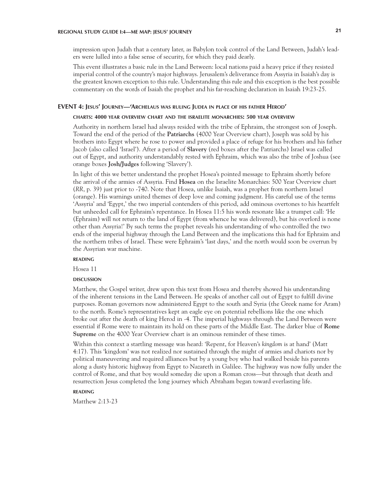impression upon Judah that a century later, as Babylon took control of the Land Between, Judah's leaders were lulled into a false sense of security, for which they paid dearly.

This event illustrates a basic rule in the Land Between: local nations paid a heavy price if they resisted imperial control of the country's major highways. Jerusalem's deliverance from Assyria in Isaiah's day is the greatest known exception to this rule. Understanding this rule and this exception is the best possible commentary on the words of Isaiah the prophet and his far-reaching declaration in Isaiah 19:23-25.

#### **EVENT 4: Jesus' Journey—'Archelaus was ruling Judea in place of his father Herod'**

#### **charts: 4000 year overview chart and the israelite monarchies: 500 year overview**

Authority in northern Israel had always resided with the tribe of Ephraim, the strongest son of Joseph. Toward the end of the period of the **Patriarchs** (4000 Year Overview chart), Joseph was sold by his brothers into Egypt where he rose to power and provided a place of refuge for his brothers and his father Jacob (also called 'Israel'). After a period of **Slavery** (red boxes after the Patriarchs) Israel was called out of Egypt, and authority understandably rested with Ephraim, which was also the tribe of Joshua (see orange boxes **Josh/Judges** following 'Slavery').

In light of this we better understand the prophet Hosea's pointed message to Ephraim shortly before the arrival of the armies of Assyria. Find **Hosea** on the Israelite Monarchies: 500 Year Overview chart (*RR*, p. 39) just prior to -740. Note that Hosea, unlike Isaiah, was a prophet from northern Israel (orange). His warnings united themes of deep love and coming judgment. His careful use of the terms 'Assyria' and 'Egypt,' the two imperial contenders of this period, add ominous overtones to his heartfelt but unheeded call for Ephraim's repentance. In Hosea 11:5 his words resonate like a trumpet call: 'He (Ephraim) will *not* return to the land of Egypt (from whence he was delivered), but his overlord is none other than Assyria!' By such terms the prophet reveals his understanding of who controlled the two ends of the imperial highway through the Land Between and the implications this had for Ephraim and the northern tribes of Israel. These were Ephraim's 'last days,' and the north would soon be overrun by the Assyrian war machine.

#### **reading**

Hosea 11

#### **DISCUSSION discussion**

Matthew, the Gospel writer, drew upon this text from Hosea and thereby showed his understanding of the inherent tensions in the Land Between. He speaks of another call out of Egypt to fulfill divine purposes. Roman governors now administered Egypt to the south and Syria (the Greek name for Aram) to the north. Rome's representatives kept an eagle eye on potential rebellions like the one which broke out after the death of king Herod in -4. The imperial highways through the Land Between were essential if Rome were to maintain its hold on these parts of the Middle East. The darker blue of **Rome Supreme** on the 4000 Year Overview chart is an ominous reminder of these times.

Within this context a startling message was heard: 'Repent, for Heaven's *kingdom* is at hand' (Matt 4:17). This 'kingdom' was not realized nor sustained through the might of armies and chariots nor by political maneuvering and required alliances but by a young boy who had walked beside his parents along a dusty historic highway from Egypt to Nazareth in Galilee. The highway was now fully under the control of Rome, and that boy would someday die upon a Roman cross—but through that death and resurrection Jesus completed the long journey which Abraham began toward everlasting life.

### **reading**

Matthew 2:13-23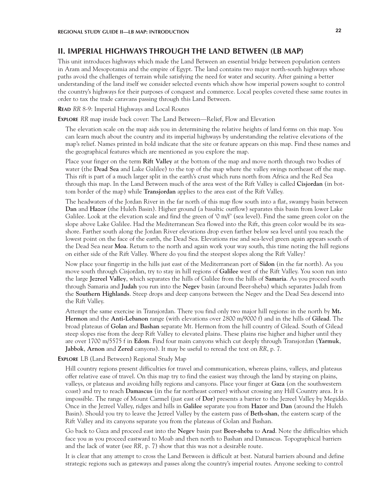# **II. IMPERIAL HIGHWAYS THROUGH THE LAND BETWEEN (LB MAP)**

This unit introduces highways which made the Land Between an essential bridge between population centers in Aram and Mesopotamia and the empire of Egypt. The land contains two major north-south highways whose paths avoid the challenges of terrain while satisfying the need for water and security. After gaining a better understanding of the land itself we consider selected events which show how imperial powers sought to control the country's highways for their purposes of conquest and commerce. Local peoples coveted these same routes in order to tax the trade caravans passing through this Land Between.

**Read** *RR* 8-9: Imperial Highways and Local Routes

**Explore** *RR* map inside back cover: The Land Between—Relief, Flow and Elevation

The elevation scale on the map aids you in determining the relative heights of land forms on this map. You can learn much about the country and its imperial highways by understanding the relative elevations of the map's relief. Names printed in bold indicate that the site or feature appears on this map. Find these names and the geographical features which are mentioned as you explore the map.

Place your finger on the term **Rift Valley** at the bottom of the map and move north through two bodies of water (the **Dead Sea** and Lake Galilee) to the top of the map where the valley swings northeast off the map. This rift is part of a much larger split in the earth's crust which runs north from Africa and the Red Sea through this map. In the Land Between much of the area west of the Rift Valley is called **Cisjordan** (in bottom border of the map) while **Transjordan** applies to the area east of the Rift Valley.

The headwaters of the Jordan River in the far north of this map flow south into a flat, swampy basin between **Dan** and **Hazor** (the Huleh Basin). Higher ground (a basaltic outflow) separates this basin from lower Lake Galilee. Look at the elevation scale and find the green of '0 m/f' (sea level). Find the same green color on the slope above Lake Galilee. Had the Mediterranean Sea flowed into the Rift, this green color would be its seashore. Farther south along the Jordan River elevations drop even farther below sea level until you reach the lowest point on the face of the earth, the Dead Sea. Elevations rise and sea-level green again appears south of the Dead Sea near **Moa**. Return to the north and again work your way south, this time noting the hill regions on either side of the Rift Valley. Where do you find the steepest slopes along the Rift Valley?

Now place your fingertip in the hills just east of the Mediterranean port of **Sidon** (in the far north). As you move south through Cisjordan, try to stay in hill regions of **Galilee** west of the Rift Valley. You soon run into the large **Jezreel Valley**, which separates the hills of Galilee from the hills of **Samaria**. As you proceed south through Samaria and **Judah** you run into the **Negev** basin (around Beer-sheba) which separates Judah from the **Southern Highlands**. Steep drops and deep canyons between the Negev and the Dead Sea descend into the Rift Valley.

Attempt the same exercise in Transjordan. There you find only two major hill regions: in the north by **Mt. Hermon** and the **Anti-Lebanon** range (with elevations over 2800 m/9000 f) and in the hills of **Gilead**. The broad plateaus of **Golan** and **Bashan** separate Mt. Hermon from the hill country of Gilead. South of Gilead steep slopes rise from the deep Rift Valley to elevated plains. These plains rise higher and higher until they are over 1700 m/5575 f in **Edom**. Find four main canyons which cut deeply through Transjordan (**Yarmuk**, **Jabbok**, **Arnon** and **Zered** canyons). It may be useful to reread the text on *RR*, p. 7.

### **Explore** LB (Land Between) Regional Study Map

Hill country regions present difficulties for travel and communication, whereas plains, valleys, and plateaus offer relative ease of travel. On this map try to find the easiest way through the land by staying on plains, valleys, or plateaus and avoiding hilly regions and canyons. Place your finger at **Gaza** (on the southwestern coast) and try to reach **Damascus** (in the far northeast corner) without crossing any Hill Country area. It is impossible. The range of Mount Carmel (just east of **Dor**) presents a barrier to the Jezreel Valley by Megiddo. Once in the Jezreel Valley, ridges and hills in **Galilee** separate you from **Hazor** and **Dan** (around the Huleh Basin). Should you try to leave the Jezreel Valley by the eastern pass of **Beth-shan**, the eastern scarp of the Rift Valley and its canyons separate you from the plateaus of Golan and Bashan.

Go back to Gaza and proceed east into the **Negev** basin past **Beer-sheba** to **Arad**. Note the difficulties which face you as you proceed eastward to Moab and then north to Bashan and Damascus. Topographical barriers and the lack of water (see *RR,* p. 7) show that this was not a desirable route.

It is clear that any attempt to cross the Land Between is difficult at best. Natural barriers abound and define strategic regions such as gateways and passes along the country's imperial routes. Anyone seeking to control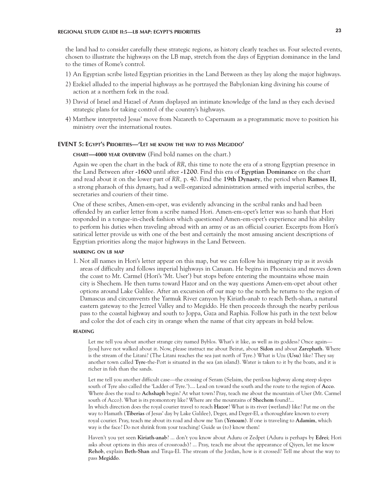the land had to consider carefully these strategic regions, as history clearly teaches us. Four selected events, chosen to illustrate the highways on the LB map, stretch from the days of Egyptian dominance in the land to the times of Rome's control.

- 1) An Egyptian scribe listed Egyptian priorities in the Land Between as they lay along the major highways.
- 2) Ezekiel alluded to the imperial highways as he portrayed the Babylonian king divining his course of action at a northern fork in the road.
- 3) David of Israel and Hazael of Aram displayed an intimate knowledge of the land as they each devised strategic plans for taking control of the country's highways.
- 4) Matthew interpreted Jesus' move from Nazareth to Capernaum as a programmatic move to position his ministry over the international routes.

#### **EVENT 5: Egypt's Priorities—'Let me know the way to pass Megiddo'**

### **chart—4000 year overview** (Find bold names on the chart.)

Again we open the chart in the back of *RR*, this time to note the era of a strong Egyptian presence in the Land Between after **-1600** until after **-1200**. Find this era of **Egyptian Dominance** on the chart and read about it on the lower part of *RR,* p. 40. Find the **19th Dynasty**, the period when **Ramses II**, a strong pharaoh of this dynasty, had a well-organized administration armed with imperial scribes, the secretaries and couriers of their time.

One of these scribes, Amen-em-opet, was evidently advancing in the scribal ranks and had been offended by an earlier letter from a scribe named Hori. Amen-em-opet's letter was so harsh that Hori responded in a tongue-in-cheek fashion which questioned Amen-em-opet's experience and his ability to perform his duties when traveling abroad with an army or as an official courier. Excerpts from Hori's satirical letter provide us with one of the best and certainly the most amusing ancient descriptions of Egyptian priorities along the major highways in the Land Between.

#### **marking on lb map**

1. Not all names in Hori's letter appear on this map, but we can follow his imaginary trip as it avoids areas of difficulty and follows imperial highways in Canaan. He begins in Phoenicia and moves down the coast to Mt. Carmel (Hori's 'Mt. User') but stops before entering the mountains whose main city is Shechem. He then turns toward Hazor and on the way questions Amen-em-opet about other options around Lake Galilee. After an excursion off our map to the north he returns to the region of Damascus and circumvents the Yarmuk River canyon by Kiriath-anab to reach Beth-shan, a natural eastern gateway to the Jezreel Valley and to Megiddo. He then proceeds through the nearby perilous pass to the coastal highway and south to Joppa, Gaza and Raphia. Follow his path in the text below and color the dot of each city in orange when the name of that city appears in bold below.

#### **reading**

Let me tell you about another strange city named Byblos. What's it like, as well as its goddess? Once again— [you] have not walked about it. Now, please instruct me about Beirut, about **Sidon** and about **Zarephath**. Where is the stream of the Litani? (The Litani reaches the sea just north of Tyre.) What is Uzu (**Usu**) like? They say another town called **Tyre**-the-Port is situated in the sea (an island). Water is taken to it by the boats, and it is richer in fish than the sands.

Let me tell you another difficult case—the crossing of Seram (Selaim, the perilous highway along steep slopes south of Tyre also called the 'Ladder of Tyre.').... Lead on toward the south and the route to the region of **Acco**. Where does the road to **Achshaph** begin? At what town? Pray, teach me about the mountain of User (Mt. Carmel south of Acco). What is its promontory like? Where are the mountains of **Shechem** found?... In which direction does the royal courier travel to reach **Hazor**? What is its river (wetland) like? Put me on the way to Hamath (**Tiberias** of Jesus' day by Lake Galilee), Deger, and Deger-El, a thoroughfare known to every royal courier. Pray, teach me about its road and show me Yan (**Yenoam**). If one is traveling to **Adamim**, which way is the face? Do not shrink from your teaching! Guide us (to) know them!

Haven't you yet seen **Kiriath-anab**? ... don't you know about Aduru or Zedpet (Aduru is perhaps by **Edrei**; Hori asks about options in this area of crossroads)? ... Pray, teach me about the appearance of Qiyen, let me know **Rehob**, explain **Beth-Shan** and Tirqa-El. The stream of the Jordan, how is it crossed? Tell me about the way to pass **Megiddo**.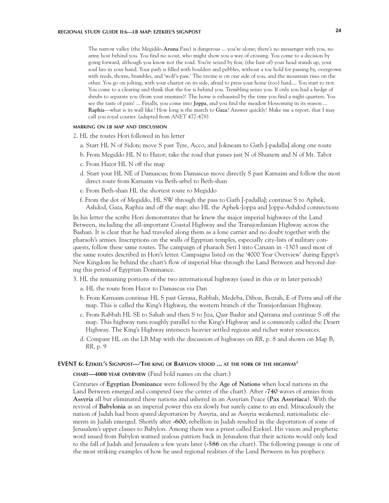The narrow valley (the Megiddo-**Aruna** Pass) is dangerous ... you're alone; there's no messenger with you, no army host behind you. You find no scout, who might show you a way of crossing. You come to a decision by going forward, although you know not the road. You're seized by fear, (the hair of) your head stands up, your soul lies in your hand. Your path is filled with boulders and pebbles, without a toe hold for passing by, overgrown with reeds, thorns, brambles, and 'wolf's-paw.' The ravine is on one side of you, and the mountain rises on the other. You go on jolting, with your chariot on its side, afraid to press your horse (too) hard.... You start to trot. You come to a clearing and think that the foe is behind you. Trembling seizes you. If only you had a hedge of shrubs to separate you (from your enemies)! The horse is exhausted by the time you find a night-quarters. You see the taste of pain! ... Finally, you come into **Joppa**, and you find the meadow blossoming in its season ... **Raphia**—what is its wall like? How long is the march to **Gaza**? Answer quickly! Make me a report, that I may call you royal courier. (adapted from *ANET* 477-478)

### **marking on lb map and discussion**

- 2. HL the routes Hori followed in his letter
	- a. Start HL N of Sidon; move S past Tyre, Acco, and Jokneam to Gath [-padalla] along one route
	- b. From Megiddo HL N to Hazor; take the road that passes just N of Shunem and N of Mt. Tabor
	- c. From Hazor HL N off the map
	- d. Start your HL NE of Damascus; from Damascus move directly S past Karnaim and follow the most direct route from Karnaim via Beth-arbel to Beth-shan
	- e. From Beth-shan HL the shortest route to Megiddo
	- f. From the dot of Megiddo, HL SW through the pass to Gath [-padalla]; continue S to Aphek, Ashdod, Gaza, Raphia and off the map; also HL the Aphek-Joppa and Joppa-Ashdod connections

In his letter the scribe Hori demonstrates that he knew the major imperial highways of the Land Between, including the all-important Coastal Highway and the Transjordanian Highway across the Bashan. It is clear that he had traveled along them as a lone carrier and no doubt together with the pharaoh's armies. Inscriptions on the walls of Egyptian temples, especially city-lists of military conquests, follow these same routes. The campaign of pharaoh Seti I into Canaan in -1303 used most of the same routes described in Hori's letter. Campaigns listed on the '4000 Year Overview' during Egypt's New Kingdom lie behind the chart's flow of imperial blue through the Land Between and beyond during this period of Egyptian Dominance.

- 3. HL the remaining portions of the two international highways (used in this or in later periods)
	- a. HL the route from Hazor to Damascus via Dan
	- b. From Karnaim continue HL S past Gerasa, Rabbah, Medeba, Dibon, Bozrah, E of Petra and off the map. This is called the King's Highway, the western branch of the Transjordanian Highway.
	- c. From Rabbah HL SE to Sahab and then S to Jiza, Qasr Bashir and Qatrana and continue S off the map. This highway runs roughly parallel to the King's Highway and is commonly called the Desert Highway. The King's Highway intersects heavier settled regions and richer water resources.
	- d. Compare HL on the LB Map with the discussion of highways on *RR*, p. 8 and shown on Map B, *RR*, p. 9

### **EVENT 6: Ezekiel's Signpost—'The king of Babylon stood ... at the fork of the highway'**

**chart—4000 year overview** (Find bold names on the chart.)

Centuries of **Egyptian Dominance** were followed by the **Age of Nations** when local nations in the Land Between emerged and competed (see the center of the chart). After **-740** waves of armies from **Assyria** all but eliminated these nations and ushered in an Assyrian Peace (**Pax Assyriaca**). With the revival of **Babylonia** as an imperial power this era slowly but surely came to an end. Miraculously the nation of Judah had been spared deportation by Assyria, and as Assyria weakened, nationalistic elements in Judah emerged. Shortly after **-600**, rebellion in Judah resulted in the deportation of some of Jerusalem's upper classes to Babylon. Among them was a priest called Ezekiel. His vision and prophetic word issued from Babylon warned zealous patriots back in Jerusalem that their actions would only lead to the fall of Judah and Jerusalem a few years later (**-586** on the chart). The following passage is one of the most striking examples of how he used regional realities of the Land Between in his prophecy.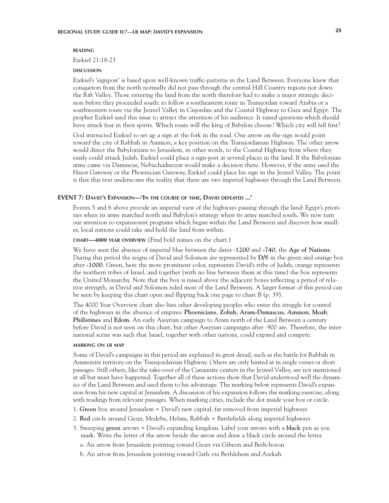### **reading**

Ezekiel 21:18-23

#### **DISCUSSION discussion**

Ezekiel's 'signpost' is based upon well-known traffic-patterns in the Land Between. Everyone knew that conquerors from the north normally did not pass through the central Hill Country regions nor down the Rift Valley. Those entering the land from the north therefore had to make a major strategic decision before they proceeded south: to follow a southeastern route in Transjordan toward Arabia or a southwestern route via the Jezreel Valley in Cisjordan and the Coastal Highway to Gaza and Egypt. The prophet Ezekiel used this issue to attract the attention of his audience. It raised questions which should have struck fear in their spirits. Which route will the king of Babylon choose? Which city will fall first?

God instructed Ezekiel to set up a sign at the fork in the road. One arrow on the sign would point toward the city of Rabbah in Ammon, a key position on the Transjordanian Highway. The other arrow would direct the Babylonians to Jerusalem, in other words, to the Coastal Highway from where they easily could attack Judah. Ezekiel could place a sign-post at several places in the land. If the Babylonian army came via Damascus, Nebuchadnezzar would make a decision there. However, if the army used the Hazor Gateway or the Phoenician Gateway, Ezekiel could place his sign in the Jezreel Valley. The point is that this text underscores the reality that there are two imperial highways through the Land Between.

#### **EVENT 7: David's Expansion—'In the course of time, David defeated ...'**

Events 5 and 6 above provide an imperial view of the highways passing through the land: Egypt's priorities when its army marched north and Babylon's strategy when its army marched south. We now turn our attention to expansionist programs which began within the Land Between and discover how smaller, local nations could take and hold the land from within.

#### **chart—4000 year overview** (Find bold names on the chart.)

We have seen the absence of imperial blue between the dates -**1200** and **-740**, the **Age of Nations**. During this period the reigns of David and Solomon are represented by **D/S** in the green and orange box after **-1000**. Green, here the more prominent color, represents David's tribe of Judah; orange represents the northern tribes of Israel, and together (with no line between them at this time) the box represents the United Monarchy. Note that the box is raised above the adjacent boxes reflecting a period of relative strength, as David and Solomon ruled most of the Land Between. A larger format of this period can be seen by keeping this chart open and flipping back one page to chart B (p. 39).

The 4000 Year Overview chart also lists other developing peoples who enter the struggle for control of the highways in the absence of empires: **Phoenicians**, **Zobah**, **Aram-Damascus**, **Ammon**, **Moab**, **Philistines** and **Edom**. An early Assyrian campaign to Aram north of the Land Between a century before David is not seen on this chart, but other Assyrian campaigns after -900 are. Therefore, the international scene was such that Israel, together with other nations, could expand and compete.

#### **marking on lb map**

Some of David's campaigns in this period are explained in great detail, such as the battle for Rabbah in Ammonite territory on the Transjordanian Highway. Others are only hinted at in single verses or short passages. Still others, like the take-over of the Canaanite centers in the Jezreel Valley, are not mentioned at all but must have happened. Together all of these actions show that David understood well the dynamics of the Land Between and used them to his advantage. The marking below represents David's expansion from his new capital at Jerusalem. A discussion of his expansion follows the marking exercise, along with readings from relevant passages. When marking cities, include the dot inside your box or circle.

- 1. **Green** box around Jerusalem = David's new capital, far removed from imperial highways
- 2. **Red** circle around Gezer, Medeba, Helam, Rabbah = Battlefields along imperial highways
- 3. Sweeping **green** arrows = David's expanding kingdom. Label your arrows with a **black** pen as you mark. Write the letter of the arrow beside the arrow and draw a black circle around the letter.
	- a. An arrow from Jerusalem pointing toward Gezer via Gibeon and Beth-horon
	- b. An arrow from Jerusalem pointing toward Gath via Bethlehem and Azekah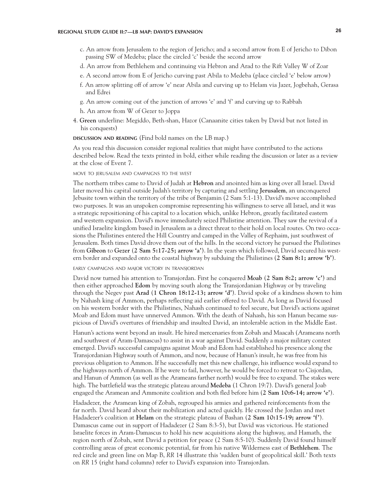- c. An arrow from Jerusalem to the region of Jericho; and a second arrow from E of Jericho to Dibon passing SW of Medeba; place the circled 'c' beside the second arrow
- d. An arrow from Bethlehem and continuing via Hebron and Arad to the Rift Valley W of Zoar
- e. A second arrow from E of Jericho curving past Abila to Medeba (place circled 'e' below arrow)
- f. An arrow splitting off of arrow 'e' near Abila and curving up to Helam via Jazer, Jogbehah, Gerasa and Edrei
- g. An arrow coming out of the junction of arrows 'e' and 'f' and curving up to Rabbah
- h. An arrow from W of Gezer to Joppa
- 4. **Green** underline: Megiddo, Beth-shan, Hazor (Canaanite cities taken by David but not listed in his conquests)

**discussion and reading** (Find bold names on the LB map.)

As you read this discussion consider regional realities that might have contributed to the actions described below. Read the texts printed in bold, either while reading the discussion or later as a review at the close of Event 7.

#### move to jerusalem and campaigns to the west

The northern tribes came to David of Judah at **Hebron** and anointed him as king over all Israel. David later moved his capital outside Judah's territory by capturing and settling **Jerusalem**, an unconquered Jebusite town within the territory of the tribe of Benjamin (2 Sam 5:1-13). David's move accomplished two purposes. It was an unspoken compromise representing his willingness to serve all Israel, and it was a strategic repositioning of his capital to a location which, unlike Hebron, greatly facilitated eastern and western expansion. David's move immediately seized Philistine attention. They saw the revival of a unified Israelite kingdom based in Jerusalem as a direct threat to their hold on local routes. On two occasions the Philistines entered the Hill Country and camped in the Valley of Rephaim, just southwest of Jerusalem. Both times David drove them out of the hills. In the second victory he pursued the Philistines from **Gibeon** to **Gezer** (**2 Sam 5:17-25; arrow 'a'**). In the years which followed, David secured his western border and expanded onto the coastal highway by subduing the Philistines (**2 Sam 8:1; arrow 'b'**).

early campaigns and major victory in transjordan

David now turned his attention to Transjordan. First he conquered **Moab** (**2 Sam 8:2; arrow 'c'**) and then either approached **Edom** by moving south along the Transjordanian Highway or by traveling through the Negev past **Arad** (**1 Chron 18:12-13; arrow 'd'**). David spoke of a kindness shown to him by Nahash king of Ammon, perhaps reflecting aid earlier offered to David. As long as David focused on his western border with the Philistines, Nahash continued to feel secure, but David's actions against Moab and Edom must have unnerved Ammon. With the death of Nahash, his son Hanun became suspicious of David's overtures of friendship and insulted David, an intolerable action in the Middle East.

Hanun's actions went beyond an insult. He hired mercenaries from Zobah and Maacah (Arameans north and southwest of Aram-Damascus) to assist in a war against David. Suddenly a major military contest emerged. David's successful campaigns against Moab and Edom had established his presence along the Transjordanian Highway south of Ammon, and now, because of Hanun's insult, he was free from his previous obligation to Ammon. If he successfully met this new challenge, his influence would expand to the highways north of Ammon. If he were to fail, however, he would be forced to retreat to Cisjordan, and Hanun of Ammon (as well as the Arameans farther north) would be free to expand. The stakes were high. The battlefield was the strategic plateau around **Medeba** (1 Chron 19:7). David's general Joab engaged the Aramean and Ammonite coalition and both fled before him (**2 Sam 10:6-14; arrow 'e'**).

Hadadezer, the Aramean king of Zobah, regrouped his armies and gathered reinforcements from the far north. David heard about their mobilization and acted quickly. He crossed the Jordan and met Hadadezer's coalition at **Helam** on the strategic plateau of Bashan (**2 Sam 10:15-19; arrow 'f'**). Damascus came out in support of Hadadezer (2 Sam 8:3-5), but David was victorious. He stationed Israelite forces in Aram-Damascus to hold his new acquisitions along the highway, and Hamath, the region north of Zobah, sent David a petition for peace (2 Sam 8:5-10). Suddenly David found himself controlling areas of great economic potential, far from his native Wilderness east of **Bethlehem**. The red circle and green line on Map B, *RR* 14 illustrate this 'sudden burst of geopolitical skill.' Both texts on *RR* 15 (right hand columns) refer to David's expansion into Transjordan.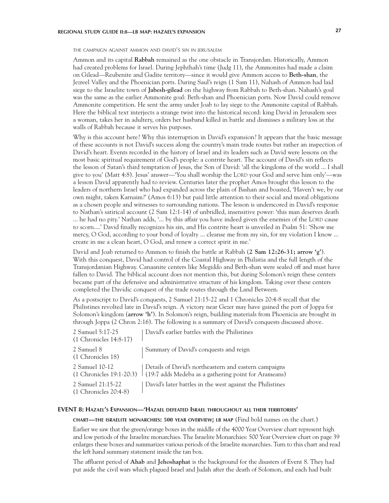# **REGIONAL STUDY GUIDE II:8—LB MAP: HAZAEL'S EXPANSION 27**

the campaign against ammon and david's sin in jerusalem

Ammon and its capital **Rabbah** remained as the one obstacle in Transjordan. Historically, Ammon had created problems for Israel. During Jephthah's time (Judg 11), the Ammonites had made a claim on Gilead—Reubenite and Gadite territory—since it would give Ammon access to **Beth-shan**, the Jezreel Valley and the Phoenician ports. During Saul's reign (1 Sam 11), Nahash of Ammon had laid siege to the Israelite town of **Jabesh-gilead** on the highway from Rabbah to Beth-shan. Nahash's goal was the same as the earlier Ammonite goal: Beth-shan and Phoenician ports. Now David could remove Ammonite competition. He sent the army under Joab to lay siege to the Ammonite capital of Rabbah. Here the biblical text interjects a strange twist into the historical record: king David in Jerusalem sees a woman, takes her in adultery, orders her husband killed in battle and dismisses a military loss at the walls of Rabbah because it serves his purposes.

Why is this account here? Why this interruption in David's expansion? It appears that the basic message of these accounts is not David's success along the country's main trade routes but rather an inspection of David's heart. Events recorded in the history of Israel and its leaders such as David were lessons on the most basic spiritual requirement of God's people: a contrite heart. The account of David's sin reflects the lesson of Satan's third temptation of Jesus, the Son of David: 'all the kingdoms of the world ... I shall give to you' (Matt 4:8). Jesus' answer—'You shall worship the LORD your God and serve him only'—was a lesson David apparently had to review. Centuries later the prophet Amos brought this lesson to the leaders of northern Israel who had expanded across the plain of Bashan and boasted, 'Haven't we, by our own might, taken Karnaim?' (Amos 6:13) but paid little attention to their social and moral obligations as a chosen people and witnesses to surrounding nations. The lesson is underscored in David's response to Nathan's satirical account (2 Sam 12:1-14) of unbridled, insensitive power: 'this man deserves death ... he had no pity.' Nathan adds, '... by this affair you have indeed given the enemies of the LORD cause to scorn....' David finally recognizes his sin, and His contrite heart is unveiled in Psalm 51: 'Show me mercy, O God, according to your bond of loyalty ... cleanse me from my sin, for my violation I know ... create in me a clean heart, O God, and renew a correct spirit in me.'

David and Joab returned to Ammon to finish the battle at Rabbah (**2 Sam 12:26-31; arrow 'g'**). With this conquest, David had control of the Coastal Highway in Philistia and the full length of the Transjordanian Highway. Canaanite centers like Megiddo and Beth-shan were sealed off and must have fallen to David. The biblical account does not mention this, but during Solomon's reign these centers became part of the defensive and administrative structure of his kingdom. Taking over these centers completed the Davidic conquest of the trade routes through the Land Between.

As a postscript to David's conquests, 2 Samuel 21:15-22 and 1 Chronicles 20:4-8 recall that the Philistines revolted late in David's reign. A victory near Gezer may have gained the port of Joppa for Solomon's kingdom (**arrow 'h'**). In Solomon's reign, building materials from Phoenicia are brought in through Joppa (2 Chron 2:16). The following is a summary of David's conquests discussed above.

| 2 Samuel 5:17-25<br>$(1$ Chronicles $14:8-17$ ) | David's earlier battles with the Philistines                                                                                                    |
|-------------------------------------------------|-------------------------------------------------------------------------------------------------------------------------------------------------|
| 2 Samuel 8<br>(1 Chronicles 18)                 | Summary of David's conquests and reign                                                                                                          |
| 2 Samuel 10-12                                  | Details of David's northeastern and eastern campaigns<br>$(1$ Chronicles 19:1-20:3) $\mid$ (19:7 adds Medeba as a gathering point for Arameans) |
| 2 Samuel 21:15-22<br>$(1$ Chronicles $20:4-8$ ) | David's later battles in the west against the Philistines                                                                                       |

### **EVENT 8: Hazael's Expansion—'Hazael defeated Israel throughout all their territories'**

**chart—the israelite monarchies: 500 year overview; lb map** (Find bold names on the chart.)

Earlier we saw that the green/orange boxes in the middle of the 4000 Year Overview chart represent high and low periods of the Israelite monarchies. The Israelite Monarchies: 500 Year Overview chart on page 39 enlarges these boxes and summarizes various periods of the Israelite monarchies. Turn to this chart and read the left hand summary statement inside the tan box.

The affluent period of **Ahab** and **Jehoshaphat** is the background for the disasters of Event 8. They had put aside the civil wars which plagued Israel and Judah after the death of Solomon, and each had built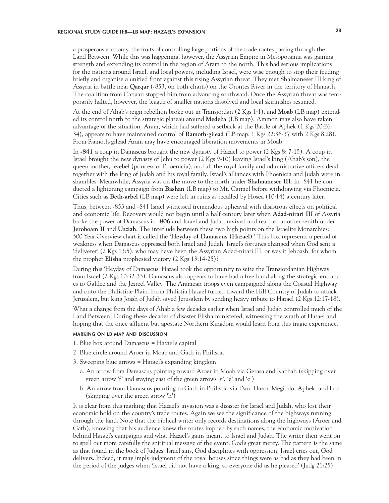# **REGIONAL STUDY GUIDE II:8—LB MAP: HAZAEL'S EXPANSION 28**

a prosperous economy, the fruits of controlling large portions of the trade routes passing through the Land Between. While this was happening, however, the Assyrian Empire in Mesopotamia was gaining strength and extending its control in the region of Aram to the north. This had serious implications for the nations around Israel, and local powers, including Israel, were wise enough to stop their feuding briefly and organize a unified front against this rising Assyrian threat. They met Shalmaneser III king of Assyria in battle near **Qarqar** (-853, on both charts) on the Orontes River in the territory of Hamath. The coalition from Canaan stopped him from advancing southward. Once the Assyrian threat was temporarily halted, however, the league of smaller nations dissolved and local skirmishes resumed.

At the end of Ahab's reign rebellion broke out in Transjordan (2 Kgs 1:1), and **Moab** (LB map) extended its control north to the strategic plateau around **Medeba** (LB map). Ammon may also have taken advantage of the situation. Aram, which had suffered a setback at the Battle of Aphek (1 Kgs 20:26- 34), appears to have maintained control of **Ramoth-gilead** (LB map; 1 Kgs 22:36-37 with 2 Kgs 8:28). From Ramoth-gilead Aram may have encouraged liberation movements in Moab.

In **-841** a coup in Damascus brought the new dynasty of Hazael to power (2 Kgs 8: 7-15). A coup in Israel brought the new dynasty of Jehu to power (2 Kgs 9-10) leaving Israel's king (Ahab's son), the queen mother, Jezebel (princess of Phoenicia), and all the royal family and administrative officers dead, together with the king of Judah and his royal family. Israel's alliances with Phoenicia and Judah were in shambles. Meanwhile, Assyria was on the move to the north under **Shalmaneser III**. In -841 he conducted a lightening campaign from **Bashan** (LB map) to Mt. Carmel before withdrawing via Phoenicia. Cities such as **Beth-arbel** (LB map) were left in ruins as recalled by Hosea (10:14) a century later.

Thus, between -853 and -841 Israel witnessed tremendous upheaval with disastrous effects on political and economic life. Recovery would not begin until a half century later when **Adad-nirari III** of Assyria broke the power of Damascus in **-806** and Israel and Judah revived and reached another zenith under **Jeroboam II** and **Uzziah**. The interlude between these two high points on the Israelite Monarchies: 500 Year Overview chart is called the '**Heyday of Damascus (Hazael)**.' This box represents a period of weakness when Damascus oppressed both Israel and Judah. Israel's fortunes changed when God sent a 'deliverer' (2 Kgs 13:5), who may have been the Assyrian Adad-nirari III, or was it Jehoash, for whom the prophet **Elisha** prophesied victory (2 Kgs 13:14-25)?

During this 'Heyday of Damascus' Hazael took the opportunity to seize the Transjordanian Highway from Israel (2 Kgs 10:32-33). Damascus also appears to have had a free hand along the strategic entrances to Galilee and the Jezreel Valley. The Aramean troops even campaigned along the Coastal Highway and onto the Philistine Plain. From Philistia Hazael turned toward the Hill Country of Judah to attack Jerusalem, but king Joash of Judah saved Jerusalem by sending heavy tribute to Hazael (2 Kgs 12:17-18).

What a change from the days of Ahab a few decades earlier when Israel and Judah controlled much of the Land Between! During these decades of disaster Elisha ministered, witnessing the wrath of Hazael and hoping that the once affluent but apostate Northern Kingdom would learn from this tragic experience.

#### **marking on lb map and discussion**

- 1. Blue box around Damascus = Hazael's capital
- 2. Blue circle around Aroer in Moab and Gath in Philistia
- 3. Sweeping blue arrows = Hazael's expanding kingdom
	- a. An arrow from Damascus pointing toward Aroer in Moab via Gerasa and Rabbah (skipping over green arrow 'f' and staying east of the green arrows 'g', 'e' and 'c')
	- b. An arrow from Damascus pointing to Gath in Philistia via Dan, Hazor, Megiddo, Aphek, and Lod (skipping over the green arrow 'h')

It is clear from this marking that Hazael's invasion was a disaster for Israel and Judah, who lost their economic hold on the country's trade routes. Again we see the significance of the highways running through the land. Note that the biblical writer only records destinations along the highways (Aroer and Gath), knowing that his audience knew the routes implied by such names, the economic motivation behind Hazael's campaigns and what Hazael's gains meant to Israel and Judah. The writer then went on to spell out more carefully the spiritual message of the event: God's great mercy. The pattern is the same as that found in the book of Judges: Israel sins, God disciplines with oppression, Israel cries out, God delivers. Indeed, it may imply judgment of the royal houses since things were as bad as they had been in the period of the judges when 'Israel did not have a king, so everyone did as he pleased' (Judg 21:25).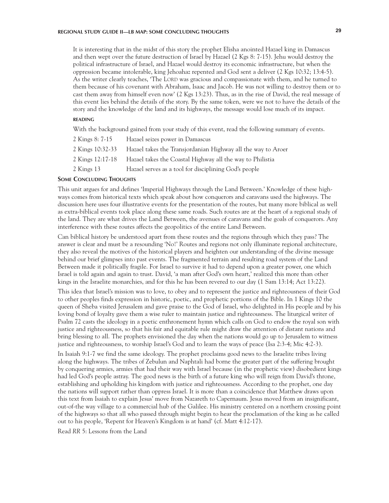# **REGIONAL STUDY GUIDE II—LB MAP: SOME CONCLUDING THOUGHTS 29**

It is interesting that in the midst of this story the prophet Elisha anointed Hazael king in Damascus and then wept over the future destruction of Israel by Hazael (2 Kgs 8: 7-15). Jehu would destroy the political infrastructure of Israel, and Hazael would destroy its economic infrastructure, but when the oppression became intolerable, king Jehoahaz repented and God sent a deliver (2 Kgs 10:32; 13:4-5). As the writer clearly teaches, 'The LORD was gracious and compassionate with them, and he turned to them because of his covenant with Abraham, Isaac and Jacob. He was not willing to destroy them or to cast them away from himself even now' (2 Kgs 13:23). Thus, as in the rise of David, the real message of this event lies behind the details of the story. By the same token, were we not to have the details of the story and the knowledge of the land and its highways, the message would lose much of its impact.

#### **reading**

With the background gained from your study of this event, read the following summary of events.

| 2 Kings 8: 7-15  | Hazael seizes power in Damascus                              |
|------------------|--------------------------------------------------------------|
| 2 Kings 10:32-33 | Hazael takes the Transjordanian Highway all the way to Aroer |
| 2 Kings 12:17-18 | Hazael takes the Coastal Highway all the way to Philistia    |
| 2 Kings 13       | Hazael serves as a tool for disciplining God's people        |

#### **Some Concluding Thoughts**

This unit argues for and defines 'Imperial Highways through the Land Between.' Knowledge of these highways comes from historical texts which speak about how conquerors and caravans used the highways. The discussion here uses four illustrative events for the presentation of the routes, but many more biblical as well as extra-biblical events took place along these same roads. Such routes are at the heart of a regional study of the land. They are what drives the Land Between, the avenues of caravans and the goals of conquerors. Any interference with these routes affects the geopolitics of the entire Land Between.

Can biblical history be understood apart from these routes and the regions through which they pass? The answer is clear and must be a resounding 'No!' Routes and regions not only illuminate regional architecture, they also reveal the motives of the historical players and heighten our understanding of the divine message behind our brief glimpses into past events. The fragmented terrain and resulting road system of the Land Between made it politically fragile. For Israel to survive it had to depend upon a greater power, one which Israel is told again and again to trust. David, 'a man after God's own heart,' realized this more than other kings in the Israelite monarchies, and for this he has been revered to our day (1 Sam 13:14; Act 13:22).

This idea that Israel's mission was to love, to obey and to represent the justice and righteousness of their God to other peoples finds expression in historic, poetic, and prophetic portions of the Bible. In 1 Kings 10 the queen of Sheba visited Jerusalem and gave praise to the God of Israel, who delighted in His people and by his loving bond of loyalty gave them a wise ruler to maintain justice and righteousness. The liturgical writer of Psalm 72 casts the ideology in a poetic enthronement hymn which calls on God to endow the royal son with justice and righteousness, so that his fair and equitable rule might draw the attention of distant nations and bring blessing to all. The prophets envisioned the day when the nations would go up to Jerusalem to witness justice and righteousness, to worship Israel's God and to learn the ways of peace (Isa 2:3-4; Mic 4:2-3).

In Isaiah 9:1-7 we find the same ideology. The prophet proclaims good news to the Israelite tribes living along the highways. The tribes of Zebulun and Naphtali had borne the greater part of the suffering brought by conquering armies, armies that had their way with Israel because (in the prophetic view) disobedient kings had led God's people astray. The good news is the birth of a future king who will reign from David's throne, establishing and upholding his kingdom with justice and righteousness. According to the prophet, one day the nations will support rather than oppress Israel. It is more than a coincidence that Matthew draws upon this text from Isaiah to explain Jesus' move from Nazareth to Capernaum. Jesus moved from an insignificant, out-of-the way village to a commercial hub of the Galilee. His ministry centered on a northern crossing point of the highways so that all who passed through might begin to hear the proclamation of the king as he called out to his people, 'Repent for Heaven's Kingdom is at hand' (cf. Matt 4:12-17).

Read *RR* 5: Lessons from the Land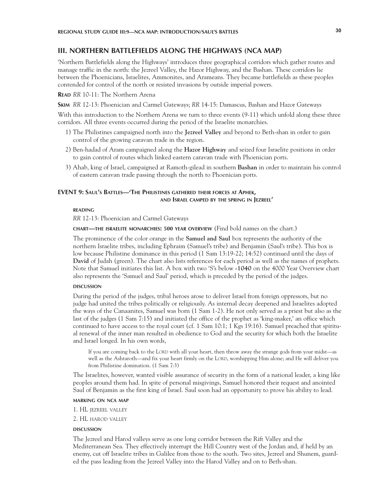### **III. NORTHERN BATTLEFIELDS ALONG THE HIGHWAYS (NCA MAP)**

'Northern Battlefields along the Highways' introduces three geographical corridors which gather routes and manage traffic in the north: the Jezreel Valley, the Hazor Highway, and the Bashan. These corridors lie between the Phoenicians, Israelites, Ammonites, and Arameans. They became battlefields as these peoples contended for control of the north or resisted invasions by outside imperial powers.

#### **Read** *RR* 10-11: The Northern Arena

**Skim** *RR* 12-13: Phoenician and Carmel Gateways; *RR* 14-15: Damascus, Bashan and Hazor Gateways

With this introduction to the Northern Arena we turn to three events (9-11) which unfold along these three corridors. All three events occurred during the period of the Israelite monarchies.

- 1) The Philistines campaigned north into the **Jezreel Valley** and beyond to Beth-shan in order to gain control of the growing caravan trade in the region.
- 2) Ben-hadad of Aram campaigned along the **Hazor Highway** and seized four Israelite positions in order to gain control of routes which linked eastern caravan trade with Phoenician ports.
- 3) Ahab, king of Israel, campaigned at Ramoth-gilead in southern **Bashan** in order to maintain his control of eastern caravan trade passing through the north to Phoenician ports.

### **EVENT 9: Saul's Battles—'The Philistines gathered their forces at Aphek, and Israel camped by the spring in Jezreel'**

# **reading**

*RR* 12-13: Phoenician and Carmel Gateways

**chart—the israelite monarchies: 500 year overview** (Find bold names on the chart.)

The prominence of the color orange in the **Samuel and Saul** box represents the authority of the northern Israelite tribes, including Ephraim (Samuel's tribe) and Benjamin (Saul's tribe). This box is low because Philistine dominance in this period (1 Sam 13:19-22; 14:52) continued until the days of **David** of Judah (green). The chart also lists references for each period as well as the names of prophets. Note that Samuel initiates this list. A box with two 'S's below **-1040** on the 4000 Year Overview chart also represents the 'Samuel and Saul' period, which is preceded by the period of the judges.

#### **DISCUSSION discussion**

During the period of the judges, tribal heroes arose to deliver Israel from foreign oppressors, but no judge had united the tribes politically or religiously. As internal decay deepened and Israelites adopted the ways of the Canaanites, Samuel was born (1 Sam 1-2). He not only served as a priest but also as the last of the judges (1 Sam 7:15) and initiated the office of the prophet as 'king-maker,' an office which continued to have access to the royal court (cf. 1 Sam 10:1; 1 Kgs 19:16). Samuel preached that spiritual renewal of the inner man resulted in obedience to God and the security for which both the Israelite and Israel longed. In his own words,

If you are coming back to the LORD with all your heart, then throw away the strange gods from your midst—as well as the Ashtaroth—and fix your heart firmly on the LORD, worshipping Him alone; and He will deliver you from Philistine domination. (1 Sam 7:3)

The Israelites, however, wanted visible assurance of security in the form of a national leader, a king like peoples around them had. In spite of personal misgivings, Samuel honored their request and anointed Saul of Benjamin as the first king of Israel. Saul soon had an opportunity to prove his ability to lead.

#### **marking on nca map**

1. HL jezreel valley

2. HL harod valley

#### **DISCUSSION discussion**

The Jezreel and Harod valleys serve as one long corridor between the Rift Valley and the Mediterranean Sea. They effectively interrupt the Hill Country west of the Jordan and, if held by an enemy, cut off Israelite tribes in Galilee from those to the south. Two sites, Jezreel and Shunem, guarded the pass leading from the Jezreel Valley into the Harod Valley and on to Beth-shan.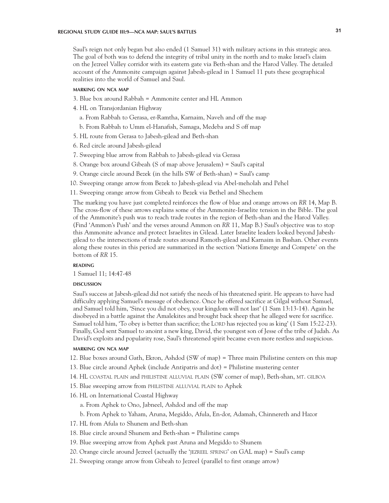# **REGIONAL STUDY GUIDE III:9—NCA MAP: SAUL'S BATTLES 31**

Saul's reign not only began but also ended (1 Samuel 31) with military actions in this strategic area. The goal of both was to defend the integrity of tribal unity in the north and to make Israel's claim on the Jezreel Valley corridor with its eastern gate via Beth-shan and the Harod Valley. The detailed account of the Ammonite campaign against Jabesh-gilead in 1 Samuel 11 puts these geographical realities into the world of Samuel and Saul.

### **marking on nca map**

- 3. Blue box around Rabbah = Ammonite center and HL Ammon
- 4. HL on Transjordanian Highway
	- a. From Rabbah to Gerasa, er-Ramtha, Karnaim, Naveh and off the map
	- b. From Rabbah to Umm el-Hanafish, Samaga, Medeba and S off map
- 5. HL route from Gerasa to Jabesh-gilead and Beth-shan
- 6. Red circle around Jabesh-gilead
- 7. Sweeping blue arrow from Rabbah to Jabesh-gilead via Gerasa
- 8. Orange box around Gibeah (S of map above Jerusalem) = Saul's capital
- 9. Orange circle around Bezek (in the hills SW of Beth-shan) = Saul's camp
- 10. Sweeping orange arrow from Bezek to Jabesh-gilead via Abel-meholah and Pehel
- 11. Sweeping orange arrow from Gibeah to Bezek via Bethel and Shechem

The marking you have just completed reinforces the flow of blue and orange arrows on *RR* 14, Map B. The cross-flow of these arrows explains some of the Ammonite-Israelite tension in the Bible. The goal of the Ammonite's push was to reach trade routes in the region of Beth-shan and the Harod Valley. (Find 'Ammon's Push' and the verses around Ammon on *RR* 11, Map B.) Saul's objective was to stop this Ammonite advance and protect Israelites in Gilead. Later Israelite leaders looked beyond Jabeshgilead to the intersections of trade routes around Ramoth-gilead and Karnaim in Bashan. Other events along these routes in this period are summarized in the section 'Nations Emerge and Compete' on the bottom of *RR* 15.

#### **reading**

1 Samuel 11; 14:47-48

#### **DISCUSSION discussion**

Saul's success at Jabesh-gilead did not satisfy the needs of his threatened spirit. He appears to have had difficulty applying Samuel's message of obedience. Once he offered sacrifice at Gilgal without Samuel, and Samuel told him, 'Since you did not obey, your kingdom will not last' (1 Sam 13:13-14). Again he disobeyed in a battle against the Amalekites and brought back sheep that he alleged were for sacrifice. Samuel told him, 'To obey is better than sacrifice; the LORD has rejected you as king' (1 Sam 15:22-23). Finally, God sent Samuel to anoint a new king, David, the youngest son of Jesse of the tribe of Judah. As David's exploits and popularity rose, Saul's threatened spirit became even more restless and suspicious.

#### **marking on nca map**

- 12. Blue boxes around Gath, Ekron, Ashdod (SW of map) = Three main Philistine centers on this map
- 13. Blue circle around Aphek (include Antipatris and dot) = Philistine mustering center
- 14. HL coastal plain and philistine alluvial plain (SW corner of map), Beth-shan, mt. gilboa
- 15. Blue sweeping arrow from philistine alluvial plain to Aphek
- 16. HL on International Coastal Highway
	- a. From Aphek to Ono, Jabneel, Ashdod and off the map
	- b. From Aphek to Yaham, Aruna, Megiddo, Afula, En-dor, Adamah, Chinnereth and Hazor
- 17. HL from Afula to Shunem and Beth-shan
- 18. Blue circle around Shunem and Beth-shan = Philistine camps
- 19. Blue sweeping arrow from Aphek past Aruna and Megiddo to Shunem
- 20. Orange circle around Jezreel (actually the 'jezreel spring' on GAL map) = Saul's camp
- 21. Sweeping orange arrow from Gibeah to Jezreel (parallel to first orange arrow)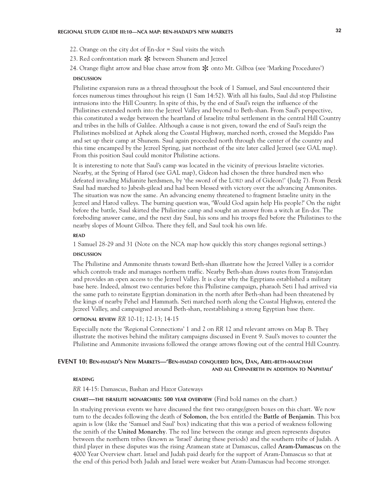- 22. Orange on the city dot of En-dor = Saul visits the witch
- 23. Red confrontation mark  $*$  between Shunem and Jezreel
- 24. Orange flight arrow and blue chase arrow from  $\ast$  onto Mt. Gilboa (see 'Marking Procedures')<br>DISCUSSION

#### **discussion**

Philistine expansion runs as a thread throughout the book of 1 Samuel, and Saul encountered their forces numerous times throughout his reign (1 Sam 14:52). With all his faults, Saul did stop Philistine intrusions into the Hill Country. In spite of this, by the end of Saul's reign the influence of the Philistines extended north into the Jezreel Valley and beyond to Beth-shan. From Saul's perspective, this constituted a wedge between the heartland of Israelite tribal settlement in the central Hill Country and tribes in the hills of Galilee. Although a cause is not given, toward the end of Saul's reign the Philistines mobilized at Aphek along the Coastal Highway, marched north, crossed the Megiddo Pass and set up their camp at Shunem. Saul again proceeded north through the center of the country and this time encamped by the Jezreel Spring, just northeast of the site later called Jezreel (see GAL map). From this position Saul could monitor Philistine actions.

It is interesting to note that Saul's camp was located in the vicinity of previous Israelite victories. Nearby, at the Spring of Harod (see GAL map), Gideon had chosen the three hundred men who defeated invading Midianite herdsmen, by 'the sword of the LORD and of Gideon!' (Judg 7). From Bezek Saul had marched to Jabesh-gilead and had been blessed with victory over the advancing Ammonites. The situation was now the same. An advancing enemy threatened to fragment Israelite unity in the Jezreel and Harod valleys. The burning question was, 'Would God again help His people?' On the night before the battle, Saul skirted the Philistine camp and sought an answer from a witch at En-dor. The foreboding answer came, and the next day Saul, his sons and his troops fled before the Philistines to the nearby slopes of Mount Gilboa. There they fell, and Saul took his own life.

#### **READ**  $\overline{\phantom{a}}$

1 Samuel 28-29 and 31 (Note on the NCA map how quickly this story changes regional settings.)

#### **DISCUSSION discussion**

The Philistine and Ammonite thrusts toward Beth-shan illustrate how the Jezreel Valley is a corridor which controls trade and manages northern traffic. Nearby Beth-shan draws routes from Transjordan and provides an open access to the Jezreel Valley. It is clear why the Egyptians established a military base here. Indeed, almost two centuries before this Philistine campaign, pharaoh Seti I had arrived via the same path to reinstate Egyptian domination in the north after Beth-shan had been threatened by the kings of nearby Pehel and Hammath. Seti marched north along the Coastal Highway, entered the Jezreel Valley, and campaigned around Beth-shan, reestablishing a strong Egyptian base there.

### **optional review** *RR* 10-11; 12-13; 14-15

Especially note the 'Regional Connections' 1 and 2 on *RR* 12 and relevant arrows on Map B. They illustrate the motives behind the military campaigns discussed in Event 9. Saul's moves to counter the Philistine and Ammonite invasions followed the orange arrows flowing out of the central Hill Country.

# **EVENT 10: Ben-hadad's New Markets—'Ben-hadad conquered Ijon, Dan, Abel-beth-maachah and all Chinnereth in addition to Naphtali'**

#### **reading**

*RR* 14-15: Damascus, Bashan and Hazor Gateways

#### **chart—the israelite monarchies: 500 year overview** (Find bold names on the chart.)

In studying previous events we have discussed the first two orange/green boxes on this chart. We now turn to the decades following the death of **Solomon**, the box entitled the **Battle of Benjamin**. This box again is low (like the 'Samuel and Saul' box) indicating that this was a period of weakness following the zenith of the **United Monarchy**. The red line between the orange and green represents disputes between the northern tribes (known as 'Israel' during these periods) and the southern tribe of Judah. A third player in these disputes was the rising Aramean state at Damascus, called **Aram-Damascus** on the 4000 Year Overview chart. Israel and Judah paid dearly for the support of Aram-Damascus so that at the end of this period both Judah and Israel were weaker but Aram-Damascus had become stronger.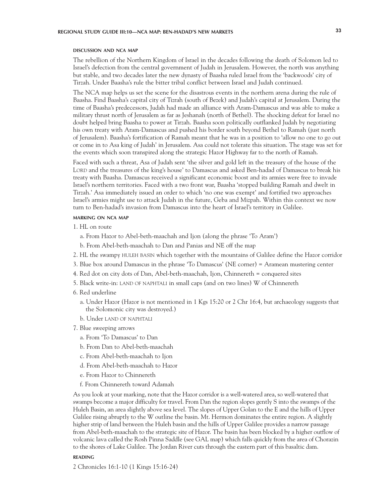#### **discussion and nca map**

The rebellion of the Northern Kingdom of Israel in the decades following the death of Solomon led to Israel's defection from the central government of Judah in Jerusalem. However, the north was anything but stable, and two decades later the new dynasty of Baasha ruled Israel from the 'backwoods' city of Tirzah. Under Baasha's rule the bitter tribal conflict between Israel and Judah continued.

The NCA map helps us set the scene for the disastrous events in the northern arena during the rule of Baasha. Find Baasha's capital city of Tizrah (south of Bezek) and Judah's capital at Jerusalem. During the time of Baasha's predecessors, Judah had made an alliance with Aram-Damascus and was able to make a military thrust north of Jerusalem as far as Jeshanah (north of Bethel). The shocking defeat for Israel no doubt helped bring Baasha to power at Tirzah. Baasha soon politically outflanked Judah by negotiating his own treaty with Aram-Damascus and pushed his border south beyond Bethel to Ramah (just north of Jerusalem). Baasha's fortification of Ramah meant that he was in a position to 'allow no one to go out or come in to Asa king of Judah' in Jerusalem. Asa could not tolerate this situation. The stage was set for the events which soon transpired along the strategic Hazor Highway far to the north of Ramah.

Faced with such a threat, Asa of Judah sent 'the silver and gold left in the treasury of the house of the LORD and the treasures of the king's house' to Damascus and asked Ben-hadad of Damascus to break his treaty with Baasha. Damascus received a significant economic boost and its armies were free to invade Israel's northern territories. Faced with a two front war, Baasha 'stopped building Ramah and dwelt in Tirzah.' Asa immediately issued an order to which 'no one was exempt' and fortified two approaches Israel's armies might use to attack Judah in the future, Geba and Mizpah. Within this context we now turn to Ben-hadad's invasion from Damascus into the heart of Israel's territory in Galilee.

#### **marking on nca map**

- 1. HL on route
	- a. From Hazor to Abel-beth-maachah and Ijon (along the phrase 'To Aram')
	- b. From Abel-beth-maachah to Dan and Panias and NE off the map
- 2. HL the swampy HULEH BASIN which together with the mountains of Galilee define the Hazor corridor
- 3. Blue box around Damascus in the phrase 'To Damascus' (NE corner) = Aramean mustering center
- 4. Red dot on city dots of Dan, Abel-beth-maachah, Ijon, Chinnereth = conquered sites
- 5. Black write-in: land of naphtali in small caps (and on two lines) W of Chinnereth
- 6. Red underline
	- a. Under Hazor (Hazor is not mentioned in 1 Kgs 15:20 or 2 Chr 16:4, but archaeology suggests that the Solomonic city was destroyed.)
	- b. Under land of naphtali
- 7. Blue sweeping arrows
	- a. From 'To Damascus' to Dan
	- b. From Dan to Abel-beth-maachah
	- c. From Abel-beth-maachah to Ijon
	- d. From Abel-beth-maachah to Hazor
	- e. From Hazor to Chinnereth
	- f. From Chinnereth toward Adamah

As you look at your marking, note that the Hazor corridor is a well-watered area, so well-watered that swamps become a major difficulty for travel. From Dan the region slopes gently S into the swamps of the Huleh Basin, an area slightly above sea level. The slopes of Upper Golan to the E and the hills of Upper Galilee rising abruptly to the W outline the basin. Mt. Hermon dominates the entire region. A slightly higher strip of land between the Huleh basin and the hills of Upper Galilee provides a narrow passage from Abel-beth-maachah to the strategic site of Hazor. The basin has been blocked by a higher outflow of volcanic lava called the Rosh Pinna Saddle (see GAL map) which falls quickly from the area of Chorazin to the shores of Lake Galilee. The Jordan River cuts through the eastern part of this basaltic dam.

#### **reading**

2 Chronicles 16:1-10 (1 Kings 15:16-24)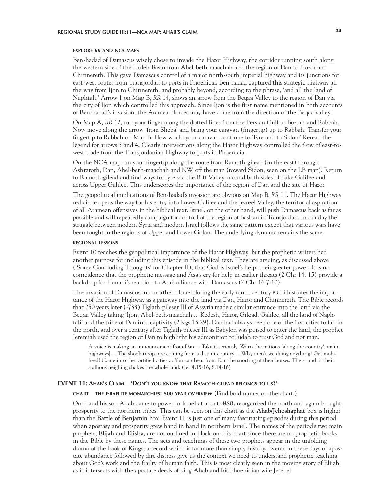#### **explore** *rr* **and nca maps**

Ben-hadad of Damascus wisely chose to invade the Hazor Highway, the corridor running south along the western side of the Huleh Basin from Abel-beth-maachah and the region of Dan to Hazor and Chinnereth. This gave Damascus control of a major north-south imperial highway and its junctions for east-west routes from Transjordan to ports in Phoenicia. Ben-hadad captured this strategic highway all the way from Ijon to Chinnereth, and probably beyond, according to the phrase, 'and all the land of Naphtali.' Arrow 1 on Map B, *RR* 14, shows an arrow from the Beqaa Valley to the region of Dan via the city of Ijon which controlled this approach. Since Ijon is the first name mentioned in both accounts of Ben-hadad's invasion, the Aramean forces may have come from the direction of the Beqaa valley.

On Map A, *RR* 12, run your finger along the dotted lines from the Persian Gulf to Bozrah and Rabbah. Now move along the arrow 'from Sheba' and bring your caravan (fingertip) up to Rabbah. Transfer your fingertip to Rabbah on Map B. How would your caravan continue to Tyre and to Sidon? Reread the legend for arrows 3 and 4. Clearly intersections along the Hazor Highway controlled the flow of east-towest trade from the Transjordanian Highway to ports in Phoenicia.

On the NCA map run your fingertip along the route from Ramoth-gilead (in the east) through Ashtaroth, Dan, Abel-beth-maachah and NW off the map (toward Sidon, seen on the LB map). Return to Ramoth-gilead and find ways to Tyre via the Rift Valley, around both sides of Lake Galilee and across Upper Galilee. This underscores the importance of the region of Dan and the site of Hazor.

The geopolitical implications of Ben-hadad's invasion are obvious on Map B, *RR* 11. The Hazor Highway red circle opens the way for his entry into Lower Galilee and the Jezreel Valley, the territorial aspiration of all Aramean offensives in the biblical text. Israel, on the other hand, will push Damascus back as far as possible and will repeatedly campaign for control of the region of Bashan in Transjordan. In our day the struggle between modern Syria and modern Israel follows the same pattern except that various wars have been fought in the regions of Upper and Lower Golan. The underlying dynamic remains the same.

#### **regional lessons**

Event 10 teaches the geopolitical importance of the Hazor Highway, but the prophetic writers had another purpose for including this episode in the biblical text. They are arguing, as discussed above ('Some Concluding Thoughts' for Chapter II), that God is Israel's help, their greater power. It is no coincidence that the prophetic message and Asa's cry for help in earlier threats (2 Chr 14, 15) provide a backdrop for Hanani's reaction to Asa's alliance with Damascus (2 Chr 16:7-10).

The invasion of Damascus into northern Israel during the early ninth century b.c. illustrates the importance of the Hazor Highway as a gateway into the land via Dan, Hazor and Chinnereth. The Bible records that 250 years later (-733) Tiglath-pileser III of Assyria made a similar entrance into the land via the Beqaa Valley taking 'Ijon, Abel-beth-maachah,... Kedesh, Hazor, Gilead, Galilee, all the land of Naphtali' and the tribe of Dan into captivity (2 Kgs 15:29). Dan had always been one of the first cities to fall in the north, and over a century after Tiglath-pileser III as Babylon was poised to enter the land, the prophet Jeremiah used the region of Dan to highlight his admonition to Judah to trust God and not man.

A voice is making an announcement from Dan ... Take it seriously. Warn the nations [along the country's main highways] ... The shock troops are coming from a distant country ... Why aren't we doing anything? Get mobilized! Come into the fortified cities ... You can hear from Dan the snorting of their horses. The sound of their stallions neighing shakes the whole land. (Jer 4:15-16; 8:14-16)

#### **EVENT 11: Ahab's Claim—'Don't you know that Ramoth-gilead belongs to us?'**

**chart—the israelite monarchies: 500 year overview** (Find bold names on the chart.)

Omri and his son Ahab came to power in Israel at about **-880,** reorganized the north and again brought prosperity to the northern tribes. This can be seen on this chart as the **Ahab/Jehoshaphat** box is higher than the **Battle of Benjamin** box. Event 11 is just one of many fascinating episodes during this period when apostasy and prosperity grew hand in hand in northern Israel. The names of the period's two main prophets, **Elijah** and **Elisha**, are not outlined in black on this chart since there are no prophetic books in the Bible by these names. The acts and teachings of these two prophets appear in the unfolding drama of the book of Kings, a record which is far more than simply history. Events in these days of apostate abundance followed by dire distress give us the context we need to understand prophetic teaching about God's work and the frailty of human faith. This is most clearly seen in the moving story of Elijah as it intersects with the apostate deeds of king Ahab and his Phoenician wife Jezebel.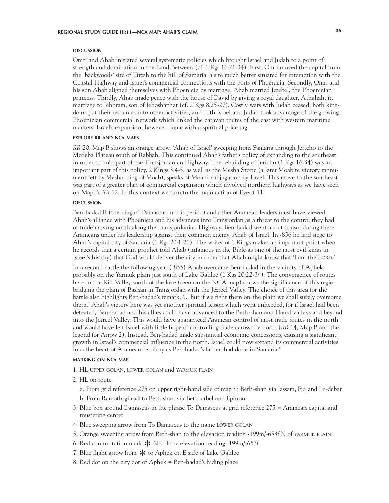#### **DISCUSSION discussion**

Omri and Ahab initiated several systematic policies which brought Israel and Judah to a point of strength and domination in the Land Between (cf. 1 Kgs 16:21-34). First, Omri moved the capital from the 'backwoods' site of Tirzah to the hill of Samaria, a site much better situated for interaction with the Coastal Highway and Israel's commercial connections with the ports of Phoenicia. Secondly, Omri and his son Ahab aligned themselves with Phoenicia by marriage. Ahab married Jezebel, the Phoenician princess. Thirdly, Ahab made peace with the house of David by giving a royal daughter, Athaliah, in marriage to Jehoram, son of Jehoshaphat (cf. 2 Kgs 8:25-27). Costly wars with Judah ceased; both kingdoms put their resources into other activities, and both Israel and Judah took advantage of the growing Phoenician commercial network which linked the caravan routes of the east with western maritime markets. Israel's expansion, however, came with a spiritual price tag.

#### **explore rr and nca maps**

*RR* 20, Map B shows an orange arrow, 'Ahab of Israel' sweeping from Samaria through Jericho to the Medeba Plateau south of Rabbah. This continued Ahab's father's policy of expanding to the southeast in order to hold part of the Transjordanian Highway. The rebuilding of Jericho (1 Kgs 16:34) was an important part of this policy. 2 Kings 3:4-5, as well as the Mesha Stone (a later Moabite victory monument left by Mesha, king of Moab), speaks of Moab's subjugation by Israel. This move to the southeast was part of a greater plan of commercial expansion which involved northern highways as we have seen on Map B, *RR* 12. In this context we turn to the main action of Event 11.

#### **DISCUSSION discussion**

Ben-hadad II (the king of Damascus in this period) and other Aramean leaders must have viewed Ahab's alliance with Phoenicia and his advances into Transjordan as a threat to the control they had of trade moving north along the Transjordanian Highway. Ben-hadad went about consolidating these Arameans under his leadership against their common enemy, Ahab of Israel. In -856 he laid siege to Ahab's capital city of Samaria (1 Kgs 20:1-21). The writer of 1 Kings makes an important point when he records that a certain prophet told Ahab (infamous in the Bible as one of the most evil kings in Israel's history) that God would deliver the city in order that Ahab might know that 'I am the LORD.'

In a second battle the following year (-855) Ahab overcame Ben-hadad in the vicinity of Aphek, probably on the Yarmuk plain just south of Lake Galilee (1 Kgs 20:22-34). The convergence of routes here in the Rift Valley south of the lake (seen on the NCA map) shows the significance of this region bridging the plain of Bashan in Transjordan with the Jezreel Valley. The choice of this area for the battle also highlights Ben-hadad's remark, '... but if we fight them on the plain we shall surely overcome them.' Ahab's victory here was yet another spiritual lesson which went unheeded, for if Israel had been defeated, Ben-hadad and his allies could have advanced to the Beth-shan and Harod valleys and beyond into the Jezreel Valley. This would have guaranteed Aramean control of most trade routes in the north and would have left Israel with little hope of controlling trade across the north (*RR* 14, Map B and the legend for Arrow 2). Instead, Ben-hadad made substantial economic concessions, causing a significant growth in Israel's commercial influence in the north. Israel could now expand its commercial activities into the heart of Aramean territory as Ben-hadad's father 'had done in Samaria.'

#### **marking on nca map**

- 1. HL upper golan, lower golan and yarmuk plain
- 2. HL on route
	- a. From grid reference 275 on upper right-hand side of map to Beth-shan via Jassam, Fiq and Lo-debar b. From Ramoth-gilead to Beth-shan via Beth-arbel and Ephron
- 3. Blue box around Damascus in the phrase To Damascus at grid reference 275 = Aramean capital and mustering center
- 4. Blue sweeping arrow from To Damascus to the name lower golan
- 5. Orange sweeping arrow from Beth-shan to the elevation reading -199m/-653f N of YARMUK PLAIN
- 6. Red confrontation mark  $*$  NE of the elevation reading -199m/-653f
- 7. Blue flight arrow from  $*$  to Aphek on E side of Lake Galilee
- 8. Red dot on the city dot of Aphek = Ben-hadad's hiding place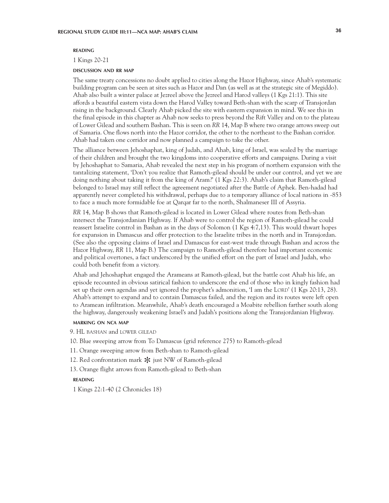#### **reading**

1 Kings 20-21

#### **discussion and rr map**

The same treaty concessions no doubt applied to cities along the Hazor Highway, since Ahab's systematic building program can be seen at sites such as Hazor and Dan (as well as at the strategic site of Megiddo). Ahab also built a winter palace at Jezreel above the Jezreel and Harod valleys (1 Kgs 21:1). This site affords a beautiful eastern vista down the Harod Valley toward Beth-shan with the scarp of Transjordan rising in the background. Clearly Ahab picked the site with eastern expansion in mind. We see this in the final episode in this chapter as Ahab now seeks to press beyond the Rift Valley and on to the plateau of Lower Gilead and southern Bashan. This is seen on *RR* 14, Map B where two orange arrows sweep out of Samaria. One flows north into the Hazor corridor, the other to the northeast to the Bashan corridor. Ahab had taken one corridor and now planned a campaign to take the other.

The alliance between Jehoshaphat, king of Judah, and Ahab, king of Israel, was sealed by the marriage of their children and brought the two kingdoms into cooperative efforts and campaigns. During a visit by Jehoshaphat to Samaria, Ahab revealed the next step in his program of northern expansion with the tantalizing statement, 'Don't you realize that Ramoth-gilead should be under our control, and yet we are doing nothing about taking it from the king of Aram?' (1 Kgs 22:3). Ahab's claim that Ramoth-gilead belonged to Israel may still reflect the agreement negotiated after the Battle of Aphek. Ben-hadad had apparently never completed his withdrawal, perhaps due to a temporary alliance of local nations in -853 to face a much more formidable foe at Qarqar far to the north, Shalmaneser III of Assyria.

*RR* 14, Map B shows that Ramoth-gilead is located in Lower Gilead where routes from Beth-shan intersect the Transjordanian Highway. If Ahab were to control the region of Ramoth-gilead he could reassert Israelite control in Bashan as in the days of Solomon (1 Kgs 4:7,13). This would thwart hopes for expansion in Damascus and offer protection to the Israelite tribes in the north and in Transjordan. (See also the opposing claims of Israel and Damascus for east-west trade through Bashan and across the Hazor Highway, *RR* 11, Map B.) The campaign to Ramoth-gilead therefore had important economic and political overtones, a fact underscored by the unified effort on the part of Israel and Judah, who could both benefit from a victory.

Ahab and Jehoshaphat engaged the Arameans at Ramoth-gilead, but the battle cost Ahab his life, an episode recounted in obvious satirical fashion to underscore the end of those who in kingly fashion had set up their own agendas and yet ignored the prophet's admonition, 'I am the LORD' (1 Kgs 20:13, 28). Ahab's attempt to expand and to contain Damascus failed, and the region and its routes were left open to Aramean infiltration. Meanwhile, Ahab's death encouraged a Moabite rebellion farther south along the highway, dangerously weakening Israel's and Judah's positions along the Transjordanian Highway.

#### **marking on nca map**

- 9. HL bashan and lower gilead
- 10. Blue sweeping arrow from To Damascus (grid reference 275) to Ramoth-gilead
- 11. Orange sweeping arrow from Beth-shan to Ramoth-gilead
- 12. Red confrontation mark  $*$  just NW of Ramoth-gilead
- 13. Orange flight arrows from Ramoth-gilead to Beth-shan

#### **reading**

1 Kings 22:1-40 (2 Chronicles 18)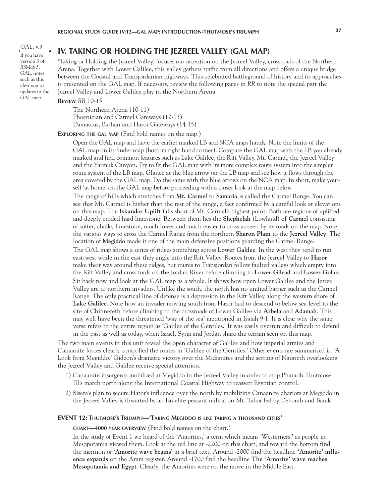GAL, v.3 If you have version 3 of *RSMap 5: GAL*, notes such as this alert you to updates in the GAL map

# **IV. TAKING OR HOLDING THE JEZREEL VALLEY (GAL MAP)**

'Taking or Holding the Jezreel Valley' focuses our attention on the Jezreel Valley, crossroads of the Northern Arena. Together with Lower Galilee, this valley gathers traffic from all directions and offers a unique bridge between the Coastal and Transjordanian highways. This celebrated battleground of history and its approaches is presented on the GAL map. If necessary, review the following pages in *RR* to note the special part the Jezreel Valley and Lower Galilee play in the Northern Arena.

# **Review** *RR* 10-15

The Northern Arena (10-11) Phoenician and Carmel Gateways (12-13) Damascus, Bashan and Hazor Gateways (14-15)

## **Exploring the gal map** (Find bold names on the map.)

Open the GAL map and have the earlier marked LB and NCA maps handy. Note the limits of the GAL map on its finder map (bottom right hand corner). Compare the GAL map with the LB you already marked and find common features such as Lake Galilee, the Rift Valley, Mt. Carmel, the Jezreel Valley and the Yarmuk Canyon. Try to fit the GAL map with its more complex route system into the simpler route system of the LB map. Glance at the blue arrow on the LB map and see how it flows through the area covered by the GAL map. Do the same with the blue arrows on the NCA map. In short, make yourself 'at home' on the GAL map before proceeding with a closer look at the map below.

The range of hills which stretches from **Mt. Carmel** to **Samaria** is called the Carmel Range. You can see that Mt. Carmel is higher than the rest of the range, a fact confirmed by a careful look at elevations on this map. The **Iskandar Uplift** falls short of Mt. Carmel's highest point. Both are regions of uplifted and deeply eroded hard limestone. Between them lies the **Shephelah** (Lowland) **of Carmel** consisting of softer, chalky limestone, much lower and much easier to cross as seen by its roads on the map. Note the various ways to cross the Carmel Range from the northern **Sharon Plain** to the **Jezreel Valley**. The location of **Megiddo** made it one of the main defensive positions guarding the Carmel Range.

The GAL map shows a series of ridges stretching across **Lower Galilee**. In the west they tend to run east-west while in the east they angle into the Rift Valley. Routes from the Jezreel Valley to **Hazor**  make their way around these ridges, but routes to Transjordan follow faulted valleys which empty into the Rift Valley and cross fords on the Jordan River before climbing to **Lower Gilead** and **Lower Golan**.

Sit back now and look at the GAL map as a whole. It shows how open Lower Galilee and the Jezreel Valley are to northern invaders. Unlike the south, the north has no unified barrier such as the Carmel Range. The only practical line of defense is a depression in the Rift Valley along the western shore of **Lake Galilee**. Note how an invader moving south from Hazor had to descend to below sea level to the site of Chinnereth before climbing to the crossroads of Lower Galilee via **Arbela** and **Adamah**. This may well have been the threatened 'way of the sea' mentioned in Isaiah 9:1. It is clear why the same verse refers to the entire region as 'Galilee of the Gentiles.' It was easily overrun and difficult to defend in the past as well as today, when Israel, Syria and Jordan share the terrain seen on this map.

The two main events in this unit reveal the open character of Galilee and how imperial armies and Canaanite forces clearly controlled the routes in 'Galilee of the Gentiles.' Other events are summarized in 'A Look from Megiddo.' Gideon's dramatic victory over the Midianites and the setting of Nazareth overlooking the Jezreel Valley and Galilee receive special attention.

- 1) Canaanite insurgents mobilized at Megiddo in the Jezreel Valley in order to stop Pharaoh Thutmose III's march north along the International Coastal Highway to reassert Egyptian control.
- 2) Sisera's plan to secure Hazor's influence over the north by mobilizing Canaanite chariots at Megiddo in the Jezreel Valley is thwarted by an Israelite peasant militia on Mt. Tabor led by Deborah and Barak.

### **EVENT 12: Thutmose's Triumph—'Taking Megiddo is like taking a thousand cities'**

**chart—4000 year overview** (Find bold names on the chart.)

In the study of Event 1 we heard of the 'Amorites,' a term which means 'Westerners,' as people in Mesopotamia viewed them. Look at the red line at -2200 on this chart, and toward the bottom find the mention of '**Amorite wave begins**' in a brief text. Around -2000 find the headline **'Amorite' influence expands** on the Aram register. Around -1700 find the headline **The 'Amorite' wave reaches Mesopotamia and Egypt**. Clearly, the Amorites were on the move in the Middle East.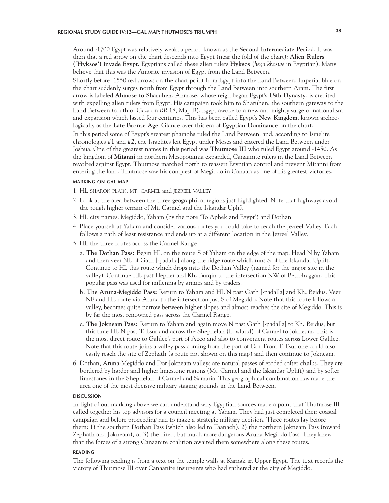# **REGIONAL STUDY GUIDE IV:12—GAL MAP: THUTMOSE'S TRIUMPH 38**

Around -1700 Egypt was relatively weak, a period known as the **Second Intermediate Period**. It was then that a red arrow on the chart descends into Egypt (near the fold of the chart): **Alien Rulers ('Hyksos') invade Egypt**. Egyptians called these alien rulers **Hyksos** (*heqa khoswe* in Egyptian). Many believe that this was the Amorite invasion of Egypt from the Land Between.

Shortly before -1550 red arrows on the chart point from Egypt into the Land Between. Imperial blue on the chart suddenly surges north from Egypt through the Land Between into southern Aram. The first arrow is labeled **Ahmose to Sharuhen**. Ahmose, whose reign began Egypt's **18th Dynasty**, is credited with expelling alien rulers from Egypt. His campaign took him to Sharuhen, the southern gateway to the Land Between (south of Gaza on *RR* 18, Map B). Egypt awoke to a new and mighty surge of nationalism and expansion which lasted four centuries. This has been called Egypt's **New Kingdom**, known archeologically as the **Late Bronze Age**. Glance over this era of **Egyptian Dominance** on the chart. In this period some of Egypt's greatest pharaohs ruled the Land Between, and, according to Israelite chronologies **#1** and **#2**, the Israelites left Egypt under Moses and entered the Land Between under Joshua. One of the greatest names in this period was **Thutmose III** who ruled Egypt around -1450. As the kingdom of **Mitanni** in northern Mesopotamia expanded, Canaanite rulers in the Land Between revolted against Egypt. Thutmose marched north to reassert Egyptian control and prevent Mitanni from entering the land. Thutmose saw his conquest of Megiddo in Canaan as one of his greatest victories.

## **marking on gal map**

- 1. HL sharon plain, mt. carmel and jezreel valley
- 2. Look at the area between the three geographical regions just highlighted. Note that highways avoid the rough higher terrain of Mt. Carmel and the Iskandar Uplift.
- 3. HL city names: Megiddo, Yaham (by the note 'To Aphek and Egypt') and Dothan
- 4. Place yourself at Yaham and consider various routes you could take to reach the Jezreel Valley. Each follows a path of least resistance and ends up at a different location in the Jezreel Valley.
- 5. HL the three routes across the Carmel Range
	- a. **The Dothan Pass:** Begin HL on the route S of Yaham on the edge of the map. Head N by Yaham and then veer NE of Gath [-padalla] along the ridge route which runs S of the Iskandar Uplift. Continue to HL this route which drops into the Dothan Valley (named for the major site in the valley). Continue HL past Hepher and Kh. Burqin to the intersection NW of Beth-haggan. This popular pass was used for millennia by armies and by traders.
	- b. **The Aruna-Megiddo Pass:** Return to Yaham and HL N past Gath [-padalla] and Kh. Beidus. Veer NE and HL route via Aruna to the intersection just S of Megiddo. Note that this route follows a valley, becomes quite narrow between higher slopes and almost reaches the site of Megiddo. This is by far the most renowned pass across the Carmel Range.
	- c. **The Jokneam Pass:** Return to Yaham and again move N past Gath [-padalla] to Kh. Beidus, but this time HL N past T. Esur and across the Shephelah (Lowland) of Carmel to Jokneam. This is the most direct route to Galilee's port of Acco and also to convenient routes across Lower Galilee. Note that this route joins a valley pass coming from the port of Dor. From T. Esur one could also easily reach the site of Zephath (a route not shown on this map) and then continue to Jokneam.
- 6. Dothan, Aruna-Megiddo and Dor-Jokneam valleys are natural passes of eroded softer chalks. They are bordered by harder and higher limestone regions (Mt. Carmel and the Iskandar Uplift) and by softer limestones in the Shephelah of Carmel and Samaria. This geographical combination has made the area one of the most decisive military staging grounds in the Land Between.

#### **DISCUSSION discussion**

In light of our marking above we can understand why Egyptian sources made a point that Thutmose III called together his top advisors for a council meeting at Yaham. They had just completed their coastal campaign and before proceeding had to make a strategic military decision. Three routes lay before them: 1) the southern Dothan Pass (which also led to Taanach), 2) the northern Jokneam Pass (toward Zephath and Jokneam), or 3) the direct but much more dangerous Aruna-Megiddo Pass. They knew that the forces of a strong Canaanite coalition awaited them somewhere along these routes.

# **reading**

The following reading is from a text on the temple walls at Karnak in Upper Egypt. The text records the victory of Thutmose III over Canaanite insurgents who had gathered at the city of Megiddo.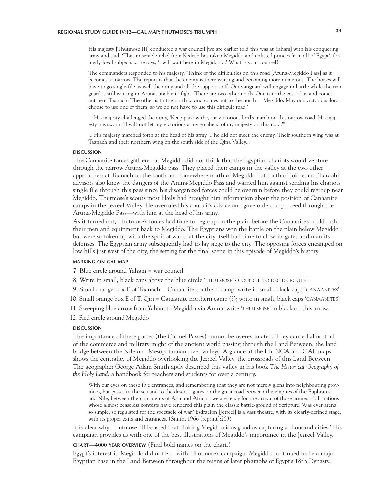# **REGIONAL STUDY GUIDE IV:12—GAL MAP: THUTMOSE'S TRIUMPH 39**

His majesty [Thutmose III] conducted a war council [we are earlier told this was at Yaham] with his conquering army and said, 'That miserable rebel from Kedesh has taken Megiddo and enlisted princes from all of Egypt's formerly loyal subjects ... he says, 'I will wait here in Megiddo ...' What is your counsel?

The commanders responded to his majesty, 'Think of the difficulties on this road [Aruna-Megiddo Pass] as it becomes so narrow. The report is that the enemy is there waiting and becoming more numerous. The horses will have to go single-file as well the army and all the support staff. Our vanguard will engage in battle while the rear guard is still waiting in Aruna, unable to fight. There are two other roads. One is to the east of us and comes out near Taanach. The other is to the north ... and comes out to the north of Megiddo. May our victorious lord choose to use one of them, so we do not have to use this difficult road.'

... His majesty challenged the army, 'Keep pace with your victorious lord's march on this narrow road. His majesty has sworn, "I will not let my victorious army go ahead of my majesty on this road.'''

... His majesty marched forth at the head of his army ... he did not meet the enemy. Their southern wing was at Taanach and their northern wing on the south side of the Qina Valley....

#### **DISCUSSION discussion**

The Canaanite forces gathered at Megiddo did not think that the Egyptian chariots would venture through the narrow Aruna-Megiddo pass. They placed their camps in the valley at the two other approaches: at Taanach to the south and somewhere north of Megiddo but south of Jokneam. Pharaoh's advisors also knew the dangers of the Aruna-Megiddo Pass and warned him against sending his chariots single file through this pass since his disorganized forces could be overrun before they could regroup near Megiddo. Thutmose's scouts most likely had brought him information about the position of Canaanite camps in the Jezreel Valley. He overruled his council's advice and gave orders to proceed through the Aruna-Megiddo Pass—with him at the head of his army.

As it turned out, Thutmose's forces had time to regroup on the plain before the Canaanites could rush their men and equipment back to Megiddo. The Egyptians won the battle on the plain below Megiddo but were so taken up with the spoil of war that the city itself had time to close its gates and man its defenses. The Egyptian army subsequently had to lay siege to the city. The opposing forces encamped on low hills just west of the city, the setting for the final scene in this episode of Megiddo's history.

# **marking on gal map**

7. Blue circle around Yaham = war council

8. Write in small, black caps above the blue circle 'THUTMOSE'S COUNCIL TO DECIDE ROUTE'

9. Small orange box E of Taanach = Canaanite southern camp; write in small, black caps 'canaanites'

10. Small orange box E of T. Qiri = Canaanite northern camp (?); write in small, black caps 'canaanites'

11. Sweeping blue arrow from Yaham to Megiddo via Aruna; write 'thutmose' in black on this arrow.

12. Red circle around Megiddo

#### **DISCUSSION discussion**

The importance of these passes (the Carmel Passes) cannot be overestimated. They carried almost all of the commerce and military might of the ancient world passing through the Land Between, the land bridge between the Nile and Mesopotamian river valleys. A glance at the LB, NCA and GAL maps shows the centrality of Megiddo overlooking the Jezreel Valley, the crossroads of this Land Between. The geographer George Adam Smith aptly described this valley in his book *The Historical Geography of the Holy Land*, a handbook for teachers and students for over a century.

With our eyes on these five entrances, and remembering that they are not merely glens into neighbouring provinces, but passes to the sea and to the desert—gates on the great road between the empires of the Euphrates and Nile, between the continents of Asia and Africa—we are ready for the arrival of those armies of all nations whose almost ceaseless contests have rendered this plain the classic battle-ground of Scripture. Was ever arena so simple, so regulated for the spectacle of war? Esdraelon [Jezreel] is a vast theatre, with its clearly-defined stage, with its proper exits and entrances. (Smith, 1966 (reprint):253)

It is clear why Thutmose III boasted that 'Taking Megiddo is as good as capturing a thousand cities.' His campaign provides us with one of the best illustrations of Megiddo's importance in the Jezreel Valley.

**chart—4000 year overview** (Find bold names on the chart.)

Egypt's interest in Megiddo did not end with Thutmose's campaign. Megiddo continued to be a major Egyptian base in the Land Between throughout the reigns of later pharaohs of Egypt's 18th Dynasty.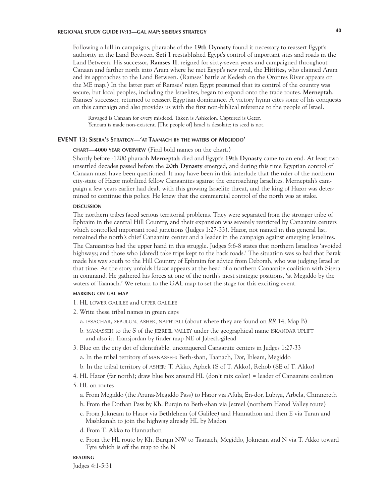# **REGIONAL STUDY GUIDE IV:13—GAL MAP: SISERA'S STRATEGY 40**

Following a lull in campaigns, pharaohs of the **19th Dynasty** found it necessary to reassert Egypt's authority in the Land Between. **Seti I** reestablished Egypt's control of important sites and roads in the Land Between. His successor, **Ramses II**, reigned for sixty-seven years and campaigned throughout Canaan and farther north into Aram where he met Egypt's new rival, the **Hittites,** who claimed Aram and its approaches to the Land Between. (Ramses' battle at Kedesh on the Orontes River appears on the ME map.) In the latter part of Ramses' reign Egypt presumed that its control of the country was secure, but local peoples, including the Israelites, began to expand onto the trade routes. **Merneptah**, Ramses' successor, returned to reassert Egyptian dominance. A victory hymn cites some of his conquests on this campaign and also provides us with the first non-biblical reference to the people of Israel.

Ravaged is Canaan for every misdeed. Taken is Ashkelon. Captured is Gezer. Yenoam is made non-existent. [The people of] Israel is desolate; its seed is not.

# **EVENT 13: Sisera's Strategy—'at Taanach by the waters of Megiddo'**

# **chart—4000 year overview** (Find bold names on the chart.)

Shortly before -1200 pharaoh **Merneptah** died and Egypt's **19th Dynasty** came to an end. At least two unsettled decades passed before the **20th Dynasty** emerged, and during this time Egyptian control of Canaan must have been questioned. It may have been in this interlude that the ruler of the northern city-state of Hazor mobilized fellow Canaanites against the encroaching Israelites. Merneptah's campaign a few years earlier had dealt with this growing Israelite threat, and the king of Hazor was determined to continue this policy. He knew that the commercial control of the north was at stake.

#### **DISCUSSION discussion**

The northern tribes faced serious territorial problems. They were separated from the stronger tribe of Ephraim in the central Hill Country, and their expansion was severely restricted by Canaanite centers which controlled important road junctions (Judges 1:27-33). Hazor, not named in this general list, remained the north's chief Canaanite center and a leader in the campaign against emerging Israelites.

The Canaanites had the upper hand in this struggle. Judges 5:6-8 states that northern Israelites 'avoided highways; and those who (dared) take trips kept to the back roads.' The situation was so bad that Barak made his way south to the Hill Country of Ephraim for advice from Deborah, who was judging Israel at that time. As the story unfolds Hazor appears at the head of a northern Canaanite coalition with Sisera in command. He gathered his forces at one of the north's most strategic positions, 'at Megiddo by the waters of Taanach.' We return to the GAL map to set the stage for this exciting event.

# **marking on gal map**

- 1. HL lower galilee and upper galilee
- 2. Write these tribal names in green caps
	- a. issachar, zebulun, asher, naphtali (about where they are found on *RR* 14, Map B)
	- b. MANASSEH to the S of the JEZREEL VALLEY under the geographical name ISKANDAR UPLIFT and also in Transjordan by finder map NE of Jabesh-gilead
- 3. Blue on the city dot of identifiable, unconquered Canaanite centers in Judges 1:27-33
	- a. In the tribal territory of manasseh: Beth-shan, Taanach, Dor, Ibleam, Megiddo
	- b. In the tribal territory of asher: T. Akko, Aphek (S of T. Akko), Rehob (SE of T. Akko)
- 4. HL Hazor (far north); draw blue box around HL (don't mix color) = leader of Canaanite coalition
- 5. HL on routes
	- a. From Megiddo (the Aruna-Megiddo Pass) to Hazor via Afula, En-dor, Lubiya, Arbela, Chinnereth
	- b. From the Dothan Pass by Kh. Burqin to Beth-shan via Jezreel (northern Harod Valley route)
	- c. From Jokneam to Hazor via Bethlehem (of Galilee) and Hannathon and then E via Turan and Mashkanah to join the highway already HL by Madon
	- d. From T. Akko to Hannathon
	- e. From the HL route by Kh. Burqin NW to Taanach, Megiddo, Jokneam and N via T. Akko toward Tyre which is off the map to the N

# **reading**

Judges 4:1-5:31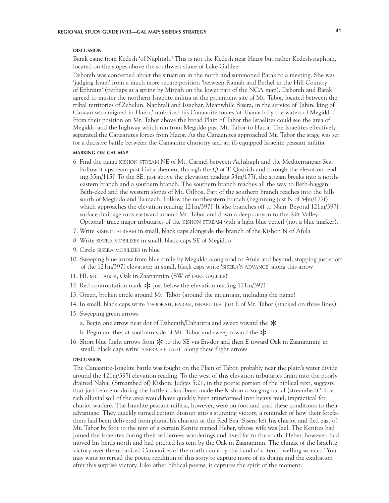#### **DISCUSSION discussion**

Barak came from Kedesh 'of Naphtali.' This is not the Kedesh near Hazor but rather Kedesh-naphtali, located on the slopes above the southwest shore of Lake Galilee.

Deborah was concerned about the situation in the north and summoned Barak to a meeting. She was 'judging Israel' from a much more secure position 'between Ramah and Bethel in the Hill Country of Ephraim' (perhaps at a spring by Mizpah on the lower part of the NCA map). Deborah and Barak agreed to muster the northern Israelite militia at the prominent site of Mt. Tabor, located between the tribal territories of Zebulun, Naphtali and Issachar. Meanwhile Sisera, in the service of 'Jabin, king of Canaan who reigned in Hazor,' mobilized his Canaanite forces 'at Taanach by the waters of Megiddo.' From their position on Mt. Tabor above the broad Plain of Tabor the Israelites could see the area of Megiddo and the highway which ran from Megiddo past Mt. Tabor to Hazor. The Israelites effectively separated the Canaanites forces from Hazor. As the Canaanites approached Mt. Tabor the stage was set for a decisive battle between the Canaanite chariotry and an ill-equipped Israelite peasant militia.

### **marking on gal map**

- 6. Find the name kishon stream NE of Mt. Carmel between Achshaph and the Mediterranean Sea. Follow it upstream past Gaba-shemen, through the Q of T. Qashish and through the elevation reading 35m/115f. To the SE, just above the elevation reading 54m/177f, the stream breaks into a northeastern branch and a southern branch. The southern branch reaches all the way to Beth-haggan, Beth-eked and the western slopes of Mt. Gilboa. Part of the southern branch reaches into the hills south of Megiddo and Taanach. Follow the northeastern branch (beginning just N of 54m/177f) which approaches the elevation reading 121m/397f. It also branches off to Nain. Beyond 121m/397f surface drainage runs eastward around Mt. Tabor and down a deep canyon to the Rift Valley. Optional: trace major tributaries of the kishon stream with a light blue pencil (not a blue marker).
- 7. Write kishon stream in small, black caps alongside the branch of the Kishon N of Afula
- 8. Write sisera mobilizes in small, black caps SE of Megiddo
- 9. Circle sisera mobilizes in blue
- 10. Sweeping blue arrow from blue circle by Megiddo along road to Afula and beyond, stopping just short of the  $121 \text{m}/397$  f elevation; in small, black caps write 'SISERA'S ADVANCE' along this arrow
- 11. HL mt. tabor, Oak in Zaanannim (SW of lake galilee)
- 12. Red confrontation mark  $*$  just below the elevation reading 121m/397f
- 13. Green, broken circle around Mt. Tabor (around the mountain, including the name)
- 14. In small, black caps write 'deborah, barak, israelites' just E of Mt. Tabor (stacked on three lines).
- 15. Sweeping green arrows
	- a. Begin one arrow near dot of Daberath/Dabaritta and sweep toward the  $*$
	- b. Begin another at southern side of Mt. Tabor and sweep toward the  $*$ <br>Short blue flight arrows from  $*$  to the SE via Encdor and then E toward
- 16. Short blue flight arrows from  $*$  to the SE via En-dor and then E toward Oak in Zaanannim; in small, black caps write 'SISERA'S FLIGHT' along these flight arrows small, black caps write 'SISERA'S FLIGHT' along these flight arrows

#### **DISCUSSION discussion**

The Canaanite-Israelite battle was fought on the Plain of Tabor, probably near the plain's water divide around the 121m/397f elevation reading. To the west of this elevation tributaries drain into the poorly drained Nahal (Streambed of) Kishon. Judges 5:21, in the poetic portion of the biblical text, suggests that just before or during the battle a cloudburst made the Kishon a 'surging nahal (streambed).' The rich alluvial soil of the area would have quickly been transformed into heavy mud, impractical for chariot warfare. The Israelite peasant militia, however, were on foot and used these conditions to their advantage. They quickly turned certain disaster into a stunning victory, a reminder of how their forefathers had been delivered from pharaoh's chariots at the Red Sea. Sisera left his chariot and fled east of Mt. Tabor by foot to the tent of a certain Kenite named Heber, whose wife was Jael. The Kenites had joined the Israelites during their wilderness wanderings and lived far to the south. Heber, however, had moved his herds north and had pitched his tent by the Oak in Zaanannim. The climax of the Israelite victory over the urbanized Canaanites of the north came by the hand of a 'tent-dwelling woman.' You may want to reread the poetic rendition of this story to capture more of its drama and the exultation after this surprise victory. Like other biblical poems, it captures the spirit of the moment.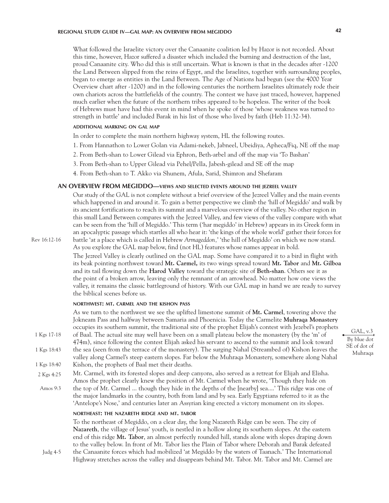# **REGIONAL STUDY GUIDE IV—GAL MAP: AN OVERVIEW FROM MEGIDDO 42**

What followed the Israelite victory over the Canaanite coalition led by Hazor is not recorded. About this time, however, Hazor suffered a disaster which included the burning and destruction of the last, proud Canaanite city. Who did this is still uncertain. What is known is that in the decades after -1200 the Land Between slipped from the reins of Egypt, and the Israelites, together with surrounding peoples, began to emerge as entities in the Land Between. The Age of Nations had begun (see the 4000 Year Overview chart after -1200) and in the following centuries the northern Israelites ultimately rode their own chariots across the battlefields of the country. The contest we have just traced, however, happened much earlier when the future of the northern tribes appeared to be hopeless. The writer of the book of Hebrews must have had this event in mind when he spoke of those 'whose weakness was turned to strength in battle' and included Barak in his list of those who lived by faith (Heb 11:32-34).

# **additional marking on gal map**

In order to complete the main northern highway system, HL the following routes.

- 1. From Hannathon to Lower Golan via Adami-nekeb, Jabneel, Ubeidiya, Apheca/Fiq, NE off the map
- 2. From Beth-shan to Lower Gilead via Ephron, Beth-arbel and off the map via 'To Bashan'
- 3. From Beth-shan to Upper Gilead via Pehel/Pella, Jabesh-gilead and SE off the map
- 4. From Beth-shan to T. Akko via Shunem, Afula, Sarid, Shimron and Shefaram

## **AN OVERVIEW FROM MEGIDDO—views and selected events around the jezreel valley**

Our study of the GAL is not complete without a brief overview of the Jezreel Valley and the main events which happened in and around it. To gain a better perspective we climb the 'hill of Megiddo' and walk by its ancient fortifications to reach its summit and a marvelous overview of the valley. No other region in this small Land Between compares with the Jezreel Valley, and few views of the valley compare with what can be seen from the 'hill of Megiddo.' This term ('har megiddo' in Hebrew) appears in its Greek form in an apocalyptic passage which startles all who hear it: 'the kings of the whole world' gather their forces for battle 'at a place which is called in Hebrew *Armageddon,*' 'the hill of Megiddo' on which we now stand. As you explore the GAL map below, find (not HL) features whose names appear in bold.

Rev 16:12-16

Judg 4-5

The Jezreel Valley is clearly outlined on the GAL map. Some have compared it to a bird in flight with its beak pointing northwest toward **Mt. Carmel,** its two wings spread toward **Mt. Tabor** and **Mt. Gilboa** and its tail flowing down the **Harod Valley** toward the strategic site of **Beth-shan**. Others see it as the point of a broken arrow, leaving only the remnant of an arrowhead. No matter how one views the valley, it remains the classic battleground of history. With our GAL map in hand we are ready to survey the biblical scenes before us.

# **northwest: mt. carmel and the kishon pass**

As we turn to the northwest we see the uplifted limestone summit of **Mt. Carmel**, towering above the Jokneam Pass and halfway between Samaria and Phoenicia. Today the Carmelite **Muhraqa Monastery**  occupies its southern summit, the traditional site of the prophet Elijah's contest with Jezebel's prophets of Baal. The actual site may well have been on a small plateau below the monastery (by the 'm' of 474m), since following the contest Elijah asked his servant to ascend to the summit and look toward the sea (seen from the terrace of the monastery). The surging Nahal (Streambed of) Kishon leaves the valley along Carmel's steep eastern slopes. Far below the Muhraqa Monastery, somewhere along Nahal Kishon, the prophets of Baal met their deaths. Mt. Carmel, with its forested slopes and deep canyons, also served as a retreat for Elijah and Elisha. Amos the prophet clearly knew the position of Mt. Carmel when he wrote, 'Though they hide on the top of Mt. Carmel ... though they hide in the depths of the [nearby] sea....' This ridge was one of the major landmarks in the country, both from land and by sea. Early Egyptians referred to it as the 'Antelope's Nose,' and centuries later an Assyrian king erected a victory monument on its slopes. 1 Kgs 17-18 1 Kgs 18:43 1 Kgs 18:40 Amos 9:3 2 Kgs 4:25

# **northeast: the nazareth ridge and mt. tabor**

To the northeast of Megiddo, on a clear day, the long Nazareth Ridge can be seen. The city of **Nazareth**, the village of Jesus' youth, is nestled in a hollow along its southern slopes. At the eastern end of this ridge **Mt. Tabor**, an almost perfectly rounded hill, stands alone with slopes draping down to the valley below. In front of Mt. Tabor lies the Plain of Tabor where Deborah and Barak defeated the Canaanite forces which had mobilized 'at Megiddo by the waters of Taanach.' The International Highway stretches across the valley and disappears behind Mt. Tabor. Mt. Tabor and Mt. Carmel are

GAL, v.3 By blue dot SE of dot of Muhraqa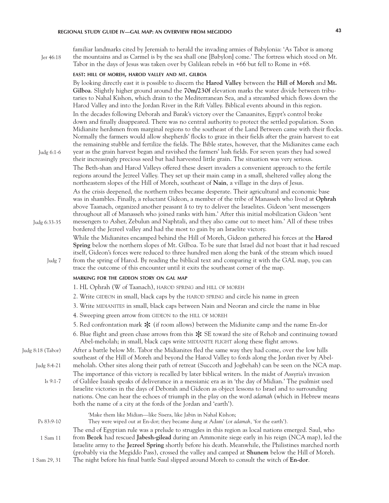# **REGIONAL STUDY GUIDE IV—GAL MAP: AN OVERVIEW FROM MEGIDDO 43**

familiar landmarks cited by Jeremiah to herald the invading armies of Babylonia: 'As Tabor is among the mountains and as Carmel is by the sea shall one [Babylon] come.' The fortress which stood on Mt. Tabor in the days of Jesus was taken over by Galilean rebels in +66 but fell to Rome in +68. Jer 46:18

# **east: hill of moreh, harod valley and mt. gilboa**

By looking directly east it is possible to discern the **Harod Valley** between the **Hill of Moreh** and **Mt. Gilboa**. Slightly higher ground around the **70m/230f** elevation marks the water divide between tributaries to Nahal Kishon, which drain to the Mediterranean Sea, and a streambed which flows down the Harod Valley and into the Jordan River in the Rift Valley. Biblical events abound in this region. In the decades following Deborah and Barak's victory over the Canaanites, Egypt's control broke down and finally disappeared. There was no central authority to protect the settled population. Soon Midianite herdsmen from marginal regions to the southeast of the Land Between came with their flocks. Normally the farmers would allow shepherds' flocks to graze in their fields after the grain harvest to eat the remaining stubble and fertilize the fields. The Bible states, however, that the Midianites came each year as the grain harvest began and ravished the farmers' lush fields. For seven years they had sowed

Judg 6:1-6

their increasingly precious seed but had harvested little grain. The situation was very serious. The Beth-shan and Harod Valleys offered these desert invaders a convenient approach to the fertile regions around the Jezreel Valley. They set up their main camp in a small, sheltered valley along the northeastern slopes of the Hill of Moreh, southeast of **Nain**, a village in the days of Jesus.

As the crisis deepened, the northern tribes became desperate. Their agricultural and economic base was in shambles. Finally, a reluctant Gideon, a member of the tribe of Manasseh who lived at **Ophrah**  above Taanach, organized another peasant å to try to deliver the Israelites. Gideon 'sent messengers throughout all of Manasseh who joined ranks with him.' After this initial mobilization Gideon 'sent messengers to Asher, Zebulun and Naphtali, and they also came out to meet him.' All of these tribes

- bordered the Jezreel valley and had the most to gain by an Israelite victory. While the Midianites encamped behind the Hill of Moreh, Gideon gathered his forces at the **Harod Spring** below the northern slopes of Mt. Gilboa. To be sure that Israel did not boast that it had rescued itself, Gideon's forces were reduced to three hundred men along the bank of the stream which issued Judg 6:33-35
	- from the spring of Harod. By reading the biblical text and comparing it with the GAL map, you can trace the outcome of this encounter until it exits the southeast corner of the map. Judg 7

# **marking for the gideon story on gal map**

- 1. HL Ophrah (W of Taanach), harod spring and hill of moreh
- 2. Write GIDEON in small, black caps by the HAROD SPRING and circle his name in green
- 3. Write midianites in small, black caps between Nain and Neoran and circle the name in blue
- 4. Sweeping green arrow from GIDEON to the HILL OF MOREH
- 5. Red confrontation mark  $\mathcal K$  (if room allows) between the Midianite camp and the name En-dor
- 6. Blue flight and green chase arrows from this  $\frac{1}{2}$  SE toward the site of Rehob and continuing toward Abel-meholah; in small, black caps write MIDIANITE FLIGHT along these flight arrows.

Judg 8:18 (Tabor)

After a battle below Mt. Tabor the Midianites fled the same way they had come, over the low hills southeast of the Hill of Moreh and beyond the Harod Valley to fords along the Jordan river by Abelmeholah. Other sites along their path of retreat (Succoth and Jogbehah) can be seen on the NCA map. Judg 8:4-21

The importance of this victory is recalled by later biblical writers. In the midst of Assyria's invasion of Galilee Isaiah speaks of deliverance in a messianic era as in 'the day of Midian.' The psalmist used Israelite victories in the days of Deborah and Gideon as object lessons to Israel and to surrounding nations. One can hear the echoes of triumph in the play on the word *adamah* (which in Hebrew means both the name of a city at the fords of the Jordan and 'earth'). Is 9:1-7

| $Ps 83:9-10$ | 'Make them like Midian—like Sisera, like Jabin in Nahal Kishon;<br>They were wiped out at En-dor; they became dung at Adam' (or <i>adamah</i> , 'for the earth'). |
|--------------|-------------------------------------------------------------------------------------------------------------------------------------------------------------------|
|              | The end of Egyptian rule was a prelude to struggles in this region as local nations emerged. Saul, who                                                            |
| 1 Sam 11     | from Bezek had rescued Jabesh-gilead during an Ammonite siege early in his reign (NCA map), led the                                                               |
|              | Israelite army to the Jezreel Spring shortly before his death. Meanwhile, the Philistines marched north                                                           |
|              | (probably via the Megiddo Pass), crossed the valley and camped at Shunem below the Hill of Moreh.                                                                 |
| 1 Sam 29, 31 | The night before his final battle Saul slipped around Moreh to consult the witch of En-dor.                                                                       |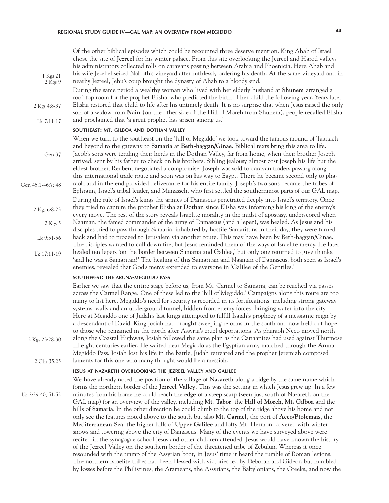Of the other biblical episodes which could be recounted three deserve mention. King Ahab of Israel chose the site of **Jezreel** for his winter palace. From this site overlooking the Jezreel and Harod valleys his administrators collected tolls on caravans passing between Arabia and Phoenicia. Here Ahab and his wife Jezebel seized Naboth's vineyard after ruthlessly ordering his death. At the same vineyard and in nearby Jezreel, Jehu's coup brought the dynasty of Ahab to a bloody end. During the same period a wealthy woman who lived with her elderly husband at **Shunem** arranged a roof-top room for the prophet Elisha, who predicted the birth of her child the following year. Years later Elisha restored that child to life after his untimely death. It is no surprise that when Jesus raised the only son of a widow from **Nain** (on the other side of the Hill of Moreh from Shunem), people recalled Elisha and proclaimed that 'a great prophet has arisen among us.' **southeast: mt. gilboa and dothan valley** When we turn to the southeast on the 'hill of Megiddo' we look toward the famous mound of Taanach and beyond to the gateway to **Samaria** at **Beth-haggan/Ginae**. Biblical texts bring this area to life. Jacob's sons were tending their herds in the Dothan Valley, far from home, when their brother Joseph arrived, sent by his father to check on his brothers. Sibling jealousy almost cost Joseph his life but the eldest brother, Reuben, negotiated a compromise. Joseph was sold to caravan traders passing along this international trade route and soon was on his way to Egypt. There he became second only to pharaoh and in the end provided deliverance for his entire family. Joseph's two sons became the tribes of Ephraim, Israel's tribal leader, and Manasseh, who first settled the southernmost parts of our GAL map. During the rule of Israel's kings the armies of Damascus penetrated deeply into Israel's territory. Once they tried to capture the prophet Elisha at **Dothan** since Elisha was informing his king of the enemy's every move. The rest of the story reveals Israelite morality in the midst of apostasy, underscored when Naaman, the famed commander of the army of Damascus (and a leper), was healed. As Jesus and his disciples tried to pass through Samaria, inhabited by hostile Samaritans in their day, they were turned back and had to proceed to Jerusalem via another route. This may have been by Beth-haggan/Ginae. The disciples wanted to call down fire, but Jesus reminded them of the ways of Israelite mercy. He later healed ten lepers 'on the border between Samaria and Galilee,' but only one returned to give thanks, 'and he was a Samaritan!' The healing of this Samaritan and Naaman of Damascus, both seen as Israel's enemies, revealed that God's mercy extended to everyone in 'Galilee of the Gentiles.' **southwest: the aruna-megiddo pass** Earlier we saw that the entire stage before us, from Mt. Carmel to Samaria, can be reached via passes across the Carmel Range. One of these led to the 'hill of Megiddo.' Campaigns along this route are too many to list here. Megiddo's need for security is recorded in its fortifications, including strong gateway systems, walls and an underground tunnel, hidden from enemy forces, bringing water into the city. Here at Megiddo one of Judah's last kings attempted to fulfill Isaiah's prophecy of a messianic reign by a descendant of David. King Josiah had brought sweeping reforms in the south and now held out hope to those who remained in the north after Assyria's cruel deportations. As pharaoh Neco moved north along the Coastal Highway, Josiah followed the same plan as the Canaanites had used against Thutmose III eight centuries earlier. He waited near Megiddo as the Egyptian army marched through the Aruna-Megiddo Pass. Josiah lost his life in the battle, Judah retreated and the prophet Jeremiah composed laments for this one who many thought would be a messiah. 2 Kgs 5 Lk 9:51-56 Lk 17:11-19 2 Chr 35:25 Gen 45:1-46:7; 48 Gen 37 2 Kgs 4:8-37 Lk 7:11-17 1 Kgs 21 2 Kgs 9 2 Kgs 6:8-23 2 Kgs 23:28-30

# **jesus at nazareth overlooking the jezreel valley and galilee**

We have already noted the position of the village of **Nazareth** along a ridge by the same name which forms the northern border of the **Jezreel Valley**. This was the setting in which Jesus grew up. In a few minutes from his home he could reach the edge of a steep scarp (seen just south of Nazareth on the GAL map) for an overview of the valley, including **Mt. Tabor**, the **Hill of Moreh**, **Mt. Gilboa** and the hills of **Samaria**. In the other direction he could climb to the top of the ridge above his home and not only see the features noted above to the south but also **Mt. Carmel**, the port of **Acco/Ptolemais**, the **Mediterranean Sea**, the higher hills of **Upper Galilee** and lofty Mt. Hermon, covered with winter snows and towering above the city of Damascus. Many of the events we have surveyed above were recited in the synagogue school Jesus and other children attended. Jesus would have known the history of the Jezreel Valley on the southern border of the threatened tribe of Zebulun. Whereas it once resounded with the tramp of the Assyrian boot, in Jesus' time it heard the rumble of Roman legions. The northern Israelite tribes had been blessed with victories led by Deborah and Gideon but humbled by losses before the Philistines, the Arameans, the Assyrians, the Babylonians, the Greeks, and now the Lk 2:39-40, 51-52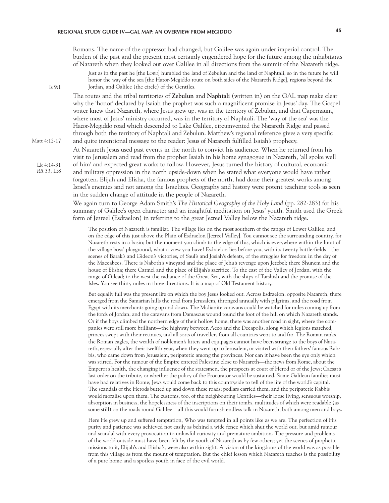Lk 4:14-31 *RR* 33; II:8

Matt 4:12-17

Is 9:1

Romans. The name of the oppressor had changed, but Galilee was again under imperial control. The burden of the past and the present most certainly engendered hope for the future among the inhabitants of Nazareth when they looked out over Galilee in all directions from the summit of the Nazareth ridge.

Just as in the past he [the LORD] humbled the land of Zebulun and the land of Naphtali, so in the future he will honor the way of the sea [the Hazor-Megiddo route on both sides of the Nazareth Ridge], regions beyond the Jordan, and Galilee (the circle) of the Gentiles.

The routes and the tribal territories of **Zebulun** and **Naphtali** (written in) on the GAL map make clear why the 'honor' declared by Isaiah the prophet was such a magnificent promise in Jesus' day. The Gospel writer knew that Nazareth, where Jesus grew up, was in the territory of Zebulun, and that Capernaum, where most of Jesus' ministry occurred, was in the territory of Naphtali. The 'way of the sea' was the Hazor-Megiddo road which descended to Lake Galilee, circumvented the Nazareth Ridge and passed through both the territory of Naphtali and Zebulun. Matthew's regional reference gives a very specific and quite intentional message to the reader: Jesus of Nazareth fulfilled Isaiah's prophecy.

At Nazareth Jesus used past events in the north to convict his audience. When he returned from his visit to Jerusalem and read from the prophet Isaiah in his home synagogue in Nazareth, 'all spoke well of him' and expected great works to follow. However, Jesus turned the history of cultural, economic

and military oppression in the north upside-down when he stated what everyone would have rather forgotten. Elijah and Elisha, the famous prophets of the north, had done their greatest works among Israel's enemies and not among the Israelites. Geography and history were potent teaching tools as seen in the sudden change of attitude in the people of Nazareth.

We again turn to George Adam Smith's *The Historical Geography of the Holy Land* (pp. 282-283) for his summary of Galilee's open character and an insightful meditation on Jesus' youth. Smith used the Greek form of Jezreel (Esdraelon) in referring to the great Jezreel Valley below the Nazareth ridge.

The position of Nazareth is familiar. The village lies on the most southern of the ranges of Lower Galilee, and on the edge of this just above the Plain of Esdraelon [Jezreel Valley]. You cannot see the surrounding country, for Nazareth rests in a basin; but the moment you climb to the edge of this, which is everywhere within the limit of the village boys' playground, what a view you have! Esdraelon lies before you, with its twenty battle-fields—the scenes of Barak's and Gideon's victories, of Saul's and Josiah's defeats, of the struggles for freedom in the day of the Maccabees. There is Naboth's vineyard and the place of Jehu's revenge upon Jezebel; there Shunem and the house of Elisha; there Carmel and the place of Elijah's sacrifice. To the east of the Valley of Jordan, with the range of Gilead; to the west the radiance of the Great Sea, with the ships of Tarshish and the promise of the Isles. You see thirty miles in three directions. It is a map of Old Testament history.

But equally full was the present life on which the boy Jesus looked out. Across Esdraelon, opposite Nazareth, there emerged from the Samarian hills the road from Jerusalem, thronged annually with pilgrims, and the road from Egypt with its merchants going up and down. The Midianite caravans could be watched for miles coming up from the fords of Jordan; and the caravans from Damascus wound round the foot of the hill on which Nazareth stands. Or if the boys climbed the northern edge of their hollow home, there was another road in sight, where the companies were still more brilliant—the highway between Acco and the Decapolis, along which legions marched, princes swept with their retinues, and all sorts of travellers from all countries went to and fro. The Roman ranks, the Roman eagles, the wealth of noblemen's litters and equipages cannot have been strange to the boys of Nazareth, especially after their twelfth year, when they went up to Jerusalem, or visited with their fathers' famous Rabbis, who came down from Jerusalem, peripatetic among the provinces. Nor can it have been the eye only which was stirred. For the rumour of the Empire entered Palestine close to Nazareth—the news from Rome, about the Emperor's health, the changing influence of the statesmen, the prospects at court of Herod or of the Jews; Caesar's last order on the tribute, or whether the policy of the Procurator would be sustained. Some Galilean families must have had relatives in Rome; Jews would come back to this countryside to tell of the life of the world's capital. The scandals of the Herods buzzed up and down these roads; pedlars carried them, and the peripatetic Rabbis would moralise upon them. The customs, too, of the neighbouring Gentiles—their loose living, sensuous worship, absorption in business, the hopelessness of the inscriptions on their tombs, multitudes of which were readable (as some still) on the roads round Galilee—all this would furnish endless talk in Nazareth, both among men and boys.

Here He grew up and suffered temptation, Who was tempted in all points like as we are. The perfection of His purity and patience was achieved not easily as behind a wide fence which shut the world out, but amid rumour and scandal with every provocation to unlawful curiosity and premature ambition. The pressure and problems of the world outside must have been felt by the youth of Nazareth as by few others; yet the scenes of prophetic missions to it, Elijah's and Elisha's, were also within sight. A vision of the kingdoms of the world was as possible from this village as from the mount of temptation. But the chief lesson which Nazareth teaches is the possibility of a pure home and a spotless youth in face of the evil world.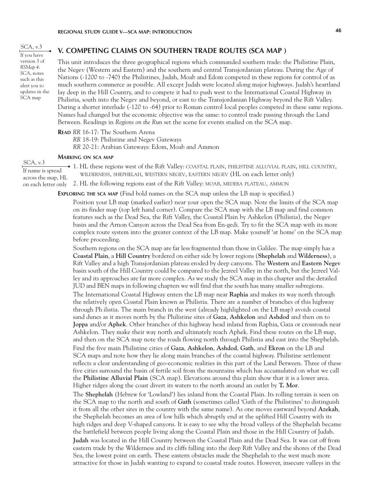SCA, v.3 If you have version 3 of *RSMap 4: SCA*, notes such as this alert you to updates in the SCA map

# **V. COMPETING CLAIMS ON SOUTHERN TRADE ROUTES (SCA MAP )**

This unit introduces the three geographical regions which commanded southern trade: the Philistine Plain, the Negev (Western and Eastern) and the southern and central Transjordanian plateau. During the Age of Nations (-1200 to -740) the Philistines, Judah, Moab and Edom competed in these regions for control of as much southern commerce as possible. All except Judah were located along major highways. Judah's heartland lay deep in the Hill Country, and to compete it had to push west to the International Coastal Highway in Philistia, south into the Negev and beyond, or east to the Transjordanian Highway beyond the Rift Valley. During a shorter interlude (-120 to -64) prior to Roman control local peoples competed in these same regions. Names had changed but the economic objective was the same: to control trade passing through the Land Between. Readings in *Regions on the Run* set the scene for events studied on the SCA map.

### **Read** *RR* 16-17: The Southern Arena

- *RR* 18-19: Philistine and Negev Gateways
- *RR* 20-21: Arabian Gateways: Edom, Moab and Ammon

#### **Marking on sca map**

SCA, v.3 If name is spread across the map, HL

1. HL these regions west of the Rift Valley: coastal plain, philistine alluvial plain, hill country, wilderness, shephelah, western negev, eastern negev (HL on each letter only)

2. HL the following regions east of the Rift Valley: MOAB, MEDEBA PLATEAU, AMMON on each letter only

**Exploring the sca map** (Find bold names on the SCA map unless the LB map is specified.)

Position your LB map (marked earlier) near your open the SCA map. Note the limits of the SCA map on its finder map (top left hand corner). Compare the SCA map with the LB map and find common features such as the Dead Sea, the Rift Valley, the Coastal Plain by Ashkelon (Philistia), the Negev basin and the Arnon Canyon across the Dead Sea from En-gedi. Try to fit the SCA map with its more complex route system into the greater context of the LB map. Make yourself 'at home' on the SCA map before proceeding.

Southern regions on the SCA map are far less fragmented than those in Galilee. The map simply has a **Coastal Plain**, a **Hill Country** bordered on either side by lower regions (**Shephelah** and **Wilderness**), a Rift Valley and a high Transjordanian plateau eroded by deep canyons. The **Western** and **Eastern Negev**  basin south of the Hill Country could be compared to the Jezreel Valley in the north, but the Jezreel Valley and its approaches are far more complex. As we study the SCA map in this chapter and the detailed JUD and BEN maps in following chapters we will find that the south has many smaller subregions.

The International Coastal Highway enters the LB map near **Raphia** and makes its way north through the relatively open Coastal Plain known as Philistia. There are a number of branches of this highway through Ph ilistia. The main branch in the west (already highlighted on the LB map) avoids coastal sand dunes as it moves north by the Philistine sites of **Gaza**, **Ashkelon** and **Ashdod** and then on to **Joppa** and/or **Aphek**. Other branches of this highway head inland from Raphia, Gaza or crossroads near Ashkelon. They make their way north and ultimately reach Aphek. Find these routes on the LB map, and then on the SCA map note the roads flowing north through Philistia and east into the Shephelah. Find the five main Philistine cities of **Gaza**, **Ashkelon**, **Ashdod**, **Gath**, and **Ekron** on the LB and SCA maps and note how they lie along main branches of the coastal highway. Philistine settlement reflects a clear understanding of geo-economic realities in this part of the Land Between. Three of these five cities surround the basin of fertile soil from the mountains which has accumulated on what we call the **Philistine Alluvial Plain** (SCA map). Elevations around this plain show that it is a lower area. Higher ridges along the coast divert its waters to the north around an outlet by **T. Mor**.

The **Shephelah** (Hebrew for 'Lowland') lies inland from the Coastal Plain. Its rolling terrain is seen on the SCA map to the north and south of **Gath** (sometimes called 'Gath of the Philistines' to distinguish it from all the other sites in the country with the same name). As one moves eastward beyond **Azekah**, the Shephelah becomes an area of low hills which abruptly end at the uplifted Hill Country with its high ridges and deep V-shaped canyons. It is easy to see why the broad valleys of the Shephelah became the battlefield between people living along the Coastal Plain and those in the Hill Country of Judah. **Judah** was located in the Hill Country between the Coastal Plain and the Dead Sea. It was cut off from eastern trade by the Wilderness and its cliffs falling into the deep Rift Valley and the shores of the Dead Sea, the lowest point on earth. These eastern obstacles made the Shephelah to the west much more attractive for those in Judah wanting to expand to coastal trade routes. However, insecure valleys in the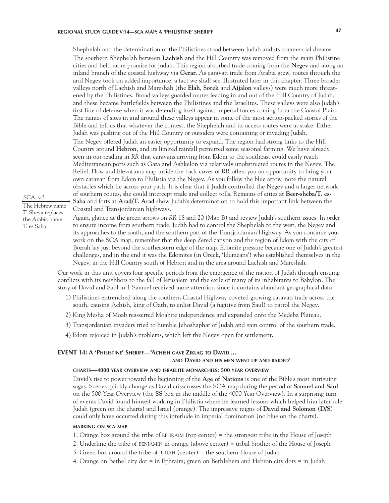Shephelah and the determination of the Philistines stood between Judah and its commercial dreams. The southern Shephelah between **Lachish** and the Hill Country was removed from the main Philistine cities and held more promise for Judah. This region absorbed trade coming from the **Negev** and along an inland branch of the coastal highway via **Gerar**. As caravan trade from Arabia grew, routes through the arid Negev took on added importance, a fact we shall see illustrated later in this chapter. Three broader valleys north of Lachish and Mareshah (the **Elah**, **Sorek** and **Aijalon** valleys) were much more threatened by the Philistines. Broad valleys guarded routes leading in and out of the Hill Country of Judah, and these became battlefields between the Philistines and the Israelites. These valleys were also Judah's first line of defense when it was defending itself against imperial forces coming from the Coastal Plain. The names of sites in and around these valleys appear in some of the most action-packed stories of the Bible and tell us that whatever the contest, the Shephelah and its access routes were at stake. Either Judah was pushing out of the Hill Country or outsiders were containing or invading Judah.

The Negev offered Judah an easier opportunity to expand. The region had strong links to the Hill Country around **Hebron**, and its limited rainfall permitted some seasonal farming. We have already seen in our reading in *RR* that caravans arriving from Edom to the southeast could easily reach Mediterranean ports such as Gaza and Ashkelon via relatively unobstructed routes in the Negev. The Relief, Flow and Elevations map inside the back cover of RR offers you an opportunity to bring your own caravan from Edom to Philistia via the Negev. As you follow the blue arrow, note the natural obstacles which lie across your path. It is clear that if Judah controlled the Negev and a larger network of southern routes, she could intercept trade and collect tolls. Remains of cities at **Beer-sheba/T. es-Saba** and forts at **Arad/T. Arad** show Judah's determination to hold this important link between the Coastal and Transjordanian highways.

SCA, v.3 The Hebrew name T. Sheva replaces the Arabic name T. es Saba

Again, glance at the green arrows on *RR* 18 and 20 (Map B) and review Judah's southern issues. In order to ensure income from southern trade, Judah had to control the Shephelah to the west, the Negev and its approaches to the south, and the southern part of the Transjordanian Highway. As you continue your work on the SCA map, remember that the deep Zered canyon and the region of Edom with the city of Bozrah lay just beyond the southeastern edge of the map. Edomite pressure became one of Judah's greatest challenges, and in the end it was the Edomites (in Greek, 'Idumeans') who established themselves in the Negev, in the Hill Country south of Hebron and in the area around Lachish and Mareshah.

Our work in this unit covers four specific periods from the emergence of the nation of Judah through ensuing conflicts with its neighbors to the fall of Jerusalem and the exile of many of its inhabitants to Babylon. The story of David and Saul in 1 Samuel received more attention since it contains abundant geographical data.

- 1) Philistines entrenched along the southern Coastal Highway coveted growing caravan trade across the south, causing Achish, king of Gath, to enlist David (a fugitive from Saul) to patrol the Negev.
- 2) King Mesha of Moab reasserted Moabite independence and expanded onto the Medeba Plateau.
- 3) Transjordanian invaders tried to humble Jehoshaphat of Judah and gain control of the southern trade.
- 4) Edom rejoiced in Judah's problems, which left the Negev open for settlement.

# **EVENT 14: A 'Philistine' Sheriff—'Achish gave Ziklag to David ...**

# **and David and his men went up and raided'**

# **charts—4000 year overview and israelite monarchies: 500 year overview**

David's rise to power toward the beginning of the **Age of Nations** is one of the Bible's most intriguing sagas. Scenes quickly change as David crisscrosses the SCA map during the period of **Samuel and Saul**  on the 500 Year Overview (the **SS** box in the middle of the 4000 Year Overview). In a surprising turn of events David found himself working in Philistia where he learned lessons which helped him later rule Judah (green on the charts) and Israel (orange). The impressive reigns of **David and Solomon** (**D/S**) could only have occurred during this interlude in imperial domination (no blue on the charts).

# **marking on sca map**

- 1. Orange box around the tribe of ephraim (top center) = the strongest tribe in the House of Joseph
- 2. Underline the tribe of benjamin in orange (above center) = tribal brother of the House of Joseph
- 3. Green box around the tribe of  $JUDAH$  (center) = the southern House of Judah
- 4. Orange on Bethel city dot = in Ephraim; green on Bethlehem and Hebron city dots = in Judah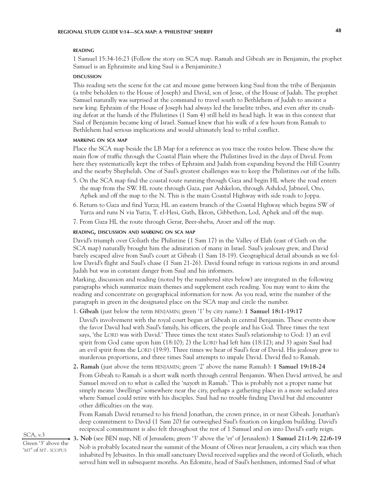### **reading**

1 Samuel 15:34-16:23 (Follow the story on SCA map. Ramah and Gibeah are in Benjamin, the prophet Samuel is an Ephraimite and king Saul is a Benjaminite.)

#### **DISCUSSION discussion**

This reading sets the scene for the cat and mouse game between king Saul from the tribe of Benjamin (a tribe beholden to the House of Joseph) and David, son of Jesse, of the House of Judah. The prophet Samuel naturally was surprised at the command to travel south to Bethlehem of Judah to anoint a new king. Ephraim of the House of Joseph had always led the Israelite tribes, and even after its crushing defeat at the hands of the Philistines (1 Sam 4) still held its head high. It was in this context that Saul of Benjamin became king of Israel. Samuel knew that his walk of a few hours from Ramah to Bethlehem had serious implications and would ultimately lead to tribal conflict.

# **marking on sca map**

Place the SCA map beside the LB Map for a reference as you trace the routes below. These show the main flow of traffic through the Coastal Plain where the Philistines lived in the days of David. From here they systematically kept the tribes of Ephraim and Judah from expanding beyond the Hill Country and the nearby Shephelah. One of Saul's greatest challenges was to keep the Philistines out of the hills.

- 5. On the SCA map find the coastal route running through Gaza and begin HL where the road enters the map from the SW. HL route through Gaza, past Ashkelon, through Ashdod, Jabneel, Ono, Aphek and off the map to the N. This is the main Coastal Highway with side roads to Joppa.
- 6. Return to Gaza and find Yurza; HL an eastern branch of the Coastal Highway which begins SW of Yurza and runs N via Yurza, T. el-Hesi, Gath, Ekron, Gibbethon, Lod, Aphek and off the map.
- 7. From Gaza HL the route through Gerar, Beer-sheba, Aroer and off the map.

# **reading, discussion and marking on sca map**

David's triumph over Goliath the Philistine (1 Sam 17) in the Valley of Elah (east of Gath on the SCA map) naturally brought him the admiration of many in Israel. Saul's jealousy grew, and David barely escaped alive from Saul's court at Gibeah (1 Sam 18-19). Geographical detail abounds as we follow David's flight and Saul's chase (1 Sam 21-26). David found refuge in various regions in and around Judah but was in constant danger from Saul and his informers.

Marking, discussion and reading (noted by the numbered sites below) are integrated in the following paragraphs which summarize main themes and supplement each reading. You may want to skim the reading and concentrate on geographical information for now. As you read, write the number of the paragraph in green in the designated place on the SCA map and circle the number.

# 1. **Gibeah** (just below the term benjamin; green '1' by city name): **1 Samuel 18:1-19:17**

David's involvement with the royal court began at Gibeah in central Benjamin. These events show the favor David had with Saul's family, his officers, the people and his God. Three times the text says, 'the LORD was with David.' Three times the text states Saul's relationship to God: 1) an evil spirit from God came upon him  $(18:10)$ ; 2) the LORD had left him  $(18:12)$ ; and 3) again Saul had an evil spirit from the LORD (19:9). Three times we hear of Saul's fear of David. His jealousy grew to murderous proportions, and three times Saul attempts to impale David. David fled to Ramah.

**2. Ramah** (just above the term benjamin; green '2' above the name Ramah): **1 Samuel 19:18-24**

From Gibeah to Ramah is a short walk north through central Benjamin. When David arrived, he and Samuel moved on to what is called the '*nayoth* in Ramah.' This is probably not a proper name but simply means 'dwellings' somewhere near the city, perhaps a gathering place in a more secluded area where Samuel could retire with his disciples. Saul had no trouble finding David but did encounter other difficulties on the way.

From Ramah David returned to his friend Jonathan, the crown prince, in or near Gibeah. Jonathan's deep commitment to David (1 Sam 20) far outweighed Saul's fixation on kingdom building. David's reciprocal commitment is also felt throughout the rest of 1 Samuel and on into David's early reign.

SCA, v.3 Green '3' above the '*mt*' of *mt. scopus*

**3. Nob** (see BEN map, NE of Jerusalem; green '3' above the 'er' of Jerusalem): **1 Samuel 21:1-9; 22:6-19** Nob is probably located near the summit of the Mount of Olives near Jerusalem, a city which was then inhabited by Jebusites. In this small sanctuary David received supplies and the sword of Goliath, which served him well in subsequent months. An Edomite, head of Saul's herdsmen, informed Saul of what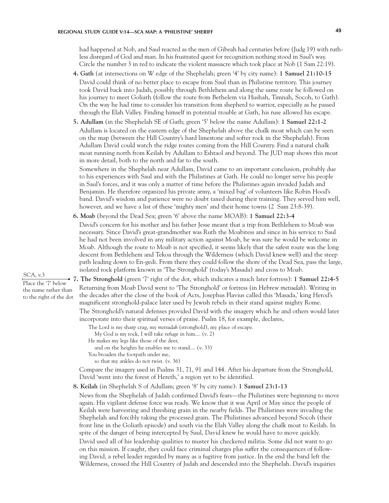had happened at Nob, and Saul reacted as the men of Gibeah had centuries before (Judg 19) with ruthless disregard of God and man. In his frustrated quest for recognition nothing stood in Saul's way. Circle the number 3 in red to indicate the violent massacre which took place at Nob (1 Sam 22:19).

- **4. Gath** (at intersections on W edge of the Shephelah; green '4' by city name): **1 Samuel 21:10-15** David could think of no better place to escape from Saul than in Philistine territory. This journey took David back into Judah, possibly through Bethlehem and along the same route he followed on his journey to meet Goliath (follow the route from Bethelem via Hushah, Timnah, Socoh, to Gath). On the way he had time to consider his transition from shepherd to warrior, especially as he passed through the Elah Valley. Finding himself in potential trouble at Gath, his ruse allowed his escape.
- **5. Adullam** (in the Shephelah SE of Gath; green '5' below the name Adullam): **1 Samuel 22:1-2**  Adullam is located on the eastern edge of the Shephelah above the chalk moat which can be seen on the map (between the Hill Country's hard limestone and softer rock in the Shephelah). From Adullam David could watch the ridge routes coming from the Hill Country. Find a natural chalk moat running north from Keilah by Adullam to Eshtaol and beyond. The JUD map shows this moat in more detail, both to the north and far to the south.

Somewhere in the Shephelah near Adullam, David came to an important conclusion, probably due to his experiences with Saul and with the Philistines at Gath. He could no longer serve his people in Saul's forces, and it was only a matter of time before the Philistines again invaded Judah and Benjamin. He therefore organized his private army, a 'mixed bag' of volunteers like Robin Hood's band. David's wisdom and patience were no doubt taxed during their training. They served him well, however, and we have a list of these 'mighty men' and their home towns (2 Sam 23:8-39).

**6. Moab** (beyond the Dead Sea; green '6' above the name MOAB): **1 Samuel 22:3-4** 

David's concern for his mother and his father Jesse meant that a trip from Bethlehem to Moab was necessary. Since David's great-grandmother was Ruth the Moabitess and since in his service to Saul he had not been involved in any military action against Moab, he was sure he would be welcome in Moab. Although the route to Moab is not specified, it seems likely that the safest route was the long descent from Bethlehem and Tekoa through the Wilderness (which David knew well) and the steep path leading down to En-gedi. From there they could follow the shore of the Dead Sea, pass the large, isolated rock platform known as 'The Stronghold' (today's Masada) and cross to Moab.

**7. The Stronghold** (green '7' right of the dot, which indicates a much later fortress): **1 Samuel 22:4-5** Returning from Moab David went to 'The Stronghold' or fortress (in Hebrew *metsudah*). Writing in the decades after the close of the book of Acts, Josephus Flavius called this 'Masada,' king Herod's magnificent stronghold-palace later used by Jewish rebels in their stand against mighty Rome. The Stronghold's natural defenses provided David with the imagery which he and others would later incorporate into their spiritual verses of praise. Psalm 18, for example, declares,

- The Lord is my sharp crag, my *metsudah* (stronghold), my place of escape.
- My God is my rock, I will take refuge in him.... (v. 2)
- He makes my legs like those of the deer,
- and on the heights he enables me to stand.... (v. 33)
- You broaden the footpath under me,
	- so that my ankles do not twist. (v. 36)

Compare the imagery used in Psalms 31, 71, 91 and 144. After his departure from the Stronghold, David 'went into the forest of Hereth,' a region yet to be identified.

**8. Keilah** (in Shephelah S of Adullam; green '8' by city name): **1 Samuel 23:1-13**

News from the Shephelah of Judah confirmed David's fears—the Philistines were beginning to move again. His vigilant defense force was ready. We know that it was April or May since the people of Keilah were harvesting and threshing grain in the nearby fields. The Philistines were invading the Shephelah and forcibly taking the processed grain. The Philistines advanced beyond Socoh (their front line in the Goliath episode) and south via the Elah Valley along the chalk moat to Keilah. In spite of the danger of being intercepted by Saul, David knew he would have to move quickly. David used all of his leadership qualities to muster his checkered militia. Some did not want to go on this mission. If caught, they could face criminal charges plus suffer the consequences of following David, a rebel leader regarded by many as a fugitive from justice. In the end the band left the Wilderness, crossed the Hill Country of Judah and descended into the Shephelah. David's inquiries

SCA, v.3

Place the '7' below the name rather than to the right of the dot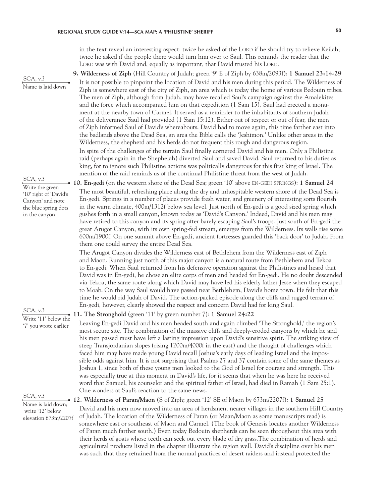# **REGIONAL STUDY GUIDE V:14—SCA MAP: A 'PHILISTINE' SHERIFF 50**

in the text reveal an interesting aspect: twice he asked of the LORD if he should try to relieve Keilah; twice he asked if the people there would turn him over to Saul. This reminds the reader that the LORD was with David and, equally as important, that David trusted his LORD.

|                                                                                                        | 9. Wilderness of Ziph (Hill Country of Judah; green '9' E of Ziph by 638m/2093f): 1 Samuel 23:14-29                                                                                                                                                                                                                                                                                                                                                                                                                                                                                                                                                                                                                                                                                                                                                                                                                                                                                                                                                                                                                                                                                                                                                                                                                                                                                                                                                                                                                                                                                                                 |
|--------------------------------------------------------------------------------------------------------|---------------------------------------------------------------------------------------------------------------------------------------------------------------------------------------------------------------------------------------------------------------------------------------------------------------------------------------------------------------------------------------------------------------------------------------------------------------------------------------------------------------------------------------------------------------------------------------------------------------------------------------------------------------------------------------------------------------------------------------------------------------------------------------------------------------------------------------------------------------------------------------------------------------------------------------------------------------------------------------------------------------------------------------------------------------------------------------------------------------------------------------------------------------------------------------------------------------------------------------------------------------------------------------------------------------------------------------------------------------------------------------------------------------------------------------------------------------------------------------------------------------------------------------------------------------------------------------------------------------------|
| SCA, v.3<br>Name is laid down                                                                          | It is not possible to pinpoint the location of David and his men during this period. The Wilderness of<br>Ziph is somewhere east of the city of Ziph, an area which is today the home of various Bedouin tribes.<br>The men of Ziph, although from Judah, may have recalled Saul's campaign against the Amalekites<br>and the force which accompanied him on that expedition (1 Sam 15). Saul had erected a monu-<br>ment at the nearby town of Carmel. It served as a reminder to the inhabitants of southern Judah<br>of the deliverance Saul had provided (1 Sam 15:12). Either out of respect or out of fear, the men<br>of Ziph informed Saul of David's whereabouts. David had to move again, this time farther east into<br>the badlands above the Dead Sea, an area the Bible calls the 'Jeshimon.' Unlike other areas in the<br>Wilderness, the shepherd and his herds do not frequent this rough and dangerous region.<br>In spite of the challenges of the terrain Saul finally cornered David and his men. Only a Philistine<br>raid (perhaps again in the Shephelah) diverted Saul and saved David. Saul returned to his duties as<br>king, for to ignore such Philistine actions was politically dangerous for this first king of Israel. The<br>mention of the raid reminds us of the continual Philistine threat from the west of Judah.                                                                                                                                                                                                                                                            |
| SCA, v.3                                                                                               | • 10. En-gedi (on the western shore of the Dead Sea; green '10' above EN-GEDI SPRINGS): 1 Samuel 24                                                                                                                                                                                                                                                                                                                                                                                                                                                                                                                                                                                                                                                                                                                                                                                                                                                                                                                                                                                                                                                                                                                                                                                                                                                                                                                                                                                                                                                                                                                 |
| Write the green<br>'10' right of 'David's<br>Canyon' and note<br>the blue spring dots<br>in the canyon | The most beautiful, refreshing place along the dry and inhospitable western shore of the Dead Sea is<br>En-gedi. Springs in a number of places provide fresh water, and greenery of interesting sorts flourish<br>in the warm climate, 400m/1312f below sea level. Just north of En-gedi is a good sized spring which<br>gushes forth in a small canyon, known today as 'David's Canyon.' Indeed, David and his men may<br>have retired to this canyon and its spring after barely escaping Saul's troops. Just south of En-gedi the<br>great Arugot Canyon, with its own spring-fed stream, emerges from the Wilderness. Its walls rise some<br>600m/1900f. On one summit above En-gedi, ancient fortresses guarded this 'back door' to Judah. From<br>them one could survey the entire Dead Sea.<br>The Arugot Canyon divides the Wilderness east of Bethlehem from the Wilderness east of Ziph<br>and Maon. Running just north of this major canyon is a natural route from Bethlehem and Tekoa<br>to En-gedi. When Saul returned from his defensive operation against the Philistines and heard that<br>David was in En-gedi, he chose an elite corps of men and headed for En-gedi. He no doubt descended<br>via Tekoa, the same route along which David may have led his elderly father Jesse when they escaped<br>to Moab. On the way Saul would have passed near Bethlehem, David's home town. He felt that this<br>time he would rid Judah of David. The action-packed episode along the cliffs and rugged terrain of<br>En-gedi, however, clearly showed the respect and concern David had for king Saul. |
|                                                                                                        |                                                                                                                                                                                                                                                                                                                                                                                                                                                                                                                                                                                                                                                                                                                                                                                                                                                                                                                                                                                                                                                                                                                                                                                                                                                                                                                                                                                                                                                                                                                                                                                                                     |
| '7' you wrote earlier                                                                                  | Write '11' below the 11. The Stronghold (green '11' by green number 7): 1 Samuel 24:22<br>Leaving En-gedi David and his men headed south and again climbed 'The Stronghold,' the region's<br>most secure site. The combination of the massive cliffs and deeply-eroded canyons by which he and<br>his men passed must have left a lasting impression upon David's sensitive spirit. The striking view of<br>steep Transjordanian slopes (rising 1200m/4000f in the east) and the thought of challenges which<br>faced him may have made young David recall Joshua's early days of leading Israel and the impos-<br>sible odds against him. It is not surprising that Psalms 27 and 37 contain some of the same themes as<br>Joshua 1, since both of these young men looked to the God of Israel for courage and strength. This<br>was especially true at this moment in David's life, for it seems that when he was here he received<br>word that Samuel, his counselor and the spiritual father of Israel, had died in Ramah (1 Sam 25:1).<br>One wonders at Saul's reaction to the same news.                                                                                                                                                                                                                                                                                                                                                                                                                                                                                                                     |
| SCA, v.3                                                                                               |                                                                                                                                                                                                                                                                                                                                                                                                                                                                                                                                                                                                                                                                                                                                                                                                                                                                                                                                                                                                                                                                                                                                                                                                                                                                                                                                                                                                                                                                                                                                                                                                                     |
| Name is laid down;<br>write '12' below<br>elevation 673m/2207f                                         | • 12. Wilderness of Paran/Maon (S of Ziph; green '12' SE of Maon by $673m/2207f$ ): 1 Samuel 25<br>David and his men now moved into an area of herdsmen, nearer villages in the southern Hill Country<br>of Judah. The location of the Wilderness of Paran (or Maan/Maon as some manuscripts read) is<br>somewhere east or southeast of Maon and Carmel. (The book of Genesis locates another Wilderness<br>of Paran much farther south.) Even today Bedouin shepherds can be seen throughout this area with<br>their herds of goats whose teeth can seek out every blade of dry grass. The combination of herds and<br>agricultural products listed in the chapter illustrate the region well. David's discipline over his men<br>was such that they refrained from the normal practices of desert raiders and instead protected the                                                                                                                                                                                                                                                                                                                                                                                                                                                                                                                                                                                                                                                                                                                                                                               |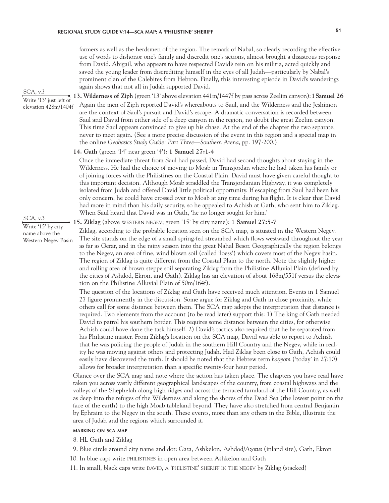farmers as well as the herdsmen of the region. The remark of Nabal, so clearly recording the effective use of words to dishonor one's family and discredit one's actions, almost brought a disastrous response from David. Abigail, who appears to have respected David's rein on his militia, acted quickly and saved the young leader from discrediting himself in the eyes of all Judah—particularly by Nabal's prominent clan of the Calebites from Hebron. Finally, this interesting episode in David's wanderings again shows that not all in Judah supported David.

**13. Wilderness of Ziph** (green '13' above elevation 441m/1447f by pass across Zeelim canyon): **1 Samuel 26** Again the men of Ziph reported David's whereabouts to Saul, and the Wilderness and the Jeshimon are the context of Saul's pursuit and David's escape. A dramatic conversation is recorded between Saul and David from either side of a deep canyon in the region, no doubt the great Zeelim canyon. This time Saul appears convinced to give up his chase. At the end of the chapter the two separate, never to meet again. (See a more precise discussion of the event in this region and a special map in the online *Geobasics Study Guide: Part Three—Southern Arena*, pp. 197-200.) Write '13' just left of elevation 428m/1404f

## **14. Gath** (green '14' near green '4'): **1 Samuel 27:1-4**

Once the immediate threat from Saul had passed, David had second thoughts about staying in the Wilderness. He had the choice of moving to Moab in Transjordan where he had taken his family or of joining forces with the Philistines on the Coastal Plain. David must have given careful thought to this important decision. Although Moab straddled the Transjordanian Highway, it was completely isolated from Judah and offered David little political opportunity. If escaping from Saul had been his only concern, he could have crossed over to Moab at any time during his flight. It is clear that David had more in mind than his daily security, so he appealed to Achish at Gath, who sent him to Ziklag. When Saul heard that David was in Gath, 'he no longer sought for him.'

### **15. Ziklag** (above western negev; green '15' by city name): **1 Samuel 27:5-7**

Ziklag, according to the probable location seen on the SCA map, is situated in the Western Negev. The site stands on the edge of a small spring-fed streambed which flows westward throughout the year as far as Gerar, and in the rainy season into the great Nahal Besor. Geographically the region belongs to the Negev, an area of fine, wind blown soil (called 'loess') which covers most of the Negev basin. The region of Ziklag is quite different from the Coastal Plain to the north. Note the slightly higher and rolling area of brown steppe soil separating Ziklag from the Philistine Alluvial Plain (defined by the cities of Ashdod, Ekron, and Gath). Ziklag has an elevation of about 168m/551f versus the elevation on the Philistine Alluvial Plain of 50m/164f).

The question of the locations of Ziklag and Gath have received much attention. Events in 1 Samuel 27 figure prominently in the discussion. Some argue for Ziklag and Gath in close proximity, while others call for some distance between them. The SCA map adopts the interpretation that distance is required. Two elements from the account (to be read later) support this: 1) The king of Gath needed David to patrol his southern border. This requires some distance between the cities, for otherwise Achish could have done the task himself. 2) David's tactics also required that he be separated from his Philistine master. From Ziklag's location on the SCA map, David was able to report to Achish that he was policing the people of Judah in the southern Hill Country and the Negev, while in reality he was moving against others and protecting Judah. Had Ziklag been close to Gath, Achish could easily have discovered the truth. It should be noted that the Hebrew term *hayyom* ('today' in 27:10) allows for broader interpretation than a specific twenty-four hour period.

Glance over the SCA map and note where the action has taken place. The chapters you have read have taken you across vastly different geographical landscapes of the country, from coastal highways and the valleys of the Shephelah along high ridges and across the terraced farmland of the Hill Country, as well as deep into the refuges of the Wilderness and along the shores of the Dead Sea (the lowest point on the face of the earth) to the high Moab tableland beyond. They have also stretched from central Benjamin by Ephraim to the Negev in the south. These events, more than any others in the Bible, illustrate the area of Judah and the regions which surrounded it.

## **marking on sca map**

8. HL Gath and Ziklag

- 9. Blue circle around city name and dot: Gaza, Ashkelon, Ashdod/*Azotus* (inland site), Gath, Ekron
- 10. In blue caps write philistines in open area between Ashkelon and Gath
- 11. In small, black caps write david, a 'philistine' sheriff in the negev by Ziklag (stacked)

SCA, v.3

# Write '15' by city name above the Western Negev Basin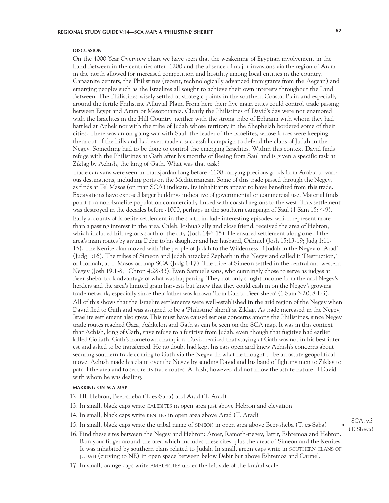#### **DISCUSSION discussion**

On the 4000 Year Overview chart we have seen that the weakening of Egyptian involvement in the Land Between in the centuries after -1200 and the absence of major invasions via the region of Aram in the north allowed for increased competition and hostility among local entities in the country. Canaanite centers, the Philistines (recent, technologically advanced immigrants from the Aegean) and emerging peoples such as the Israelites all sought to achieve their own interests throughout the Land Between. The Philistines wisely settled at strategic points in the southern Coastal Plain and especially around the fertile Philistine Alluvial Plain. From here their five main cities could control trade passing between Egypt and Aram or Mesopotamia. Clearly the Philistines of David's day were not enamored with the Israelites in the Hill Country, neither with the strong tribe of Ephraim with whom they had battled at Aphek nor with the tribe of Judah whose territory in the Shephelah bordered some of their cities. There was an on-going war with Saul, the leader of the Israelites, whose forces were keeping them out of the hills and had even made a successful campaign to defend the clans of Judah in the Negev. Something had to be done to control the emerging Israelites. Within this context David finds refuge with the Philistines at Gath after his months of fleeing from Saul and is given a specific task at Ziklag by Achish, the king of Gath. What was that task?

Trade caravans were seen in Transjordan long before -1100 carrying precious goods from Arabia to various destinations, including ports on the Mediterranean. Some of this trade passed through the Negev, as finds at Tel Masos (on map SCA) indicate. Its inhabitants appear to have benefited from this trade. Excavations have exposed larger buildings indicative of governmental or commercial use. Material finds point to a non-Israelite population commercially linked with coastal regions to the west. This settlement was destroyed in the decades before -1000, perhaps in the southern campaign of Saul (1 Sam 15: 4-9). Early accounts of Israelite settlement in the south include interesting episodes, which represent more than a passing interest in the area. Caleb, Joshua's ally and close friend, received the area of Hebron, which included hill regions south of the city (Josh 14:6-15). He ensured settlement along one of the area's main routes by giving Debir to his daughter and her husband, Othniel (Josh 15:13-19; Judg 1:11- 15). The Kenite clan moved with 'the people of Judah to the Wilderness of Judah in the Negev of Arad' (Judg 1:16). The tribes of Simeon and Judah attacked Zephath in the Negev and called it 'Destruction,' or Hormah, at T. Masos on map SCA (Judg 1:17). The tribe of Simeon settled in the central and western Negev (Josh 19:1-8; 1Chron 4:28-33). Even Samuel's sons, who cunningly chose to serve as judges at Beer-sheba, took advantage of what was happening. They not only sought income from the arid Negev's herders and the area's limited grain harvests but knew that they could cash in on the Negev's growing trade network, especially since their father was known 'from Dan to Beer-sheba' (1 Sam 3:20; 8:1-3).

All of this shows that the Israelite settlements were well-established in the arid region of the Negev when David fled to Gath and was assigned to be a 'Philistine' sheriff at Ziklag. As trade increased in the Negev, Israelite settlement also grew. This must have caused serious concerns among the Philistines, since Negev trade routes reached Gaza, Ashkelon and Gath as can be seen on the SCA map. It was in this context that Achish, king of Gath, gave refuge to a fugitive from Judah, even though that fugitive had earlier killed Goliath, Gath's hometown champion. David realized that staying at Gath was not in his best interest and asked to be transferred. He no doubt had kept his ears open and knew Achish's concerns about securing southern trade coming to Gath via the Negev. In what he thought to be an astute geopolitical move, Achish made his claim over the Negev by sending David and his band of fighting men to Ziklag to patrol the area and to secure its trade routes. Achish, however, did not know the astute nature of David with whom he was dealing.

# **marking on sca map**

- 12. HL Hebron, Beer-sheba (T. es-Saba) and Arad (T. Arad)
- 13. In small, black caps write calebites in open area just above Hebron and elevation
- 14. In small, black caps write KENITES in open area above Arad (T. Arad)
- 15. In small, black caps write the tribal name of simeon in open area above Beer-sheba (T. es-Saba)
- 16. Find these sites between the Negev and Hebron: Aroer, Ramoth-negev, Jattir, Eshtemoa and Hebron. Run your finger around the area which includes these sites, plus the areas of Simeon and the Kenites. It was inhabited by southern clans related to Judah. In small, green caps write in SOUTHERN CLANS OF judah (curving to NE) in open space between below Debir but above Eshtemoa and Carmel.
- 17. In small, orange caps write AMALEKITES under the left side of the km/ml scale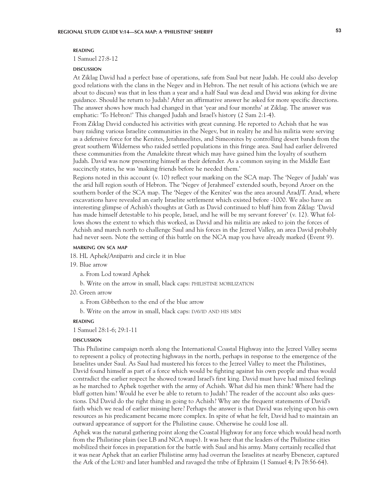## **reading**

1 Samuel 27:8-12

#### **DISCUSSION discussion**

At Ziklag David had a perfect base of operations, safe from Saul but near Judah. He could also develop good relations with the clans in the Negev and in Hebron. The net result of his actions (which we are about to discuss) was that in less than a year and a half Saul was dead and David was asking for divine guidance. Should he return to Judah? After an affirmative answer he asked for more specific directions. The answer shows how much had changed in that 'year and four months' at Ziklag. The answer was emphatic: 'To Hebron!' This changed Judah and Israel's history (2 Sam 2:1-4).

From Ziklag David conducted his activities with great cunning. He reported to Achish that he was busy raiding various Israelite communities in the Negev, but in reality he and his militia were serving as a defensive force for the Kenites, Jerahmeelites, and Simeonites by controlling desert bands from the great southern Wilderness who raided settled populations in this fringe area. Saul had earlier delivered these communities from the Amalekite threat which may have gained him the loyalty of southern Judah. David was now presenting himself as their defender. As a common saying in the Middle East succinctly states, he was 'making friends before he needed them.'

Regions noted in this account (v. 10) reflect your marking on the SCA map. The 'Negev of Judah' was the arid hill region south of Hebron. The 'Negev of Jerahmeel' extended south, beyond Aroer on the southern border of the SCA map. The 'Negev of the Kenites' was the area around Arad/T. Arad, where excavations have revealed an early Israelite settlement which existed before -1000. We also have an interesting glimpse of Achish's thoughts at Gath as David continued to bluff him from Ziklag: 'David has made himself detestable to his people, Israel, and he will be my servant forever' (v. 12). What follows shows the extent to which this worked, as David and his militia are asked to join the forces of Achish and march north to challenge Saul and his forces in the Jezreel Valley, an area David probably had never seen. Note the setting of this battle on the NCA map you have already marked (Event 9).

## **marking on sca map**

18. HL Aphek/*Antipatris* and circle it in blue

19. Blue arrow

a. From Lod toward Aphek

b. Write on the arrow in small, black caps: philistine mobilization

20. Green arrow

a. From Gibbethon to the end of the blue arrow

b. Write on the arrow in small, black caps: DAVID AND HIS MEN

## **reading**

1 Samuel 28:1-6; 29:1-11

#### **DISCUSSION discussion**

This Philistine campaign north along the International Coastal Highway into the Jezreel Valley seems to represent a policy of protecting highways in the north, perhaps in response to the emergence of the Israelites under Saul. As Saul had mustered his forces to the Jezreel Valley to meet the Philistines, David found himself as part of a force which would be fighting against his own people and thus would contradict the earlier respect he showed toward Israel's first king. David must have had mixed feelings as he marched to Aphek together with the army of Achish. What did his men think? Where had the bluff gotten him? Would he ever be able to return to Judah? The reader of the account also asks questions. Did David do the right thing in going to Achish? Why are the frequent statements of David's faith which we read of earlier missing here? Perhaps the answer is that David was relying upon his own resources as his predicament became more complex. In spite of what he felt, David had to maintain an outward appearance of support for the Philistine cause. Otherwise he could lose all.

Aphek was the natural gathering point along the Coastal Highway for any force which would head north from the Philistine plain (see LB and NCA maps). It was here that the leaders of the Philistine cities mobilized their forces in preparation for the battle with Saul and his army. Many certainly recalled that it was near Aphek that an earlier Philistine army had overrun the Israelites at nearby Ebenezer, captured the Ark of the LORD and later humbled and ravaged the tribe of Ephraim (1 Samuel 4; Ps 78:56-64).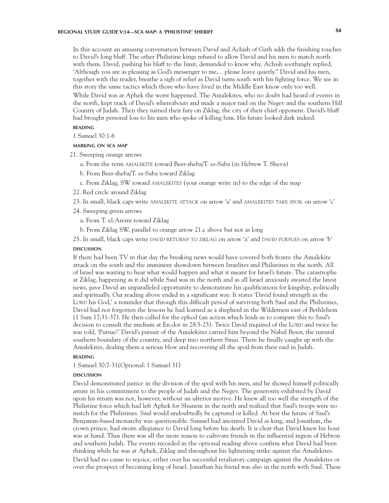# **REGIONAL STUDY GUIDE V:14—SCA MAP: A 'PHILISTINE' SHERIFF 54**

In this account an amusing conversation between David and Achish of Gath adds the finishing touches to David's long bluff. The other Philistine kings refused to allow David and his men to march north with them. David, pushing his bluff to the limit, demanded to know why. Achish soothingly replied, 'Although you are as pleasing as God's messenger to me,... please leave quietly." David and his men, together with the reader, breathe a sigh of relief as David turns south with his fighting force. We see in this story the same tactics which those who have lived in the Middle East know only too well.

While David was at Aphek the worst happened. The Amalekites, who no doubt had heard of events in the north, kept track of David's whereabouts and made a major raid on the Negev and the southern Hill Country of Judah. Then they turned their fury on Ziklag, the city of their chief opponent. David's bluff had brought personal loss to his men who spoke of killing him. His future looked dark indeed.

# **reading**

1 Samuel 30:1-6

# **marking on sca map**

- 21. Sweeping orange arrows
	- a. From the term AMALEKITE toward Beer-sheba/T. es-Saba (in Hebrew T. Sheva)
	- b. From Beer-sheba/T. es-Saba toward Ziklag
	- c. From Ziklag, SW toward amalekites (your orange write in) to the edge of the map
- 22. Red circle around Ziklag
- 23. In small, black caps write AMALEKITE ATTACK on arrow 'a' and AMALEKITES TAKE SPOIL on arrow 'c'
- 24. Sweeping green arrows
	- a. From T. el-Areini toward Ziklag
- b. From Ziklag SW, parallel to orange arrow 21.c above but not as long

25. In small, black caps write DAVID RETURNS TO ZIKLAG on arrow 'a' and DAVID PURSUES on arrow 'b' **DISCUSSION discussion**

If there had been TV in that day the breaking news would have covered both fronts: the Amalekite attack on the south and the imminent showdown between Israelites and Philistines in the north. All of Israel was waiting to hear what would happen and what it meant for Israel's future. The catastrophe at Ziklag, happening as it did while Saul was in the north and as all Israel anxiously awaited the latest news, gave David an unparalleled opportunity to demonstrate his qualifications for kingship, politically and spiritually. Our reading above ended in a significant way. It states 'David found strength in the LORD his God,' a reminder that through this difficult period of surviving both Saul and the Philistines, David had not forgotten the lessons he had learned as a shepherd in the Wilderness east of Bethlehem (1 Sam 17:31-37). He then called for the ephod (an action which leads us to compare this to Saul's decision to consult the medium at En-dor in 28:5-25). Twice David inquired of the LORD and twice he was told, 'Pursue!' David's pursuit of the Amalekites carried him beyond the Nahal Besor, the natural southern boundary of the country, and deep into northern Sinai. There he finally caught up with the Amalekites, dealing them a serious blow and recovering all the spoil from their raid in Judah.

## **reading**

1 Samuel 30:7-31(Optional: 1 Samuel 31)

#### **DISCUSSION discussion**

David demonstrated justice in the division of the spoil with his men, and he showed himself politically astute in his commitment to the people of Judah and the Negev. The generosity exhibited by David upon his return was not, however, without an ulterior motive. He knew all too well the strength of the Philistine force which had left Aphek for Shunem in the north and realized that Saul's troops were no match for the Philistines. Saul would undoubtedly be captured or killed. At best the future of Saul's Benjamin-based monarchy was questionable. Samuel had anointed David as king, and Jonathan, the crown prince, had sworn allegiance to David long before his death. It is clear that David knew his hour was at hand. Thus there was all the more reason to cultivate friends in the influential region of Hebron and southern Judah. The events recorded in the optional reading above confirm what David had been thinking while he was at Aphek, Ziklag and throughout his lightening strike against the Amalekites. David had no cause to rejoice, either over his successful retaliatory campaign against the Amalekites or over the prospect of becoming king of Israel. Jonathan his friend was also in the north with Saul. These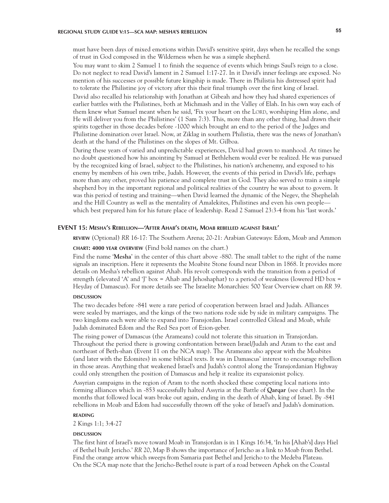# **REGIONAL STUDY GUIDE V:15—SCA MAP: MESHA'S REBELLION 55**

must have been days of mixed emotions within David's sensitive spirit, days when he recalled the songs of trust in God composed in the Wilderness when he was a simple shepherd.

You may want to skim 2 Samuel 1 to finish the sequence of events which brings Saul's reign to a close. Do not neglect to read David's lament in 2 Samuel 1:17-27. In it David's inner feelings are exposed. No mention of his successes or possible future kingship is made. There in Philistia his distressed spirit had to tolerate the Philistine joy of victory after this their final triumph over the first king of Israel.

David also recalled his relationship with Jonathan at Gibeah and how they had shared experiences of earlier battles with the Philistines, both at Michmash and in the Valley of Elah. In his own way each of them knew what Samuel meant when he said, 'Fix your heart on the LORD, worshiping Him alone, and He will deliver you from the Philistines' (1 Sam 7:3). This, more than any other thing, had drawn their spirits together in those decades before -1000 which brought an end to the period of the Judges and Philistine domination over Israel. Now, at Ziklag in southern Philistia, there was the news of Jonathan's death at the hand of the Philistines on the slopes of Mt. Gilboa.

During these years of varied and unpredictable experiences, David had grown to manhood. At times he no doubt questioned how his anointing by Samuel at Bethlehem would ever be realized. He was pursued by the recognized king of Israel, subject to the Philistines, his nation's archenemy, and exposed to his enemy by members of his own tribe, Judah. However, the events of this period in David's life, perhaps more than any other, proved his patience and complete trust in God. They also served to train a simple shepherd boy in the important regional and political realities of the country he was about to govern. It was this period of testing and training—when David learned the dynamic of the Negev, the Shephelah and the Hill Country as well as the mentality of Amalekites, Philistines and even his own people which best prepared him for his future place of leadership. Read 2 Samuel 23:3-4 from his 'last words.'

## **EVENT 15: Mesha's Rebellion—'After Ahab's death, Moab rebelled against Israel'**

**review** (Optional) *RR* 16-17: The Southern Arena; 20-21: Arabian Gateways: Edom, Moab and Ammon

# **chart: 4000 year overview** (Find bold names on the chart.)

Find the name '**Mesha**' in the center of this chart above -880. The small tablet to the right of the name signals an inscription. Here it represents the Moabite Stone found near Dibon in 1868. It provides more details on Mesha's rebellion against Ahab. His revolt corresponds with the transition from a period of strength (elevated 'A' and 'J' box = Ahab and Jehoshaphat) to a period of weakness (lowered HD box = Heyday of Damascus). For more details see The Israelite Monarchies: 500 Year Overview chart on *RR* 39.

#### **DISCUSSION discussion**

The two decades before -841 were a rare period of cooperation between Israel and Judah. Alliances were sealed by marriages, and the kings of the two nations rode side by side in military campaigns. The two kingdoms each were able to expand into Transjordan. Israel controlled Gilead and Moab, while Judah dominated Edom and the Red Sea port of Ezion-geber.

The rising power of Damascus (the Arameans) could not tolerate this situation in Transjordan. Throughout the period there is growing confrontation between Israel/Judah and Aram to the east and northeast of Beth-shan (Event 11 on the NCA map). The Arameans also appear with the Moabites (and later with the Edomites) in some biblical texts. It was in Damascus' interest to encourage rebellion in those areas. Anything that weakened Israel's and Judah's control along the Transjordanian Highway could only strengthen the position of Damascus and help it realize its expansionist policy.

Assyrian campaigns in the region of Aram to the north shocked these competing local nations into forming alliances which in -853 successfully halted Assyria at the Battle of **Qarqar** (see chart). In the months that followed local wars broke out again, ending in the death of Ahab, king of Israel. By -841 rebellions in Moab and Edom had successfully thrown off the yoke of Israel's and Judah's domination.

## **reading**

2 Kings 1:1; 3:4-27

#### **DISCUSSION discussion**

The first hint of Israel's move toward Moab in Transjordan is in 1 Kings 16:34, 'In his [Ahab's] days Hiel of Bethel built Jericho.' *RR* 20, Map B shows the importance of Jericho as a link to Moab from Bethel. Find the orange arrow which sweeps from Samaria past Bethel and Jericho to the Medeba Plateau. On the SCA map note that the Jericho-Bethel route is part of a road between Aphek on the Coastal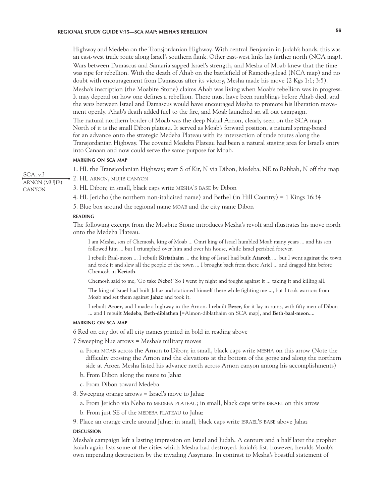Highway and Medeba on the Transjordanian Highway. With central Benjamin in Judah's hands, this was an east-west trade route along Israel's southern flank. Other east-west links lay farther north (NCA map). Wars between Damascus and Samaria sapped Israel's strength, and Mesha of Moab knew that the time was ripe for rebellion. With the death of Ahab on the battlefield of Ramoth-gilead (NCA map) and no doubt with encouragement from Damascus after its victory, Mesha made his move (2 Kgs 1:1; 3:5).

Mesha's inscription (the Moabite Stone) claims Ahab was living when Moab's rebellion was in progress. It may depend on how one defines a rebellion. There must have been rumblings before Ahab died, and the wars between Israel and Damascus would have encouraged Mesha to promote his liberation movement openly. Ahab's death added fuel to the fire, and Moab launched an all out campaign.

The natural northern border of Moab was the deep Nahal Arnon, clearly seen on the SCA map. North of it is the small Dibon plateau. It served as Moab's forward position, a natural spring-board for an advance onto the strategic Medeba Plateau with its intersection of trade routes along the Transjordanian Highway. The coveted Medeba Plateau had been a natural staging area for Israel's entry into Canaan and now could serve the same purpose for Moab.

### **marking on sca map**

1. HL the Transjordanian Highway; start S of Kir, N via Dibon, Medeba, NE to Rabbah, N off the map

SCA, v.3 ARNON (MUJIB) CANYON

2. HL arnon, mujib canyon

3. HL Dibon; in small, black caps write MESHA'S BASE by Dibon

4. HL Jericho (the northern non-italicized name) and Bethel (in Hill Country) = 1 Kings 16:34

5. Blue box around the regional name moab and the city name Dibon

# **reading**

The following excerpt from the Moabite Stone introduces Mesha's revolt and illustrates his move north onto the Medeba Plateau.

I am Mesha, son of Chemosh, king of Moab ... Omri king of Israel humbled Moab many years ... and his son followed him ... but I triumphed over him and over his house, while Israel perished forever.

I rebuilt Baal-meon ... I rebuilt **Kiriathaim** ... the king of Israel had built **Ataroth** ..., but I went against the town and took it and slew all the people of the town ... I brought back from there Ariel ... and dragged him before Chemosh in **Kerioth**.

Chemosh said to me, 'Go take **Nebo**!' So I went by night and fought against it ... taking it and killing all.

The king of Israel had built Jahaz and stationed himself there while fighting me ..., but I took warriors from Moab and set them against **Jahaz** and took it.

I rebuilt **Aroer**, and I made a highway in the Arnon. I rebuilt **Bezer**, for it lay in ruins, with fifty men of Dibon ... and I rebuilt **Medeba**, **Beth-diblathen** [=Almon-diblathaim on SCA map], and **Beth-baal-meon**....

#### **marking on sca map**

6 Red on city dot of all city names printed in bold in reading above

7 Sweeping blue arrows = Mesha's military moves

- a. From moab across the Arnon to Dibon; in small, black caps write mesha on this arrow (Note the difficulty crossing the Arnon and the elevations at the bottom of the gorge and along the northern side at Aroer. Mesha listed his advance north across Arnon canyon among his accomplishments)
- b. From Dibon along the route to Jahaz
- c. From Dibon toward Medeba
- 8. Sweeping orange arrows = Israel's move to Jahaz
	- a. From Jericho via Nebo to MEDEBA PLATEAU; in small, black caps write ISRAEL on this arrow
	- b. From just SE of the MEDEBA PLATEAU to Jahaz
- 9. Place an orange circle around Jahaz; in small, black caps write israel's base above Jahaz

#### **DISCUSSION discussion**

Mesha's campaign left a lasting impression on Israel and Judah. A century and a half later the prophet Isaiah again lists some of the cities which Mesha had destroyed. Isaiah's list, however, heralds Moab's own impending destruction by the invading Assyrians. In contrast to Mesha's boastful statement of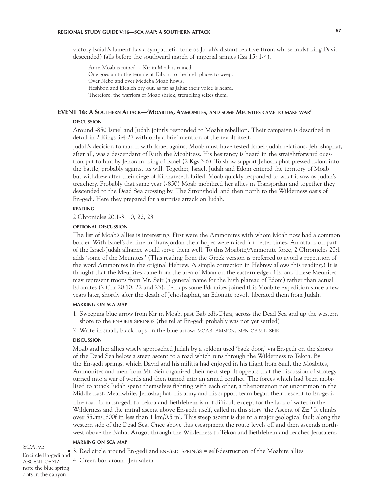# **REGIONAL STUDY GUIDE V:16—SCA MAP: A SOUTHERN ATTACK 57**

victory Isaiah's lament has a sympathetic tone as Judah's distant relative (from whose midst king David descended) falls before the southward march of imperial armies (Isa 15: 1-4).

Ar in Moab is ruined ... Kir in Moab is ruined. One goes up to the temple at Dibon, to the high places to weep. Over Nebo and over Medeba Moab howls. Heshbon and Elealeh cry out, as far as Jahaz their voice is heard. Therefore, the warriors of Moab shriek, trembling seizes them.

# **EVENT 16: A Southern Attack—'Moabites, Ammonites, and some Meunites came to make war'**

#### DISCUSSION **discussion**

Around -850 Israel and Judah jointly responded to Moab's rebellion. Their campaign is described in detail in 2 Kings 3:4-27 with only a brief mention of the revolt itself.

Judah's decision to march with Israel against Moab must have tested Israel-Judah relations. Jehoshaphat, after all, was a descendant of Ruth the Moabitess. His hesitancy is heard in the straightforward question put to him by Jehoram, king of Israel (2 Kgs 3:6). To show support Jehoshaphat pressed Edom into the battle, probably against its will. Together, Israel, Judah and Edom entered the territory of Moab but withdrew after their siege of Kir-hareseth failed. Moab quickly responded to what it saw as Judah's treachery. Probably that same year (-850) Moab mobilized her allies in Transjordan and together they descended to the Dead Sea crossing by 'The Stronghold' and then north to the Wilderness oasis of En-gedi. Here they prepared for a surprise attack on Judah.

## **reading**

2 Chronicles 20:1-3, 10, 22, 23

# **optional discussion**

The list of Moab's allies is interesting. First were the Ammonites with whom Moab now had a common border. With Israel's decline in Transjordan their hopes were raised for better times. An attack on part of the Israel-Judah alliance would serve them well. To this Moabite/Ammonite force, 2 Chronicles 20:1 adds 'some of the Meunites.' (This reading from the Greek version is preferred to avoid a repetition of the word Ammonites in the original Hebrew. A simple correction in Hebrew allows this reading.) It is thought that the Meunites came from the area of Maan on the eastern edge of Edom. These Meunites may represent troops from Mt. Seir (a general name for the high plateau of Edom) rather than actual Edomites (2 Chr 20:10, 22 and 23). Perhaps some Edomites joined this Moabite expedition since a few years later, shortly after the death of Jehoshaphat, an Edomite revolt liberated them from Judah.

# **marking on sca map**

- 1. Sweeping blue arrow from Kir in Moab, past Bab edh-Dhra, across the Dead Sea and up the western shore to the en-gedi springs (the tel at En-gedi probably was not yet settled)
- 2. Write in small, black caps on the blue arrow: moab, ammon, men of mt. seir

#### **DISCUSSION discussion**

Moab and her allies wisely approached Judah by a seldom used 'back door,' via En-gedi on the shores of the Dead Sea below a steep ascent to a road which runs through the Wilderness to Tekoa. By the En-gedi springs, which David and his militia had enjoyed in his flight from Saul, the Moabites, Ammonites and men from Mt. Seir organized their next step. It appears that the discussion of strategy turned into a war of words and then turned into an armed conflict. The forces which had been mobilized to attack Judah spent themselves fighting with each other, a phenomenon not uncommon in the Middle East. Meanwhile, Jehoshaphat, his army and his support team began their descent to En-gedi. The road from En-gedi to Tekoa and Bethlehem is not difficult except for the lack of water in the Wilderness and the initial ascent above En-gedi itself, called in this story 'the Ascent of Ziz.' It climbs over 550m/1800f in less than 1 km/0.5 ml. This steep ascent is due to a major geological fault along the western side of the Dead Sea. Once above this escarpment the route levels off and then ascends northwest above the Nahal Arugot through the Wilderness to Tekoa and Bethlehem and reaches Jerusalem.

# **marking on sca map**

3. Red circle around En-gedi and en-gedi springs = self-destruction of the Moabite allies

4. Green box around Jerusalem

#### SCA, v.3

Encircle En-gedi and ASCENT OF ZIZ; note the blue spring dots in the canyon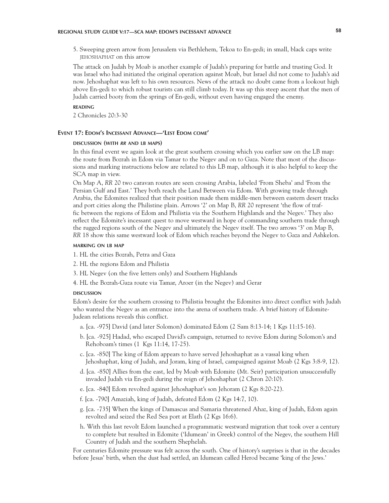5. Sweeping green arrow from Jerusalem via Bethlehem, Tekoa to En-gedi; in small, black caps write jehoshaphat on this arrow

The attack on Judah by Moab is another example of Judah's preparing for battle and trusting God. It was Israel who had initiated the original operation against Moab, but Israel did not come to Judah's aid now. Jehoshaphat was left to his own resources. News of the attack no doubt came from a lookout high above En-gedi to which robust tourists can still climb today. It was up this steep ascent that the men of Judah carried booty from the springs of En-gedi, without even having engaged the enemy.

### **reading**

2 Chronicles 20:3-30

## **Event 17: Edom's Incessant Advance—'Lest Edom come'**

## **discussion (with** *rr* **and lb maps)**

In this final event we again look at the great southern crossing which you earlier saw on the LB map: the route from Bozrah in Edom via Tamar to the Negev and on to Gaza. Note that most of the discussions and marking instructions below are related to this LB map, although it is also helpful to keep the SCA map in view.

On Map A, *RR* 20 two caravan routes are seen crossing Arabia, labeled 'From Sheba' and 'From the Persian Gulf and East.' They both reach the Land Between via Edom. With growing trade through Arabia, the Edomites realized that their position made them middle-men between eastern desert tracks and port cities along the Philistine plain. Arrows '2' on Map B, *RR* 20 represent 'the flow of traffic between the regions of Edom and Philistia via the Southern Highlands and the Negev.' They also reflect the Edomite's incessant quest to move westward in hope of commanding southern trade through the rugged regions south of the Negev and ultimately the Negev itself. The two arrows '3' on Map B, *RR* 18 show this same westward look of Edom which reaches beyond the Negev to Gaza and Ashkelon.

## **marking on lb map**

1. HL the cities Bozrah, Petra and Gaza

2. HL the regions Edom and Philistia

3. HL Negev (on the five letters only) and Southern Highlands

4. HL the Bozrah-Gaza route via Tamar, Aroer (in the Negev) and Gerar

#### **DISCUSSION discussion**

Edom's desire for the southern crossing to Philistia brought the Edomites into direct conflict with Judah who wanted the Negev as an entrance into the arena of southern trade. A brief history of Edomite-Judean relations reveals this conflict.

- a. [ca. -975] David (and later Solomon) dominated Edom (2 Sam 8:13-14; 1 Kgs 11:15-16).
- b. [ca. -925] Hadad, who escaped David's campaign, returned to revive Edom during Solomon's and Rehoboam's times (1 Kgs 11:14, 17-25).
- c. [ca. -850] The king of Edom appears to have served Jehoshaphat as a vassal king when Jehoshaphat, king of Judah, and Joram, king of Israel, campaigned against Moab (2 Kgs 3:8-9, 12).
- d. [ca. -850] Allies from the east, led by Moab with Edomite (Mt. Seir) participation unsuccessfully invaded Judah via En-gedi during the reign of Jehoshaphat (2 Chron 20:10).
- e. [ca. -840] Edom revolted against Jehoshaphat's son Jehoram (2 Kgs 8:20-22).
- f. [ca. -790] Amaziah, king of Judah, defeated Edom (2 Kgs 14:7, 10).
- g. [ca. -735] When the kings of Damascus and Samaria threatened Ahaz, king of Judah, Edom again revolted and seized the Red Sea port at Elath (2 Kgs 16:6).
- h. With this last revolt Edom launched a programmatic westward migration that took over a century to complete but resulted in Edomite ('Idumean' in Greek) control of the Negev, the southern Hill Country of Judah and the southern Shephelah.

For centuries Edomite pressure was felt across the south. One of history's surprises is that in the decades before Jesus' birth, when the dust had settled, an Idumean called Herod became 'king of the Jews.'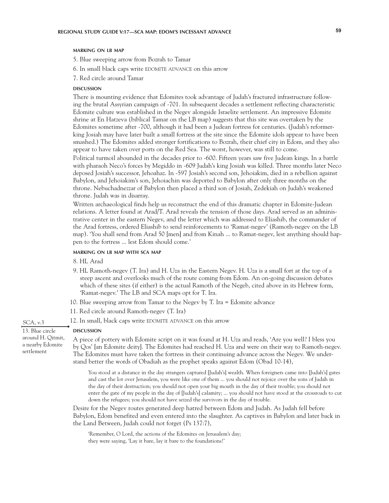### **marking on lb map**

5. Blue sweeping arrow from Bozrah to Tamar

- 6. In small black caps write EDOMITE ADVANCE on this arrow
- 7. Red circle around Tamar

#### **DISCUSSION discussion**

There is mounting evidence that Edomites took advantage of Judah's fractured infrastructure following the brutal Assyrian campaign of -701. In subsequent decades a settlement reflecting characteristic Edomite culture was established in the Negev alongside Israelite settlement. An impressive Edomite shrine at En Hatzeva (biblical Tamar on the LB map) suggests that this site was overtaken by the Edomites sometime after -700, although it had been a Judean fortress for centuries. (Judah's reformerking Josiah may have later built a small fortress at the site since the Edomite idols appear to have been smashed.) The Edomites added stronger fortifications to Bozrah, their chief city in Edom, and they also appear to have taken over ports on the Red Sea. The worst, however, was still to come.

Political turmoil abounded in the decades prior to -600. Fifteen years saw five Judean kings. In a battle with pharaoh Neco's forces by Megiddo in -609 Judah's king Josiah was killed. Three months later Neco deposed Josiah's successor, Jehoahaz. In -597 Josiah's second son, Jehoiakim, died in a rebellion against Babylon, and Jehoiakim's son, Jehoiachin was deported to Babylon after only three months on the throne. Nebuchadnezzar of Babylon then placed a third son of Josiah, Zedekiah on Judah's weakened throne. Judah was in disarray.

Written archaeological finds help us reconstruct the end of this dramatic chapter in Edomite-Judean relations. A letter found at Arad/T. Arad reveals the tension of those days. Arad served as an administrative center in the eastern Negev, and the letter which was addressed to Eliashib, the commander of the Arad fortress, ordered Eliashib to send reinforcements to 'Ramat-negev' (Ramoth-negev on the LB map). 'You shall send from Arad 50 [men] and from Kinah ... to Ramat-negev, lest anything should happen to the fortress ... lest Edom should come.'

# **marking on lb map with sca map**

- 8. HL Arad
- 9. HL Ramoth-negev (T. Ira) and H. Uza in the Eastern Negev. H. Uza is a small fort at the top of a steep ascent and overlooks much of the route coming from Edom. An on-going discussion debates which of these sites (if either) is the actual Ramoth of the Negeb, cited above in its Hebrew form, 'Ramat-negev.' The LB and SCA maps opt for T. Ira.
- 10. Blue sweeping arrow from Tamar to the Negev by T. Ira = Edomite advance
- 11. Red circle around Ramoth-negev (T. Ira)
- 12. In small, black caps write EDOMITE ADVANCE on this arrow

# 13. Blue circle around H. Qitmit, a nearby Edomite settlement

SCA, v.3

**DISCUSSION** 

**discussion**

A piece of pottery with Edomite script on it was found at H. Uza and reads, 'Are you well? I bless you by Qos' [an Edomite deity]. The Edomites had reached H. Uza and were on their way to Ramoth-negev. The Edomites must have taken the fortress in their continuing advance across the Negev. We understand better the words of Obadiah as the prophet speaks against Edom (Obad 10-14),

You stood at a distance in the day strangers captured [Judah's] wealth. When foreigners came into [Judah's] gates and cast the lot over Jerusalem, you were like one of them ... you should not rejoice over the sons of Judah in the day of their destruction; you should not open your big mouth in the day of their trouble; you should not enter the gate of my people in the day of [Judah's] calamity; ... you should not have stood at the crossroads to cut down the refugees; you should not have seized the survivors in the day of trouble.

Desire for the Negev routes generated deep hatred between Edom and Judah. As Judah fell before Babylon, Edom benefited and even entered into the slaughter. As captives in Babylon and later back in the Land Between, Judah could not forget (Ps 137:7),

'Remember, O Lord, the actions of the Edomites on Jerusalem's day; they were saying, 'Lay it bare, lay it bare to the foundations!'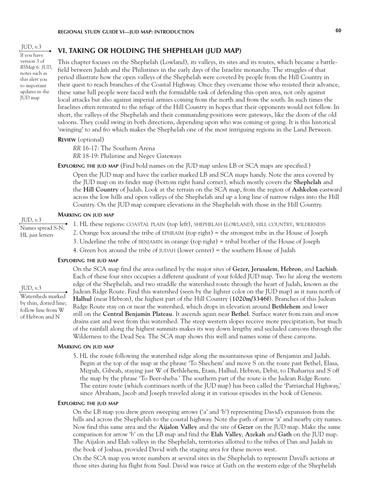$JUD, v.3$ If you have version 3 of *RSMap 6: JUD*, notes such as this alert you to important updates in the JUD map

# **VI. TAKING OR HOLDING THE SHEPHELAH (JUD MAP)**

This chapter focuses on the Shephelah (Lowland), its valleys, its sites and its routes, which became a battlefield between Judah and the Philistines in the early days of the Israelite monarchy. The struggles of that period illustrate how the open valleys of the Shephelah were coveted by people from the Hill Country in their quest to reach branches of the Coastal Highway. Once they overcame those who resisted their advance, these same hill people were faced with the formidable task of defending this open area, not only against local attacks but also against imperial armies coming from the north and from the south. In such times the Israelites often retreated to the refuge of the Hill Country in hopes that their opponents would not follow. In short, the valleys of the Shephelah and their commanding positions were gateways, like the doors of the old saloons. They could swing in both directions, depending upon who was coming or going. It is this historical 'swinging' to and fro which makes the Shephelah one of the most intriguing regions in the Land Between.

## **Review** (optional)

*RR* 16-17: The Southern Arena

*RR* 18-19: Philistine and Negev Gateways

**EXPLORING THE JUD MAP** (Find bold names on the JUD map unless LB or SCA maps are specified.) Open the JUD map and have the earlier marked LB and SCA maps handy. Note the area covered by the JUD map on its finder map (bottom right hand corner), which mostly covers the **Shephelah** and the **Hill Country** of Judah. Look at the terrain on the SCA map, from the region of **Ashkelon** eastward across the low hills and open valleys of the Shephelah and up a long line of narrow ridges into the Hill Country. On the JUD map compare elevations in the Shephelah with those in the Hill Country.

### **Marking on jud map**

JUD, v.3 Names spread S-N;

HL just letters

1. HL these regions: coastal plain (top left), shephelah (lowland), hill country, wilderness

- 2. Orange box around the tribe of ephraim (top right) = the strongest tribe in the House of Joseph
- 3. Underline the tribe of benjamin in orange (top right) = tribal brother of the House of Joseph

4. Green box around the tribe of judah (lower center) = the southern House of Judah

# **Exploring the jud map**

### $IUD, v.3$

Watersheds marked

- by thin, dotted line;
- follow line from W
- of Hebron and N

On the SCA map find the area outlined by the major sites of **Gezer, Jerusalem**, **Hebron**, and **Lachish**. Each of these four sites occupies a different quadrant of your folded JUD map. Two lie along the western edge of the Shephelah, and two straddle the watershed route through the heart of Judah, known as the Judean Ridge Route. Find this watershed (seen by the lighter color on the JUD map) as it runs north of **Halhul** (near Hebron), the highest part of the Hill Country (**1020m/3346f**). Branches of this Judean Ridge Route stay on or near the watershed, which drops in elevation around **Bethlehem** and lower still on the **Central Benjamin Plateau**. It ascends again near **Bethel**. Surface water from rain and snow drains east and west from this watershed. The steep western slopes receive more precipitation, but much of the rainfall along the highest summits makes its way down lengthy and secluded canyons through the Wilderness to the Dead Sea. The SCA map shows this well and names some of these canyons.

#### **Marking on jud map**

5. HL the route following the watershed ridge along the mountainous spine of Benjamin and Judah. Begin at the top of the map at the phrase 'To Shechem' and move S on the route past Bethel, Elasa, Mizpah, Gibeah, staying just W of Bethlehem, Etam, Halhul, Hebron, Debir, to Dhahariya and S off the map by the phrase 'To Beer-sheba.' The southern part of the route is the Judean Ridge Route. The entire route (which continues north of the JUD map) has been called the 'Patriarchal Highway,' since Abraham, Jacob and Joseph traveled along it in various episodes in the book of Genesis.

### **Exploring the jud map**

On the LB map you drew green sweeping arrows ('a' and 'b') representing David's expansion from the hills and across the Shephelah to the coastal highway. Note the path of arrow 'a' and nearby city names. Now find this same area and the **Aijalon Valley** and the site of **Gezer** on the JUD map. Make the same comparison for arrow 'b' on the LB map and find the **Elah Valley**, **Azekah** and **Gath** on the JUD map. The Aijalon and Elah valleys in the Shephelah, territories allotted to the tribes of Dan and Judah in the book of Joshua, provided David with the staging area for these moves west.

On the SCA map you wrote numbers at several sites in the Shephelah to represent David's actions at those sites during his flight from Saul. David was twice at Gath on the western edge of the Shephelah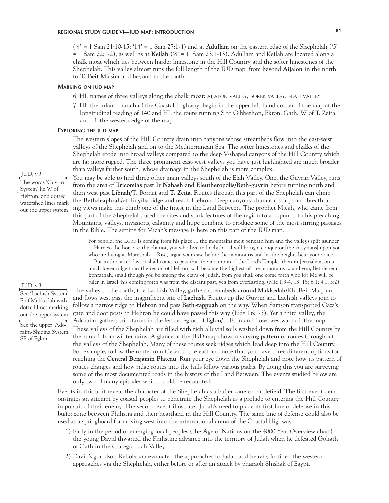('4' = 1 Sam 21:10-15; '14' = 1 Sam 27:1-4) and at **Adullam** on the eastern edge of the Shephelah ('5' = 1 Sam 22:1-2), as well as at **Keilah** ('8' = 1 Sam 23:1-13). Adullam and Keilah are located along a chalk moat which lies between harder limestone in the Hill Country and the softer limestones of the Shephelah. This valley almost runs the full length of the JUD map, from beyond **Aijalon** in the north to **T. Beit Mirsim** and beyond in the south.

### **Marking on jud map**

- 6. HL names of three valleys along the chalk moat: aijalon valley, sorek valley, elah valley
- 7. HL the inland branch of the Coastal Highway: begin in the upper left-hand corner of the map at the longitudinal reading of 140 and HL the route running S to Gibbethon, Ekron, Gath, W of T. Zeita, and off the western edge of the map

### **Exploring the jud map**

The western slopes of the Hill Country drain into canyons whose streambeds flow into the east-west valleys of the Shephelah and on to the Mediterranean Sea. The softer limestones and chalks of the Shephelah erode into broad valleys compared to the deep V-shaped canyons of the Hill Country which are far more rugged. The three prominent east-west valleys you have just highlighted are much broader than valleys farther south, whose drainage in the Shephelah is more complex.

You may be able to find three other main valleys south of the Elah Valley. One, the Guvrin Valley, runs from the area of **Tricomias** past **Ir Nahash** and **Eleutheropolis/Beth-guvrin** before turning north and then west past **Libnah**/T. Bornat and **T. Zeita**. Routes through this part of the Shephelah can climb the **Beth-leaphrah**/et-Taiyiba ridge and reach Hebron. Deep canyons, dramatic scarps and breathtaking views make this climb one of the finest in the Land Between. The prophet Micah, who came from this part of the Shephelah, used the sites and stark features of the region to add punch to his preaching. Mountains, valleys, invasions, calamity and hope combine to produce some of the most stirring passages in the Bible. The setting for Micah's message is here on this part of the JUD map.

For behold, the LORD is coming from his place ... the mountains melt beneath him and the valleys split asunder ... Harness the horse to the chariot, you who live in Lachish ... I will bring a conqueror [the Assyrians] upon you who are living at Mareshah ... Rise, argue your case before the mountains and let the heights hear your voice ... But in the latter days it shall come to pass that the mountain of the Lord's Temple [then in Jerusalem, on a much lower ridge than the region of Hebron] will become the highest of the mountains ... and you, Bethlehem Ephrathah, small though you be among the clans of Judah, from you shall one come forth who for Me will be ruler in Israel; his coming forth was from the distant past, yea from everlasting. (Mic 1:3-4, 13, 15; 6:1; 4:1; 5:2)

The valley to the south, the Lachish Valley, gathers streambeds around **Makkedah**/Kh. Beit Maqdum and flows west past the magnificent site of **Lachish**. Routes up the Guvrin and Lachish valleys join to follow a narrow ridge to **Hebron** and pass **Beth-tappuah** on the way. When Samson transported Gaza's gate and door posts to Hebron he could have passed this way (Judg 16:1-3). Yet a third valley, the Adoraim, gathers tributaries in the fertile region of **Eglon**/T. Eton and flows westward off the map. These valleys of the Shephelah are filled with rich alluvial soils washed down from the Hill Country by the run-off from winter rains. A glance at the JUD map shows a varying pattern of routes throughout the valleys of the Shephelah. Many of these routes seek ridges which lead deep into the Hill Country. For example, follow the route from Gezer to the east and note that you have three different options for reaching the **Central Benjamin Plateau**. Run your eye down the Shephelah and note how its pattern of routes changes and how ridge routes into the hills follow various paths. By doing this you are surveying some of the most documented roads in the history of the Land Between. The events studied below are only two of many episodes which could be recounted.

Events in this unit reveal the character of the Shephelah as a buffer zone or battlefield. The first event demonstrates an attempt by coastal peoples to penetrate the Shephelah as a prelude to entering the Hill Country in pursuit of their enemy. The second event illustrates Judah's need to place its first line of defense in this buffer zone between Philistia and their heartland in the Hill Country. The same line of defense could also be used as a springboard for moving west into the international arena of the Coastal Highway.

- 1) Early in the period of emerging local peoples (the Age of Nations on the 4000 Year Overview chart) the young David thwarted the Philistine advance into the territory of Judah when he defeated Goliath of Gath in the strategic Elah Valley.
- 2) David's grandson Rehoboam evaluated the approaches to Judah and heavily fortified the western approaches via the Shephelah, either before or after an attack by pharaoh Shishak of Egypt.

JUD, v.3

The words 'Guvrin System' lie W of Hebron, and dotted watershed lines mark out the upper system

#### JUD, v.3

See 'Lachish System' E of Makkedah with dotted lines marking out the upper system

See the upper 'Adoraim-Shiqma System' SE of Eglon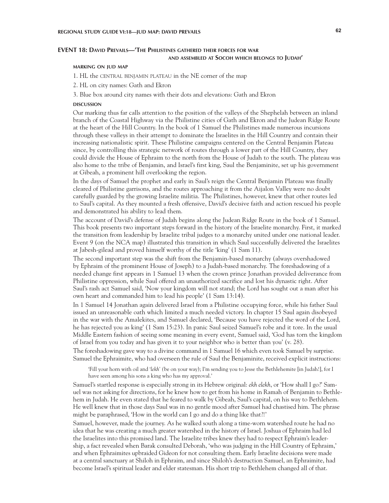# **EVENT 18: David Prevails—'The Philistines gathered their forces for war and assembled at Socoh which belongs to Judah'**

## **marking on jud map**

1. HL the central benjamin plateau in the NE corner of the map

2. HL on city names: Gath and Ekron

3. Blue box around city names with their dots and elevations: Gath and Ekron

#### **DISCUSSION discussion**

Our marking thus far calls attention to the position of the valleys of the Shephelah between an inland branch of the Coastal Highway via the Philistine cities of Gath and Ekron and the Judean Ridge Route at the heart of the Hill Country. In the book of 1 Samuel the Philistines made numerous incursions through these valleys in their attempt to dominate the Israelites in the Hill Country and contain their increasing nationalistic spirit. These Philistine campaigns centered on the Central Benjamin Plateau since, by controlling this strategic network of routes through a lower part of the Hill Country, they could divide the House of Ephraim to the north from the House of Judah to the south. The plateau was also home to the tribe of Benjamin, and Israel's first king, Saul the Benjaminite, set up his government at Gibeah, a prominent hill overlooking the region.

In the days of Samuel the prophet and early in Saul's reign the Central Benjamin Plateau was finally cleared of Philistine garrisons, and the routes approaching it from the Aijalon Valley were no doubt carefully guarded by the growing Israelite militia. The Philistines, however, knew that other routes led to Saul's capital. As they mounted a fresh offensive, David's decisive faith and action rescued his people and demonstrated his ability to lead them.

The account of David's defense of Judah begins along the Judean Ridge Route in the book of 1 Samuel. This book presents two important steps forward in the history of the Israelite monarchy. First, it marked the transition from leadership by Israelite tribal judges to a monarchy united under one national leader. Event 9 (on the NCA map) illustrated this transition in which Saul successfully delivered the Israelites at Jabesh-gilead and proved himself worthy of the title 'king' (1 Sam 11).

The second important step was the shift from the Benjamin-based monarchy (always overshadowed by Ephraim of the prominent House of Joseph) to a Judah-based monarchy. The foreshadowing of a needed change first appears in 1 Samuel 13 when the crown prince Jonathan provided deliverance from Philistine oppression, while Saul offered an unauthorized sacrifice and lost his dynastic right. After Saul's rash act Samuel said, 'Now your kingdom will not stand; the Lord has sought out a man after his own heart and commanded him to lead his people' (1 Sam 13:14).

In 1 Samuel 14 Jonathan again delivered Israel from a Philistine occupying force, while his father Saul issued an unreasonable oath which limited a much needed victory. In chapter 15 Saul again disobeyed in the war with the Amalekites, and Samuel declared, 'Because you have rejected the word of the Lord, he has rejected you as king' (1 Sam 15:23). In panic Saul seized Samuel's robe and it tore. In the usual Middle Eastern fashion of seeing some meaning in every event, Samuel said, 'God has torn the kingdom of Israel from you today and has given it to your neighbor who is better than you' (v. 28).

The foreshadowing gave way to a divine command in 1 Samuel 16 which even took Samuel by surprise. Samuel the Ephraimite, who had overseen the rule of Saul the Benjaminite, received explicit instructions:

'Fill your horn with oil and '*lekh' (*be on your way); I'm sending you to Jesse the Bethlehemite [in Judah!], for I have seen among his sons a king who has my approval.'

Samuel's startled response is especially strong in its Hebrew original: *ekh elekh*, or 'How shall I go?' Samuel was not asking for directions, for he knew how to get from his home in Ramah of Benjamin to Bethlehem in Judah. He even stated that he feared to walk by Gibeah, Saul's capital, on his way to Bethlehem. He well knew that in those days Saul was in no gentle mood after Samuel had chastised him. The phrase might be paraphrased, 'How in the world can I go and do a thing like that?!'

Samuel, however, made the journey. As he walked south along a time-worn watershed route he had no idea that he was creating a much greater watershed in the history of Israel. Joshua of Ephraim had led the Israelites into this promised land. The Israelite tribes knew they had to respect Ephraim's leadership, a fact revealed when Barak consulted Deborah, 'who was judging in the Hill Country of Ephraim,' and when Ephraimites upbraided Gideon for not consulting them. Early Israelite decisions were made at a central sanctuary at Shiloh in Ephraim, and since Shiloh's destruction Samuel, an Ephraimite, had become Israel's spiritual leader and elder statesman. His short trip to Bethlehem changed all of that.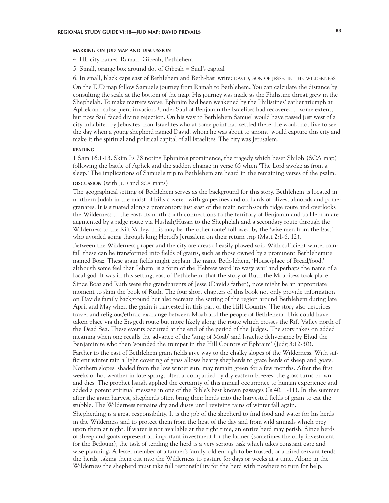## **marking on jud map and discussion**

4. HL city names: Ramah, Gibeah, Bethlehem

5. Small, orange box around dot of Gibeah = Saul's capital

6. In small, black caps east of Bethlehem and Beth-basi write: DAVID, SON OF JESSE, IN THE WILDERNESS On the JUD map follow Samuel's journey from Ramah to Bethlehem. You can calculate the distance by consulting the scale at the bottom of the map. His journey was made as the Philistine threat grew in the Shephelah. To make matters worse, Ephraim had been weakened by the Philistines' earlier triumph at Aphek and subsequent invasion. Under Saul of Benjamin the Israelites had recovered to some extent, but now Saul faced divine rejection. On his way to Bethlehem Samuel would have passed just west of a city inhabited by Jebusites, non-Israelites who at some point had settled there. He would not live to see the day when a young shepherd named David, whom he was about to anoint, would capture this city and make it the spiritual and political capital of all Israelites. The city was Jerusalem.

### **reading**

1 Sam 16:1-13. Skim Ps 78 noting Ephraim's prominence, the tragedy which beset Shiloh (SCA map) following the battle of Aphek and the sudden change in verse 65 when 'The Lord awoke as from a sleep.' The implications of Samuel's trip to Bethlehem are heard in the remaining verses of the psalm.

### **discussion** (with jud and sca maps)

The geographical setting of Bethlehem serves as the background for this story. Bethlehem is located in northern Judah in the midst of hills covered with grapevines and orchards of olives, almonds and pomegranates. It is situated along a promontory just east of the main north-south ridge route and overlooks the Wilderness to the east. Its north-south connections to the territory of Benjamin and to Hebron are augmented by a ridge route via Hushah/Husan to the Shephelah and a secondary route through the Wilderness to the Rift Valley. This may be 'the other route' followed by the 'wise men from the East' who avoided going through king Herod's Jerusalem on their return trip (Matt 2:1-6, 12).

Between the Wilderness proper and the city are areas of easily plowed soil. With sufficient winter rainfall these can be transformed into fields of grains, such as those owned by a prominent Bethlehemite named Boaz. These grain fields might explain the name Beth-lehem, 'House/place of Bread/food,' although some feel that 'lehem' is a form of the Hebrew word 'to wage war' and perhaps the name of a local god. It was in this setting, east of Bethlehem, that the story of Ruth the Moabitess took place. Since Boaz and Ruth were the grandparents of Jesse (David's father), now might be an appropriate moment to skim the book of Ruth. The four short chapters of this book not only provide information on David's family background but also recreate the setting of the region around Bethlehem during late April and May when the grain is harvested in this part of the Hill Country. The story also describes travel and religious/ethnic exchange between Moab and the people of Bethlehem. This could have taken place via the En-gedi route but more likely along the route which crosses the Rift Valley north of the Dead Sea. These events occurred at the end of the period of the Judges. The story takes on added meaning when one recalls the advance of the 'king of Moab' and Israelite deliverance by Ehud the Benjaminite who then 'sounded the trumpet in the Hill Country of Ephraim' (Judg 3:12-30). Farther to the east of Bethlehem grain fields give way to the chalky slopes of the Wilderness. With sufficient winter rain a light covering of grass allows hearty shepherds to graze herds of sheep and goats. Northern slopes, shaded from the low winter sun, may remain green for a few months. After the first weeks of hot weather in late spring, often accompanied by dry eastern breezes, the grass turns brown and dies. The prophet Isaiah applied the certainty of this annual occurrence to human experience and added a potent spiritual message in one of the Bible's best known passages (Is 40: 1-11). In the summer, after the grain harvest, shepherds often bring their herds into the harvested fields of grain to eat the stubble. The Wilderness remains dry and dusty until reviving rains of winter fall again. Shepherding is a great responsibility. It is the job of the shepherd to find food and water for his herds in the Wilderness and to protect them from the heat of the day and from wild animals which prey upon them at night. If water is not available at the right time, an entire herd may perish. Since herds of sheep and goats represent an important investment for the farmer (sometimes the only investment for the Bedouin), the task of tending the herd is a very serious task which takes constant care and

wise planning. A lesser member of a farmer's family, old enough to be trusted, or a hired servant tends the herds, taking them out into the Wilderness to pasture for days or weeks at a time. Alone in the Wilderness the shepherd must take full responsibility for the herd with nowhere to turn for help.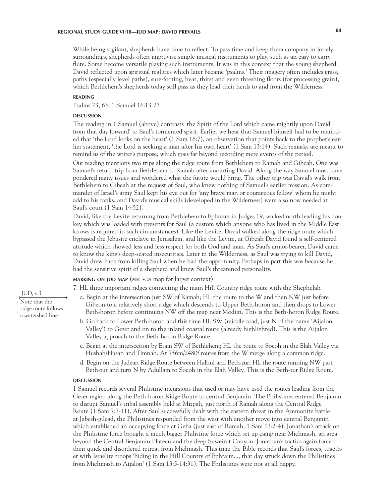While being vigilant, shepherds have time to reflect. To pass time and keep them company in lonely surroundings, shepherds often improvise simple musical instruments to play, such as an easy to carry flute. Some become versatile playing such instruments. It was in this context that the young shepherd David reflected upon spiritual realities which later became 'psalms.' Their imagery often includes grass, paths (especially level paths), sure-footing, heat, thirst and even threshing floors (for processing grain), which Bethlehem's shepherds today still pass as they lead their herds to and from the Wilderness.

### **reading**

Psalms 23, 63; 1 Samuel 16:13-23

#### **DISCUSSION discussion**

The reading in 1 Samuel (above) contrasts 'the Spirit of the Lord which came mightily upon David from that day forward' to Saul's tormented spirit. Earlier we hear that Samuel himself had to be reminded that 'the Lord looks on the heart' (1 Sam 16:7), an observation that points back to the prophet's earlier statement, 'the Lord is seeking a man after his own heart' (1 Sam 13:14). Such remarks are meant to remind us of the writer's purpose, which goes far beyond recording mere events of the period.

Our reading mentions two trips along the ridge route from Bethlehem to Ramah and Gibeah. One was Samuel's return trip from Bethlehem to Ramah after anointing David. Along the way Samuel must have pondered many issues and wondered what the future would bring. The other trip was David's walk from Bethlehem to Gibeah at the request of Saul, who knew nothing of Samuel's earlier mission. As commander of Israel's army Saul kept his eye out for 'any brave man or courageous fellow' whom he might add to his ranks, and David's musical skills (developed in the Wilderness) were also now needed at Saul's court (1 Sam 14:52).

David, like the Levite returning from Bethlehem to Ephraim in Judges 19, walked north leading his donkey which was loaded with presents for Saul (a custom which anyone who has lived in the Middle East knows is required in such circumstances). Like the Levite, David walked along the ridge route which bypassed the Jebusite enclave in Jerusalem, and like the Levite, at Gibeah David found a self-centered attitude which showed less and less respect for both God and man. As Saul's armor-bearer, David came to know the king's deep-seated insecurities. Later in the Wilderness, as Saul was trying to kill David, David drew back from killing Saul when he had the opportunity. Perhaps in part this was because he had the sensitive spirit of a shepherd and knew Saul's threatened personality.

# **marking on jud map** (see sca map for larger context)

7. HL three important ridges connecting the main Hill Country ridge route with the Shephelah

- a. Begin at the intersection just SW of Ramah; HL the route to the W and then NW just before Gibeon to a relatively short ridge which descends to Upper Beth-horon and then drops to Lower Beth-horon before continuing NW off the map near Modiin. This is the Beth-horon Ridge Route.
- b. Go back to Lower Beth-horon and this time HL SW (middle road, just N of the name 'Aijalon Valley') to Gezer and on to the inland coastal route (already highlighted). This is the Aijalon Valley approach to the Beth-horon Ridge Route.
- c. Begin at the intersection by Etam SW of Bethlehem; HL the route to Socoh in the Elah Valley via Hushah/Husan and Timnah. At 756m/2480f routes from the W merge along a common ridge.
- d. Begin on the Judean Ridge Route between Halhul and Beth-zur; HL the route running NW past Beth-zur and turn N by Adullam to Socoh in the Elah Valley. This is the Beth-zur Ridge Route.

#### **DISCUSSION discussion**

1 Samuel records several Philistine incursions that used or may have used the routes leading from the Gezer region along the Beth-horon Ridge Route to central Benjamin. The Philistines entered Benjamin to disrupt Samuel's tribal assembly held at Mizpah, just north of Ramah along the Central Ridge Route (1 Sam 7:7-11). After Saul successfully dealt with the eastern threat in the Ammonite battle at Jabesh-gilead, the Philistines responded from the west with another move into central Benjamin which established an occupying force at Geba (just east of Ramah; 1 Sam 13:2-4). Jonathan's attack on the Philistine force brought a much bigger Philistine force which set up camp near Michmash, an area beyond the Central Benjamin Plateau and the deep Suweinit Canyon. Jonathan's tactics again forced their quick and disordered retreat from Michmash. This time the Bible records that Saul's forces, together with Israelite troops 'hiding in the Hill Country of Ephraim..., that day struck down the Philistines from Michmash to Aijalon' (1 Sam 13:5-14:31). The Philistines were not at all happy.

# JUD, v.3

Note that the ridge route follows a watershed line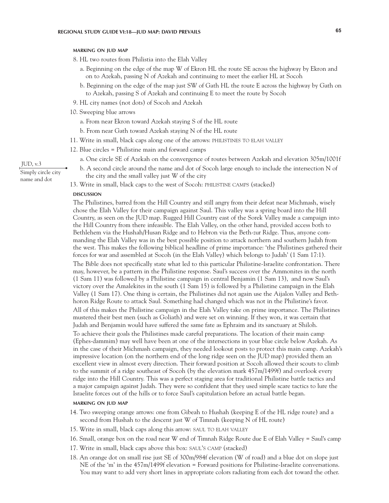### **marking on jud map**

- 8. HL two routes from Philistia into the Elah Valley
	- a. Beginning on the edge of the map W of Ekron HL the route SE across the highway by Ekron and on to Azekah, passing N of Azekah and continuing to meet the earlier HL at Socoh
	- b. Beginning on the edge of the map just SW of Gath HL the route E across the highway by Gath on to Azekah, passing S of Azekah and continuing E to meet the route by Socoh
- 9. HL city names (not dots) of Socoh and Azekah
- 10. Sweeping blue arrows
	- a. From near Ekron toward Azekah staying S of the HL route
	- b. From near Gath toward Azekah staying N of the HL route
- 11. Write in small, black caps along one of the arrows: philistines to elah valley
- 12. Blue circles = Philistine main and forward camps
	- a. One circle SE of Azekah on the convergence of routes between Azekah and elevation 305m/1001f
	- b. A second circle around the name and dot of Socoh large enough to include the intersection N of the city and the small valley just W of the city
- 13. Write in small, black caps to the west of Socoh: philistine camps (stacked)

#### **DISCUSSION discussion**

The Philistines, barred from the Hill Country and still angry from their defeat near Michmash, wisely chose the Elah Valley for their campaign against Saul. This valley was a spring board into the Hill Country, as seen on the JUD map. Rugged Hill Country east of the Sorek Valley made a campaign into the Hill Country from there infeasible. The Elah Valley, on the other hand, provided access both to Bethlehem via the Hushah/Husan Ridge and to Hebron via the Beth-zur Ridge. Thus, anyone commanding the Elah Valley was in the best possible position to attack northern and southern Judah from the west. This makes the following biblical headline of prime importance: 'the Philistines gathered their forces for war and assembled at Socoh (in the Elah Valley) which belongs to Judah' (1 Sam 17:1). The Bible does not specifically state what led to this particular Philistine-Israelite confrontation. There may, however, be a pattern in the Philistine response. Saul's success over the Ammonites in the north (1 Sam 11) was followed by a Philistine campaign in central Benjamin (1 Sam 13), and now Saul's victory over the Amalekites in the south (1 Sam 15) is followed by a Philistine campaign in the Elah Valley (1 Sam 17). One thing is certain, the Philistines did not again use the Aijalon Valley and Bethhoron Ridge Route to attack Saul. Something had changed which was not in the Philistine's favor. All of this makes the Philistine campaign in the Elah Valley take on prime importance. The Philistines mustered their best men (such as Goliath) and were set on winning. If they won, it was certain that Judah and Benjamin would have suffered the same fate as Ephraim and its sanctuary at Shiloh. To achieve their goals the Philistines made careful preparations. The location of their main camp (Ephes-dammim) may well have been at one of the intersections in your blue circle below Azekah. As in the case of their Michmash campaign, they needed lookout posts to protect this main camp. Azekah's impressive location (on the northern end of the long ridge seen on the JUD map) provided them an excellent view in almost every direction. Their forward position at Socoh allowed their scouts to climb to the summit of a ridge southeast of Socoh (by the elevation mark 457m/1499f) and overlook every ridge into the Hill Country. This was a perfect staging area for traditional Philistine battle tactics and a major campaign against Judah. They were so confident that they used simple scare tactics to lure the Israelite forces out of the hills or to force Saul's capitulation before an actual battle began.

## **marking on jud map**

- 14. Two sweeping orange arrows: one from Gibeah to Hushah (keeping E of the HL ridge route) and a second from Hushah to the descent just W of Timnah (keeping N of HL route)
- 15. Write in small, black caps along this arrow: saul to elah valley
- 16. Small, orange box on the road near W end of Timnah Ridge Route due E of Elah Valley = Saul's camp
- 17. Write in small, black caps above this box: saul's camp (stacked)
- 18. An orange dot on small rise just SE of 300m/984f elevation (W of road) and a blue dot on slope just NE of the 'm' in the 457m/1499f elevation = Forward positions for Philistine-Israelite conversations. You may want to add very short lines in appropriate colors radiating from each dot toward the other.

JUD, v.3 Simply circle city name and dot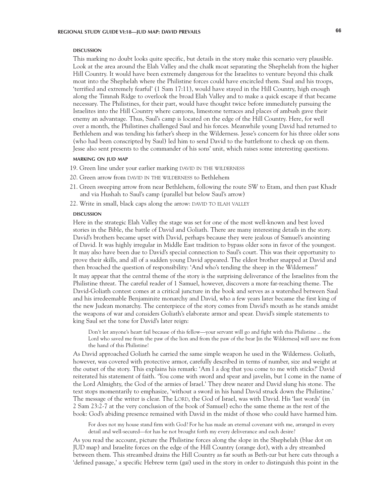#### **DISCUSSION discussion**

This marking no doubt looks quite specific, but details in the story make this scenario very plausible. Look at the area around the Elah Valley and the chalk moat separating the Shephelah from the higher Hill Country. It would have been extremely dangerous for the Israelites to venture beyond this chalk moat into the Shephelah where the Philistine forces could have encircled them. Saul and his troops, 'terrified and extremely fearful' (1 Sam 17:11), would have stayed in the Hill Country, high enough along the Timnah Ridge to overlook the broad Elah Valley and to make a quick escape if that became necessary. The Philistines, for their part, would have thought twice before immediately pursuing the Israelites into the Hill Country where canyons, limestone terraces and places of ambush gave their enemy an advantage. Thus, Saul's camp is located on the edge of the Hill Country. Here, for well over a month, the Philistines challenged Saul and his forces. Meanwhile young David had returned to Bethlehem and was tending his father's sheep in the Wilderness. Jesse's concern for his three older sons (who had been conscripted by Saul) led him to send David to the battlefront to check up on them. Jesse also sent presents to the commander of his sons' unit, which raises some interesting questions.

### **marking on jud map**

- 19. Green line under your earlier marking DAVID IN THE WILDERNESS
- 20. Green arrow from DAVID IN THE WILDERNESS to Bethlehem
- 21. Green sweeping arrow from near Bethlehem, following the route SW to Etam, and then past Khadr and via Hushah to Saul's camp (parallel but below Saul's arrow)
- 22. Write in small, black caps along the arrow: DAVID TO ELAH VALLEY

#### **DISCUSSION discussion**

Here in the strategic Elah Valley the stage was set for one of the most well-known and best loved stories in the Bible, the battle of David and Goliath. There are many interesting details in the story. David's brothers became upset with David, perhaps because they were jealous of Samuel's anointing of David. It was highly irregular in Middle East tradition to bypass older sons in favor of the youngest. It may also have been due to David's special connection to Saul's court. This was their opportunity to prove their skills, and all of a sudden young David appeared. The eldest brother snapped at David and then broached the question of responsibility: 'And who's tending the sheep in the Wilderness?' It may appear that the central theme of the story is the surprising deliverance of the Israelites from the Philistine threat. The careful reader of 1 Samuel, however, discovers a more far-reaching theme. The David-Goliath contest comes at a critical juncture in the book and serves as a watershed between Saul and his irredeemable Benjaminite monarchy and David, who a few years later became the first king of the new Judean monarchy. The centerpiece of the story comes from David's mouth as he stands amidst the weapons of war and considers Goliath's elaborate armor and spear. David's simple statements to king Saul set the tone for David's later reign:

Don't let anyone's heart fail because of this fellow—your servant will go and fight with this Philistine ... the Lord who saved me from the paw of the lion and from the paw of the bear [in the Wilderness] will save me from the hand of this Philistine!

As David approached Goliath he carried the same simple weapon he used in the Wilderness. Goliath, however, was covered with protective armor, carefully described in terms of number, size and weight at the outset of the story. This explains his remark: 'Am I a dog that you come to me with sticks?' David reiterated his statement of faith. 'You come with sword and spear and javelin, but I come in the name of the Lord Almighty, the God of the armies of Israel.' They drew nearer and David slung his stone. The text stops momentarily to emphasize, 'without a sword in his hand David struck down the Philistine.' The message of the writer is clear. The LORD, the God of Israel, was with David. His 'last words' (in 2 Sam 23:2-7 at the very conclusion of the book of Samuel) echo the same theme as the rest of the book: God's abiding presence remained with David in the midst of those who could have harmed him.

For does not my house stand firm with God? For he has made an eternal covenant with me, arranged in every detail and well-secured—for has he not brought forth my every deliverance and each desire?

As you read the account, picture the Philistine forces along the slope in the Shephelah (blue dot on JUD map) and Israelite forces on the edge of the Hill Country (orange dot), with a dry streambed between them. This streambed drains the Hill Country as far south as Beth-zur but here cuts through a 'defined passage,' a specific Hebrew term (*gai*) used in the story in order to distinguish this point in the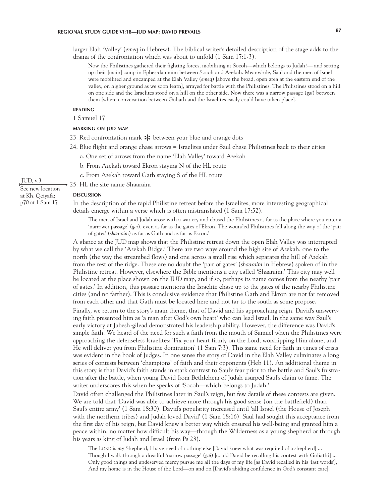# **REGIONAL STUDY GUIDE VI:18—JUD MAP: DAVID PREVAILS 67**

larger Elah 'Valley' (*emeq* in Hebrew). The biblical writer's detailed description of the stage adds to the drama of the confrontation which was about to unfold (1 Sam 17:1-3).

Now the Philistines gathered their fighting forces, mobilizing at Socoh—which belongs to Judah!— and setting up their [main] camp in Ephes-dammim between Socoh and Azekah. Meanwhile, Saul and the men of Israel were mobilized and encamped at the Elah Valley (*emeq*) [above the broad, open area at the eastern end of the valley, on higher ground as we soon learn], arrayed for battle with the Philistines. The Philistines stood on a hill on one side and the Israelites stood on a hill on the other side. Now there was a narrow passage (*gai*) between them [where conversation between Goliath and the Israelites easily could have taken place].

## **reading**

1 Samuel 17

## **marking on jud map**

- 23. Red confrontation mark  $*$  between your blue and orange dots
- 24. Blue flight and orange chase arrows = Israelites under Saul chase Philistines back to their cities
	- a. One set of arrows from the name 'Elah Valley' toward Azekah
	- b. From Azekah toward Ekron staying N of the HL route
	- c. From Azekah toward Gath staying S of the HL route
- 25. HL the site name Shaaraim

#### **DISCUSSION**

**discussion**

In the description of the rapid Philistine retreat before the Israelites, more interesting geographical details emerge within a verse which is often mistranslated (1 Sam 17:52).

The men of Israel and Judah arose with a war cry and chased the Philistines as far as the place where you enter a 'narrower passage' (*gai*), even as far as the gates of Ekron. The wounded Philistines fell along the way of the 'pair of gates' (*shaaraim*) as far as Gath and as far as Ekron.'

A glance at the JUD map shows that the Philistine retreat down the open Elah Valley was interrupted by what we call the 'Azekah Ridge.' There are two ways around the high site of Azekah, one to the north (the way the streambed flows) and one across a small rise which separates the hill of Azekah from the rest of the ridge. These are no doubt the 'pair of gates' (*shaaraim* in Hebrew) spoken of in the Philistine retreat. However, elsewhere the Bible mentions a city called 'Shaaraim.' This city may well be located at the place shown on the JUD map, and if so, perhaps its name comes from the nearby 'pair of gates.' In addition, this passage mentions the Israelite chase up to the gates of the nearby Philistine cities (and no farther). This is conclusive evidence that Philistine Gath and Ekron are not far removed from each other and that Gath must be located here and not far to the south as some propose.

Finally, we return to the story's main theme, that of David and his approaching reign. David's unswerving faith presented him as 'a man after God's own heart' who can lead Israel. In the same way Saul's early victory at Jabesh-gilead demonstrated his leadership ability. However, the difference was David's simple faith. We heard of the need for such a faith from the mouth of Samuel when the Philistines were approaching the defenseless Israelites: 'Fix your heart firmly on the Lord, worshipping Him alone, and He will deliver you from Philistine domination' (1 Sam 7:3). This same need for faith in times of crisis was evident in the book of Judges. In one sense the story of David in the Elah Valley culminates a long series of contests between 'champions' of faith and their opponents (Heb 11). An additional theme in this story is that David's faith stands in stark contrast to Saul's fear prior to the battle and Saul's frustration after the battle, when young David from Bethlehem of Judah usurped Saul's claim to fame. The writer underscores this when he speaks of 'Socoh—which belongs to Judah.'

David often challenged the Philistines later in Saul's reign, but few details of these contests are given. We are told that 'David was able to achieve more through his good sense (on the battlefield) than Saul's entire army' (1 Sam 18:30). David's popularity increased until 'all Israel (the House of Joseph with the northern tribes) and Judah loved David' (1 Sam 18:16). Saul had sought this acceptance from the first day of his reign, but David knew a better way which ensured his well-being and granted him a peace within, no matter how difficult his way—through the Wilderness as a young shepherd or through his years as king of Judah and Israel (from Ps 23).

The LORD is *my* Shepherd; I have need of nothing else [David knew what was required of a shepherd] ... Though I walk through a dreadful 'narrow passage' (*gai*) [could David be recalling his contest with Goliath?] ... Only good things and undeserved mercy pursue me all the days of my life [as David recalled in his 'last words'], And my home is in the House of the Lord—on and on [David's abiding confidence in God's constant care].

### JUD, v.3

See new location at Kh. Qeiyafa; p70 at 1 Sam 17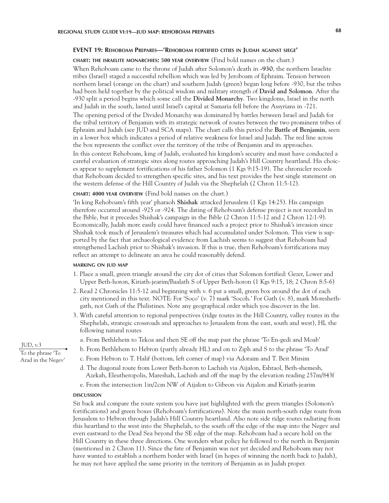### **EVENT 19: Rehoboam Prepares—'Rehoboam fortified cities in Judah against siege'**

#### **chart: the israelite monarchies: 500 year overview** (Find bold names on the chart.)

When Rehoboam came to the throne of Judah after Solomon's death in **-930**, the northern Israelite tribes (Israel) staged a successful rebellion which was led by Jeroboam of Ephraim. Tension between northern Israel (orange on the chart) and southern Judah (green) began long before -930, but the tribes had been held together by the political wisdom and military strength of **David and Solomon**. After the -930 split a period begins which some call the **Divided Monarchy**. Two kingdoms, Israel in the north and Judah in the south, lasted until Israel's capital at Samaria fell before the Assyrians in -721. The opening period of the Divided Monarchy was dominated by battles between Israel and Judah for the tribal territory of Benjamin with its strategic network of routes between the two prominent tribes of Ephraim and Judah (see JUD and SCA maps). The chart calls this period the **Battle of Benjamin**, seen in a lower box which indicates a period of relative weakness for Israel and Judah. The red line across the box represents the conflict over the territory of the tribe of Benjamin and its approaches. In this context Rehoboam, king of Judah, evaluated his kingdom's security and must have conducted a careful evaluation of strategic sites along routes approaching Judah's Hill Country heartland. His choices appear to supplement fortifications of his father Solomon (1 Kgs 9:15-19). The chronicler records that Rehoboam decided to strengthen specific sites, and his text provides the best single statement on the western defense of the Hill Country of Judah via the Shephelah (2 Chron 11:5-12).

## **chart: 4000 year overview** (Find bold names on the chart.)

'In king Rehoboam's fifth year' pharaoh **Shishak** attacked Jerusalem (1 Kgs 14:25). His campaign therefore occurred around -925 or -924. The dating of Rehoboam's defense project is not recorded in the Bible, but it precedes Shishak's campaign in the Bible (2 Chron 11:5-12 and 2 Chron 12:1-9). Economically, Judah more easily could have financed such a project prior to Shishak's invasion since Shishak took much of Jerusalem's treasures which had accumulated under Solomon. This view is supported by the fact that archaeological evidence from Lachish seems to suggest that Rehoboam had strengthened Lachish prior to Shishak's invasion. If this is true, then Rehoboam's fortifications may reflect an attempt to delineate an area he could reasonably defend.

### **marking on jud map**

- 1. Place a small, green triangle around the city dot of cities that Solomon fortified: Gezer, Lower and Upper Beth-horon, Kiriath-jearim/Baalath S of Upper Beth-horon (1 Kgs 9:15, 18; 2 Chron 8:5-6)
- 2. Read 2 Chronicles 11:5-12 and beginning with v. 6 put a small, green box around the dot of each city mentioned in this text. NOTE: For 'Soco' (v. 7) mark 'Socoh.' For Gath (v. 8), mark Moreshethgath, not Gath of the Philistines. Note any geographical order which you discover in the list.
- 3. With careful attention to regional perspectives (ridge routes in the Hill Country, valley routes in the Shephelah, strategic crossroads and approaches to Jerusalem from the east, south and west), HL the following natural routes
	- a. From Bethlehem to Tekoa and then SE off the map past the phrase 'To En-gedi and Moab'
- b. From Bethlehem to Hebron (partly already HL) and on to Ziph and S to the phrase 'To Arad'
- c. From Hebron to T. Halif (bottom, left corner of map) via Adoraim and T. Beit Mirsim
- d. The diagonal route from Lower Beth-horon to Lachish via Aijalon, Eshtaol, Beth-shemesh, Azekah, Eleutheropolis, Mareshah, Lachish and off the map by the elevation reading 257m/843f
- e. From the intersection 1in/2cm NW of Aijalon to Gibeon via Aijalon and Kiriath-jearim

#### **DISCUSSION discussion**

Sit back and compare the route system you have just highlighted with the green triangles (Solomon's fortifications) and green boxes (Rehoboam's fortifications). Note the main north-south ridge route from Jerusalem to Hebron through Judah's Hill Country heartland. Also note side ridge routes radiating from this heartland to the west into the Shephelah, to the south off the edge of the map into the Negev and even eastward to the Dead Sea beyond the SE edge of the map. Rehoboam had a secure hold on the Hill Country in these three directions. One wonders what policy he followed to the north in Benjamin (mentioned in 2 Chron 11). Since the fate of Benjamin was not yet decided and Rehoboam may not have wanted to establish a northern border with Israel (in hopes of winning the north back to Judah), he may not have applied the same priority in the territory of Benjamin as in Judah proper.

JUD, v.3 To the phrase 'To Arad in the Negev'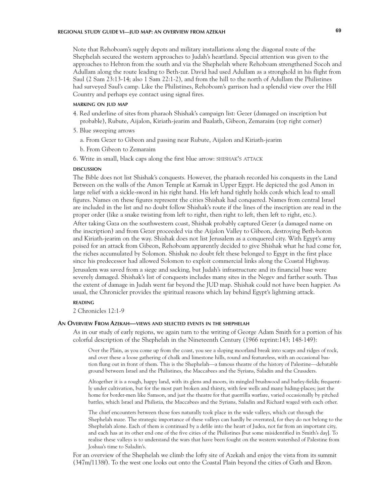# **REGIONAL STUDY GUIDE VI—JUD MAP: AN OVERVIEW FROM AZEKAH 69**

Note that Rehoboam's supply depots and military installations along the diagonal route of the Shephelah secured the western approaches to Judah's heartland. Special attention was given to the approaches to Hebron from the south and via the Shephelah where Rehoboam strengthened Socoh and Adullam along the route leading to Beth-zur. David had used Adullam as a stronghold in his flight from Saul (2 Sam 23:13-14; also 1 Sam 22:1-2), and from the hill to the north of Adullam the Philistines had surveyed Saul's camp. Like the Philistines, Rehoboam's garrison had a splendid view over the Hill Country and perhaps eye contact using signal fires.

# **marking on jud map**

- 4. Red underline of sites from pharaoh Shishak's campaign list: Gezer (damaged on inscription but probable), Rubute, Aijalon, Kiriath-jearim and Baalath, Gibeon, Zemaraim (top right corner)
- 5. Blue sweeping arrows
	- a. From Gezer to Gibeon and passing near Rubute, Aijalon and Kiriath-jearim
	- b. From Gibeon to Zemaraim
- 6. Write in small, black caps along the first blue arrow: shishak's attack

#### **DISCUSSION discussion**

The Bible does not list Shishak's conquests. However, the pharaoh recorded his conquests in the Land Between on the walls of the Amon Temple at Karnak in Upper Egypt. He depicted the god Amon in large relief with a sickle-sword in his right hand. His left hand tightly holds cords which lead to small figures. Names on these figures represent the cities Shishak had conquered. Names from central Israel are included in the list and no doubt follow Shishak's route if the lines of the inscription are read in the proper order (like a snake twisting from left to right, then right to left, then left to right, etc.).

After taking Gaza on the southwestern coast, Shishak probably captured Gezer (a damaged name on the inscription) and from Gezer proceeded via the Aijalon Valley to Gibeon, destroying Beth-horon and Kiriath-jearim on the way. Shishak does not list Jerusalem as a conquered city. With Egypt's army poised for an attack from Gibeon, Rehoboam apparently decided to give Shishak what he had come for, the riches accumulated by Solomon. Shishak no doubt felt these belonged to Egypt in the first place since his predecessor had allowed Solomon to exploit commercial links along the Coastal Highway.

Jerusalem was saved from a siege and sacking, but Judah's infrastructure and its financial base were severely damaged. Shishak's list of conquests includes many sites in the Negev and farther south. Thus the extent of damage in Judah went far beyond the JUD map. Shishak could not have been happier. As usual, the Chronicler provides the spiritual reasons which lay behind Egypt's lightning attack.

#### **reading**

2 Chronicles 12:1-9

### **An Overview From Azekah—views and selected events in the shephelah**

As in our study of early regions, we again turn to the writing of George Adam Smith for a portion of his colorful description of the Shephelah in the Nineteenth Century (1966 reprint:143; 148-149):

Over the Plain, as you come up from the coast, you see a sloping moorland break into scarps and ridges of rock, and over these a loose gathering of chalk and limestone hills, round and featureless, with an occasional bastion flung out in front of them. This is the Shephelah—a famous theatre of the history of Palestine—debatable ground between Israel and the Philistines, the Maccabees and the Syrians, Saladin and the Crusaders.

Altogether it is a rough, happy land, with its glens and moors, its mingled brushwood and barley-fields; frequently under cultivation, but for the most part broken and thirsty, with few wells and many hiding-places; just the home for border-men like Samson, and just the theatre for that guerrilla warfare, varied occasionally by pitched battles, which Israel and Philistia, the Maccabees and the Syrians, Saladin and Richard waged with each other.

The chief encounters between those foes naturally took place in the wide valleys, which cut through the Shephelah maze. The strategic importance of these valleys can hardly be overrated, for they do not belong to the Shephelah alone. Each of them is continued by a defile into the heart of Judea, not far from an important city, and each has at its other end one of the five cities of the Philistines [but some misidentified in Smith's day]. To realise these valleys is to understand the wars that have been fought on the western watershed of Palestine from Joshua's time to Saladin's.

For an overview of the Shephelah we climb the lofty site of Azekah and enjoy the vista from its summit (347m/1138f). To the west one looks out onto the Coastal Plain beyond the cities of Gath and Ekron.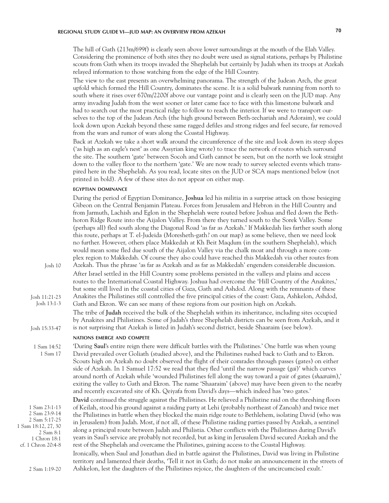# **REGIONAL STUDY GUIDE VI—JUD MAP: AN OVERVIEW FROM AZEKAH 70**

The hill of Gath (213m/699f) is clearly seen above lower surroundings at the mouth of the Elah Valley. Considering the prominence of both sites they no doubt were used as signal stations, perhaps by Philistine scouts from Gath when its troops invaded the Shephelah but certainly by Judah when its troops at Azekah relayed information to those watching from the edge of the Hill Country.

The view to the east presents an overwhelming panorama. The strength of the Judean Arch, the great upfold which formed the Hill Country, dominates the scene. It is a solid bulwark running from north to south where it rises over 670m/2200f above our vantage point and is clearly seen on the JUD map. Any army invading Judah from the west sooner or later came face to face with this limestone bulwark and had to search out the most practical ridge to follow to reach the interior. If we were to transport ourselves to the top of the Judean Arch (the high ground between Beth-zechariah and Adoraim), we could look down upon Azekah beyond these same ragged defiles and strong ridges and feel secure, far removed from the wars and rumor of wars along the Coastal Highway.

Back at Azekah we take a short walk around the circumference of the site and look down its steep slopes ('as high as an eagle's nest' as one Assyrian king wrote) to trace the network of routes which surround the site. The southern 'gate' between Socoh and Gath cannot be seen, but on the north we look straight down to the valley floor to the northern 'gate.' We are now ready to survey selected events which transpired here in the Shephelah. As you read, locate sites on the JUD or SCA maps mentioned below (not printed in bold). A few of these sites do not appear on either map.

# **egyptian dominance**

|                                                                                                                           | During the period of Egyptian Dominance, Joshua led his militia in a surprise attack on those besieging<br>Gibeon on the Central Benjamin Plateau. Forces from Jerusalem and Hebron in the Hill Country and<br>from Jarmuth, Lachish and Eglon in the Shephelah were routed before Joshua and fled down the Beth-<br>horon Ridge Route into the Aijalon Valley. From there they turned south to the Sorek Valley. Some<br>(perhaps all) fled south along the Diagonal Road 'as far as Azekah.' If Makkedah lies farther south along<br>this route, perhaps at T. el-Judeida (Moresheth-gath? on our map) as some believe, then we need look<br>no further. However, others place Makkedah at Kh Beit Magdum (in the southern Shephelah), which<br>would mean some fled due south of the Aijalon Valley via the chalk moat and through a more com-<br>plex region to Makkedah. Of course they also could have reached this Makkedah via other routes from |
|---------------------------------------------------------------------------------------------------------------------------|----------------------------------------------------------------------------------------------------------------------------------------------------------------------------------------------------------------------------------------------------------------------------------------------------------------------------------------------------------------------------------------------------------------------------------------------------------------------------------------------------------------------------------------------------------------------------------------------------------------------------------------------------------------------------------------------------------------------------------------------------------------------------------------------------------------------------------------------------------------------------------------------------------------------------------------------------------|
| Josh 10                                                                                                                   | Azekah. Thus the phrase 'as far as Azekah and as far as Makkedah' engenders considerable discussion.<br>After Israel settled in the Hill Country some problems persisted in the valleys and plains and access<br>routes to the International Coastal Highway. Joshua had overcome the 'Hill Country of the Anakites,'<br>but some still lived in the coastal cities of Gaza, Gath and Ashdod. Along with the remnants of these                                                                                                                                                                                                                                                                                                                                                                                                                                                                                                                           |
| Josh 11:21-23<br>Josh 13:1-3                                                                                              | Anakites the Philistines still controlled the five principal cities of the coast: Gaza, Ashkelon, Ashdod,<br>Gath and Ekron. We can see many of these regions from our position high on Azekah.                                                                                                                                                                                                                                                                                                                                                                                                                                                                                                                                                                                                                                                                                                                                                          |
| Josh 15:33-47                                                                                                             | The tribe of Judah received the bulk of the Shephelah within its inheritance, including sites occupied<br>by Anakites and Philistines. Some of Judah's three Shephelah districts can be seen from Azekah, and it<br>is not surprising that Azekah is listed in Judah's second district, beside Shaaraim (see below).                                                                                                                                                                                                                                                                                                                                                                                                                                                                                                                                                                                                                                     |
|                                                                                                                           | <b>NATIONS EMERGE AND COMPETE</b>                                                                                                                                                                                                                                                                                                                                                                                                                                                                                                                                                                                                                                                                                                                                                                                                                                                                                                                        |
| 1 Sam 14:52<br>1 Sam 17                                                                                                   | 'During Saul's entire reign there were difficult battles with the Philistines.' One battle was when young<br>David prevailed over Goliath (studied above), and the Philistines rushed back to Gath and to Ekron.<br>Scouts high on Azekah no doubt observed the flight of their comrades through passes (gates) on either<br>side of Azekah. In 1 Samuel 17:52 we read that they fled 'until the narrow passage (gai)' which curves<br>around north of Azekah while 'wounded Philistines fell along the way toward a pair of gates (shaaraim),'<br>exiting the valley to Gath and Ekron. The name 'Shaaraim' (above) may have been given to the nearby<br>and recently excavated site of Kh. Qeiyafa from David's days—which indeed has 'two gates.'                                                                                                                                                                                                     |
| 1 Sam 23:1-13<br>2 Sam 23:9-14<br>2 Sam 5:17-25<br>1 Sam 18:12, 27, 30<br>2 Sam 8:1<br>1 Chron 18:1<br>cf. 1 Chron 20:4-8 | David continued the struggle against the Philistines. He relieved a Philistine raid on the threshing floors<br>of Keilah, stood his ground against a raiding party at Lehi (probably northeast of Zanoah) and twice met<br>the Philistines in battle when they blocked the main ridge route to Bethlehem, isolating David (who was<br>in Jerusalem) from Judah. Most, if not all, of these Philistine raiding parties passed by Azekah, a sentinel<br>along a principal route between Judah and Philistia. Other conflicts with the Philistines during David's<br>years in Saul's service are probably not recorded, but as king in Jerusalem David secured Azekah and the<br>rest of the Shephelah and overcame the Philistines, gaining access to the Coastal Highway.                                                                                                                                                                                 |
| 2 Sam 1:19-20                                                                                                             | Ironically, when Saul and Jonathan died in battle against the Philistines, David was living in Philistine<br>territory and lamented their deaths, 'Tell it not in Gath; do not make an announcement in the streets of<br>Ashkelon, lest the daughters of the Philistines rejoice, the daughters of the uncircumcised exult.'                                                                                                                                                                                                                                                                                                                                                                                                                                                                                                                                                                                                                             |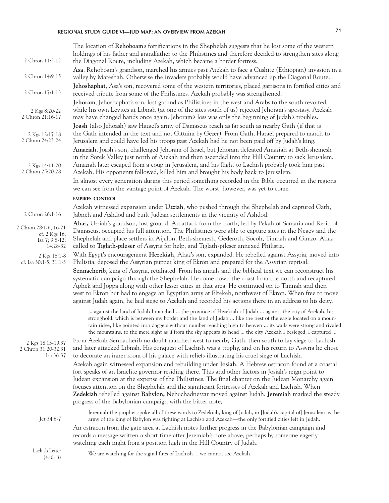# **REGIONAL STUDY GUIDE VI—JUD MAP: AN OVERVIEW FROM AZEKAH 71**

| 2 Chron 11:5-12                                                        | The location of Rehoboam's fortifications in the Shephelah suggests that he lost some of the western<br>holdings of his father and grandfather to the Philistines and therefore decided to strengthen sites along<br>the Diagonal Route, including Azekah, which became a border fortress.                                                                                                                                                                                                                                                                                                                                                                                                                                                                               |
|------------------------------------------------------------------------|--------------------------------------------------------------------------------------------------------------------------------------------------------------------------------------------------------------------------------------------------------------------------------------------------------------------------------------------------------------------------------------------------------------------------------------------------------------------------------------------------------------------------------------------------------------------------------------------------------------------------------------------------------------------------------------------------------------------------------------------------------------------------|
| 2 Chron 14:9-15                                                        | Asa, Rehoboam's grandson, marched his armies past Azekah to face a Cushite (Ethiopian) invasion in a<br>valley by Mareshah. Otherwise the invaders probably would have advanced up the Diagonal Route.                                                                                                                                                                                                                                                                                                                                                                                                                                                                                                                                                                   |
| 2 Chron 17:1-13                                                        | Jehoshaphat, Asa's son, recovered some of the western territories, placed garrisons in fortified cities and<br>received tribute from some of the Philistines. Azekah probably was strengthened.                                                                                                                                                                                                                                                                                                                                                                                                                                                                                                                                                                          |
| 2 Kgs 8:20-22<br>2 Chron 21:16-17                                      | Jehoram, Jehoshaphat's son, lost ground as Philistines in the west and Arabs to the south revolted,<br>while his own Levites at Libnah (at one of the sites south of us) rejected Jehoram's apostasy. Azekah<br>may have changed hands once again. Jehoram's loss was only the beginning of Judah's troubles.                                                                                                                                                                                                                                                                                                                                                                                                                                                            |
| 2 Kgs 12:17-18<br>2 Chron 24:23-24                                     | Joash (also Jehoash) saw Hazael's army of Damascus reach as far south as nearby Gath (if that is<br>the Gath intended in the text and not Gittaim by Gezer). From Gath, Hazael prepared to march to<br>Jerusalem and could have led his troops past Azekah had he not been paid off by Judah's king.                                                                                                                                                                                                                                                                                                                                                                                                                                                                     |
| 2 Kgs 14:11-20<br>2 Chron 25:20-28                                     | Amaziah, Joash's son, challenged Jehoram of Israel, but Jehoram defeated Amaziah at Beth-shemesh<br>in the Sorek Valley just north of Azekah and then ascended into the Hill Country to sack Jerusalem.<br>Amaziah later escaped from a coup in Jerusalem, and his flight to Lachish probably took him past<br>Azekah. His opponents followed, killed him and brought his body back to Jerusalem.                                                                                                                                                                                                                                                                                                                                                                        |
|                                                                        | In almost every generation during this period something recorded in the Bible occurred in the regions<br>we can see from the vantage point of Azekah. The worst, however, was yet to come.                                                                                                                                                                                                                                                                                                                                                                                                                                                                                                                                                                               |
|                                                                        | <b>EMPIRES CONTROL</b>                                                                                                                                                                                                                                                                                                                                                                                                                                                                                                                                                                                                                                                                                                                                                   |
| 2 Chron 26:1-16                                                        | Azekah witnessed expansion under Uzziah, who pushed through the Shephelah and captured Gath,<br>Jabneh and Ashdod and built Judean settlements in the vicinity of Ashdod.                                                                                                                                                                                                                                                                                                                                                                                                                                                                                                                                                                                                |
| 2 Chron 28:1-6, 16-21<br>cf. 2 Kgs 16;<br>Isa $7; 9:8-12;$<br>14:28-32 | Ahaz, Uzziah's grandson, lost ground. An attack from the north, led by Pekah of Samaria and Rezin of<br>Damascus, occupied his full attention. The Philistines were able to capture sites in the Negev and the<br>Shephelah and place settlers in Aijalon, Beth-shemesh, Gederoth, Socoh, Timnah and Gimzo. Ahaz<br>called to Tiglath-pileser of Assyria for help, and Tiglath-pileser annexed Philistia.                                                                                                                                                                                                                                                                                                                                                                |
| 2 Kgs 18:1-8<br>cf. Isa 30:1-5; 31:1-3                                 | With Egypt's encouragement Hezekiah, Ahaz's son, expanded. He rebelled against Assyria, moved into<br>Philistia, deposed the Assyrian puppet king of Ekron and prepared for the Assyrian reprisal.<br>Sennacherib, king of Assyria, retaliated. From his annals and the biblical text we can reconstruct his<br>systematic campaign through the Shephelah. He came down the coast from the north and recaptured<br>Aphek and Joppa along with other lesser cities in that area. He continued on to Timnah and then<br>west to Ekron but had to engage an Egyptian army at Eltekeh, northwest of Ekron. When free to move<br>against Judah again, he laid siege to Azekah and recorded his actions there in an address to his deity,                                      |
| 2 Kgs 18:13-19:37<br>2 Chron 31:20-32:31<br>Isa 36-37                  | against the land of Judah I marched  the province of Hezekiah of Judah  against the city of Azekah, his<br>stronghold, which is between my border and the land of Judah  like the nest of the eagle located on a moun-<br>tain ridge, like pointed iron daggers without number reaching high to heaven  its walls were strong and rivaled<br>the mountains, to the mere sight as if from the sky appears its head  the city Azekah I besieged, I captured<br>From Azekah Sennacherib no doubt marched west to nearby Gath, then south to lay siege to Lachish<br>and later attacked Libnah. His conquest of Lachish was a trophy, and on his return to Assyria he chose<br>to decorate an inner room of his palace with reliefs illustrating his cruel siege of Lachish. |
|                                                                        | Azekah again witnessed expansion and rebuilding under Josiah. A Hebrew ostracon found at a coastal<br>fort speaks of an Israelite governor residing there. This and other factors in Josiah's reign point to<br>Judean expansion at the expense of the Philistines. The final chapter on the Judean Monarchy again<br>focuses attention on the Shephelah and the significant fortresses of Azekah and Lachish. When<br>Zedekiah rebelled against Babylon, Nebuchadnezzar moved against Judah. Jeremiah marked the steady<br>progress of the Babylonian campaign with the bitter note,                                                                                                                                                                                    |
| Jer 34:6-7                                                             | Jeremiah the prophet spoke all of these words to Zedekiah, king of Judah, in [Judah's capital of] Jerusalem as the<br>army of the king of Babylon was fighting at Lachish and Azekah—the only fortified cities left in Judah.<br>An ostracon from the gate area at Lachish notes further progress in the Babylonian campaign and                                                                                                                                                                                                                                                                                                                                                                                                                                         |
|                                                                        | records a message written a short time after Jeremiah's note above, perhaps by someone eagerly<br>watching each night from a position high in the Hill Country of Judah.                                                                                                                                                                                                                                                                                                                                                                                                                                                                                                                                                                                                 |
| Lachish Letter<br>$(4:10-13)$                                          | We are watching for the signal fires of Lachish  we cannot see Azekah.                                                                                                                                                                                                                                                                                                                                                                                                                                                                                                                                                                                                                                                                                                   |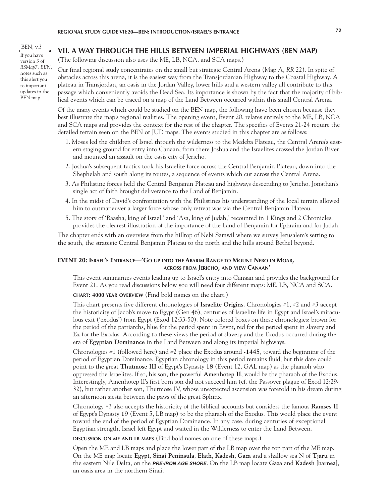BEN, v.3 If you have version 3 of *RSMap7: BEN*, notes such as this alert you to important updates in the BEN map

# **VII. A WAY THROUGH THE HILLS BETWEEN IMPERIAL HIGHWAYS (BEN MAP)**

(The following discussion also uses the ME, LB, NCA, and SCA maps.)

Our final regional study concentrates on the small but strategic Central Arena (Map A, *RR* 22). In spite of obstacles across this arena, it is the easiest way from the Transjordanian Highway to the Coastal Highway. A plateau in Transjordan, an oasis in the Jordan Valley, lower hills and a western valley all contribute to this passage which conveniently avoids the Dead Sea. Its importance is shown by the fact that the majority of biblical events which can be traced on a map of the Land Between occurred within this small Central Arena.

Of the many events which could be studied on the BEN map, the following have been chosen because they best illustrate the map's regional realities. The opening event, Event 20, relates entirely to the ME, LB, NCA and SCA maps and provides the context for the rest of the chapter. The specifics of Events 21-24 require the detailed terrain seen on the BEN or JUD maps. The events studied in this chapter are as follows:

- 1. Moses led the children of Israel through the wilderness to the Medeba Plateau, the Central Arena's eastern staging ground for entry into Canaan; from there Joshua and the Israelites crossed the Jordan River and mounted an assault on the oasis city of Jericho.
- 2. Joshua's subsequent tactics took his Israelite force across the Central Benjamin Plateau, down into the Shephelah and south along its routes, a sequence of events which cut across the Central Arena.
- 3. As Philistine forces held the Central Benjamin Plateau and highways descending to Jericho, Jonathan's single act of faith brought deliverance to the Land of Benjamin.
- 4. In the midst of David's confrontation with the Philistines his understanding of the local terrain allowed him to outmaneuver a larger force whose only retreat was via the Central Benjamin Plateau.
- 5. The story of 'Baasha, king of Israel,' and 'Asa, king of Judah,' recounted in 1 Kings and 2 Chronicles, provides the clearest illustration of the importance of the Land of Benjamin for Ephraim and for Judah.

The chapter ends with an overview from the hilltop of Nebi Samwil where we survey Jerusalem's setting to the south, the strategic Central Benjamin Plateau to the north and the hills around Bethel beyond.

# **EVENT 20: Israel's Entrance—'Go up into the Abarim Range to Mount Nebo in Moab, across from Jericho, and view Canaan'**

This event summarizes events leading up to Israel's entry into Canaan and provides the background for Event 21. As you read discussions below you will need four different maps: ME, LB, NCA and SCA.

**chart: 4000 year overview** (Find bold names on the chart.)

This chart presents five different chronologies of **Israelite Origins**. Chronologies #1, #2 and #3 accept the historicity of Jacob's move to Egypt (Gen 46), centuries of Israelite life in Egypt and Israel's miraculous exit ('exodus') from Egypt (Exod 12:33-50). Note colored boxes on these chronologies: brown for the period of the patriarchs, blue for the period spent in Egypt, red for the period spent in slavery and **Ex** for the Exodus. According to these views the period of slavery and the Exodus occurred during the era of **Egyptian Dominance** in the Land Between and along its imperial highways.

Chronologies #1 (followed here) and #2 place the Exodus around **-1445**, toward the beginning of the period of Egyptian Dominance. Egyptian chronology in this period remains fluid, but this date could point to the great **Thutmose III** of Egypt's Dynasty **18** (Event 12, GAL map) as the pharaoh who oppressed the Israelites. If so, his son, the powerful **Amenhotep II**, would be the pharaoh of the Exodus. Interestingly, Amenhotep II's first born son did not succeed him (cf. the Passover plague of Exod 12:29- 32), but rather another son, Thutmose IV, whose unexpected ascension was foretold in his dream during an afternoon siesta between the paws of the great Sphinx.

Chronology #3 also accepts the historicity of the biblical accounts but considers the famous **Ramses II**  of Egypt's Dynasty **19** (Event 5, LB map) to be the pharaoh of the Exodus. This would place the event toward the end of the period of Egyptian Dominance. In any case, during centuries of exceptional Egyptian strength, Israel left Egypt and waited in the Wilderness to enter the Land Between.

**discussion on me and lb maps** (Find bold names on one of these maps.)

Open the ME and LB maps and place the lower part of the LB map over the top part of the ME map. On the ME map locate **Egypt**, **Sinai Peninsula**, **Elath**, **Kadesh**, **Gaza** and a shallow sea N of **Tjaru** in the eastern Nile Delta, on the *PRE-IRON AGE SHORE*. On the LB map locate **Gaza** and **Kadesh** [**barnea**], an oasis area in the northern Sinai.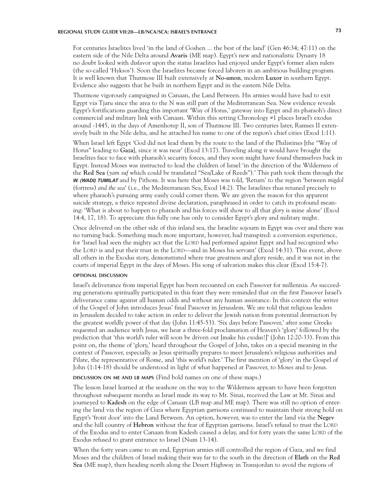# **REGIONAL STUDY GUIDE VII:20—LB/NCA/SCA: ISRAEL'S ENTRANCE 73**

For centuries Israelites lived 'in the land of Goshen ... the best of the land' (Gen 46:34; 47:11) on the eastern side of the Nile Delta around **Avaris** (ME map). Egypt's new and nationalistic Dynasty 18 no doubt looked with disfavor upon the status Israelites had enjoyed under Egypt's former alien rulers (the so-called 'Hyksos'). Soon the Israelites became forced laborers in an ambitious building program. It is well known that Thutmose III built extensively at **No-amon**, modern **Luxor** in southern Egypt. Evidence also suggests that he built in northern Egypt and in the eastern Nile Delta.

Thutmose vigorously campaigned in Canaan, the Land Between. His armies would have had to exit Egypt via Tjaru since the area to the N was still part of the Mediterranean Sea. New evidence reveals Egypt's fortifications guarding this important 'Way of Horus,' gateway into Egypt and its pharaoh's direct commercial and military link with Canaan. Within this setting Chronology #1 places Israel's exodus around -1445, in the days of Amenhotep II, son of Thutmose III. Two centuries later, Ramses II extensively built in the Nile delta, and he attached his name to one of the region's chief cities (Exod 1:11).

When Israel left Egypt 'God did not lead them by the route to the land of the Philistines [the "Way of Horus" leading to **Gaza**], since it was near' (Exod 13:17). Traveling along it would have brought the Israelites face to face with pharaoh's security forces, and they soon might have found themselves back in Egypt. Instead Moses was instructed to lead the children of Israel 'in the direction of the Wilderness of the **Red Sea** (*yam suf* which could be translated "Sea/Lake of Reeds").' This path took them through the *W. (WADI) TUMILAT* and by Pithom. It was here that Moses was told, 'Return' to the region 'between *migdol* (fortress) *and the sea*' (i.e., the Mediterranean Sea, Exod 14:2). The Israelites thus retuned precisely to where pharaoh's pursuing army easily could corner them. We are given the reason for this apparent suicide strategy, a thrice repeated divine declaration, paraphrased in order to catch its profound meaning: 'What is about to happen to pharaoh and his forces will show to all that *glory* is mine alone' (Exod 14:4, 17, 18). To appreciate this fully one has only to consider Egypt's glory and military might.

Once delivered on the other side of this inland sea, the Israelite sojourn in Egypt was over and there was no turning back. Something much more important, however, had transpired: a conversion experience, for 'Israel had seen the mighty act that the LORD had performed against Egypt and had recognized who the LORD is and put their trust in the LORD—and in Moses his servant' (Exod 14:31). This event, above all others in the Exodus story, demonstrated where true greatness and glory reside, and it was not in the courts of imperial Egypt in the days of Moses. His song of salvation makes this clear (Exod 15:4-7).

## **optional discussion**

Israel's deliverance from imperial Egypt has been recounted on each Passover for millennia. As succeeding generations spiritually participated in this feast they were reminded that on the first Passover Israel's deliverance came against all human odds and without any human assistance. In this context the writer of the Gospel of John introduces Jesus' final Passover in Jerusalem. We are told that religious leaders in Jerusalem decided to take action in order to deliver the Jewish nation from potential destruction by the greatest worldly power of that day (John 11:45-53). 'Six days before Passover,' after some Greeks requested an audience with Jesus, we hear a three-fold proclamation of Heaven's 'glory' followed by the prediction that 'this world's ruler will soon be driven out [make his *exodus*!]' (John 12:20-33). From this point on, the theme of 'glory,' heard throughout the Gospel of John, takes on a special meaning in the context of Passover, especially as Jesus spiritually prepares to meet Jerusalem's religious authorities and Pilate, the representative of Rome, and 'this world's ruler.' The first mention of 'glory' in the Gospel of John (1:14-18) should be understood in light of what happened at Passover, to Moses and to Jesus.

**discussion on me and lb maps** (Find bold names on one of these maps.)

The lesson Israel learned at the seashore on the way to the Wilderness appears to have been forgotten throughout subsequent months as Israel made its way to Mt. Sinai, received the Law at Mt. Sinai and journeyed to **Kadesh** on the edge of Canaan (LB map and ME map). There was still no option of entering the land via the region of Gaza where Egyptian garrisons continued to maintain their strong hold on Egypt's 'front door' into the Land Between. An option, however, was to enter the land via the **Negev**  and the hill country of **Hebron** without the fear of Egyptian garrisons. Israel's refusal to trust the LORD of the Exodus and to enter Canaan from Kadesh caused a delay, and for forty years the same LORD of the Exodus refused to grant entrance to Israel (Num 13-14).

When the forty years came to an end, Egyptian armies still controlled the region of Gaza, and we find Moses and the children of Israel making their way far to the south in the direction of **Elath** on the **Red Sea** (ME map), then heading north along the Desert Highway in Transjordan to avoid the regions of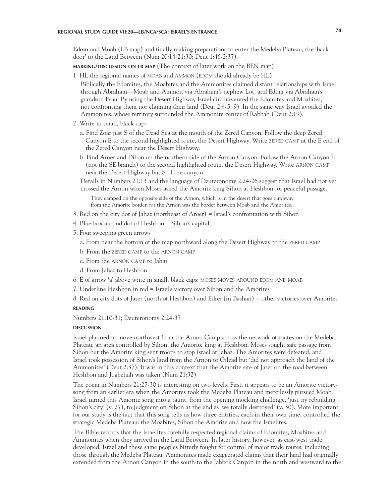**Edom** and **Moab** (LB map) and finally making preparations to enter the Medeba Plateau, the 'back door' to the Land Between (Num 20:14-21:30; Deut 1:46-2:37).

**marking/discussion on lb map** (The context of later work on the BEN map)

- 1. HL the regional names of MOAB and AMMON (EDOM should already be HL)
- Biblically the Edomites, the Moabites and the Ammonites claimed distant relationships with Israel through Abraham—Moab and Ammon via Abraham's nephew Lot, and Edom via Abraham's grandson Esau. By using the Desert Highway Israel circumvented the Edomites and Moabites, not confronting them nor claiming their land (Deut 2:4-5, 9). In the same way Israel avoided the Ammonites, whose territory surrounded the Ammonite center of Rabbah (Deut 2:19).
- 2. Write in small, black caps
	- a. Find Zoar just S of the Dead Sea at the mouth of the Zered Canyon. Follow the deep Zered Canyon E to the second highlighted route, the Desert Highway. Write ZERED CAMP at the E end of the Zered Canyon near the Desert Highway.
	- b. Find Aroer and Dibon on the northern side of the Arnon Canyon. Follow the Arnon Canyon E (not the SE branch) to the second highlighted route, the Desert Highway. Write ARNON CAMP near the Desert Highway but S of the canyon.

Details in Numbers 21:13 and the language of Deuteronomy 2:24-26 suggest that Israel had not yet crossed the Arnon when Moses asked the Amorite king Sihon at Heshbon for peaceful passage.

They camped on the opposite side of the Arnon, which is in the desert that goes out/away from the Amorite border, for the Arnon was the border between Moab and the Amorites.

- 3. Red on the city dot of Jahaz (northeast of Aroer) = Israel's confrontation with Sihon
- 4. Blue box around dot of Heshbon = Sihon's capital
- 5. Four sweeping green arrows
	- a. From near the bottom of the map northward along the Desert Highway to the ZERED CAMP
	- b. From the zered camp to the arnon camp
	- c. From the arnon camp to Jahaz
	- d. From Jahaz to Heshbon
- 6. E of arrow 'a' above write in small, black caps: moses moves around edom and moab
- 7. Underline Heshbon in red = Israel's victory over Sihon and the Amorites

8. Red on city dots of Jazer (north of Heshbon) and Edrei (in Bashan) = other victories over Amorites

# **reading**

Numbers 21:10-31; Deuteronomy 2:24-37

#### **DISCUSSION discussion**

Israel planned to move northwest from the Arnon Camp across the network of routes on the Medeba Plateau, an area controlled by Sihon, the Amorite king at Heshbon. Moses sought safe passage from Sihon but the Amorite king sent troops to stop Israel at Jahaz. The Amorites were defeated, and Israel took possession of Sihon's land from the Arnon to Gilead but 'did not approach the land of the Ammonites' (Deut 2:37). It was in this context that the Amorite site of Jazer on the road between Heshbon and Jogbehah was taken (Num 21:32).

The poem in Numbers 21:27-30 is interesting on two levels. First, it appears to be an Amorite victorysong from an earlier era when the Amorites took the Medeba Plateau and mercilessly pursued Moab. Israel turned this Amorite song into a taunt, from the opening mocking challenge, 'just try rebuilding Sihon's city' (v. 27), to judgment on Sihon at the end as 'we totally destroyed' (v. 30). More important for our study is the fact that this song tells us how three entities, each in their own time, controlled the strategic Medeba Plateau: the Moabites, Sihon the Amorite and now the Israelites.

The Bible records that the Israelites carefully respected regional claims of Edomites, Moabites and Ammonites when they arrived in the Land Between. In later history, however, as east-west trade developed, Israel and these same peoples bitterly fought for control of major trade routes, including those through the Medeba Plateau. Ammonites made exaggerated claims that their land had originally extended from the Arnon Canyon in the south to the Jabbok Canyon in the north and westward to the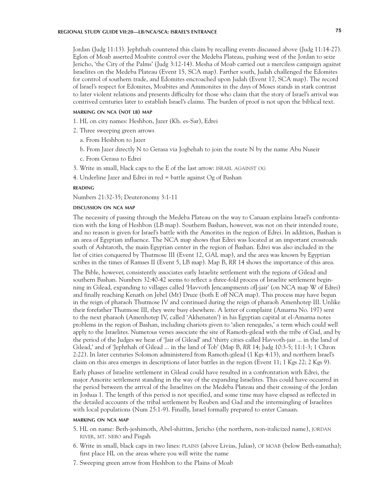# **REGIONAL STUDY GUIDE VII:20—LB/NCA/SCA: ISRAEL'S ENTRANCE 75**

Jordan (Judg 11:13). Jephthah countered this claim by recalling events discussed above (Judg 11:14-27). Eglon of Moab asserted Moabite control over the Medeba Plateau, pushing west of the Jordan to seize Jericho, 'the City of the Palms' (Judg 3:12-14). Mesha of Moab carried out a merciless campaign against Israelites on the Medeba Plateau (Event 15, SCA map). Farther south, Judah challenged the Edomites for control of southern trade, and Edomites encroached upon Judah (Event 17, SCA map). The record of Israel's respect for Edomites, Moabites and Ammonites in the days of Moses stands in stark contrast to later violent relations and presents difficulty for those who claim that the story of Israel's arrival was contrived centuries later to establish Israel's claims. The burden of proof is not upon the biblical text.

### **marking on nca (not lb) map**

- 1. HL on city names: Heshbon, Jazer (Kh. es-Sar), Edrei
- 2. Three sweeping green arrows
	- a. From Heshbon to Jazer
	- b. From Jazer directly N to Gerasa via Jogbehah to join the route N by the name Abu Nuseir
	- c. From Gerasa to Edrei
- 3. Write in small, black caps to the E of the last arrow: israel against og

4. Underline Jazer and Edrei in red = battle against Og of Bashan

# **reading**

Numbers 21:32-35; Deuteronomy 3:1-11

#### **discussion on nca map**

The necessity of passing through the Medeba Plateau on the way to Canaan explains Israel's confrontation with the king of Heshbon (LB map). Southern Bashan, however, was not on their intended route, and no reason is given for Israel's battle with the Amorites in the region of Edrei. In addition, Bashan is an area of Egyptian influence. The NCA map shows that Edrei was located at an important crossroads south of Ashtaroth, the main Egyptian center in the region of Bashan. Edrei was also included in the list of cities conquered by Thutmose III (Event 12, GAL map), and the area was known by Egyptian scribes in the times of Ramses II (Event 5, LB map). Map B, *RR* 14 shows the importance of this area.

The Bible, however, consistently associates early Israelite settlement with the regions of Gilead and southern Bashan. Numbers 32:40-42 seems to reflect a three-fold process of Israelite settlement beginning in Gilead, expanding to villages called 'Havvoth [encampments of]-jair' (on NCA map W of Edrei) and finally reaching Kenath on Jebel (Mt) Druze (both E off NCA map). This process may have begun in the reign of pharaoh Thutmose IV and continued during the reign of pharaoh Amenhotep III. Unlike their forefather Thutmose III, they were busy elsewhere. A letter of complaint (Amarna No. 197) sent to the next pharaoh (Amenhotep IV, called 'Akhenaten') in his Egyptian capital at el-Amarna notes problems in the region of Bashan, including chariots given to 'alien renegades,' a term which could well apply to the Israelites. Numerous verses associate the site of Ramoth-gilead with the tribe of Gad, and by the period of the Judges we hear of 'Jair of Gilead' and 'thirty cities called Havvoth-jair ... in the land of Gilead,' and of 'Jephthah of Gilead ... in the land of Tob' (Map B, *RR* 14; Judg 10:3-5; 11:1-3; 1 Chron 2:22). In later centuries Solomon administered from Ramoth-gilead (1 Kgs 4:13), and northern Israel's claim on this area emerges in descriptions of later battles in the region (Event 11; 1 Kgs 22; 2 Kgs 9).

Early phases of Israelite settlement in Gilead could have resulted in a confrontation with Edrei, the major Amorite settlement standing in the way of the expanding Israelites. This could have occurred in the period between the arrival of the Israelites on the Medeba Plateau and their crossing of the Jordan in Joshua 1. The length of this period is not specified, and some time may have elapsed as reflected in the detailed accounts of the tribal settlement by Reuben and Gad and the intermingling of Israelites with local populations (Num 25:1-9). Finally, Israel formally prepared to enter Canaan.

# **marking on nca map**

- 5. HL on name: Beth-jeshimoth, Abel-shittim, Jericho (the northern, non-italicized name), jordan river, mt. nebo and Pisgah
- 6. Write in small, black caps in two lines: plains (above Livias, Julias), of moab (below Beth-ramatha); first place HL on the areas where you will write the name
- 7. Sweeping green arrow from Heshbon to the Plains of Moab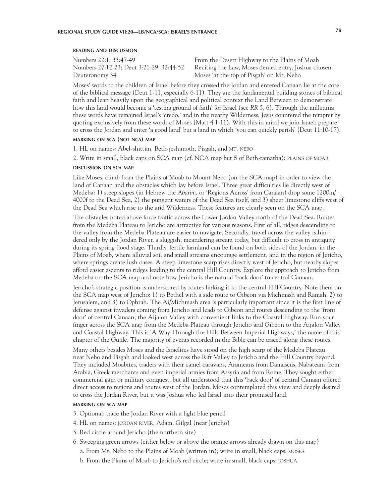Deuteronomy 34 Moses 'at the top of Pisgah' on Mt. Nebo

Numbers 22:1; 33:47-49 From the Desert Highway to the Plains of Moab Numbers 27:12-23; Deut 3:21-29; 32:44-52 Reciting the Law, Moses denied entry, Joshua chosen

Moses' words to the children of Israel before they crossed the Jordan and entered Canaan lie at the core of the biblical message (Deut 1-11, especially 6-11). They are the fundamental building stones of biblical faith and lean heavily upon the geographical and political context the Land Between to demonstrate how this land would become a 'testing ground of faith' for Israel (see *RR* 5, 6). Through the millennia these words have remained Israel's 'credo,' and in the nearby Wilderness, Jesus countered the tempter by quoting exclusively from these words of Moses (Matt 4:1-11). With this in mind we join Israel; prepare to cross the Jordan and enter 'a good land' but a land in which 'you can quickly perish' (Deut 11:10-17).

# **marking on sca (not nca) map**

1. HL on names: Abel-shittim, Beth-jeshimoth, Pisgah, and MT. NEBO

2. Write in small, black caps on SCA map (cf. NCA map but S of Beth-ramatha): plains of moab

### **discussion on sca map**

Like Moses, climb from the Plains of Moab to Mount Nebo (on the SCA map) in order to view the land of Canaan and the obstacles which lay before Israel. Three great difficulties lie directly west of Medeba: 1) steep slopes (in Hebrew the *Abarim*, or 'Regions Across' from Canaan) drop some 1200m/ 4000f to the Dead Sea, 2) the pungent waters of the Dead Sea itself, and 3) sheer limestone cliffs west of the Dead Sea which rise to the arid Wilderness. These features are clearly seen on the SCA map.

The obstacles noted above force traffic across the Lower Jordan Valley north of the Dead Sea. Routes from the Medeba Plateau to Jericho are attractive for various reasons. First of all, ridges descending to the valley from the Medeba Plateau are easier to navigate. Secondly, travel across the valley is hindered only by the Jordan River, a sluggish, meandering stream today, but difficult to cross in antiquity during its spring flood stage. Thirdly, fertile farmland can be found on both sides of the Jordan, in the Plains of Moab, where alluvial soil and small streams encourage settlement, and in the region of Jericho, where springs create lush oases. A steep limestone scarp rises directly west of Jericho, but nearby slopes afford easier ascents to ridges leading to the central Hill Country. Explore the approach to Jericho from Medeba on the SCA map and note how Jericho is the natural 'back door' to central Canaan.

Jericho's strategic position is underscored by routes linking it to the central Hill Country. Note them on the SCA map west of Jericho: 1) to Bethel with a side route to Gibeon via Michmash and Ramah, 2) to Jerusalem, and 3) to Ophrah. The Ai/Michmash area is particularly important since it is the first line of defense against invaders coming from Jericho and leads to Gibeon and routes descending to the 'front door' of central Canaan, the Aijalon Valley with convenient links to the Coastal Highway. Run your finger across the SCA map from the Medeba Plateau through Jericho and Gibeon to the Aijalon Valley and Coastal Highway. This is 'A Way Through the Hills Between Imperial Highways,' the name of this chapter of the Guide. The majority of events recorded in the Bible can be traced along these routes.

Many others besides Moses and the Israelites have stood on the high scarp of the Medeba Plateau near Nebo and Pisgah and looked west across the Rift Valley to Jericho and the Hill Country beyond. They included Moabites, traders with their camel caravans, Arameans from Damascus, Nabateans from Arabia, Greek merchants and even imperial armies from Assyria and from Rome. They sought either commercial gain or military conquest, but all understood that this 'back door' of central Canaan offered direct access to regions and routes west of the Jordan. Moses contemplated this view and deeply desired to cross the Jordan River, but it was Joshua who led Israel into their promised land.

# **marking on sca map**

- 3. Optional: trace the Jordan River with a light blue pencil
- 4. HL on names: JORDAN RIVER, Adam, Gilgal (near Jericho)
- 5. Red circle around Jericho (the northern site)
- 6. Sweeping green arrows (either below or above the orange arrows already drawn on this map)
	- a. From Mt. Nebo to the Plains of Moab (written in); write in small, black caps: moses
	- b. From the Plains of Moab to Jericho's red circle; write in small, black caps: joshua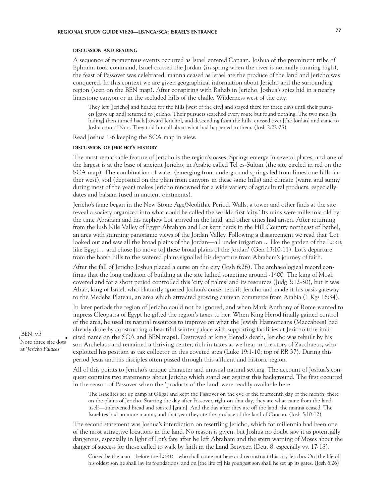#### **discussion and reading**

A sequence of momentous events occurred as Israel entered Canaan. Joshua of the prominent tribe of Ephraim took command, Israel crossed the Jordan (in spring when the river is normally running high), the feast of Passover was celebrated, manna ceased as Israel ate the produce of the land and Jericho was conquered. In this context we are given geographical information about Jericho and the surrounding region (seen on the BEN map). After conspiring with Rahab in Jericho, Joshua's spies hid in a nearby limestone canyon or in the secluded hills of the chalky Wilderness west of the city.

They left [Jericho] and headed for the hills [west of the city] and stayed there for three days until their pursuers [gave up and] returned to Jericho. Their pursuers searched every route but found nothing. The two men [in hiding] then turned back [toward Jericho], and descending from the hills, crossed over [the Jordan] and came to Joshua son of Nun. They told him all about what had happened to them. (Josh 2:22-23)

Read Joshua 1-6 keeping the SCA map in view.

### **discussion of jericho's history**

The most remarkable feature of Jericho is the region's oases. Springs emerge in several places, and one of the largest is at the base of ancient Jericho, in Arabic called Tel es-Sultan (the site circled in red on the SCA map). The combination of water (emerging from underground springs fed from limestone hills farther west), soil (deposited on the plain from canyons in these same hills) and climate (warm and sunny during most of the year) makes Jericho renowned for a wide variety of agricultural products, especially dates and balsam (used in ancient ointments).

Jericho's fame began in the New Stone Age/Neolithic Period. Walls, a tower and other finds at the site reveal a society organized into what could be called the world's first 'city.' Its ruins were millennia old by the time Abraham and his nephew Lot arrived in the land, and other cities had arisen. After returning from the lush Nile Valley of Egypt Abraham and Lot kept herds in the Hill Country northeast of Bethel, an area with stunning panoramic views of the Jordan Valley. Following a disagreement we read that 'Lot looked out and saw all the broad plains of the Jordan—all under irrigation ... like the garden of the LORD, like Egypt ... and chose [to move to] these broad plains of the Jordan' (Gen 13:10-11). Lot's departure from the harsh hills to the watered plains signalled his departure from Abraham's journey of faith.

After the fall of Jericho Joshua placed a curse on the city (Josh 6:26). The archaeological record confirms that the long tradition of building at the site halted sometime around -1400. The king of Moab coveted and for a short period controlled this 'city of palms' and its resources (Judg 3:12-30), but it was Ahab, king of Israel, who blatantly ignored Joshua's curse, rebuilt Jericho and made it his oasis gateway to the Medeba Plateau, an area which attracted growing caravan commerce from Arabia (1 Kgs 16:34).

In later periods the region of Jericho could not be ignored, and when Mark Anthony of Rome wanted to impress Cleopatra of Egypt he gifted the region's taxes to her. When King Herod finally gained control of the area, he used its natural resources to improve on what the Jewish Hasmoneans (Maccabees) had already done by constructing a beautiful winter palace with supporting facilities at Jericho (the italicized name on the SCA and BEN maps). Destroyed at king Herod's death, Jericho was rebuilt by his son Archelaus and remained a thriving center, rich in taxes as we hear in the story of Zacchaeus, who exploited his position as tax collector in this coveted area (Luke 19:1-10; top of *RR* 37). During this period Jesus and his disciples often passed through this affluent and historic region.

All of this points to Jericho's unique character and unusual natural setting. The account of Joshua's conquest contains two statements about Jericho which stand out against this background. The first occurred in the season of Passover when the 'products of the land' were readily available here.

The Israelites set up camp at Gilgal and kept the Passover on the eve of the fourteenth day of the month, there on the plains of Jericho. Starting the day after Passover, right on that day, they ate what came from the land itself—unleavened bread and roasted [grain]. And the day after they ate off the land, the manna ceased. The Israelites had no more manna, and that year they ate the produce of the land of Canaan. (Josh 5:10-12)

The second statement was Joshua's interdiction on resettling Jericho, which for millennia had been one of the most attractive locations in the land. No reason is given, but Joshua no doubt saw it as potentially dangerous, especially in light of Lot's fate after he left Abraham and the stern warning of Moses about the danger of success for those called to walk by faith in the Land Between (Deut 8, especially vv. 17-18).

Cursed be the man—before the LORD—who shall come out here and reconstruct this city Jericho. On [the life of] his oldest son he shall lay its foundations, and on [the life of] his youngest son shall he set up its gates. (Josh 6:26)

BEN, v.3 Note three site dots

at '*Jericho Palaces*'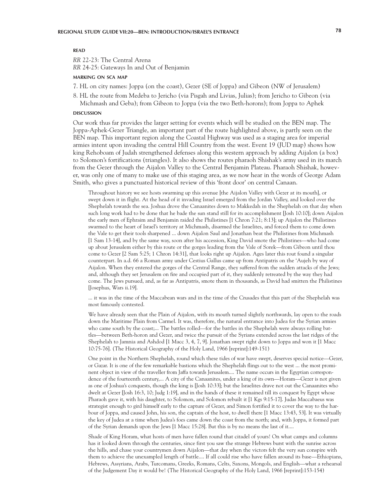#### **READ**  $\overline{\phantom{a}}$

*RR* 22-23: The Central Arena *RR* 24-25: Gateways In and Out of Benjamin

# **marking on sca map**

- 7. HL on city names: Joppa (on the coast), Gezer (SE of Joppa) and Gibeon (NW of Jerusalem)
- 8. HL the route from Medeba to Jericho (via Pisgah and Livias, Julias); from Jericho to Gibeon (via

Michmash and Geba); from Gibeon to Joppa (via the two Beth-horons); from Joppa to Aphek

#### **DISCUSSION discussion**

Our work thus far provides the larger setting for events which will be studied on the BEN map. The Joppa-Aphek-Gezer Triangle, an important part of the route highlighted above, is partly seen on the BEN map. This important region along the Coastal Highway was used as a staging area for imperial armies intent upon invading the central Hill Country from the west. Event 19 (JUD map) shows how king Rehoboam of Judah strengthened defenses along this western approach by adding Aijalon (a box) to Solomon's fortifications (triangles). It also shows the routes pharaoh Shishak's army used in its march from the Gezer through the Aijalon Valley to the Central Benjamin Plateau. Pharaoh Shishak, however, was only one of many to make use of this staging area, as we now hear in the words of George Adam Smith, who gives a punctuated historical review of this 'front door' on central Canaan.

Throughout history we see hosts swarming up this avenue [the Aijalon Valley with Gezer at its mouth], or swept down it in flight. At the head of it invading Israel emerged from the Jordan Valley, and looked over the Shephelah towards the sea. Joshua drove the Canaanites down to Makkedah in the Shephelah on that day when such long work had to be done that he bade the sun stand still for its accomplishment [Josh 10:10]; down Aijalon the early men of Ephraim and Benjamin raided the Philistines [1 Chron 7:21; 8:13]; up Aijalon the Philistines swarmed to the heart of Israel's territory at Michmash, disarmed the Israelites, and forced them to come down the Vale to get their tools sharpened ... down Aijalon Saul and Jonathan beat the Philistines from Michmash [1 Sam 13-14], and by the same way, soon after his accession, King David smote the Philistines—who had come up about Jerusalem either by this route or the gorges leading from the Vale of Sorek—from Gibeon until thou come to Gezer [2 Sam 5:25; 1 Chron 14:31], that looks right up Aijalon. Ages later this rout found a singular counterpart. In a.d. 66 a Roman army under Cestius Gallus came up from Antipatris on the 'Aujeh by way of Aijalon. When they entered the gorges of the Central Range, they suffered from the sudden attacks of the Jews; and, although they set Jerusalem on fire and occupied part of it, they suddenly retreated by the way they had come. The Jews pursued, and, as far as Antipatris, smote them in thousands, as David had smitten the Philistines [Josephus, Wars ii.19].

... it was in the time of the Maccabean wars and in the time of the Crusades that this part of the Shephelah was most famously contested.

We have already seen that the Plain of Aijalon, with its mouth turned slightly northwards, lay open to the roads down the Maritime Plain from Carmel. It was, therefore, the natural entrance into Judea for the Syrian armies who came south by the coast;... The battles rolled—for the battles in the Shephelah were always rolling battles—between Beth-horon and Gezer, and twice the pursuit of the Syrians extended across the last ridges of the Shephelah to Jamnia and Ashdod [1 Macc 3, 4, 7, 9]. Jonathan swept right down to Joppa and won it [1 Macc 10:75-76]. (The Historical Geography of the Holy Land, 1966 [reprint]:149-151)

One point in the Northern Shephelah, round which these tides of war have swept, deserves special notice—Gezer, or Gazar. It is one of the few remarkable bastions which the Shephelah flings out to the west ... the most prominent object in view of the traveller from Jaffa towards Jerusalem.... The name occurs in the Egyptian correspondence of the fourteenth century,... A city of the Canaanites, under a king of its own—Horam—Gezer is not given as one of Joshua's conquests, though the king is [Josh 10:33]; but the Israelites drave not out the Canaanites who dwelt at Gezer [Josh 16:3, 10; Judg 1:19], and in the hands of these it remained till its conquest by Egypt whose Pharaoh gave it, with his daughter, to Solomon, and Solomon rebuilt it [1 Kgs 9:15-17]. Judas Maccabaeus was strategist enough to gird himself early to the capture of Gezer, and Simon fortified it to cover the way to the harbour of Joppa, and caused John, his son, the captain of the host, to dwell there [1 Macc 13:43, 53]. It was virtually the key of Judea at a time when Judea's foes came down the coast from the north; and, with Joppa, it formed part of the Syrian demands upon the Jews [1 Macc 15:28]. But this is by no means the last of it....

Shade of King Horam, what hosts of men have fallen round that citadel of yours! On what camps and columns has it looked down through the centuries, since first you saw the strange Hebrews burst with the sunrise across the hills, and chase your countrymen down Aijalon—that day when the victors felt the very sun conspire with them to achieve the unexampled length of battle.... If all could rise who have fallen around its base—Ethiopians, Hebrews, Assyrians, Arabs, Turcomans, Greeks, Romans, Celts, Saxons, Mongols, and English—what a rehearsal of the Judgement Day it would be! (The Historical Geography of the Holy Land, 1966 [reprint]:153-154)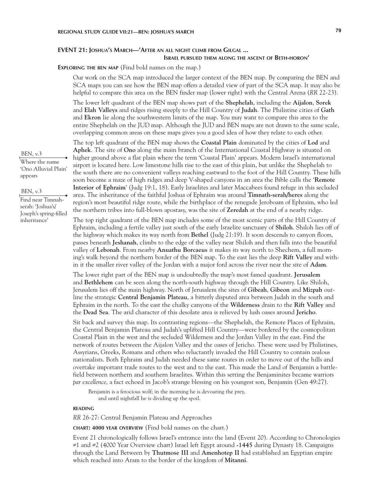# **EVENT 21: Joshua's March—'After an all night climb from Gilgal ... Israel pursued them along the ascent of Beth-horon'**

# **Exploring the ben map** (Find bold names on the map.)

Our work on the SCA map introduced the larger context of the BEN map. By comparing the BEN and SCA maps you can see how the BEN map offers a detailed view of part of the SCA map. It may also be helpful to compare this area on the BEN finder map (lower right) with the Central Arena (*RR* 22-23).

The lower left quadrant of the BEN map shows part of the **Shephelah**, including the **Aijalon**, **Sorek**  and **Elah Valleys** and ridges rising steeply to the Hill Country of **Judah**. The Philistine cities of **Gath**  and **Ekron** lie along the southwestern limits of the map. You may want to compare this area to the entire Shephelah on the JUD map. Although the JUD and BEN maps are not drawn to the same scale, overlapping common areas on these maps gives you a good idea of how they relate to each other.

The top left quadrant of the BEN map shows the **Coastal Plain** dominated by the cities of **Lod** and **Aphek**. The site of **Ono** along the main branch of the International Coastal Highway is situated on higher ground above a flat plain where the term 'Coastal Plain' appears. Modern Israel's international airport is located here. Low limestone hills rise to the east of this plain, but unlike the Shephelah to the south there are no convenient valleys reaching eastward to the foot of the Hill Country. These hills soon become a maze of high ridges and deep V-shaped canyons in an area the Bible calls the '**Remote Interior of Ephraim**' (Judg 19:1, 18). Early Israelites and later Maccabees found refuge in this secluded area. The inheritance of the faithful Joshua of Ephraim was around **Timnath-serah/heres** along the region's most beautiful ridge route, while the birthplace of the renegade Jeroboam of Ephraim, who led the northern tribes into full-blown apostasy, was the site of **Zeredah** at the end of a nearby ridge.

The top right quadrant of the BEN map includes some of the most scenic parts of the Hill Country of Ephraim, including a fertile valley just south of the early Israelite sanctuary of **Shiloh**. Shiloh lies off of the highway which makes its way north from **Bethel** (Judg 21:19). It soon descends to canyon floors, passes beneath **Jeshanah**, climbs to the edge of the valley near Shiloh and then falls into the beautiful valley of **Lebonah**. From nearby **Anuathu Borcaeus** it makes its way north to Shechem, a full morning's walk beyond the northern border of the BEN map. To the east lies the deep **Rift Valley** and within it the smaller river valley of the Jordan with a major ford across the river near the site of **Adam**.

The lower right part of the BEN map is undoubtedly the map's most famed quadrant. **Jerusalem**  and **Bethlehem** can be seen along the north-south highway through the Hill Country. Like Shiloh, Jerusalem lies off the main highway. North of Jerusalem the sites of **Gibeah**, **Gibeon** and **Mizpah** outline the strategic **Central Benjamin Plateau**, a bitterly disputed area between Judah in the south and Ephraim in the north. To the east the chalky canyons of the **Wilderness** drain to the **Rift Valley** and the **Dead Sea**. The arid character of this desolate area is relieved by lush oases around **Jericho**.

Sit back and survey this map. Its contrasting regions—the Shephelah, the Remote Places of Ephraim, the Central Benjamin Plateau and Judah's uplifted Hill Country—were bordered by the cosmopolitan Coastal Plain in the west and the secluded Wilderness and the Jordan Valley in the east. Find the network of routes between the Aijalon Valley and the oases of Jericho. These were used by Philistines, Assyrians, Greeks, Romans and others who reluctantly invaded the Hill Country to contain zealous nationalists. Both Ephraim and Judah needed these same routes in order to move out of the hills and overtake important trade routes to the west and to the east. This made the Land of Benjamin a battlefield between northern and southern Israelites. Within this setting the Benjaminites became warriors *par excellence*, a fact echoed in Jacob's strange blessing on his youngest son, Benjamin (Gen 49:27).

Benjamin is a ferocious wolf; in the morning he is devouring the prey, and until nightfall he is dividing up the spoil.

#### **reading**

*RR* 26-27: Central Benjamin Plateau and Approaches

**chart: 4000 year overview** (Find bold names on the chart.)

Event 21 chronologically follows Israel's entrance into the land (Event 20). According to Chronologies #1 and #2 (4000 Year Overview chart) Israel left Egypt around **-1445** during Dynasty 18. Campaigns through the Land Between by **Thutmose III** and **Amenhotep II** had established an Egyptian empire which reached into Aram to the border of the kingdom of **Mitanni**.

BEN, v.3

Where the name 'Ono Alluvial Plain' appears

#### BEN, v.3

Find near Timnahserah: 'Joshua's/ Joseph's spring-filled inheritance'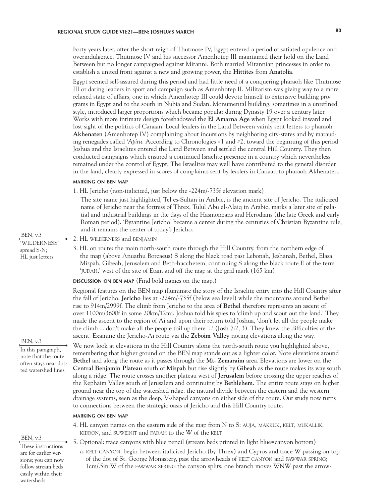Forty years later, after the short reign of Thutmose IV, Egypt entered a period of satiated opulence and overindulgence. Thutmose IV and his successor Amenhotep III maintained their hold on the Land Between but no longer campaigned against Mitanni. Both married Mitannian princesses in order to establish a united front against a new and growing power, the **Hittites** from **Anatolia**.

Egypt seemed self-assured during this period and had little need of a conquering pharaoh like Thutmose III or daring leaders in sport and campaign such as Amenhotep II. Militarism was giving way to a more relaxed state of affairs, one in which Amenhotep III could devote himself to extensive building programs in Egypt and to the south in Nubia and Sudan. Monumental building, sometimes in a unrefined style, introduced larger proportions which became popular during Dynasty 19 over a century later. Works with more intimate design foreshadowed the **El Amarna Age** when Egypt looked inward and lost sight of the politics of Canaan. Local leaders in the Land Between vainly sent letters to pharaoh **Akhenaten** (Amenhotep IV) complaining about incursions by neighboring city-states and by marauding renegades called '*Apiru*. According to Chronologies #1 and #2, toward the beginning of this period Joshua and the Israelites entered the Land Between and settled the central Hill Country. They then conducted campaigns which ensured a continued Israelite presence in a country which nevertheless remained under the control of Egypt. The Israelites may well have contributed to the general disorder in the land, clearly expressed in scores of complaints sent by leaders in Canaan to pharaoh Akhenaten.

## **marking on ben map**

1. HL Jericho (non-italicized, just below the -224m/-735f elevation mark)

The site name just highlighted, Tel es-Sultan in Arabic, is the ancient site of Jericho. The italicized name of Jericho near the fortress of Threx, Tulul Abu el-Alaiq in Arabic, marks a later site of palatial and industrial buildings in the days of the Hasmoneans and Herodians (the late Greek and early Roman period). 'Byzantine Jericho' became a center during the centuries of Christian Byzantine rule, and it remains the center of today's Jericho.

- 2. HL wilderness and benjamin
- 3. HL on route: the main north-south route through the Hill Country, from the northern edge of the map (above Anuathu Borcaeus) S along the black road past Lebonah, Jeshanah, Bethel, Elasa, Mizpah, Gibeah, Jerusalem and Beth-haccherem, continuing S along the black route E of the term 'judah,' west of the site of Etam and off the map at the grid mark (165 km)

**discussion on ben map** (Find bold names on the map.)

Regional features on the BEN map illuminate the story of the Israelite entry into the Hill Country after the fall of Jericho. **Jericho** lies at -224m/-735f (below sea level) while the mountains around Bethel rise to 914m/2999f. The climb from Jericho to the area of **Bethel** therefore represents an ascent of over 1100m/3600f in some 20km/12mi. Joshua told his spies to 'climb up and scout out the land.' They made the ascent to the region of Ai and upon their return told Joshua, 'don't let all the people make the climb ... don't make all the people toil up there ...' (Josh 7:2, 3). They knew the difficulties of the ascent. Examine the Jericho-Ai route via the **Zeboim Valley** noting elevations along the way.

We now look at elevations in the Hill Country along the north-south route you highlighted above, remembering that higher ground on the BEN map stands out as a lighter color. Note elevations around **Bethel** and along the route as it passes through the **Mt. Zemaraim** area. Elevations are lower on the **Central Benjamin Plateau** south of **Mizpah** but rise slightly by **Gibeah** as the route makes its way south along a ridge. The route crosses another plateau west of **Jerusalem** before crossing the upper reaches of the Rephaim Valley south of Jerusalem and continuing by **Bethlehem**. The entire route stays on higher ground near the top of the watershed ridge, the natural divide between the eastern and the western drainage systems, seen as the deep, V-shaped canyons on either side of the route. Our study now turns to connections between the strategic oasis of Jericho and this Hill Country route.

#### **marking on ben map**

4. HL canyon names on the eastern side of the map from N to S: auja, makkuk, kelt, mukallik, kidron, and suweinit and farah to the W of the kelt

5. Optional: trace canyons with blue pencil (stream beds printed in light blue=canyon bottom)

a. kelt canyon: begin between italicized Jericho (by Threx) and Cypros and trace W passing on top of the dot of St. George Monastery, past the arrowheads of kelt canyon and fawwar spring; 1cm/.5in W of the fawwar spring the canyon splits; one branch moves WNW past the arrow-

BEN, v.3 'WILDERNESS' spread S-N; HL just letters

#### BEN, v.3

In this paragraph, note that the route often stays near dotted watershed lines

### BEN, v.3

These instructions are for earlier versions; you can now follow stream beds easily within their watersheds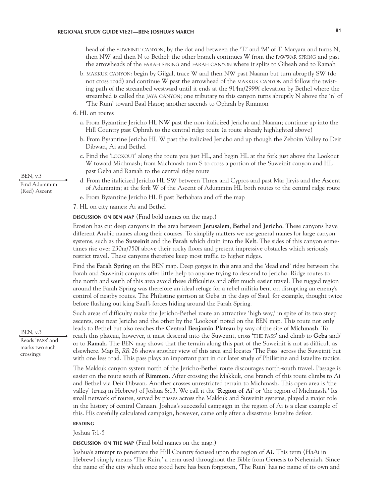head of the suweinit canyon, by the dot and between the 'T.' and 'M' of T. Maryam and turns N, then NW and then N to Bethel; the other branch continues W from the fawwar spring and past the arrowheads of the farah spring and farah canyon where it splits to Gibeah and to Ramah

- b. makkuk canyon: begin by Gilgal, trace W and then NW past Naaran but turn abruptly SW (do not cross road) and continue W past the arrowhead of the makkuk canyon and follow the twisting path of the streambed westward until it ends at the 914m/2999f elevation by Bethel where the streambed is called the jaya canyon; one tributary to this canyon turns abruptly N above the 'n' of 'The Ruin' toward Baal Hazor; another ascends to Ophrah by Rimmon
- 6. HL on routes
	- a. From Byzantine Jericho HL NW past the non-italicized Jericho and Naaran; continue up into the Hill Country past Ophrah to the central ridge route (a route already highlighted above)
	- b. From Byzantine Jericho HL W past the italicized Jericho and up though the Zeboim Valley to Deir Dibwan, Ai and Bethel
	- c. Find the 'lookout' along the route you just HL, and begin HL at the fork just above the Lookout W toward Michmash; from Michmash turn S to cross a portion of the Suweinit canyon and HL past Geba and Ramah to the central ridge route
	- d. From the italicized Jericho HL SW between Threx and Cypros and past Mar Jiryis and the Ascent of Adummim; at the fork W of the Ascent of Adummim HL both routes to the central ridge route
	- e. From Byzantine Jericho HL E past Bethabara and off the map
- 7. HL on city names: Ai and Bethel

**discussion on ben map** (Find bold names on the map.)

Erosion has cut deep canyons in the area between **Jerusalem**, **Bethel** and **Jericho**. These canyons have different Arabic names along their courses. To simplify matters we use general names for large canyon systems, such as the **Suweinit** and the **Farah** which drain into the **Kelt**. The sides of this canyon sometimes rise over 230m/750f above their rocky floors and present impressive obstacles which seriously restrict travel. These canyons therefore keep most traffic to higher ridges.

Find the **Farah Spring** on the BEN map. Deep gorges in this area and the 'dead end' ridge between the Farah and Suweinit canyons offer little help to anyone trying to descend to Jericho. Ridge routes to the north and south of this area avoid these difficulties and offer much easier travel. The rugged region around the Farah Spring was therefore an ideal refuge for a rebel militia bent on disrupting an enemy's control of nearby routes. The Philistine garrison at Geba in the days of Saul, for example, thought twice before flushing out king Saul's forces hiding around the Farah Spring.

Such areas of difficulty make the Jericho-Bethel route an attractive 'high way,' in spite of its two steep ascents, one near Jericho and the other by the 'Lookout' noted on the BEN map. This route not only leads to Bethel but also reaches the **Central Benjamin Plateau** by way of the site of **Michmash**. To reach this plateau, however, it must descend into the Suweinit, cross 'the pass' and climb to **Geba** and/ or to **Ramah**. The BEN map shows that the terrain along this part of the Suweinit is not as difficult as elsewhere. Map B, *RR* 26 shows another view of this area and locates 'The Pass' across the Suweinit but with one less road. This pass plays an important part in our later study of Philistine and Israelite tactics.

The Makkuk canyon system north of the Jericho-Bethel route discourages north-south travel. Passage is easier on the route south of **Rimmon**. After crossing the Makkuk, one branch of this route climbs to Ai and Bethel via Deir Dibwan. Another crosses unrestricted terrain to Michmash. This open area is 'the valley' (*emeq* in Hebrew) of Joshua 8:13. We call it the '**Region of Ai**' or 'the region of Michmash.' Its small network of routes, served by passes across the Makkuk and Suweinit systems, played a major role in the history of central Canaan. Joshua's successful campaign in the region of Ai is a clear example of this. His carefully calculated campaign, however, came only after a disastrous Israelite defeat.

#### **reading**

Joshua 7:1-5

**discussion on the map** (Find bold names on the map.)

Joshua's attempt to penetrate the Hill Country focused upon the region of **Ai.** This term (*HaAi* in Hebrew) simply means 'The Ruin,' a term used throughout the Bible from Genesis to Nehemiah. Since the name of the city which once stood here has been forgotten, 'The Ruin' has no name of its own and

BEN, v.3 Find Adummim (Red) Ascent

BEN, v.3 Reads 'pass' and marks two such

crossings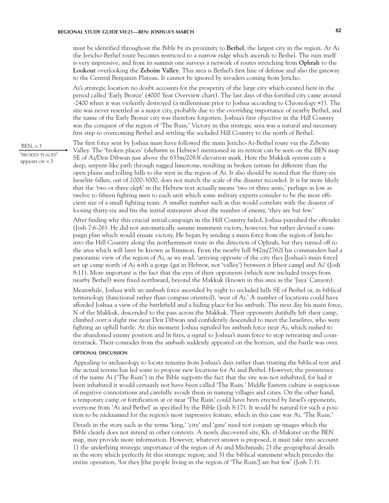must be identified throughout the Bible by its proximity to **Bethel**, the largest city in the region. At Ai the Jericho-Bethel route becomes restricted to a narrow ridge which ascends to Bethel. The ruin itself is very impressive, and from its summit one surveys a network of routes stretching from **Ophrah** to the **Lookout** overlooking the **Zeboim Valley**. This area is Bethel's first line of defense and also the gateway to the Central Benjamin Plateau. It cannot be ignored by invaders coming from Jericho.

Ai's strategic location no doubt accounts for the prosperity of the large city which existed here in the period called 'Early Bronze' (4000 Year Overview chart). The last days of this fortified city came around -2400 when it was violently destroyed (a millennium prior to Joshua according to Chronology #1). The site was never resettled as a major city, probably due to the overriding importance of nearby Bethel, and the name of the Early Bronze city was therefore forgotten. Joshua's first objective in the Hill Country was the conquest of the region of 'The Ruin.' Victory in this strategic area was a natural and necessary first step to overcoming Bethel and settling the secluded Hill Country to the north of Bethel.

The first force sent by Joshua must have followed the main Jericho-Ai-Bethel route via the Zeboim Valley. The 'broken places' (*shebarim* in Hebrew) mentioned in its retreat can be seen on the BEN map SE of Ai/Deir Dibwan just above the 635m/2083f elevation mark. Here the Makkuk system cuts a deep, serpent-like path through rugged limestone, resulting in broken terrain far different than the open plains and rolling hills to the west in the region of Ai. It also should be noted that the thirty-six Israelite fallen, out of 2000-3000, does not match the scale of the disaster recorded. It is far more likely that the 'two or three *eleph*' in the Hebrew text actually means 'two or three *units*,' perhaps as low as twelve to fifteen fighting men to each unit which some military experts consider to be the most efficient size of a small fighting team. A smaller number such as this would correlate with the disaster of loosing thirty-six and fits the initial statement about the number of enemy, 'they are but few.'

After finding why this crucial initial campaign in the Hill Country failed, Joshua punished the offender (Josh 7:6-26). He did not automatically assume imminent victory, however, but rather devised a campaign plan which would ensure victory. He began by sending a main force from the region of Jericho into the Hill Country along the northernmost route in the direction of Ophrah, but they turned off to the area which will later be known as Rimmon. From the nearby hill 842m/2762f his commanders had a panoramic view of the region of Ai, as we read, 'arriving opposite of the city they [Joshua's main force] set up camp north of Ai with a gorge (*gai* in Hebrew, not 'valley') between it [their camp] and Ai' (Josh 8:11). More important is the fact that the eyes of their opponents (which now included troops from nearby Bethel) were fixed northward, beyond the Makkuk (known in this area as the 'Jaya' Canyon).

Meanwhile, Joshua with an ambush force ascended by night to secluded hills SE of Bethel or, in biblical terminology (functional rather than compass oriented), 'west of Ai.' A number of locations could have afforded Joshua a view of the battlefield and a hiding place for his ambush. The next day his main force, N of the Makkuk, descended to the pass across the Makkuk. Their opponents dutifully left their camp, climbed over a slight rise near Deir Dibwan and confidently descended to meet the Israelites, who were fighting an uphill battle. At this moment Joshua signaled his ambush force near Ai, which rushed to the abandoned enemy position and lit fires, a signal to Joshua's main force to stop retreating and counterattack. Their comrades from the ambush suddenly appeared on the horizon, and the battle was over.

# **optional discussion**

Appealing to archaeology to locate remains from Joshua's days rather than trusting the biblical text and the actual terrain has led some to propose new locations for Ai and Bethel. However, the persistence of the name Ai ('The Ruin') in the Bible supports the fact that the site was not inhabited, for had it been inhabited it would certainly not have been called 'The Ruin.' Middle Eastern culture is suspicious of negative connotations and carefully avoids them in naming villages and cities. On the other hand, a temporary camp or fortification at or near 'The Ruin' could have been erected by Israel's opponents, everyone from 'Ai and Bethel' as specified by the Bible (Josh 8:17). It would be natural for such a position to be nicknamed for the region's most impressive feature, which in this case was Ai, 'The Ruin.'

Details in the story such as the terms 'king,' 'city' and 'gate' need not conjure up images which the Bible clearly does not intend in other contexts. A newly discovered site, Kh. el-Makater on the BEN map, may provide more information. However, whatever answer is proposed, it must take into account: 1) the underlying strategic importance of the region of Ai and Michmash; 2) the geographical details in the story which perfectly fit this strategic region; and 3) the biblical statement which precedes the entire operation, 'for they [the people living in the region of 'The Ruin'] are but few' (Josh 7:3).

BEN, v.3 'broken places' appears on v.3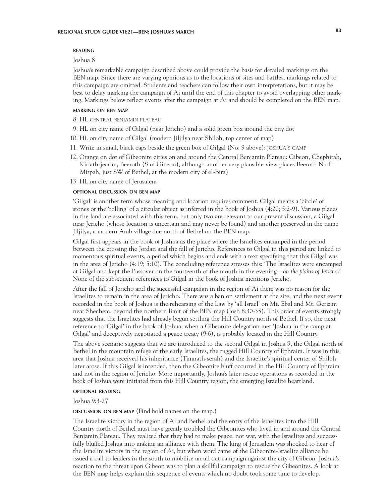## **reading**

## Joshua 8

Joshua's remarkable campaign described above could provide the basis for detailed markings on the BEN map. Since there are varying opinions as to the locations of sites and battles, markings related to this campaign are omitted. Students and teachers can follow their own interpretations, but it may be best to delay marking the campaign of Ai until the end of this chapter to avoid overlapping other marking. Markings below reflect events after the campaign at Ai and should be completed on the BEN map.

#### **marking on ben map**

8. HL central benjamin plateau

- 9. HL on city name of Gilgal (near Jericho) and a solid green box around the city dot
- 10. HL on city name of Gilgal (modern Jiljilya near Shiloh, top center of map)
- 11. Write in small, black caps beside the green box of Gilgal (No. 9 above): joshua's camp
- 12. Orange on dot of Gibeonite cities on and around the Central Benjamin Plateau: Gibeon, Chephirah, Kiriath-jearim, Beeroth (S of Gibeon), although another very plausible view places Beeroth N of Mizpah, just SW of Bethel, at the modern city of el-Bira)
- 13. HL on city name of Jerusalem

# **optional discussion on ben map**

'Gilgal' is another term whose meaning and location requires comment. Gilgal means a 'circle' of stones or the 'rolling' of a circular object as inferred in the book of Joshua (4:20; 5:2-9). Various places in the land are associated with this term, but only two are relevant to our present discussion, a Gilgal near Jericho (whose location is uncertain and may never be found) and another preserved in the name Jiljilya, a modern Arab village due north of Bethel on the BEN map.

Gilgal first appears in the book of Joshua as the place where the Israelites encamped in the period between the crossing the Jordan and the fall of Jericho. References to Gilgal in this period are linked to momentous spiritual events, a period which begins and ends with a text specifying that this Gilgal was in the area of Jericho (4:19; 5:10). The concluding reference stresses this: 'The Israelites were encamped at Gilgal and kept the Passover on the fourteenth of the month in the evening—*on the plains of Jericho*.' None of the subsequent references to Gilgal in the book of Joshua mentions Jericho.

After the fall of Jericho and the successful campaign in the region of Ai there was no reason for the Israelites to remain in the area of Jericho. There was a ban on settlement at the site, and the next event recorded in the book of Joshua is the rehearsing of the Law by 'all Israel' on Mt. Ebal and Mt. Gerizim near Shechem, beyond the northern limit of the BEN map (Josh 8:30-35). This order of events strongly suggests that the Israelites had already begun settling the Hill Country north of Bethel. If so, the next reference to 'Gilgal' in the book of Joshua, when a Gibeonite delegation met 'Joshua in the camp at Gilgal' and deceptively negotiated a peace treaty (9:6), is probably located in the Hill Country.

The above scenario suggests that we are introduced to the second Gilgal in Joshua 9, the Gilgal north of Bethel in the mountain refuge of the early Israelites, the rugged Hill Country of Ephraim. It was in this area that Joshua received his inheritance (Timnath-serah) and the Israelite's spiritual center of Shiloh later arose. If this Gilgal is intended, then the Gibeonite bluff occurred in the Hill Country of Ephraim and not in the region of Jericho. More importantly, Joshua's later rescue operations as recorded in the book of Joshua were initiated from this Hill Country region, the emerging Israelite heartland.

# **optional reading**

Joshua 9:3-27

## **discussion on BEN MAP** (Find bold names on the map.)

The Israelite victory in the region of Ai and Bethel and the entry of the Israelites into the Hill Country north of Bethel must have greatly troubled the Gibeonites who lived in and around the Central Benjamin Plateau. They realized that they had to make peace, not war, with the Israelites and successfully bluffed Joshua into making an alliance with them. The king of Jerusalem was shocked to hear of the Israelite victory in the region of Ai, but when word came of the Gibeonite-Israelite alliance he issued a call to leaders in the south to mobilize an all out campaign against the city of Gibeon. Joshua's reaction to the threat upon Gibeon was to plan a skillful campaign to rescue the Gibeonites. A look at the BEN map helps explain this sequence of events which no doubt took some time to develop.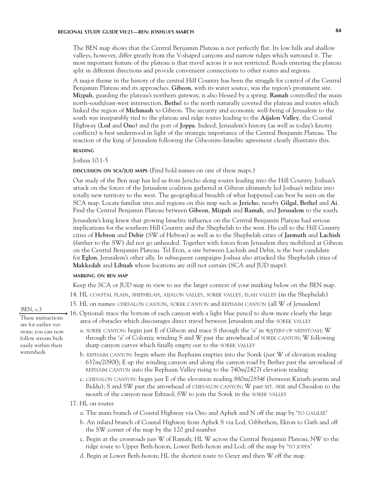The BEN map shows that the Central Benjamin Plateau is not perfectly flat. Its low hills and shallow valleys, however, differ greatly from the V-shaped canyons and narrow ridges which surround it. The most important feature of the plateau is that travel across it is not restricted. Roads entering the plateau split in different directions and provide convenient connections to other routes and regions.

A major theme in the history of the central Hill Country has been the struggle for control of the Central Benjamin Plateau and its approaches. **Gibeon**, with its water source, was the region's prominent site. **Mizpah**, guarding the plateau's northern gateway, is also blessed by a spring. **Ramah** controlled the main north-south/east-west intersection. **Bethe**l to the north naturally coveted the plateau and routes which linked the region of **Michmash** to Gibeon. The security and economic well-being of Jerusalem to the south was inseparably tied to the plateau and ridge routes leading to the **Aijalon Valley**, the Coastal Highway (**Lod** and **Ono**) and the port of **Joppa**. Indeed, Jerusalem's history (as well as today's knotty conflicts) is best understood in light of the strategic importance of the Central Benjamin Plateau. The reaction of the king of Jerusalem following the Gibeonite-Israelite agreement clearly illustrates this.

# **reading**

Joshua 10:1-5

## **discussion on sca/jud maps** (Find bold names on one of these maps.)

Our study of the Ben map has led us from Jericho along routes leading into the Hill Country. Joshua's attack on the forces of the Jerusalem coalition gathered at Gibeon ultimately led Joshua's militia into totally new territory to the west. The geographical breadth of what happened can best be seen on the SCA map. Locate familiar sites and regions on this map such as **Jericho**, nearby **Gilgal**, **Bethel** and **Ai**. Find the Central Benjamin Plateau between **Gibeon**, **Mizpah** and **Ramah**, and **Jerusalem** to the south.

Jerusalem's king knew that growing Israelite influence on the Central Benjamin Plateau had serious implications for the southern Hill Country and the Shephelah to the west. His call to the Hill Country cities of **Hebron** and **Debir** (SW of Hebron) as well as to the Shephelah cities of **Jarmuth** and **Lachish**  (farther to the SW) did not go unheeded. Together with forces from Jerusalem they mobilized at Gibeon on the Central Benjamin Plateau. Tel Eton, a site between Lachish and Debir, is the best candidate for **Eglon**, Jerusalem's other ally. In subsequent campaigns Joshua also attacked the Shephelah cities of **Makkedah** and **Libnah** whose locations are still not certain (SCA and JUD maps).

#### **marking on ben map**

Keep the SCA or JUD map in view to see the larger context of your marking below on the BEN map.

- 14. HL coastal plain, shephelah, aijalon valley, sorek valley, elah valley (in the Shephelah)
- 15. HL on names: chesalon canyon, sorek canyon and rephaim canyon (all W of Jerusalem)
- 16. Optional: trace the bottom of each canyon with a light blue pencil to show more clearly the large area of obstacles which discourages direct travel between Jerusalem and the sorek valley
	- a. sorek canyon: begin just E of Gibeon and trace S through the 'a' in waters of nephtoah; W through the 'a' of Colonia; winding S and W past the arrowhead of sorek canyon; W following sharp canyon curves which finally empty out to the sorek valley
	- b. rephaim canyon: begin where the Rephaim empties into the Sorek (just W of elevation reading 637m/2090f); E up the winding canyon and along the canyon road by Bether past the arrowhead of rephaim canyon into the Rephaim Valley rising to the 740m/2427f elevation reading
	- c. chesalon canyon: begin just E of the elevation reading 880m/2854f (between Kiriath-jearim and Biddu); S and SW past the arrowhead of CHESALON CANYON; W past MT. SEIR and Chesalon to the mouth of the canyon near Eshtaol; SW to join the Sorek in the sorek valley

### 17. HL on routes

- a. The main branch of Coastal Highway via Ono and Aphek and N off the map by 'TO GALILEE'
- b. An inland branch of Coastal Highway from Aphek S via Lod, Gibbethon, Ekron to Gath and off the SW corner of the map by the 120 grid number
- c. Begin at the crossroads just W of Ramah; HL W across the Central Benjamin Plateau; NW to the ridge route to Upper Beth-horon, Lower Beth-horon and Lod; off the map by 'to joppa'
- d. Begin at Lower Beth-horon; HL the shortest route to Gezer and then W off the map

BEN, v.3

These instructions are for earlier versions; you can now follow stream beds easily within their watersheds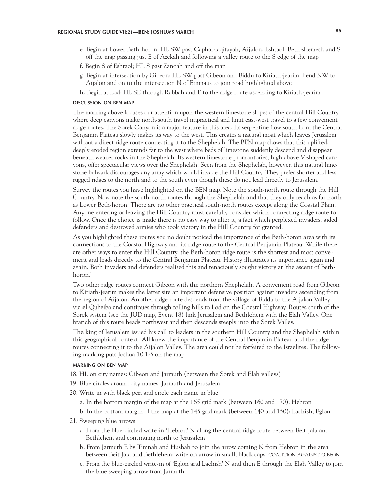- e. Begin at Lower Beth-horon: HL SW past Caphar-laqitayah, Aijalon, Eshtaol, Beth-shemesh and S off the map passing just E of Azekah and following a valley route to the S edge of the map
- f. Begin S of Eshtaol; HL S past Zanoah and off the map
- g. Begin at intersection by Gibeon: HL SW past Gibeon and Biddu to Kiriath-jearim; bend NW to Aijalon and on to the intersection N of Emmaus to join road highlighted above
- h. Begin at Lod: HL SE through Rabbah and E to the ridge route ascending to Kiriath-jearim

#### **discussion on ben map**

The marking above focuses our attention upon the western limestone slopes of the central Hill Country where deep canyons make north-south travel impractical and limit east-west travel to a few convenient ridge routes. The Sorek Canyon is a major feature in this area. Its serpentine flow south from the Central Benjamin Plateau slowly makes its way to the west. This creates a natural moat which leaves Jerusalem without a direct ridge route connecting it to the Shephelah. The BEN map shows that this uplifted, deeply eroded region extends far to the west where beds of limestone suddenly descend and disappear beneath weaker rocks in the Shephelah. Its western limestone promontories, high above V-shaped canyons, offer spectacular views over the Shephelah. Seen from the Shephelah, however, this natural limestone bulwark discourages any army which would invade the Hill Country. They prefer shorter and less rugged ridges to the north and to the south even though these do not lead directly to Jerusalem.

Survey the routes you have highlighted on the BEN map. Note the south-north route through the Hill Country. Now note the south-north routes through the Shephelah and that they only reach as far north as Lower Beth-horon. There are no other practical south-north routes except along the Coastal Plain. Anyone entering or leaving the Hill Country must carefully consider which connecting ridge route to follow. Once the choice is made there is no easy way to alter it, a fact which perplexed invaders, aided defenders and destroyed armies who took victory in the Hill Country for granted.

As you highlighted these routes you no doubt noticed the importance of the Beth-horon area with its connections to the Coastal Highway and its ridge route to the Central Benjamin Plateau. While there are other ways to enter the Hill Country, the Beth-horon ridge route is the shortest and most convenient and leads directly to the Central Benjamin Plateau. History illustrates its importance again and again. Both invaders and defenders realized this and tenaciously sought victory at 'the ascent of Bethhoron.'

Two other ridge routes connect Gibeon with the northern Shephelah. A convenient road from Gibeon to Kiriath-jearim makes the latter site an important defensive position against invaders ascending from the region of Aijalon. Another ridge route descends from the village of Biddu to the Aijalon Valley via el-Qubeiba and continues through rolling hills to Lod on the Coastal Highway. Routes south of the Sorek system (see the JUD map, Event 18) link Jerusalem and Bethlehem with the Elah Valley. One branch of this route heads northwest and then descends steeply into the Sorek Valley.

The king of Jerusalem issued his call to leaders in the southern Hill Country and the Shephelah within this geographical context. All knew the importance of the Central Benjamin Plateau and the ridge routes connecting it to the Aijalon Valley. The area could not be forfeited to the Israelites. The following marking puts Joshua 10:1-5 on the map.

#### **marking on ben map**

18. HL on city names: Gibeon and Jarmuth (between the Sorek and Elah valleys)

- 19. Blue circles around city names: Jarmuth and Jerusalem
- 20. Write in with black pen and circle each name in blue
	- a. In the bottom margin of the map at the 165 grid mark (between 160 and 170): Hebron
	- b. In the bottom margin of the map at the 145 grid mark (between 140 and 150): Lachish, Eglon
- 21. Sweeping blue arrows
	- a. From the blue-circled write-in 'Hebron' N along the central ridge route between Beit Jala and Bethlehem and continuing north to Jerusalem
	- b. From Jarmuth E by Timnah and Hushah to join the arrow coming N from Hebron in the area between Beit Jala and Bethlehem; write on arrow in small, black caps: COALITION AGAINST GIBEON
	- c. From the blue-circled write-in of 'Eglon and Lachish' N and then E through the Elah Valley to join the blue sweeping arrow from Jarmuth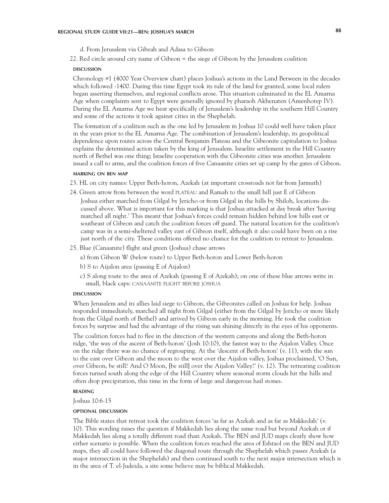- d. From Jerusalem via Gibeah and Adasa to Gibeon
- 22. Red circle around city name of Gibeon = the siege of Gibeon by the Jerusalem coalition

#### **DISCUSSION discussion**

Chronology #1 (4000 Year Overview chart) places Joshua's actions in the Land Between in the decades which followed -1400. During this time Egypt took its rule of the land for granted, some local rulers began asserting themselves, and regional conflicts arose. This situation culminated in the EL Amarna Age when complaints sent to Egypt were generally ignored by pharaoh Akhenaten (Amenhotep IV). During the EL Amarna Age we hear specifically of Jerusalem's leadership in the southern Hill Country and some of the actions it took against cities in the Shephelah.

The formation of a coalition such as the one led by Jerusalem in Joshua 10 could well have taken place in the years prior to the EL Amarna Age. The combination of Jerusalem's leadership, its geopolitical dependence upon routes across the Central Benjamin Plateau and the Gibeonite capitulation to Joshua explains the determined action taken by the king of Jerusalem. Israelite settlement in the Hill Country north of Bethel was one thing; Israelite cooperation with the Gibeonite cities was another. Jerusalem issued a call to arms, and the coalition forces of five Canaanite cities set up camp by the gates of Gibeon.

## **marking on ben map**

- 23. HL on city names: Upper Beth-horon, Azekah (at important crossroads not far from Jarmuth)
- 24. Green arrow from between the word plateau and Ramah to the small hill just E of Gibeon Joshua either marched from Gilgal by Jericho or from Gilgal in the hills by Shiloh, locations discussed above. What is important for this marking is that Joshua attacked at day break after 'having marched all night.' This meant that Joshua's forces could remain hidden behind low hills east or southeast of Gibeon and catch the coalition forces off guard. The natural location for the coalition's camp was in a semi-sheltered valley east of Gibeon itself, although it also could have been on a rise just north of the city. These conditions offered no chance for the coalition to retreat to Jerusalem.
- 25. Blue (Canaanite) flight and green (Joshua) chase arrows
	- a) from Gibeon W (below route) to Upper Beth-horon and Lower Beth-horon
	- b) S to Aijalon area (passing E of Aijalon)
	- c) S along route to the area of Azekah (passing E of Azekah); on one of these blue arrows write in small, black caps: CANAANITE FLIGHT BEFORE JOSHUA

#### **DISCUSSION discussion**

When Jerusalem and its allies laid siege to Gibeon, the Gibeonites called on Joshua for help. Joshua responded immediately, marched all night from Gilgal (either from the Gilgal by Jericho or more likely from the Gilgal north of Bethel) and arrived by Gibeon early in the morning. He took the coalition forces by surprise and had the advantage of the rising sun shining directly in the eyes of his opponents.

The coalition forces had to flee in the direction of the western canyons and along the Beth-horon ridge, 'the way of the ascent of Beth-horon' (Josh 10:10), the fastest way to the Aijalon Valley. Once on the ridge there was no chance of regrouping. At the 'descent of Beth-horon' (v. 11), with the sun to the east over Gibeon and the moon to the west over the Aijalon valley, Joshua proclaimed, 'O Sun, over Gibeon, be still! And O Moon, [be still] over the Aijalon Valley!' (v. 12). The retreating coalition forces turned south along the edge of the Hill Country where seasonal storm clouds hit the hills and often drop precipitation, this time in the form of large and dangerous hail stones.

# **reading**

Joshua 10:6-15

#### **optional discussion**

The Bible states that retreat took the coalition forces 'as far as Azekah and as far as Makkedah' (v. 10). This wording raises the question if Makkedah lies along the same road but beyond Azekah or if Makkedah lies along a totally different road than Azekah. The BEN and JUD maps clearly show how either scenario is possible. When the coalition forces reached the area of Eshtaol on the BEN and JUD maps, they all could have followed the diagonal route through the Shephelah which passes Azekah (a major intersection in the Shephelah) and then continued south to the next major intersection which is in the area of T. el-Judeida, a site some believe may be biblical Makkedah.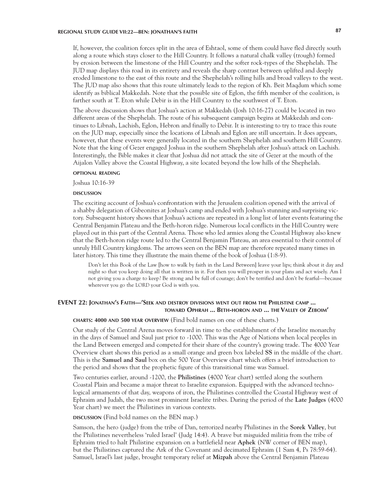If, however, the coalition forces split in the area of Eshtaol, some of them could have fled directly south along a route which stays closer to the Hill Country. It follows a natural chalk valley (trough) formed by erosion between the limestone of the Hill Country and the softer rock-types of the Shephelah. The JUD map displays this road in its entirety and reveals the sharp contrast between uplifted and deeply eroded limestone to the east of this route and the Shephelah's rolling hills and broad valleys to the west. The JUD map also shows that this route ultimately leads to the region of Kh. Beit Maqdum which some identify as biblical Makkedah. Note that the possible site of Eglon, the fifth member of the coalition, is farther south at T. Eton while Debir is in the Hill Country to the southwest of T. Eton.

The above discussion shows that Joshua's action at Makkedah (Josh 10:16-27) could be located in two different areas of the Shephelah. The route of his subsequent campaign begins at Makkedah and continues to Libnah, Lachish, Eglon, Hebron and finally to Debir. It is interesting to try to trace this route on the JUD map, especially since the locations of Libnah and Eglon are still uncertain. It does appears, however, that these events were generally located in the southern Shephelah and southern Hill Country. Note that the king of Gezer engaged Joshua in the southern Shephelah after Joshua's attack on Lachish. Interestingly, the Bible makes it clear that Joshua did not attack the site of Gezer at the mouth of the Aijalon Valley above the Coastal Highway, a site located beyond the low hills of the Shephelah.

## **optional reading**

Joshua 10:16-39

#### **DISCUSSION discussion**

The exciting account of Joshua's confrontation with the Jerusalem coalition opened with the arrival of a shabby delegation of Gibeonites at Joshua's camp and ended with Joshua's stunning and surprising victory. Subsequent history shows that Joshua's actions are repeated in a long list of later events featuring the Central Benjamin Plateau and the Beth-horon ridge. Numerous local conflicts in the Hill Country were played out in this part of the Central Arena. Those who led armies along the Coastal Highway also knew that the Beth-horon ridge route led to the Central Benjamin Plateau, an area essential to their control of unruly Hill Country kingdoms. The arrows seen on the BEN map are therefore repeated many times in later history. This time they illustrate the main theme of the book of Joshua (1:8-9).

Don't let this Book of the Law [how to walk by faith in the Land Between] leave your lips; think about it day and night so that you keep doing all that is written in it. For then you will prosper in your plans and act wisely. Am I not giving you a charge to keep? Be strong and be full of courage; don't be terrified and don't be fearful—because wherever you go the LORD your God is with you.

# **EVENT 22: Jonathan's Faith—'Seek and destroy divisions went out from the Philistine camp ... toward Ophrah ... Beth-horon and ... the Valley of Zeboim'**

# **charts: 4000 and 500 year overview** (Find bold names on one of these charts.)

Our study of the Central Arena moves forward in time to the establishment of the Israelite monarchy in the days of Samuel and Saul just prior to -1000. This was the Age of Nations when local peoples in the Land Between emerged and competed for their share of the country's growing trade. The 4000 Year Overview chart shows this period as a small orange and green box labeled **SS** in the middle of the chart. This is the **Samuel and Saul** box on the 500 Year Overview chart which offers a brief introduction to the period and shows that the prophetic figure of this transitional time was Samuel.

Two centuries earlier, around -1200, the **Philistines** (4000 Year chart) settled along the southern Coastal Plain and became a major threat to Israelite expansion. Equipped with the advanced technological armaments of that day, weapons of iron, the Philistines controlled the Coastal Highway west of Ephraim and Judah, the two most prominent Israelite tribes. During the period of the **Late Judges** (4000 Year chart) we meet the Philistines in various contexts.

# **DISCUSSION** (Find bold names on the BEN map.)

Samson, the hero (judge) from the tribe of Dan, terrorized nearby Philistines in the **Sorek Valley**, but the Philistines nevertheless 'ruled Israel' (Judg 14:4). A brave but misguided militia from the tribe of Ephraim tried to halt Philistine expansion on a battlefield near **Aphek** (NW corner of BEN map), but the Philistines captured the Ark of the Covenant and decimated Ephraim (1 Sam 4, Ps 78:59-64). Samuel, Israel's last judge, brought temporary relief at **Mizpah** above the Central Benjamin Plateau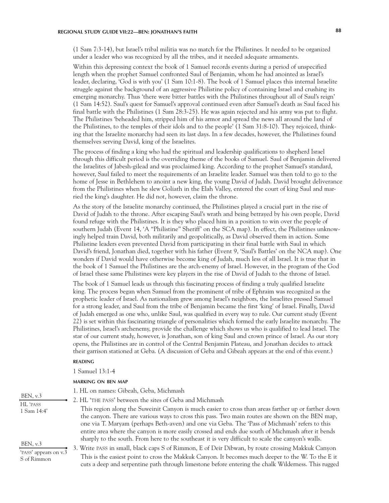(1 Sam 7:3-14), but Israel's tribal militia was no match for the Philistines. It needed to be organized under a leader who was recognized by all the tribes, and it needed adequate armaments.

Within this depressing context the book of 1 Samuel records events during a period of unspecified length when the prophet Samuel confronted Saul of Benjamin, whom he had anointed as Israel's leader, declaring, 'God is with you' (1 Sam 10:1-8). The book of 1 Samuel places this internal Israelite struggle against the background of an aggressive Philistine policy of containing Israel and crushing its emerging monarchy. Thus 'there were bitter battles with the Philistines throughout all of Saul's reign' (1 Sam 14:52). Saul's quest for Samuel's approval continued even after Samuel's death as Saul faced his final battle with the Philistines (1 Sam 28:3-25). He was again rejected and his army was put to flight. The Philistines 'beheaded him, stripped him of his armor and spread the news all around the land of the Philistines, to the temples of their idols and to the people' (1 Sam 31:8-10). They rejoiced, thinking that the Israelite monarchy had seen its last days. In a few decades, however, the Philistines found themselves serving David, king of the Israelites.

The process of finding a king who had the spiritual and leadership qualifications to shepherd Israel through this difficult period is the overriding theme of the books of Samuel. Saul of Benjamin delivered the Israelites of Jabesh-gilead and was proclaimed king. According to the prophet Samuel's standard, however, Saul failed to meet the requirements of an Israelite leader. Samuel was then told to go to the home of Jesse in Bethlehem to anoint a new king, the young David of Judah. David brought deliverance from the Philistines when he slew Goliath in the Elah Valley, entered the court of king Saul and married the king's daughter. He did not, however, claim the throne.

As the story of the Israelite monarchy continued, the Philistines played a crucial part in the rise of David of Judah to the throne. After escaping Saul's wrath and being betrayed by his own people, David found refuge with the Philistines. It is they who placed him in a position to win over the people of southern Judah (Event 14, 'A "Philistine" Sheriff' on the SCA map). In effect, the Philistines unknowingly helped train David, both militarily and geopolitically, as David observed them in action. Some Philistine leaders even prevented David from participating in their final battle with Saul in which David's friend, Jonathan died, together with his father (Event 9, 'Saul's Battles' on the NCA map). One wonders if David would have otherwise become king of Judah, much less of all Israel. It is true that in the book of 1 Samuel the Philistines are the arch-enemy of Israel. However, in the program of the God of Israel these same Philistines were key players in the rise of David of Judah to the throne of Israel.

The book of 1 Samuel leads us through this fascinating process of finding a truly qualified Israelite king. The process began when Samuel from the prominent of tribe of Ephraim was recognized as the prophetic leader of Israel. As nationalism grew among Israel's neighbors, the Israelites pressed Samuel for a strong leader, and Saul from the tribe of Benjamin became the first 'king' of Israel. Finally, David of Judah emerged as one who, unlike Saul, was qualified in every way to rule. Our current study (Event 22) is set within this fascinating triangle of personalities which formed the early Israelite monarchy. The Philistines, Israel's archenemy, provide the challenge which shows us who is qualified to lead Israel. The star of our current study, however, is Jonathan, son of king Saul and crown prince of Israel. As our story opens, the Philistines are in control of the Central Benjamin Plateau, and Jonathan decides to attack their garrison stationed at Geba. (A discussion of Geba and Gibeah appears at the end of this event.)

## **reading**

1 Samuel 13:1-4

#### **marking on ben map**

- 1. HL on names: Gibeah, Geba, Michmash
- 2. HL 'the pass' between the sites of Geba and Michmash

This region along the Suweinit Canyon is much easier to cross than areas farther up or farther down the canyon. There are various ways to cross this pass. Two main routes are shown on the BEN map, one via T. Maryam (perhaps Beth-aven) and one via Geba. The 'Pass of Michmash' refers to this entire area where the canyon is more easily crossed and ends due south of Michmash after it bends sharply to the south. From here to the southeast it is very difficult to scale the canyon's walls.

3. Write pass in small, black caps S of Rimmon, E of Deir Dibwan, by route crossing Makkuk Canyon This is the easiest point to cross the Makkuk Canyon. It becomes much deeper to the W. To the E it cuts a deep and serpentine path through limestone before entering the chalk Wilderness. This rugged

BEN, v.3 HL 'pass 1 Sam 14:4'

BEN, v.3

'pass' appears on v.3 S of Rimmon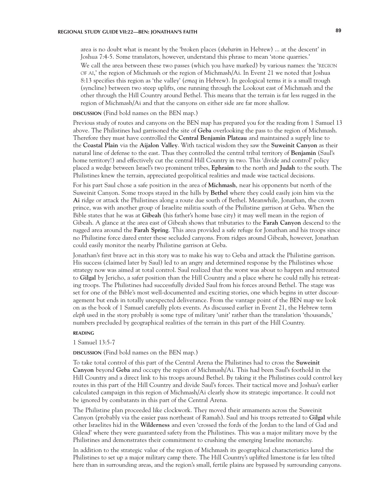area is no doubt what is meant by the 'broken places (*shebarim* in Hebrew) ... at the descent' in Joshua 7:4-5. Some translators, however, understand this phrase to mean 'stone quarries.' We call the area between these two passes (which you have marked) by various names: the 'REGION of ai,' the region of Michmash or the region of Michmash/Ai. In Event 21 we noted that Joshua 8:13 specifies this region as 'the valley' (*emeq* in Hebrew). In geological terms it is a small trough (syncline) between two steep uplifts, one running through the Lookout east of Michmash and the other through the Hill Country around Bethel. This means that the terrain is far less rugged in the region of Michmash/Ai and that the canyons on either side are far more shallow.

# **discussion** (Find bold names on the BEN map.)

Previous study of routes and canyons on the BEN map has prepared you for the reading from 1 Samuel 13 above. The Philistines had garrisoned the site of **Geba** overlooking the pass to the region of Michmash. Therefore they must have controlled the **Central Benjamin Plateau** and maintained a supply line to the **Coastal Plain** via the **Aijalon Valley**. With tactical wisdom they saw the **Suweinit Canyon** as their natural line of defense to the east. Thus they controlled the central tribal territory of **Benjamin** (Saul's home territory!) and effectively cut the central Hill Country in two. This 'divide and control' policy placed a wedge between Israel's two prominent tribes, **Ephraim** to the north and **Judah** to the south. The Philistines knew the terrain, appreciated geopolitical realities and made wise tactical decisions.

For his part Saul chose a safe position in the area of **Michmash**, near his opponents but north of the Suweinit Canyon. Some troops stayed in the hills by **Bethel** where they could easily join him via the **Ai** ridge or attack the Philistines along a route due south of Bethel. Meanwhile, Jonathan, the crown prince, was with another group of Israelite militia south of the Philistine garrison at Geba. When the Bible states that he was at **Gibeah** (his father's home base city) it may well mean in the region of Gibeah. A glance at the area east of Gibeah shows that tributaries to the **Farah Canyon** descend to the rugged area around the **Farah Spring**. This area provided a safe refuge for Jonathan and his troops since no Philistine force dared enter these secluded canyons. From ridges around Gibeah, however, Jonathan could easily monitor the nearby Philistine garrison at Geba.

Jonathan's first brave act in this story was to make his way to Geba and attack the Philistine garrison. His success (claimed later by Saul) led to an angry and determined response by the Philistines whose strategy now was aimed at total control. Saul realized that the worst was about to happen and retreated to **Gilgal** by Jericho, a safer position than the Hill Country and a place where he could rally his retreating troops. The Philistines had successfully divided Saul from his forces around Bethel. The stage was set for one of the Bible's most well-documented and exciting stories, one which begins in utter discouragement but ends in totally unexpected deliverance. From the vantage point of the BEN map we look on as the book of 1 Samuel carefully plots events. As discussed earlier in Event 21, the Hebrew term *eleph* used in the story probably is some type of military 'unit' rather than the translation 'thousands,' numbers precluded by geographical realities of the terrain in this part of the Hill Country.

## **reading**

### 1 Samuel 13:5-7

**discussion** (Find bold names on the BEN map.)

To take total control of this part of the Central Arena the Philistines had to cross the **Suweinit Canyon** beyond **Geba** and occupy the region of Michmash/Ai. This had been Saul's foothold in the Hill Country and a direct link to his troops around Bethel. By taking it the Philistines could control key routes in this part of the Hill Country and divide Saul's forces. Their tactical move and Joshua's earlier calculated campaign in this region of Michmash/Ai clearly show its strategic importance. It could not be ignored by combatants in this part of the Central Arena.

The Philistine plan proceeded like clockwork. They moved their armaments across the Suweinit Canyon (probably via the easier pass northeast of Ramah). Saul and his troops retreated to **Gilgal** while other Israelites hid in the **Wilderness** and even 'crossed the fords of the Jordan to the land of Gad and Gilead' where they were guaranteed safety from the Philistines. This was a major military move by the Philistines and demonstrates their commitment to crushing the emerging Israelite monarchy.

In addition to the strategic value of the region of Michmash its geographical characteristics lured the Philistines to set up a major military camp there. The Hill Country's uplifted limestone is far less tilted here than in surrounding areas, and the region's small, fertile plains are bypassed by surrounding canyons.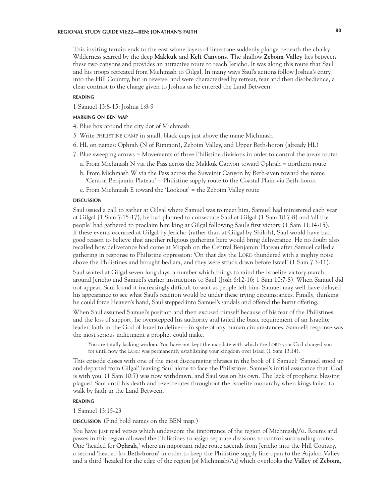This inviting terrain ends to the east where layers of limestone suddenly plunge beneath the chalky Wilderness scarred by the deep **Makkuk** and **Kelt Canyons**. The shallow **Zeboim Valley** lies between these two canyons and provides an attractive route to reach Jericho. It was along this route that Saul and his troops retreated from Michmash to Gilgal. In many ways Saul's actions follow Joshua's entry into the Hill Country, but in reverse, and were characterized by retreat, fear and then disobedience, a clear contrast to the charge given to Joshua as he entered the Land Between.

### **reading**

1 Samuel 13:8-15; Joshua 1:8-9

# **marking on ben map**

4. Blue box around the city dot of Michmash

- 5. Write philistine camp in small, black caps just above the name Michmash
- 6. HL on names: Ophrah (N of Rimmon), Zeboim Valley, and Upper Beth-horon (already HL)
- 7. Blue sweeping arrows = Movements of three Philistine divisions in order to control the area's routes
	- a. From Michmash N via the Pass across the Makkuk Canyon toward Ophrah = northern route
	- b. From Michmash W via the Pass across the Suweinit Canyon by Beth-aven toward the name 'Central Benjamin Plateau' = Philistine supply route to the Coastal Plain via Beth-horon
	- c. From Michmash E toward the 'Lookout' = the Zeboim Valley route

#### **DISCUSSION discussion**

Saul issued a call to gather at Gilgal where Samuel was to meet him. Samuel had ministered each year at Gilgal (1 Sam 7:15-17), he had planned to consecrate Saul at Gilgal (1 Sam 10:7-8) and 'all the people' had gathered to proclaim him king at Gilgal following Saul's first victory (1 Sam 11:14-15). If these events occurred at Gilgal by Jericho (rather than at Gilgal by Shiloh), Saul would have had good reason to believe that another religious gathering here would bring deliverance. He no doubt also recalled how deliverance had come at Mizpah on the Central Benjamin Plateau after Samuel called a gathering in response to Philistine oppression: 'On that day the LORD thundered with a mighty noise above the Philistines and brought bedlam, and they were struck down before Israel' (1 Sam 7:3-11).

Saul waited at Gilgal seven long days, a number which brings to mind the Israelite victory march around Jericho and Samuel's earlier instructions to Saul (Josh 6:12-16; 1 Sam 10:7-8). When Samuel did not appear, Saul found it increasingly difficult to wait as people left him. Samuel may well have delayed his appearance to see what Saul's reaction would be under these trying circumstances. Finally, thinking he could force Heaven's hand, Saul stepped into Samuel's sandals and offered the burnt offering.

When Saul assumed Samuel's position and then excused himself because of his fear of the Philistines and the loss of support, he overstepped his authority and failed the basic requirement of an Israelite leader, faith in the God of Israel to deliver—in spite of any human circumstances. Samuel's response was the most serious indictment a prophet could make.

You are totally lacking wisdom. You have not kept the mandate with which the LORD your God charged youfor until now the LORD was permanently establishing your kingdom over Israel (1 Sam 13:14).

This episode closes with one of the most discouraging phrases in the book of 1 Samuel: 'Samuel stood up and departed from Gilgal' leaving Saul alone to face the Philistines. Samuel's initial assurance that 'God is with you' (1 Sam 10:7) was now withdrawn, and Saul was on his own. The lack of prophetic blessing plagued Saul until his death and reverberates throughout the Israelite monarchy when kings failed to walk by faith in the Land Between.

## **reading**

1 Samuel 13:15-23

### **DISCUSSION** (Find bold names on the BEN map.)

You have just read verses which underscore the importance of the region of Michmash/Ai. Routes and passes in this region allowed the Philistines to assign separate divisions to control surrounding routes. One 'headed for **Ophrah**,' where an important ridge route ascends from Jericho into the Hill Country, a second 'headed for **Beth-horon**' in order to keep the Philistine supply line open to the Aijalon Valley and a third 'headed for the edge of the region [of Michmash/Ai] which overlooks the **Valley of Zeboim**,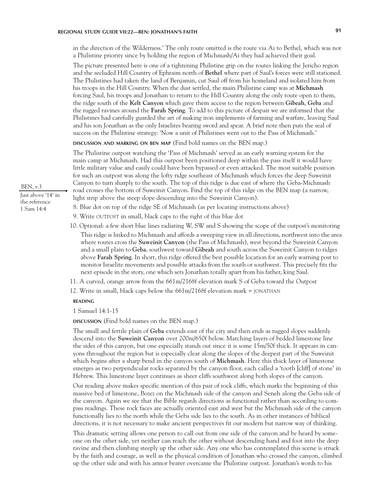in the direction of the Wilderness.' The only route omitted is the route via Ai to Bethel, which was not a Philistine priority since by holding the region of Michmash/Ai they had achieved their goal.

The picture presented here is one of a tightening Philistine grip on the routes linking the Jericho region and the secluded Hill Country of Ephraim north of **Bethel** where part of Saul's forces were still stationed. The Philistines had taken the land of Benjamin, cut Saul off from his homeland and isolated him from his troops in the Hill Country. When the dust settled, the main Philistine camp was at **Michmash**  forcing Saul, his troops and Jonathan to return to the Hill Country along the only route open to them, the ridge south of the **Kelt Canyon** which gave them access to the region between **Gibeah**, **Geba** and the rugged ravines around the **Farah Spring**. To add to this picture of despair we are informed that the Philistines had carefully guarded the art of making iron implements of farming and warfare, leaving Saul and his son Jonathan as the only Israelites bearing sword and spear. A brief note then puts the seal of success on the Philistine strategy: 'Now a unit of Philistines went out to the Pass of Michmash.'

**discussion and marking on ben map** (Find bold names on the BEN map.)

The Philistine outpost watching the 'Pass of Michmash' served as an early warning system for the main camp at Michmash. Had this outpost been positioned deep within the pass itself it would have little military value and easily could have been bypassed or even attacked. The most suitable position for such an outpost was along the lofty ridge southeast of Michmash which forces the deep Suweinit Canyon to turn sharply to the south. The top of this ridge is due east of where the Geba-Michmash road crosses the bottom of Suweinit Canyon. Find the top of this ridge on the BEN map (a narrow, light strip above the steep slope descending into the Suweinit Canyon).

- 8. Blue dot on top of the ridge SE of Michmash (as per locating instructions above)
- 9. Write OUTPOST in small, black caps to the right of this blue dot
- 10. Optional: a few short blue lines radiating W, SW and S showing the scope of the outpost's monitoring This ridge is linked to Michmash and affords a sweeping view in all directions, northwest into the area where routes cross the **Suweinit Canyon** (the Pass of Michmash), west beyond the Suweinit Canyon and a small plain to **Geba**, southwest toward **Gibeah** and south across the Suweinit Canyon to ridges above **Farah Spring**. In short, this ridge offered the best possible location for an early warning post to monitor Israelite movements and possible attacks from the south or southwest. This precisely fits the next episode in the story, one which sets Jonathan totally apart from his father, king Saul.
- 11. A curved, orange arrow from the 661m/2168f elevation mark S of Geba toward the Outpost
- 12. Write in small, black caps below the 661m/2168f elevation mark = jonathan

#### **reading**

1 Samuel 14:1-15

**discussion** (Find bold names on the BEN map.)

The small and fertile plain of **Geba** extends east of the city and then ends as rugged slopes suddenly descend into the **Suweinit Canyon** over 200m/650f below. Matching layers of bedded limestone line the sides of this canyon, but one especially stands out since it is some 15m/50f thick. It appears in canyons throughout the region but is especially clear along the slopes of the deepest part of the Suweinit which begins after a sharp bend in the canyon south of **Michmash**. Here this thick layer of limestone emerges as two perpendicular rocks separated by the canyon floor, each called a 'tooth [cliff] of stone' in Hebrew. This limestone layer continues as sheer cliffs southwest along both slopes of the canyon.

Our reading above makes specific mention of this pair of rock cliffs, which marks the beginning of this massive bed of limestone, Bozez on the Michmash side of the canyon and Seneh along the Geba side of the canyon. Again we see that the Bible regards directions as functional rather than according to compass readings. These rock faces are actually oriented east and west but the Michmash side of the canyon functionally lies to the north while the Geba side lies to the south. As in other instances of biblical directions, it is not necessary to make ancient perspectives fit our modern but narrow way of thinking.

This dramatic setting allows one person to call out from one side of the canyon and be heard by someone on the other side, yet neither can reach the other without descending hand and foot into the deep ravine and then climbing steeply up the other side. Any one who has contemplated this scene is struck by the faith and courage, as well as the physical condition of Jonathan who crossed the canyon, climbed up the other side and with his armor bearer overcame the Philistine outpost. Jonathan's words to his

BEN, v.3

Just above '14' in the reference 1 Sam 14:4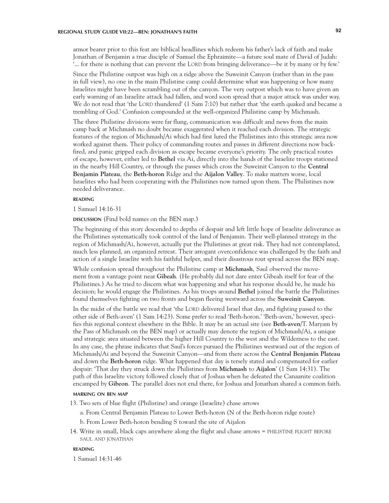armor bearer prior to this feat are biblical headlines which redeem his father's lack of faith and make Jonathan of Benjamin a true disciple of Samuel the Ephraimite—a future soul mate of David of Judah: '... for there is nothing that can prevent the Lord from bringing deliverance—be it by many or by few.'

Since the Philistine outpost was high on a ridge above the Suweinit Canyon (rather than in the pass in full view), no one in the main Philistine camp could determine what was happening or how many Israelites might have been scrambling out of the canyon. The very outpost which was to have given an early warning of an Israelite attack had fallen, and word soon spread that a major attack was under way. We do not read that 'the LORD thundered' (1 Sam 7:10) but rather that 'the earth quaked and became a trembling of God.' Confusion compounded at the well-organized Philistine camp by Michmash.

The three Philistine divisions were far flung, communication was difficult and news from the main camp back at Michmash no doubt became exaggerated when it reached each division. The strategic features of the region of Michmash/Ai which had first lured the Philistines into this strategic area now worked against them. Their policy of commanding routes and passes in different directions now backfired, and panic gripped each division as escape became everyone's priority. The only practical routes of escape, however, either led to **Bethel** via Ai, directly into the hands of the Israelite troops stationed in the nearby Hill Country, or through the passes which cross the Suweinit Canyon to the **Central Benjamin Plateau**, the **Beth-horon** Ridge and the **Aijalon Valley**. To make matters worse, local Israelites who had been cooperating with the Philistines now turned upon them. The Philistines now needed deliverance.

# **reading**

1 Samuel 14:16-31

**discussion** (Find bold names on the BEN map.)

The beginning of this story descended to depths of despair and left little hope of Israelite deliverance as the Philistines systematically took control of the land of Benjamin. Their well-planned strategy in the region of Michmash/Ai, however, actually put the Philistines at great risk. They had not contemplated, much less planned, an organized retreat. Their arrogant overconfidence was challenged by the faith and action of a single Israelite with his faithful helper, and their disastrous rout spread across the BEN map.

While confusion spread throughout the Philistine camp at **Michmash**, Saul observed the movement from a vantage point near **Gibeah**. (He probably did not dare enter Gibeah itself for fear of the Philistines.) As he tried to discern what was happening and what his response should be, he made his decision; he would engage the Philistines. As his troops around **Bethel** joined the battle the Philistines found themselves fighting on two fronts and began fleeing westward across the **Suweinit Canyon**.

In the midst of the battle we read that 'the LORD delivered Israel that day, and fighting passed to the other side of Beth-aven' (1 Sam 14:23). Some prefer to read 'Beth-horon.' 'Beth-aven,' however, specifies this regional context elsewhere in the Bible. It may be an actual site (see **Beth-aven**/T. Maryam by the Pass of Michmash on the BEN map) or actually may denote the region of Michmash/Ai, a unique and strategic area situated between the higher Hill Country to the west and the Wilderness to the east. In any case, the phrase indicates that Saul's forces pursued the Philistines westward out of the region of Michmash/Ai and beyond the Suweinit Canyon—and from there across the **Central Benjamin Plateau**  and down the **Beth-horon** ridge. What happened that day is tersely stated and compensated for earlier despair: 'That day they struck down the Philistines from **Michmash** to **Aijalon**' (1 Sam 14:31). The path of this Israelite victory followed closely that of Joshua when he defeated the Canaanite coalition encamped by **Gibeon**. The parallel does not end there, for Joshua and Jonathan shared a common faith.

# **marking on ben map**

- 13. Two sets of blue flight (Philistine) and orange (Israelite) chase arrows
	- a. From Central Benjamin Plateau to Lower Beth-horon (N of the Beth-horon ridge route)
	- b. From Lower Beth-horon bending S toward the site of Aijalon
- 14. Write in small, black caps anywhere along the flight and chase arrows = philistine flight before saul and jonathan

## **reading**

1 Samuel 14:31-46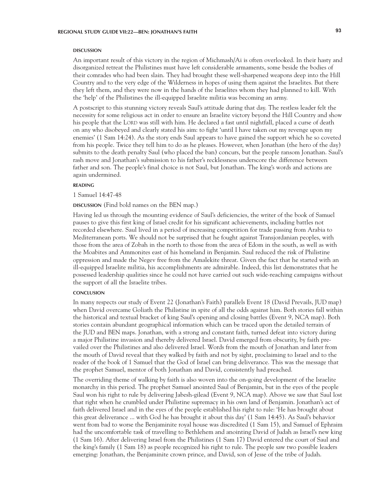#### **DISCUSSION discussion**

An important result of this victory in the region of Michmash/Ai is often overlooked. In their hasty and disorganized retreat the Philistines must have left considerable armaments, some beside the bodies of their comrades who had been slain. They had brought these well-sharpened weapons deep into the Hill Country and to the very edge of the Wilderness in hopes of using them against the Israelites. But there they left them, and they were now in the hands of the Israelites whom they had planned to kill. With the 'help' of the Philistines the ill-equipped Israelite militia was becoming an army.

A postscript to this stunning victory reveals Saul's attitude during that day. The restless leader felt the necessity for some religious act in order to ensure an Israelite victory beyond the Hill Country and show his people that the LORD was still with him. He declared a fast until nightfall, placed a curse of death on any who disobeyed and clearly stated his aim: to fight 'until I have taken out my revenge upon my enemies' (1 Sam 14:24). As the story ends Saul appears to have gained the support which he so coveted from his people. Twice they tell him to do as he pleases. However, when Jonathan (the hero of the day) submits to the death penalty Saul (who placed the ban) concurs, but the people ransom Jonathan. Saul's rash move and Jonathan's submission to his father's recklessness underscore the difference between father and son. The people's final choice is not Saul, but Jonathan. The king's words and actions are again undermined.

# **reading**

1 Samuel 14:47-48

## **DISCUSSION** (Find bold names on the BEN map.)

Having led us through the mounting evidence of Saul's deficiencies, the writer of the book of Samuel pauses to give this first king of Israel credit for his significant achievements, including battles not recorded elsewhere. Saul lived in a period of increasing competition for trade passing from Arabia to Mediterranean ports. We should not be surprised that he fought against Transjordanian peoples, with those from the area of Zobah in the north to those from the area of Edom in the south, as well as with the Moabites and Ammonites east of his homeland in Benjamin. Saul reduced the risk of Philistine oppression and made the Negev free from the Amalekite threat. Given the fact that he started with an ill-equipped Israelite militia, his accomplishments are admirable. Indeed, this list demonstrates that he possessed leadership qualities since he could not have carried out such wide-reaching campaigns without the support of all the Israelite tribes.

#### **CONCLUSION conclusion**

In many respects our study of Event 22 (Jonathan's Faith) parallels Event 18 (David Prevails, JUD map) when David overcame Goliath the Philistine in spite of all the odds against him. Both stories fall within the historical and textual bracket of king Saul's opening and closing battles (Event 9, NCA map). Both stories contain abundant geographical information which can be traced upon the detailed terrain of the JUD and BEN maps. Jonathan, with a strong and constant faith, turned defeat into victory during a major Philistine invasion and thereby delivered Israel. David emerged from obscurity, by faith prevailed over the Philistines and also delivered Israel. Words from the mouth of Jonathan and later from the mouth of David reveal that they walked by faith and not by sight, proclaiming to Israel and to the reader of the book of 1 Samuel that the God of Israel can bring deliverance. This was the message that the prophet Samuel, mentor of both Jonathan and David, consistently had preached.

The overriding theme of walking by faith is also woven into the on-going development of the Israelite monarchy in this period. The prophet Samuel anointed Saul of Benjamin, but in the eyes of the people Saul won his right to rule by delivering Jabesh-gilead (Event 9, NCA map). Above we saw that Saul lost that right when he crumbled under Philistine supremacy in his own land of Benjamin. Jonathan's act of faith delivered Israel and in the eyes of the people established his right to rule: 'He has brought about this great deliverance ... with God he has brought it about this day' (1 Sam 14:45). As Saul's behavior went from bad to worse the Benjaminite royal house was discredited (1 Sam 15), and Samuel of Ephraim had the uncomfortable task of travelling to Bethlehem and anointing David of Judah as Israel's new king (1 Sam 16). After delivering Israel from the Philistines (1 Sam 17) David entered the court of Saul and the king's family (1 Sam 18) as people recognized his right to rule. The people saw two possible leaders emerging: Jonathan, the Benjaminite crown prince, and David, son of Jesse of the tribe of Judah.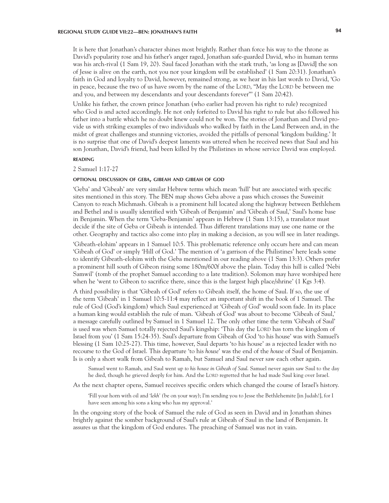It is here that Jonathan's character shines most brightly. Rather than force his way to the throne as David's popularity rose and his father's anger raged, Jonathan safe-guarded David, who in human terms was his arch-rival (1 Sam 19, 20). Saul faced Jonathan with the stark truth, 'as long as [David] the son of Jesse is alive on the earth, not you nor your kingdom will be established' (1 Sam 20:31). Jonathan's faith in God and loyalty to David, however, remained strong, as we hear in his last words to David, 'Go in peace, because the two of us have sworn by the name of the LORD, "May the LORD be between me and you, and between my descendants and your descendants forever"' (1 Sam 20:42).

Unlike his father, the crown prince Jonathan (who earlier had proven his right to rule) recognized who God is and acted accordingly. He not only forfeited to David his right to rule but also followed his father into a battle which he no doubt knew could not be won. The stories of Jonathan and David provide us with striking examples of two individuals who walked by faith in the Land Between and, in the midst of great challenges and stunning victories, avoided the pitfalls of personal 'kingdom building.' It is no surprise that one of David's deepest laments was uttered when he received news that Saul and his son Jonathan, David's friend, had been killed by the Philistines in whose service David was employed.

### **reading**

#### 2 Samuel 1:17-27

#### **optional discussion of geba, gibeah and gibeah of god**

'Geba' and 'Gibeah' are very similar Hebrew terms which mean 'hill' but are associated with specific sites mentioned in this story. The BEN map shows Geba above a pass which crosses the Suweinit Canyon to reach Michmash. Gibeah is a prominent hill located along the highway between Bethlehem and Bethel and is usually identified with 'Gibeah of Benjamin' and 'Gibeah of Saul,' Saul's home base in Benjamin. When the term 'Geba-Benjamin' appears in Hebrew (1 Sam 13:15), a translator must decide if the site of Geba or Gibeah is intended. Thus different translations may use one name or the other. Geography and tactics also come into play in making a decision, as you will see in later readings.

'Gibeath-elohim' appears in 1 Samuel 10:5. This problematic reference only occurs here and can mean 'Gibeah of God' or simply 'Hill of God.' The mention of 'a garrison of the Philistines' here leads some to identify Gibeath-elohim with the Geba mentioned in our reading above (1 Sam 13:3). Others prefer a prominent hill south of Gibeon rising some 180m/600f above the plain. Today this hill is called 'Nebi Samwil' (tomb of the prophet Samuel according to a late tradition). Solomon may have worshiped here when he 'went to Gibeon to sacrifice there, since this is the largest high place/shrine' (1 Kgs 3:4).

A third possibility is that 'Gibeah of God' refers to Gibeah itself, the home of Saul. If so, the use of the term 'Gibeah' in 1 Samuel 10:5-11:4 may reflect an important shift in the book of 1 Samuel. The rule of God (God's kingdom) which Saul experienced at 'Gibeah *of God*' would soon fade. In its place a human king would establish the rule of man. 'Gibeah of God' was about to become 'Gibeah of Saul,' a message carefully outlined by Samuel in 1 Samuel 12. The only other time the term 'Gibeah of Saul' is used was when Samuel totally rejected Saul's kingship: 'This day the LORD has torn the kingdom of Israel from you' (1 Sam 15:24-35). Saul's departure from Gibeah of God 'to his house' was with Samuel's blessing (1 Sam 10:25-27). This time, however, Saul departs 'to his house' as a rejected leader with no recourse to the God of Israel. This departure 'to his *house*' was the end of the *house* of Saul of Benjamin. Is is only a short walk from Gibeah to Ramah, but Samuel and Saul never saw each other again.

Samuel went to Ramah, and Saul went up *to his house in Gibeah of Saul*. Samuel never again saw Saul to the day he died, though he grieved deeply for him. And the LORD regretted that he had made Saul king over Israel.

As the next chapter opens, Samuel receives specific orders which changed the course of Israel's history.

'Fill your horn with oil and '*lekh' (*be on your way); I'm sending you to Jesse the Bethlehemite [in Judah!], for I have seen among his sons a king who has my approval.'

In the ongoing story of the book of Samuel the rule of God as seen in David and in Jonathan shines brightly against the somber background of Saul's rule at Gibeah of Saul in the land of Benjamin. It assures us that the kingdom of God endures. The preaching of Samuel was not in vain.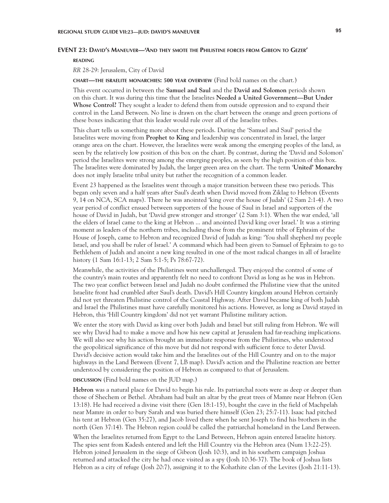## **EVENT 23: David's Maneuver—'And they smote the Philistine forces from Gibeon to Gezer'**

**reading**

*RR* 28-29: Jerusalem, City of David

**chart—the israelite monarchies: 500 year overview** (Find bold names on the chart.)

This event occurred in between the **Samuel and Saul** and the **David and Solomon** periods shown on this chart. It was during this time that the Israelites **Needed a United Government—But Under Whose Control?** They sought a leader to defend them from outside oppression and to expand their control in the Land Between. No line is drawn on the chart between the orange and green portions of these boxes indicating that this leader would rule over all of the Israelite tribes.

This chart tells us something more about these periods. During the 'Samuel and Saul' period the Israelites were moving from **Prophet to King** and leadership was concentrated in Israel, the larger orange area on the chart. However, the Israelites were weak among the emerging peoples of the land, as seen by the relatively low position of this box on the chart. By contrast, during the 'David and Solomon' period the Israelites were strong among the emerging peoples, as seen by the high position of this box. The Israelites were dominated by Judah, the larger green area on the chart. The term '**United' Monarchy** does not imply Israelite tribal unity but rather the recognition of a common leader.

Event 23 happened as the Israelites went through a major transition between these two periods. This began only seven and a half years after Saul's death when David moved from Ziklag to Hebron (Events 9, 14 on NCA, SCA maps). There he was anointed 'king over the house of Judah' (2 Sam 2:1-4). A two year period of conflict ensued between supporters of the house of Saul in Israel and supporters of the house of David in Judah, but 'David grew stronger and stronger' (2 Sam 3:1). When the war ended, 'all the elders of Israel came to the king at Hebron ... and anointed David king over Israel.' It was a stirring moment as leaders of the northern tribes, including those from the prominent tribe of Ephraim of the House of Joseph, came to Hebron and recognized David of Judah as king: 'You shall shepherd my people Israel, and you shall be ruler of Israel.' A command which had been given to Samuel of Ephraim to go to Bethlehem of Judah and anoint a new king resulted in one of the most radical changes in all of Israelite history (1 Sam 16:1-13; 2 Sam 5:1-5; Ps 78:67-72).

Meanwhile, the activities of the Philistines went unchallenged. They enjoyed the control of some of the country's main routes and apparently felt no need to confront David as long as he was in Hebron. The two year conflict between Israel and Judah no doubt confirmed the Philistine view that the united Israelite front had crumbled after Saul's death. David's Hill Country kingdom around Hebron certainly did not yet threaten Philistine control of the Coastal Highway. After David became king of both Judah and Israel the Philistines must have carefully monitored his actions. However, as long as David stayed in Hebron, this 'Hill Country kingdom' did not yet warrant Philistine military action.

We enter the story with David as king over both Judah and Israel but still ruling from Hebron. We will see why David had to make a move and how his new capital at Jerusalem had far-reaching implications. We will also see why his action brought an immediate response from the Philistines, who understood the geopolitical significance of this move but did not respond with sufficient force to deter David. David's decisive action would take him and the Israelites out of the Hill Country and on to the major highways in the Land Between (Event 7, LB map). David's action and the Philistine reaction are better understood by considering the position of Hebron as compared to that of Jerusalem.

**DISCUSSION** (Find bold names on the JUD map.)

**Hebron** was a natural place for David to begin his rule. Its patriarchal roots were as deep or deeper than those of Shechem or Bethel. Abraham had built an altar by the great trees of Mamre near Hebron (Gen 13:18). He had received a divine visit there (Gen 18:1-15), bought the cave in the field of Machpelah near Mamre in order to bury Sarah and was buried there himself (Gen 23; 25:7-11). Isaac had pitched his tent at Hebron (Gen 35:27), and Jacob lived there when he sent Joseph to find his brothers in the north (Gen 37:14). The Hebron region could be called the patriarchal homeland in the Land Between.

When the Israelites returned from Egypt to the Land Between, Hebron again entered Israelite history. The spies sent from Kadesh entered and left the Hill Country via the Hebron area (Num 13:22-25). Hebron joined Jerusalem in the siege of Gibeon (Josh 10:3), and in his southern campaign Joshua returned and attacked the city he had once visited as a spy (Josh 10:36-37). The book of Joshua lists Hebron as a city of refuge (Josh 20:7), assigning it to the Kohathite clan of the Levites (Josh 21:11-13).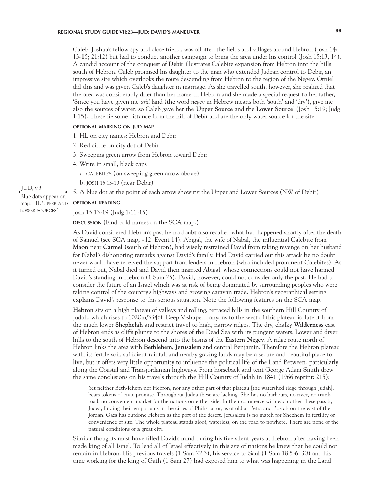Caleb, Joshua's fellow-spy and close friend, was allotted the fields and villages around Hebron (Josh 14: 13-15; 21:12) but had to conduct another campaign to bring the area under his control (Josh 15:13, 14). A candid account of the conquest of **Debir** illustrates Calebite expansion from Hebron into the hills south of Hebron. Caleb promised his daughter to the man who extended Judean control to Debir, an impressive site which overlooks the route descending from Hebron to the region of the Negev. Otniel did this and was given Caleb's daughter in marriage. As she travelled south, however, she realized that the area was considerably drier than her home in Hebron and she made a special request to her father, 'Since you have given me *arid* land (the word *negev* in Hebrew means both 'south' and 'dry'), give me also the sources of water; so Caleb gave her the **Upper Source** and the **Lower Source**' (Josh 15:19; Judg 1:15). These lie some distance from the hill of Debir and are the only water source for the site.

# **optional marking on jud map**

- 1. HL on city names: Hebron and Debir
- 2. Red circle on city dot of Debir
- 3. Sweeping green arrow from Hebron toward Debir
- 4. Write in small, black caps
	- a. calebites (on sweeping green arrow above)
	- b. josh 15:13-19 (near Debir)
- 5. A blue dot at the point of each arrow showing the Upper and Lower Sources (NW of Debir)

### **optional reading**

Josh 15:13-19 (Judg 1:11-15)

**DISCUSSION** (Find bold names on the SCA map.)

As David considered Hebron's past he no doubt also recalled what had happened shortly after the death of Samuel (see SCA map, #12, Event 14). Abigal, the wife of Nabal, the influential Calebite from **Maon** near **Carmel** (south of Hebron), had wisely restrained David from taking revenge on her husband for Nabal's dishonoring remarks against David's family. Had David carried out this attack he no doubt never would have received the support from leaders in Hebron (who included prominent Calebites). As it turned out, Nabal died and David then married Abigal, whose connections could not have harmed David's standing in Hebron (1 Sam 25). David, however, could not consider only the past. He had to consider the future of an Israel which was at risk of being dominated by surrounding peoples who were taking control of the country's highways and growing caravan trade. Hebron's geographical setting explains David's response to this serious situation. Note the following features on the SCA map.

**Hebron** sits on a high plateau of valleys and rolling, terraced hills in the southern Hill Country of Judah, which rises to 1020m/3346f. Deep V-shaped canyons to the west of this plateau isolate it from the much lower **Shephelah** and restrict travel to high, narrow ridges. The dry, chalky **Wilderness** east of Hebron ends as cliffs plunge to the shores of the Dead Sea with its pungent waters. Lower and dryer hills to the south of Hebron descend into the basins of the **Eastern Negev**. A ridge route north of Hebron links the area with **Bethlehem**, **Jerusalem** and central Benjamin. Therefore the Hebron plateau with its fertile soil, sufficient rainfall and nearby grazing lands may be a secure and beautiful place to live, but it offers very little opportunity to influence the political life of the Land Between, particularly along the Coastal and Transjordanian highways. From horseback and tent George Adam Smith drew the same conclusions on his travels through the Hill Country of Judah in 1841 (1966 reprint: 215):

Yet neither Beth-lehem nor Hebron, nor any other part of that plateau [the watershed ridge through Judah], bears tokens of civic promise. Throughout Judea these are lacking. She has no harbours, no river, no trunkroad, no convenient market for the nations on either side. In their commerce with each other these pass by Judea, finding their emporiums in the cities of Philistia, or, as of old at Petra and Bozrah on the east of the Jordan. Gaza has outdone Hebron as the port of the desert. Jerusalem is no match for Shechem in fertility or convenience of site. The whole plateau stands aloof, waterless, on the road to nowhere. There are none of the natural conditions of a great city.

Similar thoughts must have filled David's mind during his five silent years at Hebron after having been made king of all Israel. To lead all of Israel effectively in this age of nations he knew that he could not remain in Hebron. His previous travels (1 Sam 22:3), his service to Saul (1 Sam 18:5-6, 30) and his time working for the king of Gath (1 Sam 27) had exposed him to what was happening in the Land

# JUD, v.3

Blue dots appear on map; HL 'upper and lower sources'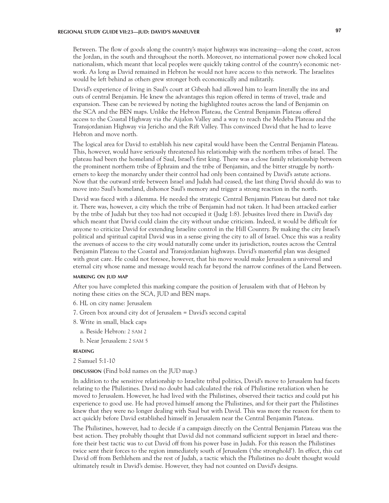# **REGIONAL STUDY GUIDE VII:23—JUD: DAVID'S MANEUVER 97**

Between. The flow of goods along the country's major highways was increasing—along the coast, across the Jordan, in the south and throughout the north. Moreover, no international power now choked local nationalism, which meant that local peoples were quickly taking control of the country's economic network. As long as David remained in Hebron he would not have access to this network. The Israelites would be left behind as others grew stronger both economically and militarily.

David's experience of living in Saul's court at Gibeah had allowed him to learn literally the ins and outs of central Benjamin. He knew the advantages this region offered in terms of travel, trade and expansion. These can be reviewed by noting the highlighted routes across the land of Benjamin on the SCA and the BEN maps. Unlike the Hebron Plateau, the Central Benjamin Plateau offered access to the Coastal Highway via the Aijalon Valley and a way to reach the Medeba Plateau and the Transjordanian Highway via Jericho and the Rift Valley. This convinced David that he had to leave Hebron and move north.

The logical area for David to establish his new capital would have been the Central Benjamin Plateau. This, however, would have seriously threatened his relationship with the northern tribes of Israel. The plateau had been the homeland of Saul, Israel's first king. There was a close family relationship between the prominent northern tribe of Ephraim and the tribe of Benjamin, and the bitter struggle by northerners to keep the monarchy under their control had only been contained by David's astute actions. Now that the outward strife between Israel and Judah had ceased, the last thing David should do was to move into Saul's homeland, dishonor Saul's memory and trigger a strong reaction in the north.

David was faced with a dilemma. He needed the strategic Central Benjamin Plateau but dared not take it. There was, however, a city which the tribe of Benjamin had not taken. It had been attacked earlier by the tribe of Judah but they too had not occupied it (Judg 1:8). Jebusites lived there in David's day which meant that David could claim the city without undue criticism. Indeed, it would be difficult for anyone to criticize David for extending Israelite control in the Hill Country. By making the city Israel's political and spiritual capital David was in a sense giving the city to all of Israel. Once this was a reality the avenues of access to the city would naturally come under its jurisdiction, routes across the Central Benjamin Plateau to the Coastal and Transjordanian highways. David's masterful plan was designed with great care. He could not foresee, however, that his move would make Jerusalem a universal and eternal city whose name and message would reach far beyond the narrow confines of the Land Between.

## **marking on jud map**

After you have completed this marking compare the position of Jerusalem with that of Hebron by noting these cities on the SCA, JUD and BEN maps.

- 6. HL on city name: Jerusalem
- 7. Green box around city dot of Jerusalem = David's second capital
- 8. Write in small, black caps
	- a. Beside Hebron: 2 sam 2
	- b. Near Jerusalem: 2 sam 5

# **reading**

2 Samuel 5:1-10

**discussion** (Find bold names on the JUD map.)

In addition to the sensitive relationship to Israelite tribal politics, David's move to Jerusalem had facets relating to the Philistines. David no doubt had calculated the risk of Philistine retaliation when he moved to Jerusalem. However, he had lived with the Philistines, observed their tactics and could put his experience to good use. He had proved himself among the Philistines, and for their part the Philistines knew that they were no longer dealing with Saul but with David. This was more the reason for them to act quickly before David established himself in Jerusalem near the Central Benjamin Plateau.

The Philistines, however, had to decide if a campaign directly on the Central Benjamin Plateau was the best action. They probably thought that David did not command sufficient support in Israel and therefore their best tactic was to cut David off from his power base in Judah. For this reason the Philistines twice sent their forces to the region immediately south of Jerusalem ('the stronghold'). In effect, this cut David off from Bethlehem and the rest of Judah, a tactic which the Philistines no doubt thought would ultimately result in David's demise. However, they had not counted on David's designs.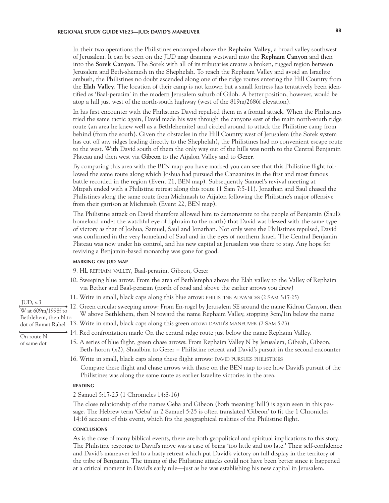In their two operations the Philistines encamped above the **Rephaim Valley**, a broad valley southwest of Jerusalem. It can be seen on the JUD map draining westward into the **Rephaim Canyon** and then into the **Sorek Canyon**. The Sorek with all of its tributaries creates a broken, rugged region between Jerusalem and Beth-shemesh in the Shephelah. To reach the Rephaim Valley and avoid an Israelite ambush, the Philistines no doubt ascended along one of the ridge routes entering the Hill Country from the **Elah Valley**. The location of their camp is not known but a small fortress has tentatively been identified as 'Baal-perazim' in the modern Jerusalem suburb of Giloh. A better position, however, would be atop a hill just west of the north-south highway (west of the 819m/2686f elevation).

In his first encounter with the Philistines David repulsed them in a frontal attack. When the Philistines tried the same tactic again, David made his way through the canyons east of the main north-south ridge route (an area he knew well as a Bethlehemite) and circled around to attack the Philistine camp from behind (from the south). Given the obstacles in the Hill Country west of Jerusalem (the Sorek system has cut off any ridges leading directly to the Shephelah), the Philistines had no convenient escape route to the west. With David south of them the only way out of the hills was north to the Central Benjamin Plateau and then west via **Gibeon** to the Aijalon Valley and to **Gezer**.

By comparing this area with the BEN map you have marked you can see that this Philistine flight followed the same route along which Joshua had pursued the Canaanites in the first and most famous battle recorded in the region (Event 21, BEN map). Subsequently Samuel's revival meeting at Mizpah ended with a Philistine retreat along this route (1 Sam 7:5-11). Jonathan and Saul chased the Philistines along the same route from Michmash to Aijalon following the Philistine's major offensive from their garrison at Michmash (Event 22, BEN map).

The Philistine attack on David therefore allowed him to demonstrate to the people of Benjamin (Saul's homeland under the watchful eye of Ephraim to the north) that David was blessed with the same type of victory as that of Joshua, Samuel, Saul and Jonathan. Not only were the Philistines repulsed, David was confirmed in the very homeland of Saul and in the eyes of northern Israel. The Central Benjamin Plateau was now under his control, and his new capital at Jerusalem was there to stay. Any hope for reviving a Benjamin-based monarchy was gone for good.

# **marking on jud map**

9. HL rephaim valley, Baal-perazim, Gibeon, Gezer

- 10. Sweeping blue arrow: From the area of Bethletepha above the Elah valley to the Valley of Rephaim via Bether and Baal-perazim (north of road and above the earlier arrows you drew)
- 11. Write in small, black caps along this blue arrow: philistine advances (2 Sam 5:17-25)
- 12. Green circular sweeping arrow: From En-rogel by Jerusalem SE around the name Kidron Canyon, then W above Bethlehem, then N toward the name Rephaim Valley, stopping 3cm/1in below the name
- dot of Ramat Rahel 13. Write in small, black caps along this green arrow: DAVID'S MANEUVER (2 SAM 5:23)
	- 14. Red confrontation mark: On the central ridge route just below the name Rephaim Valley.
		- 15. A series of blue flight, green chase arrows: From Rephaim Valley N by Jerusalem, Gibeah, Gibeon, Beth-horon (x2), Shaalbim to Gezer = Philistine retreat and David's pursuit in the second encounter
		- 16. Write in small, black caps along these flight arrows: DAVID PURSUES PHILISTINES Compare these flight and chase arrows with those on the BEN map to see how David's pursuit of the Philistines was along the same route as earlier Israelite victories in the area.

#### **reading**

2 Samuel 5:17-25 (1 Chronicles 14:8-16)

The close relationship of the names Geba and Gibeon (both meaning 'hill') is again seen in this passage. The Hebrew term 'Geba' in 2 Samuel 5:25 is often translated 'Gibeon' to fit the 1 Chronicles 14:16 account of this event, which fits the geographical realities of the Philistine flight.

#### **CONCLUSIONS conclusions**

As is the case of many biblical events, there are both geopolitical and spiritual implications to this story. The Philistine response to David's move was a case of being 'too little and too late.' Their self-confidence and David's maneuver led to a hasty retreat which put David's victory on full display in the territory of the tribe of Benjamin. The timing of the Philistine attacks could not have been better since it happened at a critical moment in David's early rule—just as he was establishing his new capital in Jerusalem.

JUD, v.3 W at 609m/1998f to Bethlehem, then N to

On route N of same dot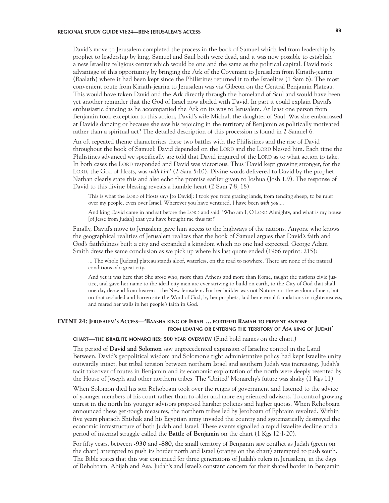# **REGIONAL STUDY GUIDE VII:24—BEN: JERUSALEM'S ACCESS 99**

David's move to Jerusalem completed the process in the book of Samuel which led from leadership by prophet to leadership by king. Samuel and Saul both were dead, and it was now possible to establish a new Israelite religious center which would be one and the same as the political capital. David took advantage of this opportunity by bringing the Ark of the Covenant to Jerusalem from Kiriath-jearim (Baalath) where it had been kept since the Philistines returned it to the Israelites (1 Sam 6). The most convenient route from Kiriath-jearim to Jerusalem was via Gibeon on the Central Benjamin Plateau. This would have taken David and the Ark directly through the homeland of Saul and would have been yet another reminder that the God of Israel now abided with David. In part it could explain David's enthusiastic dancing as he accompanied the Ark on its way to Jerusalem. At least one person from Benjamin took exception to this action, David's wife Michal, the daughter of Saul. Was she embarrassed at David's dancing or because she saw his rejoicing in the territory of Benjamin as politically motivated rather than a spiritual act? The detailed description of this procession is found in 2 Samuel 6.

An oft repeated theme characterizes these two battles with the Philistines and the rise of David throughout the book of Samuel: David depended on the LORD and the LORD blessed him. Each time the Philistines advanced we specifically are told that David inquired of the LORD as to what action to take. In both cases the LORD responded and David was victorious. Thus 'David kept growing stronger, for the LORD, the God of Hosts, was *with him*' (2 Sam 5:10). Divine words delivered to David by the prophet Nathan clearly state this and also echo the promise earlier given to Joshua (Josh 1:9). The response of David to this divine blessing reveals a humble heart (2 Sam 7:8, 18).

This is what the LORD of Hosts says [to David]: I took you from grazing lands, from tending sheep, to be ruler over my people, even over Israel. Wherever you have ventured, I have been *with you*....

And king David came in and sat before the LORD and said, 'Who am I, O LORD Almighty, and what is my house [of Jesse from Judah] that you have brought me thus far?'

Finally, David's move to Jerusalem gave him access to the highways of the nations. Anyone who knows the geographical realities of Jerusalem realizes that the book of Samuel argues that David's faith and God's faithfulness built a city and expanded a kingdom which no one had expected. George Adam Smith drew the same conclusion as we pick up where his last quote ended (1966 reprint: 215):

... The whole [Judean] plateau stands aloof, waterless, on the road to nowhere. There are none of the natural conditions of a great city.

And yet it was here that She arose who, more than Athens and more than Rome, taught the nations civic justice, and gave her name to the ideal city men are ever striving to build on earth, to the City of God that shall one day descend from heaven—the New Jerusalem. For her builder was not Nature nor the wisdom of men, but on that secluded and barren site the Word of God, by her prophets, laid her eternal foundations in righteousness, and reared her walls in her people's faith in God.

# **EVENT 24: Jerusalem's Access—'Baasha king of Israel ... fortified Ramah to prevent anyone from leaving or entering the territory of Asa king of Judah'**

# **chart—the israelite monarchies: 500 year overview** (Find bold names on the chart.)

The period of **David and Solomon** saw unprecedented expansion of Israelite control in the Land Between. David's geopolitical wisdom and Solomon's tight administrative policy had kept Israelite unity outwardly intact, but tribal tension between northern Israel and southern Judah was increasing. Judah's tacit takeover of routes in Benjamin and its economic exploitation of the north were deeply resented by the House of Joseph and other northern tribes. The 'United' Monarchy's future was shaky (1 Kgs 11).

When Solomon died his son Rehoboam took over the reigns of government and listened to the advice of younger members of his court rather than to older and more experienced advisors. To control growing unrest in the north his younger advisors proposed harsher policies and higher quotas. When Rehoboam announced these get-tough measures, the northern tribes led by Jeroboam of Ephraim revolted. Within five years pharaoh Shishak and his Egyptian army invaded the country and systematically destroyed the economic infrastructure of both Judah and Israel. These events signalled a rapid Israelite decline and a period of internal struggle called the **Battle of Benjamin** on the chart (1 Kgs 12:1-20).

For fifty years, between **-930** and **-880**, the small territory of Benjamin saw conflict as Judah (green on the chart) attempted to push its border north and Israel (orange on the chart) attempted to push south. The Bible states that this war continued for three generations of Judah's rulers in Jerusalem, in the days of Rehoboam, Abijah and Asa. Judah's and Israel's constant concern for their shared border in Benjamin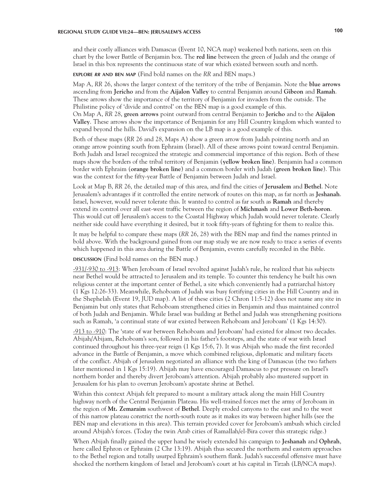# **REGIONAL STUDY GUIDE VII:24—BEN: JERUSALEM'S ACCESS 100**

and their costly alliances with Damascus (Event 10, NCA map) weakened both nations, seen on this chart by the lower Battle of Benjamin box. The **red line** between the green of Judah and the orange of Israel in this box represents the continuous state of war which existed between south and north.

**explore** *rr* **and ben map** (Find bold names on the *RR* and BEN maps.)

Map A, *RR* 26, shows the larger context of the territory of the tribe of Benjamin. Note the **blue arrows**  ascending from **Jericho** and from the **Aijalon Valley** to central Benjamin around **Gibeon** and **Ramah**. These arrows show the importance of the territory of Benjamin for invaders from the outside. The Philistine policy of 'divide and control' on the BEN map is a good example of this.

On Map A, *RR* 28, **green arrows** point outward from central Benjamin to **Jericho** and to the **Aijalon Valley**. These arrows show the importance of Benjamin for any Hill Country kingdom which wanted to expand beyond the hills. David's expansion on the LB map is a good example of this.

Both of these maps (*RR* 26 and 28, Maps A) show a green arrow from Judah pointing north and an orange arrow pointing south from Ephraim (Israel). All of these arrows point toward central Benjamin. Both Judah and Israel recognized the strategic and commercial importance of this region. Both of these maps show the borders of the tribal territory of Benjamin (**yellow broken line**). Benjamin had a common border with Ephraim (**orange broken line**) and a common border with Judah (**green broken line**). This was the context for the fifty-year Battle of Benjamin between Judah and Israel.

Look at Map B, *RR* 26, the detailed map of this area, and find the cities of **Jerusalem** and **Bethel**. Note Jerusalem's advantages if it controlled the entire network of routes on this map, as far north as **Jeshanah**. Israel, however, would never tolerate this. It wanted to control as far south as **Ramah** and thereby extend its control over all east-west traffic between the region of **Michmash** and **Lower Beth-horon**. This would cut off Jerusalem's access to the Coastal Highway which Judah would never tolerate. Clearly neither side could have everything it desired, but it took fifty-years of fighting for them to realize this.

It may be helpful to compare these maps (*RR* 26, 28) with the BEN map and find the names printed in bold above. With the background gained from our map study we are now ready to trace a series of events which happened in this area during the Battle of Benjamin, events carefully recorded in the Bible.

**discussion** (Find bold names on the BEN map.)

-931/-930 to -913: When Jeroboam of Israel revolted against Judah's rule, he realized that his subjects near Bethel would be attracted to Jerusalem and its temple. To counter this tendency he built his own religious center at the important center of Bethel, a site which conveniently had a patriarchal history (1 Kgs 12:26-33). Meanwhile, Rehoboam of Judah was busy fortifying cities in the Hill Country and in the Shephelah (Event 19, JUD map). A list of these cities (2 Chron 11:5-12) does not name any site in Benjamin but only states that Rehoboam strengthened cities in Benjamin and thus maintained control of both Judah and Benjamin. While Israel was building at Bethel and Judah was strengthening positions such as Ramah, 'a continual state of war existed between Rehoboam and Jeroboam' (1 Kgs 14:30).

-913 to -910: The 'state of war between Rehoboam and Jeroboam' had existed for almost two decades. Abijah/Abijam, Rehoboam's son, followed in his father's footsteps, and the state of war with Israel continued throughout his three-year reign (1 Kgs 15:6, 7). It was Abijah who made the first recorded advance in the Battle of Benjamin, a move which combined religious, diplomatic and military facets of the conflict. Abijah of Jerusalem negotiated an alliance with the king of Damascus (the two fathers later mentioned in 1 Kgs 15:19). Abijah may have encouraged Damascus to put pressure on Israel's northern border and thereby divert Jeroboam's attention. Abijah probably also mustered support in Jerusalem for his plan to overrun Jeroboam's apostate shrine at Bethel.

Within this context Abijah felt prepared to mount a military attack along the main Hill Country highway north of the Central Benjamin Plateau. His well-trained forces met the army of Jeroboam in the region of **Mt. Zemaraim** southwest of **Bethel**. Deeply eroded canyons to the east and to the west of this narrow plateau constrict the north-south route as it makes its way between higher hills (see the BEN map and elevations in this area). This terrain provided cover for Jeroboam's ambush which circled around Abijah's forces. (Today the twin Arab cities of Ramallah/el-Bira cover this strategic ridge.)

When Abijah finally gained the upper hand he wisely extended his campaign to **Jeshanah** and **Ophrah**, here called Ephron or Ephraim (2 Chr 13:19). Abijah thus secured the northern and eastern approaches to the Bethel region and totally usurped Ephraim's southern flank. Judah's successful offensive must have shocked the northern kingdom of Israel and Jeroboam's court at his capital in Tirzah (LB/NCA maps).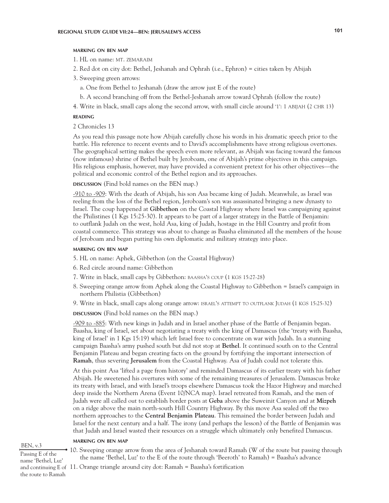#### **marking on ben map**

- 1. HL on name: MT. ZEMARAIM
- 2. Red dot on city dot: Bethel, Jeshanah and Ophrah (i.e., Ephron) = cities taken by Abijah
- 3. Sweeping green arrows:
	- a. One from Bethel to Jeshanah (draw the arrow just E of the route)
	- b. A second branching off from the Bethel-Jeshanah arrow toward Ophrah (follow the route)
- 4. Write in black, small caps along the second arrow, with small circle around '1': 1 abijah (2 chr 13)

# **reading**

2 Chronicles 13

As you read this passage note how Abijah carefully chose his words in his dramatic speech prior to the battle. His reference to recent events and to David's accomplishments have strong religious overtones. The geographical setting makes the speech even more relevant, as Abijah was facing toward the famous (now infamous) shrine of Bethel built by Jeroboam, one of Abijah's prime objectives in this campaign. His religious emphasis, however, may have provided a convenient pretext for his other objectives—the political and economic control of the Bethel region and its approaches.

**DISCUSSION** (Find bold names on the BEN map.)

-910 to -909: With the death of Abijah, his son Asa became king of Judah. Meanwhile, as Israel was reeling from the loss of the Bethel region, Jeroboam's son was assassinated bringing a new dynasty to Israel. The coup happened at **Gibbethon** on the Coastal Highway where Israel was campaigning against the Philistines (1 Kgs 15:25-30). It appears to be part of a larger strategy in the Battle of Benjamin: to outflank Judah on the west, hold Asa, king of Judah, hostage in the Hill Country and profit from coastal commerce. This strategy was about to change as Baasha eliminated all the members of the house of Jeroboam and began putting his own diplomatic and military strategy into place.

### **marking on ben map**

- 5. HL on name: Aphek, Gibbethon (on the Coastal Highway)
- 6. Red circle around name: Gibbethon
- 7. Write in black, small caps by Gibbethon: BAASHA's coup (1 KGS 15:27-28)
- 8. Sweeping orange arrow from Aphek along the Coastal Highway to Gibbethon = Israel's campaign in northern Philistia (Gibbethon)
- 9. Write in black, small caps along orange arrow: ISRAEL'S ATTEMPT TO OUTFLANK JUDAH (1 KGS 15:25-32)

**discussion** (Find bold names on the BEN map.)

-909 to -885: With new kings in Judah and in Israel another phase of the Battle of Benjamin began. Baasha, king of Israel, set about negotiating a treaty with the king of Damascus (the 'treaty with Baasha, king of Israel' in 1 Kgs 15:19) which left Israel free to concentrate on war with Judah. In a stunning campaign Baasha's army pushed south but did not stop at **Bethel**. It continued south on to the Central Benjamin Plateau and began creating facts on the ground by fortifying the important intersection of **Ramah**, thus severing **Jerusalem** from the Coastal Highway. Asa of Judah could not tolerate this.

At this point Asa 'lifted a page from history' and reminded Damascus of its earlier treaty with his father Abijah. He sweetened his overtures with some of the remaining treasures of Jerusalem. Damascus broke its treaty with Israel, and with Israel's troops elsewhere Damascus took the Hazor Highway and marched deep inside the Northern Arena (Event 10/NCA map). Israel retreated from Ramah, and the men of Judah were all called out to establish border posts at **Geba** above the Suweinit Canyon and at **Mizpeh**  on a ridge above the main north-south Hill Country Highway. By this move Asa sealed off the two northern approaches to the **Central Benjamin Plateau**. This remained the border between Judah and Israel for the next century and a half. The irony (and perhaps the lesson) of the Battle of Benjamin was that Judah and Israel wasted their resources on a struggle which ultimately only benefited Damascus.

# **marking on ben map**

BEN, v.3

Passing E of the name 'Bethel, Luz' 10. Sweeping orange arrow from the area of Jeshanah toward Ramah (W of the route but passing through the name 'Bethel, Luz' to the E of the route through 'Beeroth' to Ramah) = Baasha's advance

and continuing E of 11. Orange triangle around city dot: Ramah = Baasha's fortification

the route to Ramah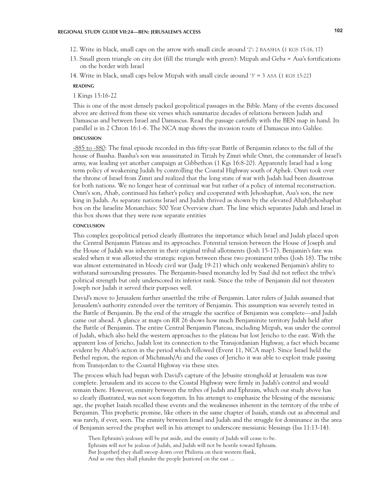- 12. Write in black, small caps on the arrow with small circle around '2': 2 BAASHA (1 KGS 15:16, 17)
- 13. Small green triangle on city dot (fill the triangle with green): Mizpah and Geba = Asa's fortifications on the border with Israel
- 14. Write in black, small caps below Mizpah with small circle around '3' = 3 ASA (1 KGS 15:22)

#### **reading**

1 Kings 15:16-22

This is one of the most densely packed geopolitical passages in the Bible. Many of the events discussed above are derived from these six verses which summarize decades of relations between Judah and Damascus and between Israel and Damascus. Read the passage carefully with the BEN map in hand. Its parallel is in 2 Chron 16:1-6. The NCA map shows the invasion route of Damascus into Galilee.

#### **DISCUSSION discussion**

-885 to -880: The final episode recorded in this fifty-year Battle of Benjamin relates to the fall of the house of Baasha. Baasha's son was assassinated in Tirzah by Zimri while Omri, the commander of Israel's army, was leading yet another campaign at Gibbethon (1 Kgs 16:8-20). Apparently Israel had a long term policy of weakening Judah by controlling the Coastal Highway south of Aphek. Omri took over the throne of Israel from Zimri and realized that the long state of war with Judah had been disastrous for both nations. We no longer hear of continual war but rather of a policy of internal reconstruction. Omri's son, Ahab, continued his father's policy and cooperated with Jehoshaphat, Asa's son, the new king in Judah. As separate nations Israel and Judah thrived as shown by the elevated Ahab/Jehoshaphat box on the Israelite Monarchies: 500 Year Overview chart. The line which separates Judah and Israel in this box shows that they were now separate entities

#### **CONCLUSION conclusion**

This complex geopolitical period clearly illustrates the importance which Israel and Judah placed upon the Central Benjamin Plateau and its approaches. Potential tension between the House of Joseph and the House of Judah was inherent in their original tribal allotments (Josh 15-17). Benjamin's fate was sealed when it was allotted the strategic region between these two prominent tribes (Josh 18). The tribe was almost exterminated in bloody civil war (Judg 19-21) which only weakened Benjamin's ability to withstand surrounding pressures. The Benjamin-based monarchy led by Saul did not reflect the tribe's political strength but only underscored its inferior rank. Since the tribe of Benjamin did not threaten Joseph nor Judah it served their purposes well.

David's move to Jerusalem further unsettled the tribe of Benjamin. Later rulers of Judah assumed that Jerusalem's authority extended over the territory of Benjamin. This assumption was severely tested in the Battle of Benjamin. By the end of the struggle the sacrifice of Benjamin was complete—and Judah came out ahead. A glance at maps on *RR* 26 shows how much Benjaminite territory Judah held after the Battle of Benjamin. The entire Central Benjamin Plateau, including Mizpah, was under the control of Judah, which also held the western approaches to the plateau but lost Jericho to the east. With the apparent loss of Jericho, Judah lost its connection to the Transjordanian Highway, a fact which became evident by Ahab's action in the period which followed (Event 11, NCA map). Since Israel held the Bethel region, the region of Michmash/Ai and the oases of Jericho it was able to exploit trade passing from Transjordan to the Coastal Highway via these sites.

The process which had begun with David's capture of the Jebusite stronghold at Jerusalem was now complete. Jerusalem and its access to the Coastal Highway were firmly in Judah's control and would remain there. However, enmity between the tribes of Judah and Ephraim, which our study above has so clearly illustrated, was not soon forgotten. In his attempt to emphasize the blessing of the messianic age, the prophet Isaiah recalled these events and the weaknesses inherent in the territory of the tribe of Benjamin. This prophetic promise, like others in the same chapter of Isaiah, stands out as abnormal and was rarely, if ever, seen. The enmity between Israel and Judah and the struggle for dominance in the area of Benjamin served the prophet well in his attempt to underscore messianic blessings (Isa 11:13-14).

Then Ephraim's jealousy will be put aside, and the enmity of Judah will cease to be. Ephraim will not be jealous of Judah, and Judah will not be hostile toward Ephraim. But [together] they shall swoop down over Philistia on their western flank, And as one they shall plunder the people [nations] on the east ...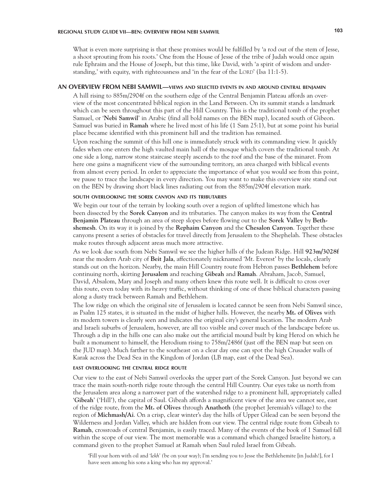What is even more surprising is that these promises would be fulfilled by 'a rod out of the stem of Jesse, a shoot sprouting from his roots.' One from the House of Jesse of the tribe of Judah would once again rule Ephraim and the House of Joseph, but this time, like David, with 'a spirit of wisdom and understanding,' with equity, with righteousness and 'in the fear of the LORD' (Isa  $11:1-5$ ).

## **AN OVERVIEW FROM NEBI SAMWIL—views and selected events in and around central benjamin**

A hill rising to 885m/2904f on the southern edge of the Central Benjamin Plateau affords an overview of the most concentrated biblical region in the Land Between. On its summit stands a landmark which can be seen throughout this part of the Hill Country. This is the traditional tomb of the prophet Samuel, or '**Nebi Samwil**' in Arabic (find all bold names on the BEN map), located south of Gibeon. Samuel was buried in **Ramah** where he lived most of his life (1 Sam 25:1), but at some point his burial place became identified with this prominent hill and the tradition has remained.

Upon reaching the summit of this hill one is immediately struck with its commanding view. It quickly fades when one enters the high vaulted main hall of the mosque which covers the traditional tomb. At one side a long, narrow stone staircase steeply ascends to the roof and the base of the minaret. From here one gains a magnificent view of the surrounding territory, an area charged with biblical events from almost every period. In order to appreciate the importance of what you would see from this point, we pause to trace the landscape in every direction. You may want to make this overview site stand out on the BEN by drawing short black lines radiating out from the 885m/2904f elevation mark.

#### **south overlooking the sorek canyon and its tributaries**

We begin our tour of the terrain by looking south over a region of uplifted limestone which has been dissected by the **Sorek Canyon** and its tributaries. The canyon makes its way from the **Central Benjamin Plateau** through an area of steep slopes before flowing out to the **Sorek Valley** by **Bethshemesh**. On its way it is joined by the **Rephaim Canyon** and the **Chesalon Canyon**. Together these canyons present a series of obstacles for travel directly from Jerusalem to the Shephelah. These obstacles make routes through adjacent areas much more attractive.

As we look due south from Nebi Samwil we see the higher hills of the Judean Ridge. Hill **923m/3028f** near the modern Arab city of **Beit Jala**, affectionately nicknamed 'Mt. Everest' by the locals, clearly stands out on the horizon. Nearby, the main Hill Country route from Hebron passes **Bethlehem** before continuing north, skirting **Jerusalem** and reaching **Gibeah** and **Ramah**. Abraham, Jacob, Samuel, David, Absalom, Mary and Joseph and many others knew this route well. It is difficult to cross over this route, even today with its heavy traffic, without thinking of one of these biblical characters passing along a dusty track between Ramah and Bethlehem.

The low ridge on which the original site of Jerusalem is located cannot be seen from Nebi Samwil since, as Psalm 125 states, it is situated in the midst of higher hills. However, the nearby **Mt. of Olives** with its modern towers is clearly seen and indicates the original city's general location. The modern Arab and Israeli suburbs of Jerusalem, however, are all too visible and cover much of the landscape before us. Through a dip in the hills one can also make out the artificial mound built by king Herod on which he built a monument to himself, the Herodium rising to 758m/2486f (just off the BEN map but seen on the JUD map). Much farther to the southeast on a clear day one can spot the high Crusader walls of Karak across the Dead Sea in the Kingdom of Jordan (LB map, east of the Dead Sea).

# **east overlooking the central ridge route**

Our view to the east of Nebi Samwil overlooks the upper part of the Sorek Canyon. Just beyond we can trace the main south-north ridge route through the central Hill Country. Our eyes take us north from the Jerusalem area along a narrower part of the watershed ridge to a prominent hill, appropriately called '**Gibeah**' ('Hill'), the capital of Saul. Gibeah affords a magnificent view of the area we cannot see, east of the ridge route, from the **Mt. of Olives** through **Anathoth** (the prophet Jeremiah's village) to the region of **Michmash/Ai**. On a crisp, clear winter's day the hills of Upper Gilead can be seen beyond the Wilderness and Jordan Valley, which are hidden from our view. The central ridge route from Gibeah to **Ramah**, crossroads of central Benjamin, is easily traced. Many of the events of the book of 1 Samuel fall within the scope of our view. The most memorable was a command which changed Israelite history, a command given to the prophet Samuel at Ramah when Saul ruled Israel from Gibeah.

'Fill your horn with oil and '*lekh' (*be on your way); I'm sending you to Jesse the Bethlehemite [in Judah!], for I have seen among his sons a king who has my approval.'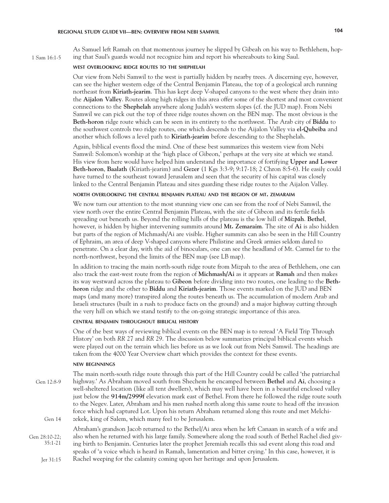1 Sam 16:1-5

As Samuel left Ramah on that momentous journey he slipped by Gibeah on his way to Bethlehem, hoping that Saul's guards would not recognize him and report his whereabouts to king Saul.

## **west overlooking ridge routes to the shephelah**

Our view from Nebi Samwil to the west is partially hidden by nearby trees. A discerning eye, however, can see the higher western edge of the Central Benjamin Plateau, the top of a geological arch running northeast from **Kiriath-jearim**. This has kept deep V-shaped canyons to the west where they drain into the **Aijalon Valley**. Routes along high ridges in this area offer some of the shortest and most convenient connections to the **Shephelah** anywhere along Judah's western slopes (cf. the JUD map). From Nebi Samwil we can pick out the top of three ridge routes shown on the BEN map. The most obvious is the **Beth-horon** ridge route which can be seen in its entirety to the northwest. The Arab city of **Biddu** to the southwest controls two ridge routes, one which descends to the Aijalon Valley via **el-Qubeiba** and another which follows a level path to **Kiriath-jearim** before descending to the Shephelah.

Again, biblical events flood the mind. One of these best summarizes this western view from Nebi Samwil: Solomon's worship at the 'high place of Gibeon,' perhaps at the very site at which we stand. His view from here would have helped him understand the importance of fortifying **Upper and Lower Beth-horon**, **Baalath** (Kiriath-jearim) and **Gezer** (1 Kgs 3:3-9; 9:17-18; 2 Chron 8:5-6). He easily could have turned to the southeast toward Jerusalem and seen that the security of his capital was closely linked to the Central Benjamin Plateau and sites guarding these ridge routes to the Aijalon Valley.

# **north overlooking the central benjamin plateau and the region of mt. zemaraim**

We now turn our attention to the most stunning view one can see from the roof of Nebi Samwil, the view north over the entire Central Benjamin Plateau, with the site of Gibeon and its fertile fields spreading out beneath us. Beyond the rolling hills of the plateau is the low hill of **Mizpah**. **Bethel**, however, is hidden by higher intervening summits around **Mt. Zemaraim**. The site of **Ai** is also hidden but parts of the region of Michmash/Ai are visible. Higher summits can also be seen in the Hill Country of Ephraim, an area of deep V-shaped canyons where Philistine and Greek armies seldom dared to penetrate. On a clear day, with the aid of binoculars, one can see the headland of Mt. Carmel far to the north-northwest, beyond the limits of the BEN map (see LB map).

In addition to tracing the main north-south ridge route from Mizpah to the area of Bethlehem, one can also track the east-west route from the region of **Michmash/Ai** as it appears at **Ramah** and then makes its way westward across the plateau to **Gibeon** before dividing into two routes, one leading to the **Bethhoron** ridge and the other to **Biddu** and **Kiriath-jearim**. Those events marked on the JUD and BEN maps (and many more) transpired along the routes beneath us. The accumulation of modern Arab and Israeli structures (built in a rush to produce facts on the ground) and a major highway cutting through the very hill on which we stand testify to the on-going strategic importance of this area.

## **central benjamin throughout biblical history**

One of the best ways of reviewing biblical events on the BEN map is to reread 'A Field Trip Through History' on both *RR* 27 and *RR* 29. The discussion below summarizes principal biblical events which were played out on the terrain which lies before us as we look out from Nebi Samwil. The headings are taken from the 4000 Year Overview chart which provides the context for these events.

#### **new beginnings**

The main north-south ridge route through this part of the Hill Country could be called 'the patriarchal highway.' As Abraham moved south from Shechem he encamped between **Bethel** and **Ai**, choosing a well-sheltered location (like all tent dwellers), which may well have been in a beautiful enclosed valley just below the **914m/2999f** elevation mark east of Bethel. From there he followed the ridge route south to the Negev. Later, Abraham and his men rushed north along this same route to head off the invasion force which had captured Lot. Upon his return Abraham returned along this route and met Melchizekek, king of Salem, which many feel to be Jerusalem. Abraham's grandson Jacob returned to the Bethel/Ai area when he left Canaan in search of a wife and also when he returned with his large family. Somewhere along the road south of Bethel Rachel died giv-Gen 12:8-9 Gen 14 Gen 28:10-22; 35:1-21

ing birth to Benjamin. Centuries later the prophet Jeremiah recalls this sad event along this road and speaks of 'a voice which is heard in Ramah, lamentation and bitter crying.' In this case, however, it is Rachel weeping for the calamity coming upon her heritage and upon Jerusalem. Jer 31:15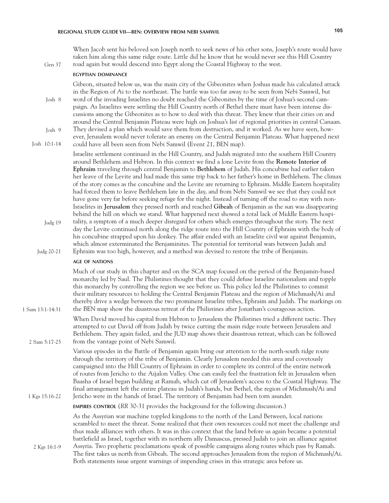When Jacob sent his beloved son Joseph north to seek news of his other sons, Joseph's route would have taken him along this same ridge route. Little did he know that he would never see this Hill Country road again but would descend into Egypt along the Coastal Highway to the west.

# **egyptian dominance**

Gen 37

Gibeon, situated below us, was the main city of the Gibeonites when Joshua made his calculated attack in the Region of Ai to the northeast. The battle was too far away to be seen from Nebi Samwil, but

word of the invading Israelites no doubt reached the Gibeonites by the time of Joshua's second campaign. As Israelites were settling the Hill Country north of Bethel there must have been intense discussions among the Gibeonites as to how to deal with this threat. They knew that their cities on and around the Central Benjamin Plateau were high on Joshua's list of regional priorities in central Canaan. They devised a plan which would save them from destruction, and it worked. As we have seen, how-Josh 9 Josh 8

ever, Jerusalem would never tolerate an enemy on the Central Benjamin Plateau. What happened next

could have all been seen from Nebi Samwil (Event 21, BEN map). Josh 10:1-14

> Israelite settlement continued in the Hill Country, and Judah migrated into the southern Hill Country around Bethlehem and Hebron. In this context we find a lone Levite from the **Remote Interior of Ephraim** traveling through central Benjamin to **Bethlehem** of Judah. His concubine had earlier taken her leave of the Levite and had made this same trip back to her father's home in Bethlehem. The climax of the story comes as the concubine and the Levite are returning to Ephraim. Middle Eastern hospitality had forced them to leave Bethlehem late in the day, and from Nebi Samwil we see that they could not have gone very far before seeking refuge for the night. Instead of turning off the road to stay with non-Israelites in **Jerusalem** they pressed north and reached **Gibeah** of Benjamin as the sun was disappearing behind the hill on which we stand. What happened next showed a total lack of Middle Eastern hospi-

tality, a symptom of a much deeper disregard for others which emerges throughout the story. The next day the Levite continued north along the ridge route into the Hill Country of Ephraim with the body of his concubine strapped upon his donkey. The affair ended with an Israelite civil war against Benjamin, which almost exterminated the Benjaminites. The potential for territorial wars between Judah and Ephraim was too high, however, and a method was devised to restore the tribe of Benjamin. Judg 19 Judg 20-21

#### **age of nations**

1 Sam 13:1-14:31

2 Sam 5:17-25

1 Kgs 15:16-22

2 Kgs 16:1-9

Much of our study in this chapter and on the SCA map focused on the period of the Benjamin-based monarchy led by Saul. The Philistines thought that they could defuse Israelite nationalism and topple this monarchy by controlling the region we see before us. This policy led the Philistines to commit their military resources to holding the Central Benjamin Plateau and the region of Michmash/Ai and thereby drive a wedge between the two prominent Israelite tribes, Ephraim and Judah. The markings on the BEN map show the disastrous retreat of the Philistines after Jonathan's courageous action.

When David moved his capital from Hebron to Jerusalem the Philistines tried a different tactic. They attempted to cut David off from Judah by twice cutting the main ridge route between Jerusalem and Bethlehem. They again failed, and the JUD map shows their disastrous retreat, which can be followed from the vantage point of Nebi Samwil.

Various episodes in the Battle of Benjamin again bring our attention to the north-south ridge route through the territory of the tribe of Benjamin. Clearly Jerusalem needed this area and covetously campaigned into the Hill Country of Ephraim in order to complete its control of the entire network of routes from Jericho to the Aijalon Valley. One can easily feel the frustration felt in Jerusalem when Baasha of Israel began building at Ramah, which cut off Jerusalem's access to the Coastal Highway. The final arrangement left the entire plateau in Judah's hands, but Bethel, the region of Michmash/Ai and Jericho were in the hands of Israel. The territory of Benjamin had been torn asunder.

### **empires control** (*RR* 30-31 provides the background for the following discussion.)

As the Assyrian war machine toppled kingdoms to the north of the Land Between, local nations scrambled to meet the threat. Some realized that their own resources could not meet the challenge and thus made alliances with others. It was in this context that the land before us again became a potential battlefield as Israel, together with its northern ally Damascus, pressed Judah to join an alliance against Assyria. Two prophetic proclamations speak of possible campaigns along routes which pass by Ramah.

The first takes us north from Gibeah. The second approaches Jerusalem from the region of Michmash/Ai. Both statements issue urgent warnings of impending crises in this strategic area before us.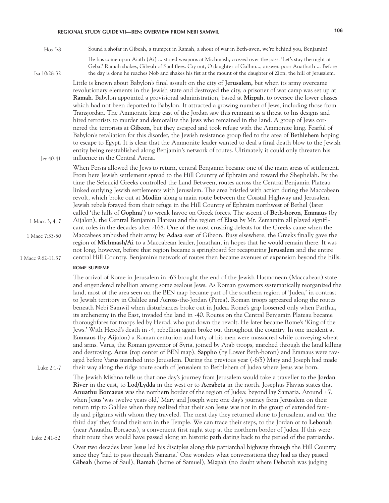Sound a shofar in Gibeah, a trumpet in Ramah, a shout of war in Beth-aven, we're behind you, Benjamin! Hos 5:8

Isa 10:28-32

He has come upon Aiath (Ai) ... stored weapons at Michmash, crossed over the pass. 'Let's stay the night at Geba!' Ramah shakes, Gibeah of Saul flees. Cry out, O daughter of Gallim..., answer, poor Anathoth ... Before the day is done he reaches Nob and shakes his fist at the mount of the daughter of Zion, the hill of Jerusalem.

Little is known about Babylon's final assault on the city of **Jerusalem,** but when its army overcame revolutionary elements in the Jewish state and destroyed the city, a prisoner of war camp was set up at **Ramah**. Babylon appointed a provisional administration, based at **Mizpah**, to oversee the lower classes which had not been deported to Babylon. It attracted a growing number of Jews, including those from Transjordan. The Ammonite king east of the Jordan saw this remnant as a threat to his designs and hired terrorists to murder and demoralize the Jews who remained in the land. A group of Jews cornered the terrorists at **Gibeon**, but they escaped and took refuge with the Ammonite king. Fearful of Babylon's retaliation for this disorder, the Jewish resistance group fled to the area of **Bethlehem** hoping to escape to Egypt. It is clear that the Ammonite leader wanted to deal a final death blow to the Jewish entity being reestablished along Benjamin's network of routes. Ultimately it could only threaten his influence in the Central Arena.

Jer 40-41

Luke 2:1-7

When Persia allowed the Jews to return, central Benjamin became one of the main areas of settlement. From here Jewish settlement spread to the Hill Country of Ephraim and toward the Shephelah. By the time the Seleucid Greeks controlled the Land Between, routes across the Central Benjamin Plateau linked outlying Jewish settlements with Jerusalem. The area bristled with action during the Maccabean revolt, which broke out at **Modiin** along a main route between the Coastal Highway and Jerusalem. Jewish rebels forayed from their refuge in the Hill Country of Ephraim northwest of Bethel (later called 'the hills of **Gophna**') to wreak havoc on Greek forces. The ascent of **Beth-horon**, **Emmaus** (by Aijalon), the Central Benjamin Plateau and the region of **Elasa** by Mt. Zemaraim all played significant roles in the decades after -168. One of the most crushing defeats for the Greeks came when the Maccabees ambushed their army by **Adasa** east of Gibeon. Busy elsewhere, the Greeks finally gave the region of **Michmash/Ai** to a Maccabean leader, Jonathan, in hopes that he would remain there. It was not long, however, before that region became a springboard for recapturing **Jerusalem** and the entire central Hill Country. Benjamin's network of routes then became avenues of expansion beyond the hills. 1 Macc 3, 4, 7 1 Macc 9:62-11:37 1 Macc 7:33-50

#### **rome supreme**

The arrival of Rome in Jerusalem in -63 brought the end of the Jewish Hasmonean (Maccabean) state and engendered rebellion among some zealous Jews. As Roman governors systematically reorganized the land, most of the area seen on the BEN map became part of the southern region of 'Judea,' in contrast to Jewish territory in Galilee and Across-the-Jordan (Perea). Roman troops appeared along the routes beneath Nebi Samwil when disturbances broke out in Judea. Rome's grip loosened only when Parthia, its archenemy in the East, invaded the land in -40. Routes on the Central Benjamin Plateau became thoroughfares for troops led by Herod, who put down the revolt. He later became Rome's 'King of the Jews.' With Herod's death in -4, rebellion again broke out throughout the country. In one incident at **Emmaus** (by Aijalon) a Roman centurion and forty of his men were massacred while conveying wheat and arms. Varus, the Roman governor of Syria, joined by Arab troops, marched through the land killing and destroying. **Arus** (top center of BEN map), **Sappho** (by Lower Beth-horon) and Emmaus were ravaged before Varus marched into Jerusalem. During the previous year (-6/5) Mary and Joseph had made their way along the ridge route south of Jerusalem to Bethlehem of Judea where Jesus was born.

The Jewish Mishna tells us that one day's journey from Jerusalem would take a traveller to the **Jordan River** in the east, to **Lod/Lydda** in the west or to **Acrabeta** in the north. Josephus Flavius states that **Anuathu Borcaeus** was the northern border of the region of Judea; beyond lay Samaria. Around +7, when Jesus 'was twelve years old,' Mary and Joseph were one day's journey from Jerusalem on their return trip to Galilee when they realized that their son Jesus was not in the group of extended family and pilgrims with whom they traveled. The next day they returned alone to Jerusalem, and on 'the third day' they found their son in the Temple. We can trace their steps, to the Jordan or to **Lebonah** (near Anuathu Borcaeus), a convenient first night stop at the northern border of Judea. If this were their route they would have passed along an historic path dating back to the period of the patriarchs. Luke 2:41-52

Over two decades later Jesus led his disciples along this patriarchal highway through the Hill Country since they 'had to pass through Samaria.' One wonders what conversations they had as they passed **Gibeah** (home of Saul), **Ramah** (home of Samuel), **Mizpah** (no doubt where Deborah was judging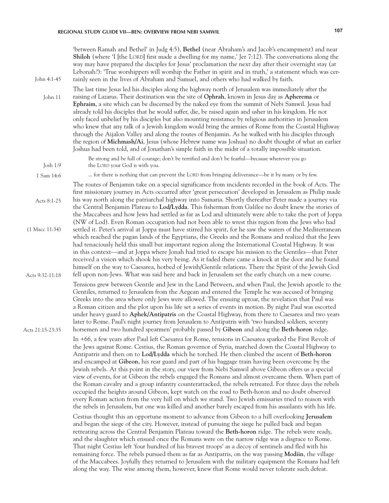| John 4:1-45        | 'between Ramah and Bethel' in Judg 4:5), Bethel (near Abraham's and Jacob's encampment) and near<br>Shiloh (where 'I [the LORD] first made a dwelling for my name,' Jer 7:12). The conversations along the<br>way may have prepared the disciples for Jesus' proclamation the next day after their overnight stay (at<br>Lebonah?): 'True worshippers will worship the Father in spirit and in truth,' a statement which was cer-<br>tainly seen in the lives of Abraham and Samuel, and others who had walked by faith.                                                                                                                                                                                                                                                                                                                                                                                                                                                                                                                                                                                                                                                                                                                                                                                                                                                                                                                                                          |
|--------------------|-----------------------------------------------------------------------------------------------------------------------------------------------------------------------------------------------------------------------------------------------------------------------------------------------------------------------------------------------------------------------------------------------------------------------------------------------------------------------------------------------------------------------------------------------------------------------------------------------------------------------------------------------------------------------------------------------------------------------------------------------------------------------------------------------------------------------------------------------------------------------------------------------------------------------------------------------------------------------------------------------------------------------------------------------------------------------------------------------------------------------------------------------------------------------------------------------------------------------------------------------------------------------------------------------------------------------------------------------------------------------------------------------------------------------------------------------------------------------------------|
| John 11            | The last time Jesus led his disciples along the highway north of Jerusalem was immediately after the<br>raising of Lazarus. Their destination was the site of Ophrah, known in Jesus day as Apherema or<br>Ephraim, a site which can be discerned by the naked eye from the summit of Nebi Samwil. Jesus had<br>already told his disciples that he would suffer, die, be raised again and usher in his kingdom. He not<br>only faced unbelief by his disciples but also mounting resistance by religious authorities in Jerusalem<br>who knew that any talk of a Jewish kingdom would bring the armies of Rome from the Coastal Highway<br>through the Aijalon Valley and along the routes of Benjamin. As he walked with his disciples through<br>the region of Michmash/Ai, Jesus (whose Hebrew name was Joshua) no doubt thought of what an earlier<br>Joshua had been told, and of Jonathan's simple faith in the midst of a totally impossible situation.                                                                                                                                                                                                                                                                                                                                                                                                                                                                                                                    |
| Josh 1:9           | Be strong and be full of courage; don't be terrified and don't be fearful—because wherever you go<br>the LORD your God is with you.                                                                                                                                                                                                                                                                                                                                                                                                                                                                                                                                                                                                                                                                                                                                                                                                                                                                                                                                                                                                                                                                                                                                                                                                                                                                                                                                               |
| 1 Sam 14:6         | for there is nothing that can prevent the LORD from bringing deliverance—be it by many or by few.                                                                                                                                                                                                                                                                                                                                                                                                                                                                                                                                                                                                                                                                                                                                                                                                                                                                                                                                                                                                                                                                                                                                                                                                                                                                                                                                                                                 |
| Acts 8:1-25        | The routes of Benjamin take on a special significance from incidents recorded in the book of Acts. The<br>first missionary journey in Acts occurred after 'great persecution' developed in Jerusalem as Philip made<br>his way north along the patriarchal highway into Samaria. Shortly thereafter Peter made a journey via<br>the Central Benjamin Plateau to Lod/Lydda. This fisherman from Galilee no doubt knew the stories of<br>the Maccabees and how Jews had settled as far as Lod and ultimately were able to take the port of Joppa                                                                                                                                                                                                                                                                                                                                                                                                                                                                                                                                                                                                                                                                                                                                                                                                                                                                                                                                    |
| $(1$ Macc $11:34)$ | (NW of Lod). Even Roman occupation had not been able to wrest this region from the Jews who had<br>settled it. Peter's arrival at Joppa must have stirred his spirit, for he saw the waters of the Mediterranean<br>which reached the pagan lands of the Egyptians, the Greeks and the Romans and realized that the Jews<br>had tenaciously held this small but important region along the International Coastal Highway. It was<br>in this context—and at Joppa where Jonah had tried to escape his mission to the Gentiles—that Peter<br>received a vision which shook his very being. As it faded there came a knock at the door and he found                                                                                                                                                                                                                                                                                                                                                                                                                                                                                                                                                                                                                                                                                                                                                                                                                                  |
| Acts 9:32-11:18    | himself on the way to Caesarea, hotbed of Jewish/Gentile relations. There the Spirit of the Jewish God<br>fell upon non-Jews. What was said here and back in Jerusalem set the early church on a new course.                                                                                                                                                                                                                                                                                                                                                                                                                                                                                                                                                                                                                                                                                                                                                                                                                                                                                                                                                                                                                                                                                                                                                                                                                                                                      |
| Acts 21:15-23:35   | Tensions grew between Gentile and Jew in the Land Between, and when Paul, the Jewish apostle to the<br>Gentiles, returned to Jerusalem from the Aegean and entered the Temple he was accused of bringing<br>Greeks into the area where only Jews were allowed. The ensuing uproar, the revelation that Paul was<br>a Roman citizen and the plot upon his life set a series of events in motion. By night Paul was escorted<br>under heavy guard to Aphek/Antipatris on the Coastal Highway, from there to Caesarea and two years<br>later to Rome. Paul's night journey from Jerusalem to Antipatris with 'two hundred soldiers, seventy<br>horsemen and two hundred spearmen' probably passed by Gibeon and along the Beth-horon ridge.                                                                                                                                                                                                                                                                                                                                                                                                                                                                                                                                                                                                                                                                                                                                          |
|                    | In +66, a few years after Paul left Caesarea for Rome, tensions in Caesarea sparked the First Revolt of<br>the Jews against Rome. Cestius, the Roman governor of Syria, marched down the Coastal Highway to<br>Antipatris and then on to Lod/Lydda which he torched. He then climbed the ascent of Beth-horon<br>and encamped at Gibeon, his rear guard and part of his baggage train having been overcome by the<br>Jewish rebels. At this point in the story, our view from Nebi Samwil above Gibeon offers us a special<br>view of events, for at Gibeon the rebels engaged the Romans and almost overcame them. When part of<br>the Roman cavalry and a group infantry counterattacked, the rebels retreated. For three days the rebels<br>occupied the heights around Gibeon, kept watch on the road to Beth-horon and no doubt observed<br>every Roman action from the very hill on which we stand. Two Jewish emissaries tried to reason with<br>the rebels in Jerusalem, but one was killed and another barely escaped from his assailants with his life.<br>Cestius thought this an opportune moment to advance from Gibeon to a hill overlooking Jerusalem<br>and began the siege of the city. However, instead of pursuing the siege he pulled back and began<br>retreating across the Central Benjamin Plateau toward the Beth-horon ridge. The rebels were ready,<br>and the slaughter which ensued once the Romans were on the narrow ridge was a disgrace to Rome. |
|                    | That night Cestius left 'four hundred of his bravest troops' as a decoy of sentinels and fled with his<br>remaining force. The rebels pursued them as far as Antipatris, on the way passing <b>Modiin</b> , the village<br>of the Maccabees. Joyfully they returned to Jerusalem with the military equipment the Romans had left<br>along the way. The wise among them, however, knew that Rome would never tolerate such defeat.                                                                                                                                                                                                                                                                                                                                                                                                                                                                                                                                                                                                                                                                                                                                                                                                                                                                                                                                                                                                                                                 |